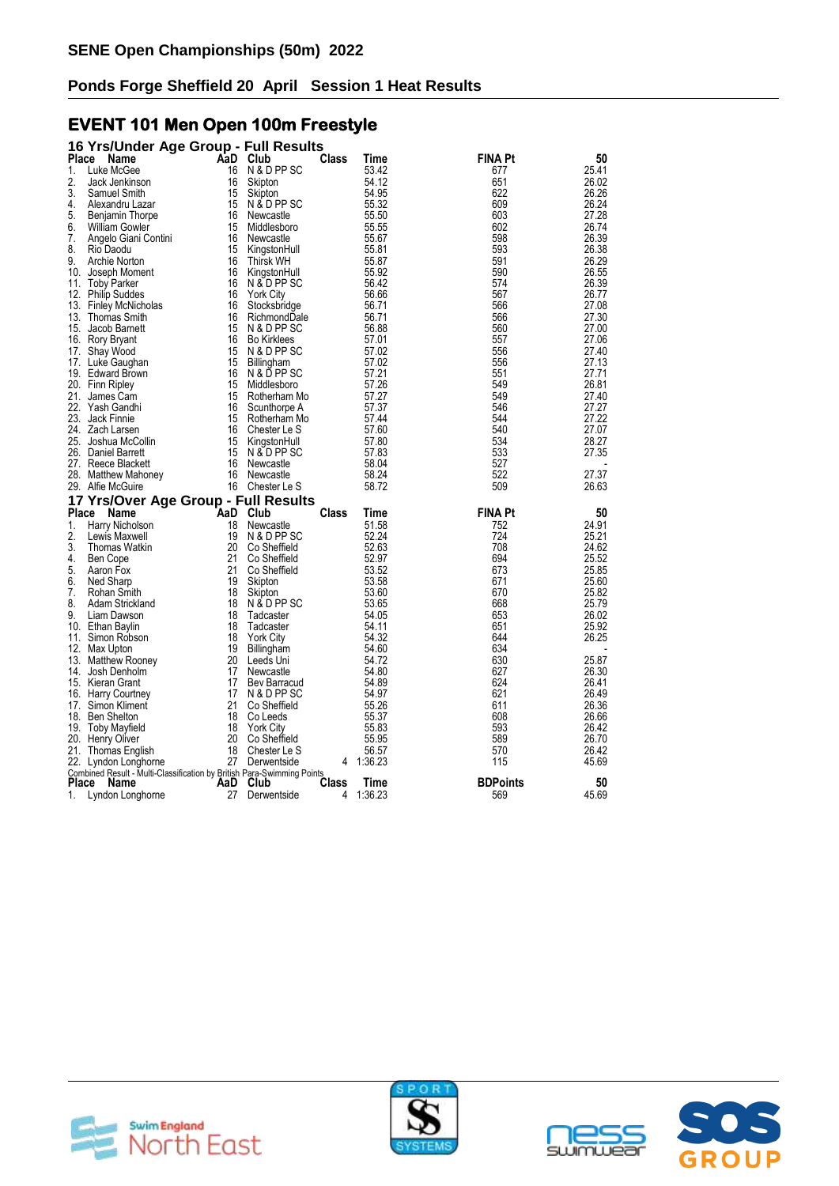#### **EVENT 101 Men Open 100m Freestyle**

|                    | 16 Yrs/Under Age Group - Full Results                                  |           |                                  |                   |                 |                        |                |
|--------------------|------------------------------------------------------------------------|-----------|----------------------------------|-------------------|-----------------|------------------------|----------------|
| Place              | Name                                                                   |           | AaD Club                         | Class             | Time            | FINA Pt                | 50             |
| 1.                 | Luke McGee                                                             | 16        | N & D PP SC                      |                   | 53.42           | 677                    | 25.41          |
| 2.                 | Jack Jenkinson                                                         | 16        | Skipton                          |                   | 54.12           | 651                    | 26.02          |
| 3.                 | Samuel Smith                                                           | 15        | Skipton                          |                   | 54.95           | 622                    | 26.26          |
| 4.                 | Alexandru Lazar                                                        | 15        | N & D PP SC                      |                   | 55.32           | 609                    | 26.24          |
| 5.                 | Benjamin Thorpe                                                        | 16        | Newcastle                        |                   | 55.50           | 603                    | 27.28          |
| 6.                 | <b>William Gowler</b>                                                  | 15        | Middlesboro                      |                   | 55.55           | 602                    | 26.74          |
| 7.                 | Angelo Giani Contini                                                   | 16        | Newcastle                        |                   | 55.67           | 598                    | 26.39          |
| 8.                 | Rio Daodu                                                              | 15        | KingstonHull                     |                   | 55.81           | 593                    | 26.38          |
| 9.                 | Archie Norton                                                          | 16        | <b>Thirsk WH</b>                 |                   | 55.87           | 591                    | 26.29          |
| 10.                | Joseph Moment                                                          | 16        | KingstonHull                     |                   | 55.92           | 590<br>574             | 26.55<br>26.39 |
| 11.                | <b>Toby Parker</b>                                                     | 16<br>16  | N & D PP SC                      |                   | 56.42<br>56.66  | 567                    | 26.77          |
| 12.<br>13.         | <b>Philip Suddes</b><br><b>Finley McNicholas</b>                       | 16        | <b>York City</b><br>Stocksbridge |                   | 56.71           | 566                    | 27.08          |
| 13.                | <b>Thomas Smith</b>                                                    | 16        | RichmondDale                     |                   | 56.71           | 566                    | 27.30          |
| 15.                | Jacob Barnett                                                          | 15        | N & D PP SC                      |                   | 56.88           | 560                    | 27.00          |
| 16.                | Rory Bryant                                                            | 16        | <b>Bo Kirklees</b>               |                   | 57.01           | 557                    | 27.06          |
| 17.                | Shay Wood                                                              | 15        | N & D PP SC                      |                   | 57.02           | 556                    | 27.40          |
| 17.                | Luke Gaughan                                                           | 15        | Billingham                       |                   | 57.02           | 556                    | 27.13          |
| 19.                | <b>Edward Brown</b>                                                    | 16        | N & D PP SC                      |                   | 57.21           | 551                    | 27.71          |
|                    | 20. Finn Ripley                                                        | 15        | Middlesboro                      |                   | 57.26           | 549                    | 26.81          |
| 21.                | James Cam                                                              | 15        | Rotherham Mo                     |                   | 57.27           | 549                    | 27.40          |
| 22.                | Yash Gandhi                                                            | 16        | Scunthorpe A                     |                   | 57.37           | 546                    | 27.27          |
|                    | 23. Jack Finnie                                                        | 15        | Rotherham Mo                     |                   | 57.44           | 544                    | 27.22          |
| 24.                | Zach Larsen                                                            | 16        | Chester Le S                     |                   | 57.60           | 540                    | 27.07          |
| 25.                | Joshua McCollin                                                        | 15        | KingstonHull                     |                   | 57.80           | 534                    | 28.27          |
| 26.                | Daniel Barrett                                                         | 15        | N & D PP SC                      |                   | 57.83           | 533                    | 27.35          |
| 27.                | Reece Blackett                                                         | 16        | Newcastle                        |                   | 58.04           | 527                    |                |
|                    |                                                                        |           |                                  |                   |                 |                        |                |
| 28.                | Matthew Mahoney                                                        | 16        | Newcastle                        |                   | 58.24           | 522                    | 27.37          |
|                    | 29. Alfie McGuire                                                      | 16        | Chester Le S                     |                   | 58.72           | 509                    | 26.63          |
|                    | 17 Yrs/Over Age Group - Full Results                                   |           |                                  |                   |                 |                        |                |
| Place              | Name                                                                   | AaD       | Club                             | Class             | Time            | <b>FINA Pt</b>         | 50             |
| 1.                 | Harry Nicholson                                                        | 18        | Newcastle                        |                   | 51.58           | 752                    | 24.91          |
| 2.                 | Lewis Maxwell                                                          | 19        | N & D PP SC                      |                   | 52.24           | 724                    | 25.21          |
| 3.                 | Thomas Watkin                                                          | 20        | Co Sheffield                     |                   | 52.63           | 708                    | 24.62          |
| 4.                 | Ben Cope                                                               | 21        | Co Sheffield                     |                   | 52.97           | 694                    | 25.52          |
| 5.                 | Aaron Fox                                                              | 21        | Co Sheffield                     |                   | 53.52           | 673                    | 25.85          |
| 6.                 | Ned Sharp                                                              | 19        | Skipton                          |                   | 53.58           | 671                    | 25.60          |
| 7.                 | Rohan Smith                                                            | 18        | Skipton                          |                   | 53.60           | 670                    | 25.82          |
| 8.                 | Adam Strickland                                                        | 18        | N & D PP SC                      |                   | 53.65           | 668                    | 25.79          |
| 9.                 | Liam Dawson                                                            | 18        | Tadcaster                        |                   | 54.05           | 653                    | 26.02          |
| 10.                | Ethan Baylin                                                           | 18        | Tadcaster                        |                   | 54.11           | 651                    | 25.92          |
| 11.                | Simon Robson                                                           | 18        | <b>York City</b>                 |                   | 54.32           | 644                    | 26.25          |
| 12.                | Max Upton                                                              | 19        | Billingham                       |                   | 54.60           | 634                    |                |
| 13.                | Matthew Rooney                                                         | 20        | Leeds Uni                        |                   | 54.72           | 630                    | 25.87          |
| 14.                | Josh Denholm                                                           | 17        | Newcastle                        |                   | 54.80           | 627                    | 26.30          |
| 15.                | Kieran Grant                                                           | 17        | Bev Barracud                     |                   | 54.89           | 624                    | 26.41          |
| 16.<br>17.         | <b>Harry Courtney</b><br>Simon Kliment                                 | 17<br>21  | N & D PP SC<br>Co Sheffield      |                   | 54.97<br>55.26  | 621<br>611             | 26.49<br>26.36 |
| 18.                | <b>Ben Shelton</b>                                                     | 18        | Co Leeds                         |                   |                 | 608                    | 26.66          |
| 19.                | <b>Toby Mayfield</b>                                                   | 18        | <b>York City</b>                 |                   | 55.37<br>55.83  | 593                    | 26.42          |
| 20.                | <b>Henry Oliver</b>                                                    | 20        | Co Sheffield                     |                   | 55.95           | 589                    | 26.70          |
| 21.                | Thomas English                                                         | 18        | Chester Le S                     |                   | 56.57           | 570                    | 26.42          |
| 22.                | Lyndon Longhorne                                                       | 27        | Derwentside                      | 4                 | 1:36.23         | 115                    | 45.69          |
|                    | Combined Result - Multi-Classification by British Para-Swimming Points |           |                                  |                   |                 |                        |                |
| <b>Place</b><br>1. | Name<br>Lyndon Longhorne                                               | AaD<br>27 | Club<br>Derwentside              | <b>Class</b><br>4 | Time<br>1:36.23 | <b>BDPoints</b><br>569 | 50<br>45.69    |







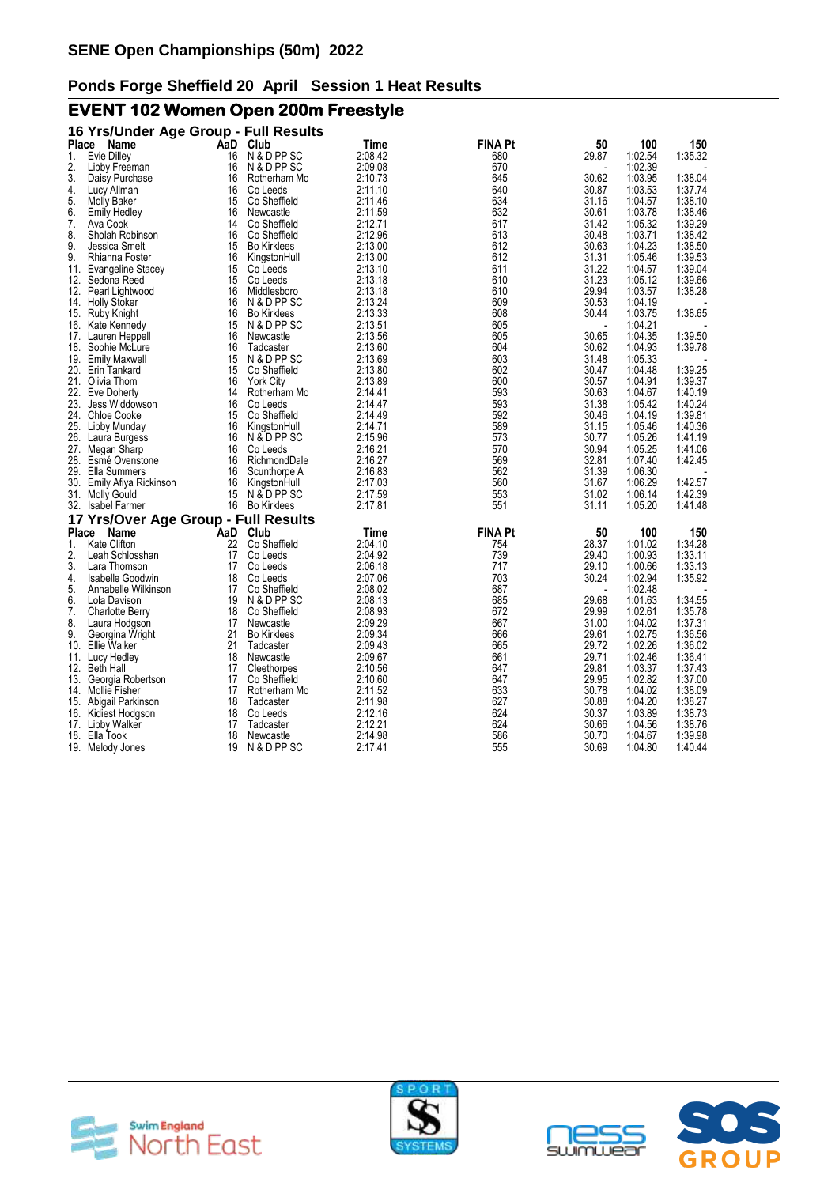# **EVENT 102 Women Open 200m Freestyle**

| Place      | 16 Yrs/Under Age Group - Full Results |          |                             |                    | <b>FINA Pt</b> | 50             | 100                |                    |
|------------|---------------------------------------|----------|-----------------------------|--------------------|----------------|----------------|--------------------|--------------------|
|            | Name                                  | AaD      | Club<br>N & D PP SC         | Time               |                |                |                    | 150                |
| 1.         | Evie Dilley                           | 16       |                             | 2:08.42            | 680<br>670     | 29.87          | 1:02.54<br>1:02.39 | 1:35.32            |
| 2.<br>3.   | Libby Freeman<br>Daisy Purchase       | 16<br>16 | N & D PP SC<br>Rotherham Mo | 2:09.08<br>2:10.73 | 645            | 30.62          | 1:03.95            | 1:38.04            |
| 4.         | Lucy Allman                           | 16       | Co Leeds                    | 2:11.10            | 640            | 30.87          | 1:03.53            | 1:37.74            |
| 5.         | <b>Molly Baker</b>                    | 15       | Co Sheffield                | 2:11.46            | 634            | 31.16          | 1:04.57            | 1:38.10            |
| 6.         |                                       | 16       | Newcastle                   | 2:11.59            | 632            | 30.61          | 1:03.78            | 1:38.46            |
| 7.         | <b>Emily Hedley</b><br>Ava Cook       | 14       | Co Sheffield                | 2:12.71            | 617            | 31.42          | 1:05.32            | 1:39.29            |
| 8.         | Sholah Robinson                       | 16       | Co Sheffield                | 2:12.96            | 613            | 30.48          | 1:03.71            | 1:38.42            |
| 9.         | Jessica Smelt                         | 15       | <b>Bo Kirklees</b>          | 2:13.00            | 612            | 30.63          | 1:04.23            | 1:38.50            |
| 9.         | Rhianna Foster                        | 16       | KingstonHull                | 2:13.00            | 612            | 31.31          | 1:05.46            | 1:39.53            |
| 11.        | Evangeline Stacey                     | 15       | Co Leeds                    | 2:13.10            | 611            | 31.22          | 1:04.57            | 1:39.04            |
| 12.        | Sedona Reed                           | 15       | Co Leeds                    | 2:13.18            | 610            | 31.23          | 1:05.12            | 1:39.66            |
| 12.        | Pearl Lightwood                       | 16       | Middlesboro                 | 2:13.18            | 610            | 29.94          | 1:03.57            | 1:38.28            |
| 14.        | <b>Holly Stoker</b>                   | 16       | N & D PP SC                 | 2:13.24            | 609            | 30.53          | 1:04.19            |                    |
| 15.        | Ruby Knight                           | 16       | <b>Bo Kirklees</b>          | 2:13.33            | 608            | 30.44          | 1:03.75            | 1:38.65            |
| 16.        | Kate Kennedy                          | 15       | N & D PP SC                 | 2:13.51            | 605            |                | 1:04.21            |                    |
| 17.        | Lauren Heppell                        | 16       | Newcastle                   | 2:13.56            | 605            | 30.65          | 1:04.35            | 1:39.50            |
| 18.        | Sophie McLure                         | 16       | Tadcaster                   | 2:13.60            | 604            | 30.62          | 1:04.93            | 1:39.78            |
| 19.        | <b>Emily Maxwell</b>                  | 15       | N & D PP SC                 | 2:13.69            | 603            | 31.48          | 1:05.33            |                    |
|            | 20. Erin Tankard                      | 15       | Co Sheffield                | 2:13.80            | 602            | 30.47          | 1:04.48            | 1:39.25            |
|            | 21. Olivia Thom                       | 16       | <b>York City</b>            | 2:13.89            | 600            | 30.57          | 1:04.91            | 1:39.37            |
| 22.        | Eve Doherty                           | 14       | Rotherham Mo                | 2:14.41            | 593            | 30.63          | 1:04.67            | 1:40.19            |
| 23.        | Jess Widdowson                        | 16       | Co Leeds                    | 2:14.47            | 593            | 31.38          | 1:05.42            | 1:40.24            |
| 24.        | <b>Chloe Cooke</b>                    | 15       | Co Sheffield                | 2:14.49            | 592            | 30.46          | 1:04.19            | 1:39.81            |
|            | 25. Libby Munday                      | 16       | KingstonHull                | 2:14.71            | 589            | 31.15          | 1:05.46            | 1:40.36            |
| 26.        | Laura Burgess                         | 16       | N & D PP SC                 | 2:15.96            | 573            | 30.77          | 1:05.26            | 1:41.19            |
|            | 27. Megan Sharp                       | 16       | Co Leeds                    | 2:16.21            | 570            | 30.94          | 1:05.25            | 1:41.06            |
| 28.        | Esmé Ovenstone                        | 16       | RichmondDale                | 2:16.27            | 569            | 32.81          | 1:07.40            | 1:42.45            |
| 29.        | Ella Summers                          | 16       | Scunthorpe A                | 2:16.83            | 562            | 31.39          | 1:06.30            |                    |
|            | 30. Emily Afiya Rickinson             | 16       | KingstonHull                | 2:17.03            | 560            | 31.67          | 1:06.29            | 1:42.57            |
|            | 31. Molly Gould                       | 15       | N & D PP SC                 | 2:17.59            | 553            | 31.02          | 1:06.14            | 1:42.39            |
|            | 32. Isabel Farmer                     | 16       | <b>Bo Kirklees</b>          | 2:17.81            | 551            | 31.11          | 1:05.20            | 1:41.48            |
|            |                                       |          |                             |                    |                |                |                    |                    |
|            | 17 Yrs/Over Age Group - Full Results  |          |                             |                    |                |                |                    |                    |
| Place      | Name                                  | AaD      | Club                        | Time               | <b>FINA Pt</b> | 50             | 100                | 150                |
| 1.         | <b>Kate Clifton</b>                   | 22       | Co Sheffield                | 2:04.10            | 754            | 28.37          | 1:01.02            | 1:34.28            |
| 2.         | Leah Schlosshan                       | 17       | Co Leeds                    | 2:04.92            | 739            | 29.40          | 1:00.93            | 1:33.11            |
| 3.<br>4.   | Lara Thomson                          | 17       | Co Leeds                    | 2:06.18            | 717<br>703     | 29.10          | 1:00.66            | 1:33.13            |
|            | Isabelle Goodwin                      | 18       | Co Leeds                    | 2:07.06            |                | 30.24          | 1:02.94            | 1:35.92            |
| 5.         | Annabelle Wilkinson                   | 17       | Co Sheffield                | 2:08.02            | 687            |                | 1:02.48            |                    |
| 6.         | Lola Davison                          | 19<br>18 | N & D PP SC<br>Co Sheffield | 2:08.13            | 685<br>672     | 29.68          | 1:01.63<br>1:02.61 | 1:34.55            |
| 7.         | <b>Charlotte Berry</b>                |          |                             | 2:08.93            |                | 29.99          |                    | 1:35.78            |
| 8.<br>9.   | Laura Hodgson                         | 17<br>21 | Newcastle                   | 2:09.29            | 667            | 31.00          | 1:04.02<br>1:02.75 | 1:37.31<br>1:36.56 |
|            | Georgina Wright<br>Ellie Walker       | 21       | <b>Bo Kirklees</b>          | 2:09.34<br>2:09.43 | 666<br>665     | 29.61<br>29.72 | 1:02.26            |                    |
| 10.        |                                       |          | Tadcaster                   |                    |                | 29.71          |                    | 1:36.02            |
| 12.        | 11. Lucy Hedley<br><b>Beth Hall</b>   | 18<br>17 | Newcastle<br>Cleethorpes    | 2:09.67<br>2:10.56 | 661<br>647     | 29.81          | 1:02.46<br>1:03.37 | 1:36.41<br>1:37.43 |
| 13.        | Georgia Robertson                     | 17       | Co Sheffield                | 2:10.60            | 647            | 29.95          | 1:02.82            | 1:37.00            |
|            |                                       |          |                             |                    |                |                |                    |                    |
|            | 14. Mollie Fisher                     | 17<br>18 | Rotherham Mo<br>Tadcaster   | 2:11.52            | 633<br>627     | 30.78<br>30.88 | 1:04.02<br>1:04.20 | 1:38.09<br>1:38.27 |
| 15.<br>16. | Abigail Parkinson                     | 18       | Co Leeds                    | 2:11.98<br>2:12.16 | 624            | 30.37          | 1:03.89            | 1:38.73            |
|            | Kidiest Hodgson                       | 17       | Tadcaster                   | 2:12.21            | 624            | 30.66          | 1:04.56            | 1:38.76            |
| 18.        | 17. Libby Walker<br>Ella Took         | 18       | Newcastle                   | 2:14.98            | 586            | 30.70          | 1:04.67            | 1:39.98            |
| 19.        |                                       | 19       | N & D PP SC                 | 2:17.41            | 555            | 30.69          | 1:04.80            | 1:40.44            |
|            | Melody Jones                          |          |                             |                    |                |                |                    |                    |







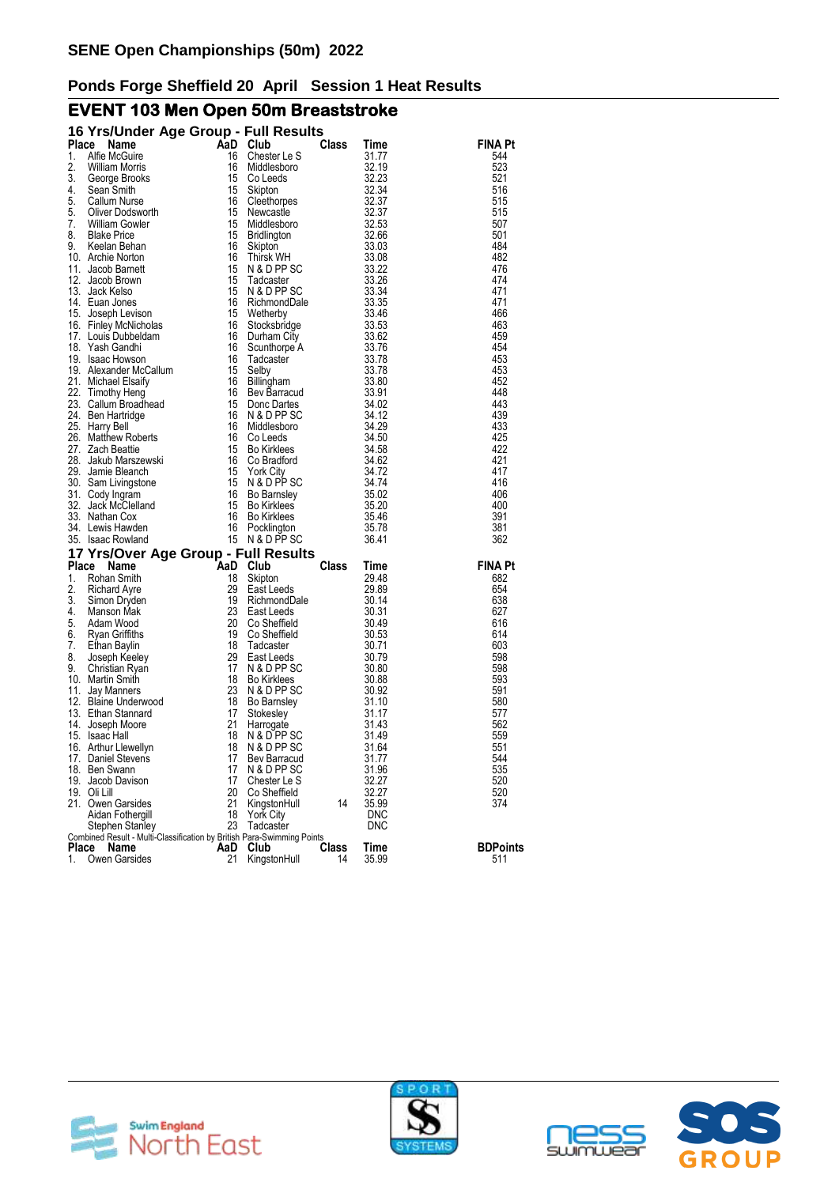# **EVENT 103 Men Open 50m Breaststroke**

|              | 16 Yrs/Under Age Group - Full Results                                  |          |                            |              |                     |                 |
|--------------|------------------------------------------------------------------------|----------|----------------------------|--------------|---------------------|-----------------|
| <b>Place</b> | Name                                                                   | AaD Club |                            | Class        | Time                | <b>FINA Pt</b>  |
| 1.           | Alfie McGuire                                                          | 16       | Chester Le S               |              | 31.77               | 544             |
| 2.           | <b>William Morris</b>                                                  | 16       | Middlesboro                |              | 32.19               | 523             |
| 3.           | George Brooks                                                          | 15       | Co Leeds                   |              | 32.23               | 521             |
| 4.<br>5.     | Sean Smith                                                             | 15       | Skipton                    |              | 32.34<br>32.37      | 516<br>515      |
| 5.           | Callum Nurse<br>Oliver Dodsworth                                       | 16<br>15 | Cleethorpes<br>Newcastle   |              | 32.37               | 515             |
| 7.           | <b>William Gowler</b>                                                  | 15       | Middlesboro                |              | 32.53               | 507             |
| 8.           | <b>Blake Price</b>                                                     | 15       | <b>Bridlington</b>         |              | 32.66               | 501             |
| 9.           | Keelan Behan                                                           | 16       | Skipton                    |              | 33.03               | 484             |
|              | 10. Archie Norton                                                      | 16       | Thirsk WH                  |              | 33.08               | 482             |
|              | 11. Jacob Barnett                                                      | 15       | N & D PP SC                |              | 33.22               | 476             |
|              | 12. Jacob Brown                                                        | 15       | Tadcaster                  |              | 33.26               | 474             |
|              | 13. Jack Kelso                                                         | 15       | N & D PP SC                |              | 33.34               | 471             |
|              | 14. Euan Jones                                                         | 16       | RichmondDale               |              | 33.35               | 471             |
|              | 15. Joseph Levison                                                     | 15       | Wetherby                   |              | 33.46               | 466             |
|              | 16. Finley McNicholas                                                  | 16       | Stocksbridge               |              | 33.53               | 463             |
|              | 17. Louis Dubbeldam                                                    | 16       | Durham City                |              | 33.62               | 459             |
|              | 18. Yash Gandhi                                                        | 16       | Scunthorpe A               |              | 33.76               | 454             |
|              | 19. Isaac Howson                                                       | 16       | Tadcaster                  |              | 33.78               | 453             |
|              | 19. Alexander McCallum                                                 | 15       | Selby                      |              | 33.78               | 453             |
|              | 21. Michael Elsaity                                                    | 16<br>16 | Billingham                 |              | 33.80               | 452<br>448      |
|              | 22. Timothy Heng                                                       | 15       | Bev Barracud               |              | 33.91<br>34.02      | 443             |
|              | 23. Callum Broadhead<br>24. Ben Hartridge                              | 16       | Donc Dartes<br>N & D PP SC |              | 34.12               | 439             |
|              | 25. Harry Bell                                                         | 16       | Middlesboro                |              | 34.29               | 433             |
|              | 26. Matthew Roberts                                                    | 16       | Co Leeds                   |              | 34.50               | 425             |
|              | 27. Zach Beattie                                                       | 15       | <b>Bo Kirklees</b>         |              | 34.58               | 422             |
|              | 28. Jakub Marszewski                                                   | 16       | Co Bradford                |              | 34.62               | 421             |
|              | 29. Jamie Bleanch                                                      | 15       | <b>York City</b>           |              | 34.72               | 417             |
|              | 30. Sam Livingstone                                                    | 15       | N & D PP SC                |              | 34.74               | 416             |
|              | 31. Cody Ingram                                                        | 16       | Bo Barnsley                |              | 35.02               | 406             |
|              | 32. Jack McClelland                                                    | 15       | <b>Bo Kirklees</b>         |              | 35.20               | 400             |
|              | 33. Nathan Cox                                                         | 16       | <b>Bo Kirklees</b>         |              | 35.46               | 391             |
|              | 34. Lewis Hawden                                                       | 16       | Pocklington                |              | 35.78               | 381             |
|              | 35. Isaac Rowland                                                      |          | 15 N & D PP SC             |              | 36.41               | 362             |
|              | 17 Yrs/Over Age Group - Full Results                                   |          |                            |              |                     |                 |
| Place        | Name                                                                   | AaD      | Club                       | <b>Class</b> | Time                | <b>FINA Pt</b>  |
| 1.           | Rohan Smith                                                            | 18       | Skipton                    |              | 29.48               | 682             |
| 2.           | <b>Richard Ayre</b>                                                    | 29       | East Leeds                 |              | 29.89               | 654             |
| 3.           | Simon Dryden                                                           | 19       | RichmondDale               |              | 30.14               | 638             |
| 4.           | Manson Mak                                                             | 23       | East Leeds                 |              | 30.31               | 627             |
| 5.<br>6.     | Adam Wood                                                              | 20<br>19 | Co Sheffield               |              | 30.49               | 616             |
| 7.           | Ryan Griffiths<br>Ethan Baylin                                         | 18       | Co Sheffield<br>Tadcaster  |              | 30.53<br>30.71      | 614<br>603      |
| 8.           | Joseph Keeley                                                          | 29       | East Leeds                 |              | 30.79               | 598             |
| 9.           | Christian Ryan                                                         | 17       | N & D PP SC                |              | 30.80               | 598             |
|              | 10. Martin Smith                                                       | 18       | <b>Bo Kirklees</b>         |              | 30.88               | 593             |
|              | 11. Jay Manners                                                        | 23       | N & D PP SC                |              | 30.92               | 591             |
|              | 12. Blaine Underwood                                                   | 18       | Bo Barnsley                |              | 31.10               | 580             |
|              | 13. Ethan Stannard                                                     | 17       | Stokesley                  |              | 31.17               | 577             |
|              | 14. Joseph Moore                                                       | 21       | Harrogate                  |              | 31.43               | 562             |
|              | 15. Isaac Hall                                                         | 18       | N & D PP SC                |              | 31.49               | 559             |
|              | 16. Arthur Llewellyn                                                   | 18       | N & D PP SC                |              | 31.64               | 551             |
|              | 17. Daniel Stevens                                                     | 17       | Bev Barracud               |              | 31.77               | 544             |
|              | 18. Ben Swann                                                          | 17       | N & D PP SC                |              | 31.96               | 535             |
|              | 19. Jacob Davison                                                      | 17       | Chester Le S               |              | 32.27               | 520             |
|              | 19. Oli Lill                                                           | 20       | Co Sheffield               | 14           | 32.27               | 520             |
|              | 21. Owen Garsides<br>Aidan Fothergill                                  | 21<br>18 | KingstonHull               |              | 35.99<br><b>DNC</b> | 374             |
|              | Stephen Stanley                                                        | 23       | York City<br>Tadcaster     |              | <b>DNC</b>          |                 |
|              | Combined Result - Multi-Classification by British Para-Swimming Points |          |                            |              |                     |                 |
| Place        | Name                                                                   | AaD      | Club                       | Class        | Time                | <b>BDPoints</b> |
| 1.           | Owen Garsides                                                          | 21       | KingstonHull               | 14           | 35.99               | 511             |







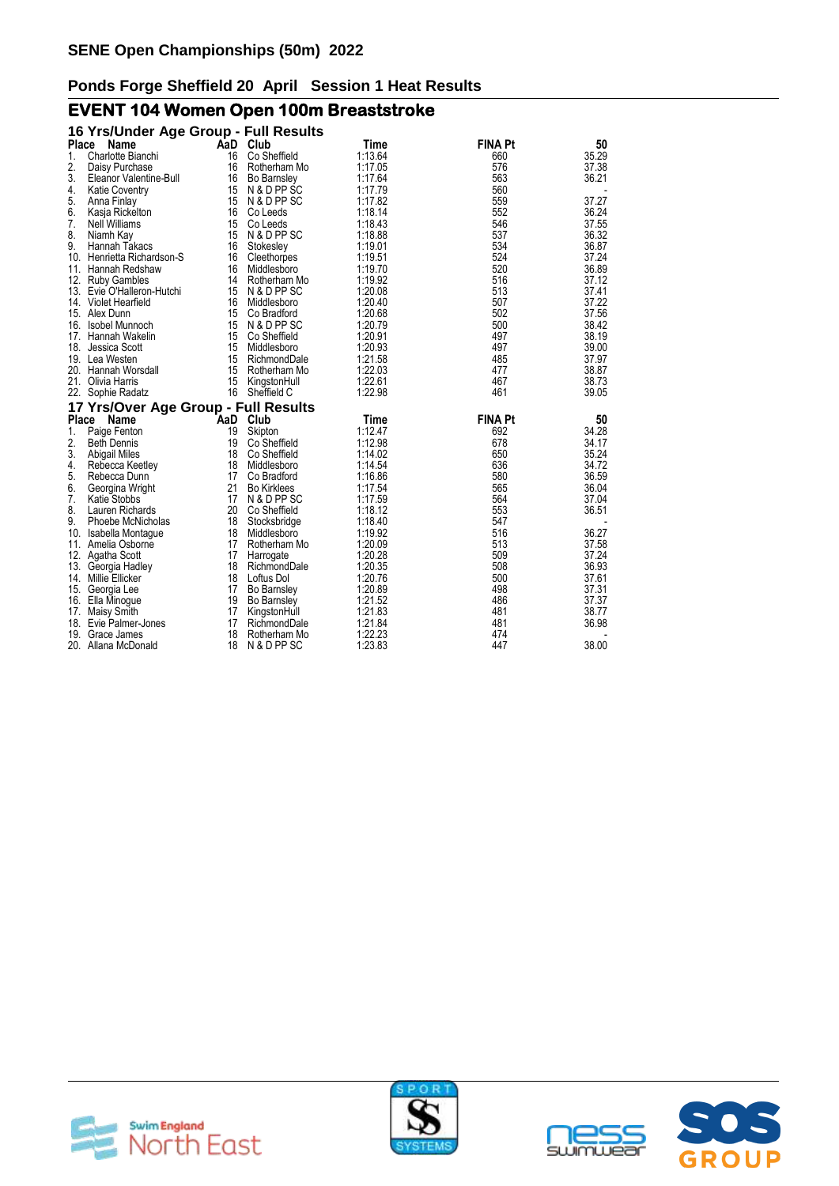# **EVENT 104 Women Open 100m Breaststroke**

| 16 Yrs/Under Age Group - Full Results  |          |                             |                    |                |                |
|----------------------------------------|----------|-----------------------------|--------------------|----------------|----------------|
| Place Name                             |          | AaD Club                    | Time               | <b>FINA Pt</b> | 50             |
| 1.<br>Charlotte Bianchi                | 16       | Co Sheffield                | 1:13.64            | 660            | 35.29          |
| 2.<br>Daisy Purchase                   | 16       | Rotherham Mo                | 1:17.05            | 576            | 37.38          |
| 3.<br>Eleanor Valentine-Bull           | 16       | <b>Bo Barnsley</b>          | 1:17.64            | 563            | 36.21          |
| 4.<br><b>Katie Coventry</b>            | 15       | N & D PP SC                 | 1:17.79            | 560            |                |
| 5.<br>Anna Finlay                      |          | 15 N & D PP SC              | 1:17.82            | 559            | 37.27          |
| 6.<br>Kasja Rickelton                  | 16       | Co Leeds                    | 1:18.14            | 552            | 36.24          |
| 7.<br><b>Nell Williams</b>             | 15       | Co Leeds                    | 1:18.43            | 546            | 37.55          |
| 8.<br>Niamh Kay                        | 15       | N & D PP SC                 | 1:18.88            | 537            | 36.32          |
| 9.<br>Hannah Takacs                    | 16       | Stokesley                   | 1:19.01            | 534            | 36.87          |
| 10. Henrietta Richardson-S             | 16       | Cleethorpes                 | 1:19.51            | 524            | 37.24          |
| 11. Hannah Redshaw                     | 16       | Middlesboro                 | 1:19.70            | 520            | 36.89          |
| 12. Ruby Gambles                       |          | 14 Rotherham Mo             | 1:19.92            | 516            | 37.12          |
| 13. Evie O'Halleron-Hutchi             | 15       | N & D PP SC                 | 1:20.08            | 513            | 37.41          |
| 14. Violet Hearfield                   | 16       | Middlesboro                 | 1:20.40            | 507            | 37.22          |
| 15. Alex Dunn                          | 15       | Co Bradford                 | 1:20.68            | 502            | 37.56          |
| 16. Isobel Munnoch                     | 15       | N & D PP SC                 | 1:20.79            | 500            | 38.42          |
| 17. Hannah Wakelin                     | 15       | Co Sheffield                | 1:20.91            | 497            | 38.19          |
| 18. Jessica Scott                      | 15       | Middlesboro                 | 1:20.93            | 497            | 39.00          |
| 19. Lea Westen                         | 15       | RichmondDale                | 1:21.58            | 485            | 37.97          |
| 20. Hannah Worsdall                    | 15       | Rotherham Mo                | 1:22.03            | 477            | 38.87          |
| 21. Olivia Harris                      | 15       | KingstonHull                | 1:22.61            | 467            | 38.73          |
| 22. Sophie Radatz                      |          | 16 Sheffield C              | 1:22.98            | 461            | 39.05          |
| 17 Yrs/Over Age Group - Full Results   |          |                             |                    |                |                |
| Place Name                             |          | AaD Club                    | Time               | <b>FINA Pt</b> | 50             |
| 1.<br>Paige Fenton                     | 19       | Skipton                     | 1:12.47            | 692            | 34.28          |
| 2.<br><b>Beth Dennis</b>               | 19       | Co Sheffield                | 1:12.98            | 678            | 34.17          |
| 3.<br><b>Abigail Miles</b>             | 18       | Co Sheffield                | 1:14.02            | 650            | 35.24          |
| 4.<br>Rebecca Keetley                  | 18       | Middlesboro                 | 1:14.54            | 636            | 34.72          |
| 5.<br>Rebecca Dunn                     | 17       | Co Bradford                 | 1:16.86            | 580            | 36.59          |
| 6.<br>Georgina Wright                  | 21       | <b>Bo Kirklees</b>          | 1:17.54            | 565            | 36.04          |
| 7.<br>Katie Stobbs                     |          | 17 N & D PP SC              | 1:17.59            | 564            | 37.04          |
| 8.<br>Lauren Richards                  | 20       | Co Sheffield                | 1:18.12            | 553            | 36.51          |
| 9.<br>Phoebe McNicholas                | 18       | Stocksbridge                | 1:18.40            | 547            |                |
| 10. Isabella Montague                  | 18       | Middlesboro                 | 1:19.92            | 516            | 36.27          |
| 11. Amelia Osborne                     | 17       | Rotherham Mo                | 1:20.09            | 513            | 37.58          |
| 12. Agatha Scott                       | 17       | Harrogate                   | 1:20.28            | 509            | 37.24          |
| 13. Georgia Hadley                     | 18       | RichmondDale                | 1:20.35            | 508            | 36.93          |
| 14. Millie Ellicker                    | 18       | Loftus Dol                  | 1:20.76            | 500            | 37.61          |
| 15. Georgia Lee                        | 17       | Bo Barnsley                 | 1:20.89            | 498            | 37.31          |
| 16. Ella Minogue                       | 19<br>17 | <b>Bo Barnsley</b>          | 1:21.52<br>1:21.83 | 486<br>481     | 37.37<br>38.77 |
| 17. Maisy Smith                        |          | KingstonHull                |                    |                |                |
| 18. Evie Palmer-Jones                  | 17       | RichmondDale                | 1:21.84<br>1:22.23 | 481<br>474     | 36.98          |
| 19. Grace James<br>20. Allana McDonald | 18<br>18 | Rotherham Mo<br>N & D PP SC | 1:23.83            | 447            | 38.00          |
|                                        |          |                             |                    |                |                |





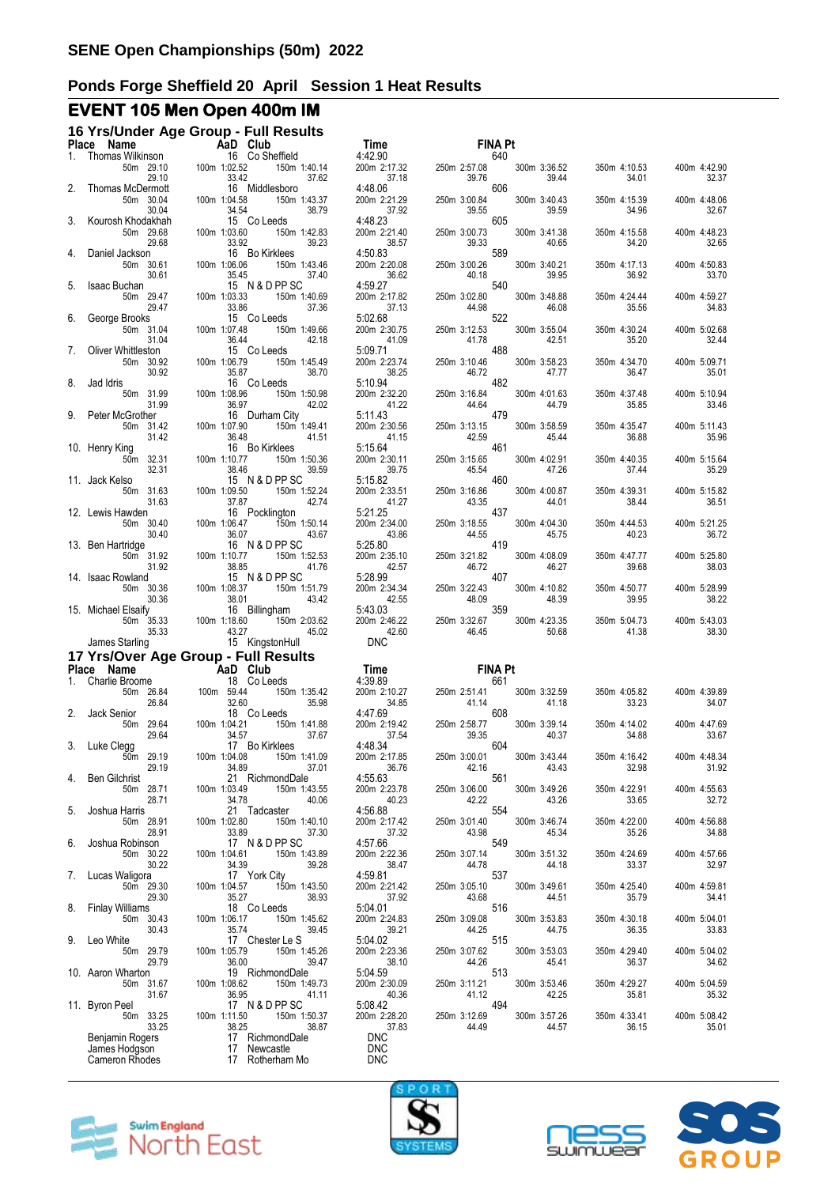# **EVENT 105 Men Open 400m IM**

|    | Place Name                                                  | 16 Yrs/Under Age Group - Full Results                                                 | Time <sub>4:42.90</sub>                         | <b>FINA Pt</b>                                          |                                                |
|----|-------------------------------------------------------------|---------------------------------------------------------------------------------------|-------------------------------------------------|---------------------------------------------------------|------------------------------------------------|
| 1. | Thomas Wilkinson<br>50m 29.10                               | <b>AaD</b> Club<br>16 Co She<br>29.10 100m 1:02.52<br>16 Co Sheffield<br>150m 1:40.14 | 4:42.90<br>200m 2:17.32                         | 640<br>250m 2:57.08<br>300m 3:36.52                     | 400m 4:42.90<br>350m 4:10.53                   |
| 2. | 29.10<br>Thomas McDermott<br>50m 30.04                      | 33.42<br>37.62<br>16 Middlesboro<br>100m 1:04.58<br>150m 1:43.37                      | 37.18<br>4:48.06<br>200m 2:21.29                | 39.76<br>39.44<br>606<br>250m 3:00.84<br>300m 3:40.43   | 34.01<br>32.37<br>350m 4:15.39<br>400m 4:48.06 |
|    | 30.04<br>Kourosh Khodakhah                                  | 34.54<br>38.79<br>15 Co Leeds                                                         | 37.92<br>4:48.23                                | 39.55<br>39.59<br>605                                   | 34.96<br>32.67                                 |
|    | 50m 29.68<br>29.68<br>Daniel Jackson                        | 100m 1:03.60<br>150m 1:42.83<br>33.92<br>39.23<br>16 Bo Kirklees                      | 200m 2:21.40<br>38.57<br>4:50.83                | 250m 3:00.73<br>300m 3:41.38<br>39.33<br>40.65<br>589   | 350m 4:15.58<br>400m 4:48.23<br>34.20<br>32.65 |
|    | 50m 30.61<br>30.61                                          | 100m 1:06.06<br>150m 1:43.46<br>35.45<br>37.40                                        | 200m 2:20.08<br>36.62                           | 250m 3:00.26<br>300m 3:40.21<br>40.18<br>39.95          | 350m 4:17.13<br>400m 4:50.83<br>36.92<br>33.70 |
| 5. | <b>Isaac Buchan</b><br>50m 29.47<br>29.47                   | 15 N & D PP SC<br>100m 1:03.33<br>150m 1:40.69<br>33.86<br>37.36                      | 4:59.27<br>200m 2:17.82<br>37.13                | 540<br>250m 3:02.80<br>300m 3:48.88<br>44.98<br>46.08   | 350m 4:24.44<br>400m 4:59.27<br>35.56<br>34.83 |
| 6. | George Brooks<br>50m 31.04                                  | 15 Co Leeds<br>100m 1:07.48<br>150m 1:49.66                                           | 5:02.68<br>200m 2:30.75                         | 522<br>250m 3:12.53<br>300m 3:55.04                     | 350m 4:30.24<br>400m 5:02.68                   |
|    | 31.04<br>Oliver Whittleston<br>50m 30.92                    | 36.44<br>42.18<br>15 Co Leeds<br>100m 1:06.79<br>150m 1:45.49                         | 41.09<br>5:09.71<br>200m 2:23.74                | 42.51<br>41.78<br>488<br>300m 3:58.23<br>250m 3:10.46   | 35.20<br>32.44<br>400m 5:09.71<br>350m 4:34.70 |
| 8. | 30.92<br>Jad Idris<br>50m 31.99                             | 35.87<br>38.70<br>16 Co Leeds<br>100m 1:08.96<br>150m 1:50.98                         | 38.25<br>5:10.94<br>200m 2:32.20                | 46.72<br>47.77<br>482<br>300m 4:01.63<br>250m 3:16.84   | 36.47<br>35.01<br>350m 4:37.48<br>400m 5:10.94 |
| 9. | 31.99<br>Peter McGrother                                    | 36.97<br>42.02<br>16 Durham City                                                      | 41.22<br>5:11.43                                | 44.64<br>44.79<br>479                                   | 35.85<br>33.46                                 |
|    | 50m 31.42<br>31.42<br>10. Henry King                        | 100m 1:07.90<br>150m 1:49.41<br>36.48<br>41.51<br>16 Bo Kirklees                      | 200m 2:30.56<br>41.15<br>5:15.64                | 250m 3:13.15<br>300m 3:58.59<br>42.59<br>45.44<br>461   | 350m 4:35.47<br>400m 5:11.43<br>36.88<br>35.96 |
|    | 50m 32.31<br>32.31                                          | 100m 1:10.77<br>150m 1:50.36<br>38.46<br>39.59                                        | 200m 2:30.11<br>39.75                           | 250m 3:15.65<br>300m 4:02.91<br>45.54<br>47.26<br>45.54 | 350m 4:40.35<br>400m 5:15.64<br>37.44<br>35.29 |
|    | 11. Jack Kelso<br>50m 31.63<br>31.63                        | 15 N & D PP SC<br>100m 1:09.50<br>150m 1:52.24<br>42.74<br>37.87                      | 5:15.82<br>200m 2:33.51<br>41.27                | 460<br>250m 3:16.86<br>300m 4:00.87<br>43.35<br>44.01   | 350m 4:39.31<br>400m 5:15.82<br>38.44<br>36.51 |
|    | 12. Lewis Hawden<br>50m 30.40<br>30.40                      | 16 Pocklington<br>100m 1:06.47<br>150m 1:50.14<br>36.07<br>43.67                      | 5:21.25<br>200m 2:34.00<br>43.86                | 437<br>250m 3:18.55<br>300m 4:04.30<br>44.55<br>45.75   | 350m 4:44.53<br>400m 5:21.25<br>40.23<br>36.72 |
|    | 13. Ben Hartridge<br>50m 31.92                              | 16 N & D PP SC<br>100m 1:10.77<br>150m 1:52.53                                        | 5:25.80<br>200m 2:35.10                         | 419<br>250m 3:21.82<br>300m 4:08.09                     | 350m 4:47.77<br>400m 5:25.80                   |
|    | 31.92<br>14. Isaac Rowland<br>50m 30.36                     | 38.85<br>41.76<br>15 N & D PP SC<br>100m 1:08.37<br>150m 1:51.79                      | 42.57<br>5:28.99<br>200m 2:34.34                | 46.72<br>46.27<br>407<br>250m 3:22.43<br>300m 4:10.82   | 39.68<br>38.03<br>350m 4:50.77<br>400m 5:28.99 |
|    | 30.36<br>15. Michael Elsaify                                | 38.01<br>43.42<br>16 Billingham                                                       | 42.55<br>5:43.03                                | 48.09<br>48.39<br>359                                   | 39.95<br>38.22                                 |
|    | 50m 35.33<br>35.33<br>James Starling                        | 100m 1:18.60<br>150m 2:03.62<br>43.27<br>45.02<br>15 KingstonHull                     | 200m 2:46.22<br>42.60<br><b>DNC</b>             | 250m 3:32.67<br>300m 4:23.35<br>46.45<br>50.68          | 350m 5:04.73<br>400m 5:43.03<br>41.38<br>38.30 |
|    |                                                             | 17 Yrs/Over Age Group - Full Results                                                  |                                                 |                                                         |                                                |
| 1. | Place Name<br>Charlie Broome                                | <b>Example 2</b> AaD Club<br>and only<br>18 Co Leeds                                  | Time <sub>4.39.89</sub><br>4:39.89              | <b>FINA Pt</b><br>661                                   |                                                |
|    | 50m 26.84<br>26.84                                          | 100m 59.44<br>150m 1:35.42<br>32.60<br>35.98                                          | 200m 2:10.27<br>34.85                           | 300m 3:32.59<br>250m 2:51.41<br>41.14<br>41.18<br>608   | 400m 4:39.89<br>350m 4:05.82<br>33.23<br>34.07 |
| 2. | Jack Senior<br>50m 29.64<br>29.64                           | 18 Co Leeds<br>100m 1:04.21<br>150m 1:41.88<br>34.57<br>37.67                         | 4:47.69<br>200m 2:19.42<br>37.54                | 250m 2:58.77<br>300m 3:39.14<br>39.35<br>40.37          | 350m 4:14.02<br>400m 4:47.69<br>33.67<br>34.88 |
| 3. | Luke Clegg<br>50m 29.19<br>29.19                            | 17 Bo Kirklees<br>100m 1:04.08<br>150m 1:41.09<br>34.89<br>37.01                      | 4:48.34<br>200m 2:17.85<br>36.76                | 604<br>250m 3:00.01<br>300m 3:43.44<br>42.16<br>43.43   | 350m 4:16.42<br>400m 4:48.34<br>32.98<br>31.92 |
| 4. | Ben Gilchrist<br>50m 28.71                                  | 21 RichmondDale<br>100m 1:03.49<br>150m 1:43.55                                       | 4:55.63<br>200m 2:23.78                         | 561<br>250m 3:06.00<br>300m 3:49.26                     | 350m 4:22.91<br>400m 4:55.63                   |
| 5. | 28.71<br>Joshua Harris<br>50m 28.91                         | 34.78<br>40.06<br>21 Tadcaster<br>150m 1:40.10<br>100m 1:02.80                        | 40.23<br>4:56.88<br>200m 2:17.42                | 42.22<br>43.26<br>554<br>250m 3:01.40<br>300m 3:46.74   | 33.65<br>32.72<br>350m 4:22.00<br>400m 4:56.88 |
| 6. | 28.91<br>Joshua Robinson                                    | 33.89<br>37.30<br>17 N & D PP SC                                                      | 37.32<br>4:57.66                                | 43.98<br>45.34<br>549                                   | 35.26<br>34.88                                 |
| 7. | 50m 30.22<br>30.22<br>Lucas Waligora                        | 150m 1:43.89<br>100m 1:04.61<br>34.39<br>39.28<br>17 York City                        | 200m 2:22.36<br>38.47<br>4:59.81                | 250m 3:07.14<br>300m 3:51.32<br>44.18<br>44.78<br>537   | 350m 4:24.69<br>400m 4:57.66<br>33.37<br>32.97 |
|    | 50m 29.30<br>29.30                                          | 100m 1:04.57<br>150m 1:43.50<br>35.27<br>38.93                                        | 200m 2:21.42<br>37.92                           | 250m 3:05.10<br>300m 3:49.61<br>43.68<br>44.51<br>516   | 350m 4:25.40<br>400m 4:59.81<br>35.79<br>34.41 |
| 8. | <b>Finlay Williams</b><br>50m 30.43<br>30.43                | 18 Co Leeds<br>100m 1:06.17<br>150m 1:45.62<br>35.74<br>39.45                         | 5:04.01<br>200m 2:24.83<br>39.21                | 250m 3:09.08<br>300m 3:53.83<br>44.25<br>44.75          | 350m 4:30.18<br>400m 5:04.01<br>36.35<br>33.83 |
|    | 9. Leo White<br>50m 29.79<br>29.79                          | 17 Chester Le S<br>100m 1:05.79<br>150m 1:45.26<br>36.00<br>39.47                     | 5:04.02<br>200m 2:23.36<br>38.10                | 515<br>250m 3:07.62<br>300m 3:53.03<br>44.26<br>45.41   | 400m 5:04.02<br>350m 4:29.40<br>36.37<br>34.62 |
|    | 10. Aaron Wharton<br>50m 31.67                              | 19 RichmondDale<br>100m 1:08.62<br>150m 1:49.73                                       | 5:04.59<br>200m 2:30.09                         | 513<br>250m 3:11.21<br>300m 3:53.46                     | 400m 5:04.59<br>350m 4:29.27                   |
|    | 31.67<br>11. Byron Peel<br>50m 33.25                        | 36.95<br>41.11<br>17 N & D PP SC<br>100m 1:11.50<br>150m 1:50.37                      | 40.36<br>5:08.42<br>200m 2:28.20                | 41.12<br>42.25<br>494<br>250m 3:12.69<br>300m 3:57.26   | 35.81<br>35.32<br>350m 4:33.41<br>400m 5:08.42 |
|    | 33.25<br>Benjamin Rogers<br>James Hodgson<br>Cameron Rhodes | 38.25<br>38.87<br>17 RichmondDale<br>17 Newcastle<br>17 Rotherham Mo                  | 37.83<br><b>DNC</b><br><b>DNC</b><br><b>DNC</b> | 44.49<br>44.57                                          | 36.15<br>35.01                                 |







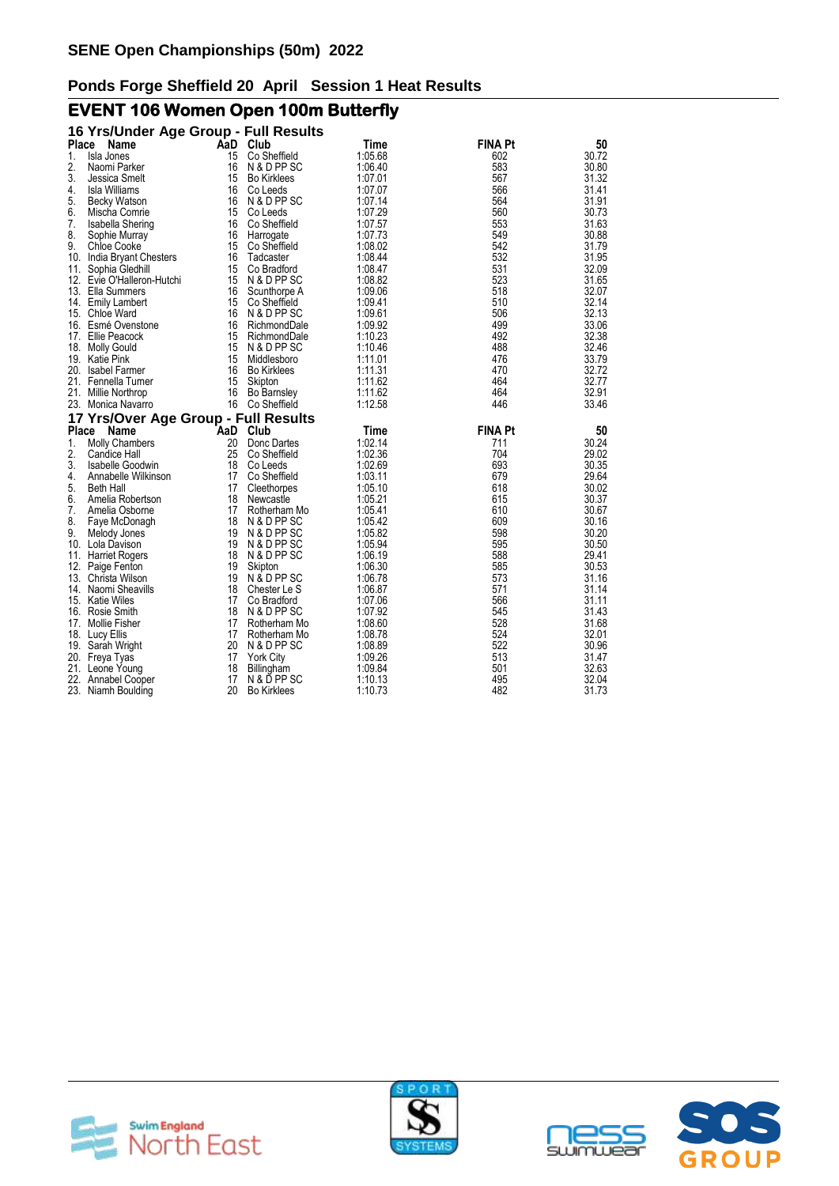# **EVENT 106 Women Open 100m Butterfly**

|    | 16 Yrs/Under Age Group - Full Results |                  |                    |         |                |       |
|----|---------------------------------------|------------------|--------------------|---------|----------------|-------|
|    | Place<br>Name                         | AaD              | Club               | Time    | <b>FINA Pt</b> | 50    |
| 1. | Isla Jones                            | 15               | Co Sheffield       | 1:05.68 | 602            | 30.72 |
| 2. | Naomi Parker                          | 16               | N & D PP SC        | 1:06.40 | 583            | 30.80 |
| 3. | Jessica Smelt                         | 15               | <b>Bo Kirklees</b> | 1:07.01 | 567            | 31.32 |
| 4. | <b>Isla Williams</b>                  |                  | 16 Co Leeds        | 1:07.07 | 566            | 31.41 |
| 5. | <b>Becky Watson</b>                   | 16               | N & D PP SC        | 1:07.14 | 564            | 31.91 |
| 6. | Mischa Comrie                         |                  | 15 Co Leeds        | 1:07.29 | 560            | 30.73 |
| 7. | Isabella Shering                      | 16               | Co Sheffield       | 1:07.57 | 553            | 31.63 |
| 8. | Sophie Murray                         | 16               | Harrogate          | 1:07.73 | 549            | 30.88 |
| 9. | <b>Chloe Cooke</b>                    | 15               | Co Sheffield       | 1:08.02 | 542            | 31.79 |
|    | 10. India Bryant Chesters             | 16               | Tadcaster          | 1:08.44 | 532            | 31.95 |
|    | 11. Sophia Gledhill                   | 15               | Co Bradford        | 1:08.47 | 531            | 32.09 |
|    | 12. Evie O'Halleron-Hutchi            | 15               | N & D PP SC        | 1:08.82 | 523            | 31.65 |
|    | 13. Ella Summers                      | 16               | Scunthorpe A       | 1:09.06 | 518            | 32.07 |
|    | 14. Emily Lambert                     | 15               | Co Sheffield       | 1:09.41 | 510            | 32.14 |
|    | 15. Chloe Ward                        |                  | 16 N & D PP SC     | 1:09.61 | 506            | 32.13 |
|    | 16. Esmé Ovenstone                    | 16               | RichmondDale       | 1:09.92 | 499            | 33.06 |
|    | 17. Ellie Peacock                     | 15               | RichmondDale       | 1:10.23 | 492            | 32.38 |
|    | 18. Molly Gould                       | 15               | N & D PP SC        | 1:10.46 | 488            | 32.46 |
|    | 19. Katie Pink                        | 15 <sup>15</sup> | Middlesboro        | 1:11.01 | 476            | 33.79 |
|    | 20. Isabel Farmer                     | 16               | <b>Bo Kirklees</b> | 1:11.31 | 470            | 32.72 |
|    | 21. Fennella Turner                   | 15               | Skipton            | 1:11.62 | 464            | 32.77 |
|    | 21. Millie Northrop                   | 16               | <b>Bo Barnsley</b> | 1:11.62 | 464            | 32.91 |
|    | 23. Monica Navarro                    |                  | 16 Co Sheffield    | 1:12.58 | 446            | 33.46 |
|    | 17 Yrs/Over Age Group - Full Results  |                  |                    |         |                |       |
|    | Name<br>Place                         |                  | AaD Club           | Time    | <b>FINA Pt</b> | 50    |
| 1. | <b>Molly Chambers</b>                 | 20               | Donc Dartes        | 1:02.14 | 711            | 30.24 |
| 2. | Candice Hall                          | 25               | Co Sheffield       | 1:02.36 | 704            | 29.02 |
| 3. | Isabelle Goodwin                      | 18               | Co Leeds           | 1:02.69 | 693            | 30.35 |
| 4. | Annabelle Wilkinson                   | 17               | Co Sheffield       | 1:03.11 | 679            | 29.64 |
| 5. | Beth Hall                             | 17               | Cleethorpes        | 1:05.10 | 618            | 30.02 |
| 6. | Amelia Robertson                      | 18               | Newcastle          | 1:05.21 | 615            | 30.37 |
| 7. | Amelia Osborne                        | 17               | Rotherham Mo       | 1:05.41 | 610            | 30.67 |
| 8. | Faye McDonagh                         | 18               | N & D PP SC        | 1:05.42 | 609            | 30.16 |
| 9. | Melody Jones                          |                  | 19 N & D PP SC     | 1:05.82 | 598            | 30.20 |
|    | 10. Lola Davison                      | 19               | N & D PP SC        | 1:05.94 | 595            | 30.50 |
|    | 11. Harriet Rogers                    | 18               | N & D PP SC        | 1:06.19 | 588            | 29.41 |
|    | 12. Paige Fenton                      | 19               | Skipton            | 1:06.30 | 585            | 30.53 |
|    | 13. Christa Wilson                    | 19               | N & D PP SC        | 1:06.78 | 573            | 31.16 |
|    | 14. Naomi Sheavills                   | 18               | Chester Le S       | 1:06.87 | 571            | 31.14 |
|    | 15. Katie Wiles                       | 17               | Co Bradford        | 1:07.06 | 566            | 31.11 |
|    | 16. Rosie Smith                       | 18               | N & D PP SC        | 1:07.92 | 545            | 31.43 |
|    | 17. Mollie Fisher                     | 17               | Rotherham Mo       | 1:08.60 | 528            | 31.68 |
|    | 18. Lucy Ellis                        | 17 <sup>17</sup> | Rotherham Mo       | 1:08.78 | 524            | 32.01 |
|    | 19. Sarah Wright                      |                  | 20 N & D PP SC     | 1:08.89 | 522            | 30.96 |
|    | 20. Freya Tyas                        | 17               | <b>York City</b>   | 1:09.26 | 513            | 31.47 |
|    | 21. Leone Young                       | 18               | Billingham         | 1:09.84 | 501            | 32.63 |
|    | 22. Annabel Cooper                    | 17               | N & D PP SC        | 1:10.13 | 495            | 32.04 |
|    | 23. Niamh Boulding                    | 20               | <b>Bo Kirklees</b> | 1:10.73 | 482            | 31.73 |





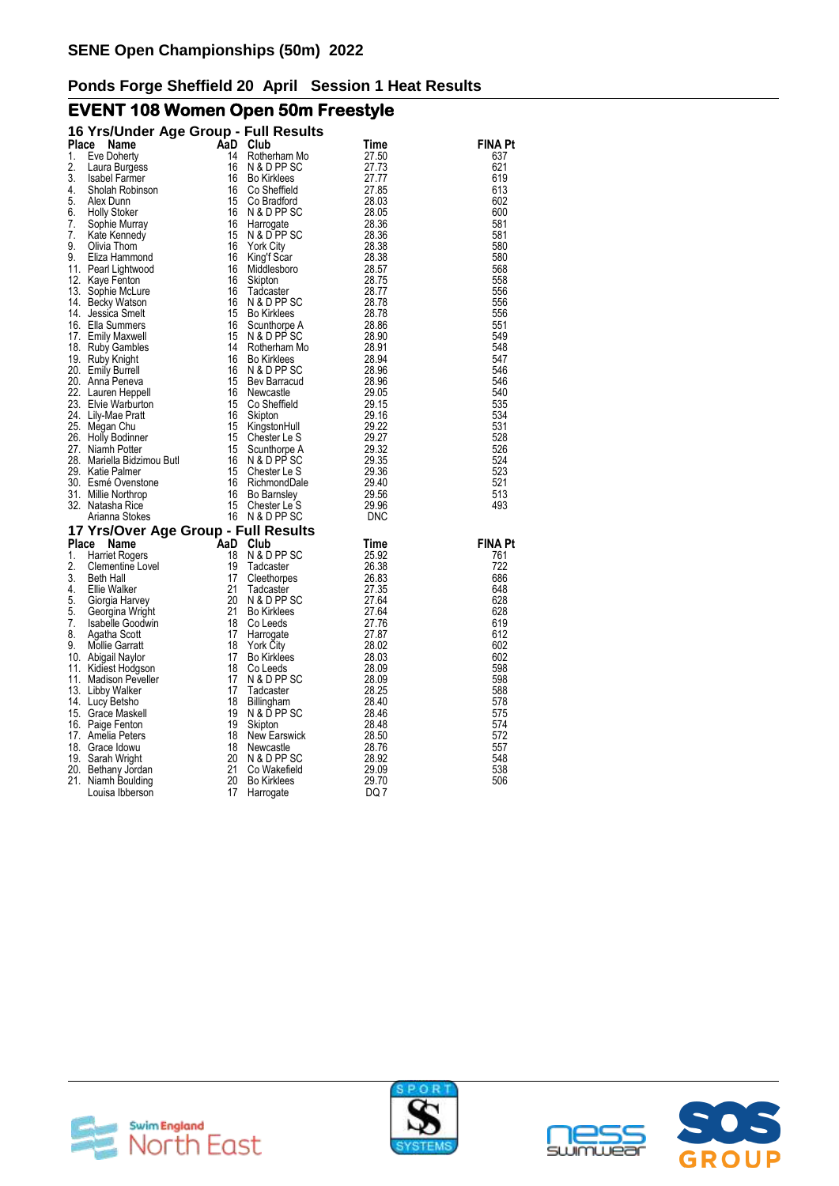# **EVENT 108 Women Open 50m Freestyle**

|              | 16 Yrs/Under Age Group - Full Results                                                                                                                         |     |                    |       |                |
|--------------|---------------------------------------------------------------------------------------------------------------------------------------------------------------|-----|--------------------|-------|----------------|
| <b>Place</b> | Name                                                                                                                                                          | AaD | Club               | Time  | FINA Pt        |
| 1.           | Eve Doherty                                                                                                                                                   | 14  | Rotherham Mo       | 27.50 | 637            |
| 2.           | Laura Burgess                                                                                                                                                 | 16  | N & D PP SC        | 27.73 | 621            |
| 3.           | <b>Isabel Farmer</b>                                                                                                                                          | 16  | <b>Bo Kirklees</b> | 27.77 | 619            |
| 4.           | Sholah Robinson                                                                                                                                               | 16  | Co Sheffield       | 27.85 | 613            |
| 5.           | Alex Dunn                                                                                                                                                     | 15  | Co Bradford        | 28.03 | 602            |
| 6.           | <b>Holly Stoker</b>                                                                                                                                           | 16  | N & D PP SC        | 28.05 | 600            |
| 7.           | Sophie Murray                                                                                                                                                 | 16  | Harrogate          | 28.36 | 581            |
| 7.           | Kate Kennedy                                                                                                                                                  | 15  | N & D PP SC        | 28.36 | 581            |
| 9.           | Olivia Thom                                                                                                                                                   | 16  | <b>York City</b>   | 28.38 | 580            |
| 9.           | Eliza Hammond                                                                                                                                                 | 16  | King't Scar        | 28.38 | 580            |
|              | 11. Pearl Lightwood                                                                                                                                           | 16  | Middlesboro        | 28.57 | 568            |
|              | 12. Kaye Fenton                                                                                                                                               | 16  | Skipton            | 28.75 | 558            |
|              | 13. Sophie McLure                                                                                                                                             | 16  | Tadcaster          | 28.77 | 556            |
|              | 14. Becky Watson                                                                                                                                              | 16  | N & D PP SC        | 28.78 | 556            |
|              | 14. Jessica Smelt                                                                                                                                             | 15  | <b>Bo Kirklees</b> | 28.78 | 556            |
|              | 16. Ella Summers                                                                                                                                              | 16  | Scunthorpe A       | 28.86 | 551            |
|              | 17. Emily Maxwell                                                                                                                                             | 15  | N & D PP SC        | 28.90 | 549            |
|              | 18. Ruby Gambles                                                                                                                                              | 14  | Rotherham Mo       | 28.91 | 548            |
|              | 19. Ruby Knight                                                                                                                                               | 16  | <b>Bo Kirklees</b> | 28.94 | 547            |
|              | 20. Emily Burrell                                                                                                                                             | 16  | N & D PP SC        | 28.96 | 546            |
|              | 20. Anna Peneva                                                                                                                                               | 15  | Bev Barracud       | 28.96 | 546            |
|              | 22. Lauren Heppell                                                                                                                                            | 16  | Newcastle          | 29.05 | 540            |
|              | 23. Elvie Warburton                                                                                                                                           | 15  | Co Sheffield       | 29.15 | 535            |
|              | 24. Lily-Mae Pratt<br>24. Lity<br>25. Megan Chu<br>26. Holly Bodinner<br>27. Niamh Potter<br>28. Mariella Bidzimou Butl<br>29. Katie Palmer<br>29. Covenstone | 16  | Skipton            | 29.16 | 534            |
|              |                                                                                                                                                               | 15  | KingstonHull       | 29.22 | 531            |
|              |                                                                                                                                                               | 15  | Chester Le S       | 29.27 | 528            |
|              |                                                                                                                                                               | 15  | Scunthorpe A       | 29.32 | 526            |
|              |                                                                                                                                                               | 16  | N & D PP SC        | 29.35 | 524            |
|              |                                                                                                                                                               | 15  | Chester Le S       | 29.36 | 523            |
|              |                                                                                                                                                               | 16  | RichmondDale       | 29.40 | 521            |
|              |                                                                                                                                                               | 16  | Bo Barnsley        | 29.56 | 513            |
|              | 32. Natasha Rice                                                                                                                                              | 15  | Chester Le S       | 29.96 | 493            |
|              | Arianna Stokes                                                                                                                                                |     | 16 N & D PP SC     | DNC   |                |
|              | 17 Yrs/Over Age Group - Full Results                                                                                                                          |     |                    |       |                |
| Place        | Name                                                                                                                                                          | AaD | Club               | Time  | <b>FINA Pt</b> |
| 1.           | <b>Harriet Rogers</b>                                                                                                                                         | 18  | N & D PP SC        | 25.92 | 761            |
| 2.           | Clementine Lovel                                                                                                                                              | 19  | Tadcaster          | 26.38 | 722            |
| 3.           | <b>Beth Hall</b>                                                                                                                                              | 17  | Cleethorpes        | 26.83 | 686            |
| 4.           | Ellie Walker                                                                                                                                                  | 21  | Tadcaster          | 27.35 | 648            |
| 5.           | Giorgia Harvey                                                                                                                                                | 20  | N & D PP SC        | 27.64 | 628            |
| 5.           | Georgina Wright                                                                                                                                               | 21  | <b>Bo Kirklees</b> | 27.64 | 628            |
| 7.           | <b>Isabelle Goodwin</b>                                                                                                                                       | 18  | Co Leeds           | 27.76 | 619            |
| 8.           | Agatha Scott                                                                                                                                                  | 17  | Harrogate          | 27.87 | 612            |
| 9.           | <b>Mollie Garratt</b>                                                                                                                                         | 18  | <b>York City</b>   | 28.02 | 602            |
|              | 10. Abigail Naylor                                                                                                                                            | 17  | <b>Bo Kirklees</b> | 28.03 | 602            |
|              | 11. Kidiest Hodgson                                                                                                                                           | 18  | Co Leeds           | 28.09 | 598            |
|              | 11. Madison Peveller                                                                                                                                          | 17  | N & D PP SC        | 28.09 | 598            |
|              | 13. Libby Walker                                                                                                                                              | 17  | Tadcaster          | 28.25 | 588            |
|              | 14. Lucy Betsho                                                                                                                                               | 18  | Billingham         | 28.40 | 578            |
|              | 15. Grace Maskell                                                                                                                                             | 19  | N & D PP SC        | 28.46 | 575            |
|              | 16. Paige Fenton                                                                                                                                              | 19  | Skipton            | 28.48 | 574            |
|              | 17. Amelia Peters                                                                                                                                             | 18  | New Earswick       | 28.50 | 572            |
|              | 18. Grace Idowu                                                                                                                                               | 18  | Newcastle          | 28.76 | 557            |
|              | 19. Sarah Wright                                                                                                                                              | 20  | N & D PP SC        | 28.92 | 548            |
|              | 20. Bethany Jordan                                                                                                                                            | 21  | Co Wakefield       | 29.09 | 538            |
|              | 21. Niamh Boulding                                                                                                                                            | 20  | <b>Bo Kirklees</b> | 29.70 | 506            |
|              | Louisa Ibberson                                                                                                                                               | 17  | Harrogate          | DQ 7  |                |







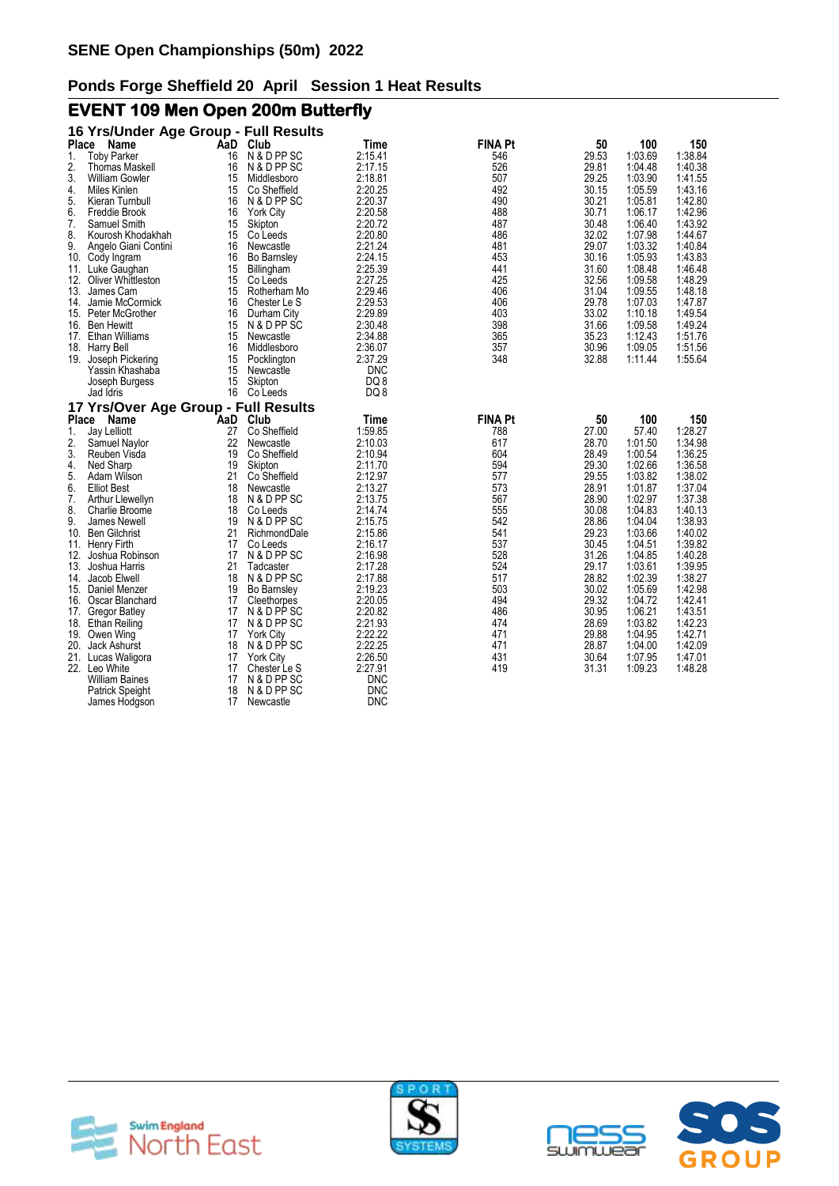# **EVENT 109 Men Open 200m Butterfly**

|       | 16 Yrs/Under Age Group - Full Results |          |                          |                    |                |                |                    |                    |
|-------|---------------------------------------|----------|--------------------------|--------------------|----------------|----------------|--------------------|--------------------|
| Place | Name                                  | AaD      | Club                     | Time               | <b>FINA Pt</b> | 50             | 100                | 150                |
| 1.    | <b>Toby Parker</b>                    | 16       | N & D PP SC              | 2:15.41            | 546            | 29.53          | 1:03.69            | 1:38.84            |
| 2.    | <b>Thomas Maskell</b>                 | 16       | N & D PP SC              | 2:17.15            | 526            | 29.81          | 1:04.48            | 1:40.38            |
| 3.    | <b>William Gowler</b>                 | 15       | Middlesboro              | 2:18.81            | 507            | 29.25          | 1:03.90            | 1:41.55            |
| 4.    | Miles Kinlen                          | 15       | Co Sheffield             | 2:20.25            | 492            | 30.15          | 1:05.59            | 1:43.16            |
| 5.    | Kieran Turnbull                       | 16       | N & D PP SC              | 2:20.37            | 490            | 30.21          | 1:05.81            | 1:42.80            |
| 6.    | Freddie Brook                         | 16       | <b>York City</b>         | 2:20.58            | 488            | 30.71          | 1:06.17            | 1:42.96            |
| 7.    | Samuel Smith                          | 15       | Skipton                  | 2:20.72            | 487            | 30.48          | 1:06.40            | 1:43.92            |
| 8.    | Kourosh Khodakhah                     | 15       | Co Leeds                 | 2:20.80            | 486            | 32.02          | 1:07.98            | 1:44.67            |
| 9.    | Angelo Giani Contini                  | 16       | Newcastle                | 2:21.24            | 481            | 29.07          | 1:03.32            | 1:40.84            |
|       | 10. Cody Ingram                       | 16       | Bo Barnsley              | 2:24.15            | 453            | 30.16          | 1:05.93            | 1:43.83            |
|       | 11. Luke Gaughan                      | 15       | Billingham               | 2:25.39            | 441            | 31.60          | 1:08.48            | 1:46.48            |
|       | 12. Oliver Whittleston                | 15       | Co Leeds                 | 2:27.25            | 425            | 32.56          | 1:09.58            | 1:48.29            |
|       | 13. James Cam                         | 15       | Rotherham Mo             | 2:29.46            | 406            | 31.04          | 1:09.55            | 1:48.18            |
|       | 14. Jamie McCormick                   | 16       | Chester Le S             | 2:29.53            | 406            | 29.78          | 1:07.03            | 1:47.87            |
| 15.   | Peter McGrother                       | 16       | Durham City              | 2:29.89            | 403            | 33.02          | 1:10.18            | 1:49.54            |
| 16.   | Ben Hewitt                            | 15       | N & D PP SC              | 2:30.48            | 398            | 31.66          | 1:09.58            | 1:49.24            |
| 17.   | Ethan Williams                        | 15       | Newcastle                | 2:34.88            | 365            | 35.23          | 1:12.43            | 1:51.76            |
|       | 18. Harry Bell                        | 16       | Middlesboro              | 2:36.07            | 357            | 30.96          | 1:09.05            | 1:51.56            |
|       | 19. Joseph Pickering                  | 15       | Pocklington              | 2:37.29            | 348            | 32.88          | 1:11.44            | 1:55.64            |
|       | Yassin Khashaba                       | 15       | Newcastle                | <b>DNC</b>         |                |                |                    |                    |
|       | Joseph Burgess                        | 15       | Skipton                  | DQ8                |                |                |                    |                    |
|       | Jad Idris                             | 16       | Co Leeds                 | DQ 8               |                |                |                    |                    |
|       | 17 Yrs/Over Age Group - Full Results  |          |                          |                    |                |                |                    |                    |
| Place | Name                                  | AaD      | Club                     | Time               | <b>FINA Pt</b> | 50             | 100                | 150                |
| 1.    | Jay Lelliott                          | 27       | Co Sheffield             | 1:59.85            | 788            | 27.00          | 57.40              | 1:28.27            |
| 2.    | Samuel Naylor                         | 22       | Newcastle                | 2:10.03            | 617            | 28.70          | 1:01.50            | 1:34.98            |
| 3.    | Reuben Visda                          | 19       | Co Sheffield             | 2:10.94            | 604            | 28.49          | 1:00.54            | 1:36.25            |
| 4.    | Ned Sharp                             | 19       | Skipton                  | 2:11.70            | 594            | 29.30          | 1:02.66            | 1:36.58            |
| 5.    | Adam Wilson                           | 21       | Co Sheffield             | 2:12.97            | 577            | 29.55          | 1:03.82            | 1:38.02            |
| 6.    | <b>Elliot Best</b>                    | 18       | Newcastle                | 2:13.27            | 573            | 28.91          | 1:01.87            | 1:37.04            |
| 7.    | Arthur Llewellyn                      | 18       | N & D PP SC              | 2:13.75            | 567            | 28.90          | 1:02.97            | 1:37.38            |
| 8.    | Charlie Broome                        | 18       | Co Leeds                 | 2:14.74            | 555            | 30.08          | 1:04.83            | 1:40.13            |
| 9.    | James Newell                          | 19       | N & D PP SC              | 2:15.75            | 542            | 28.86          | 1:04.04            | 1:38.93            |
| 10.   | <b>Ben Gilchrist</b>                  | 21       | RichmondDale             | 2:15.86            | 541            | 29.23          | 1:03.66            | 1:40.02            |
|       | 11. Henry Firth                       | 17       | Co Leeds                 | 2:16.17            | 537<br>528     | 30.45          | 1:04.51            | 1:39.82            |
| 12.   | Joshua Robinson<br>13. Joshua Harris  | 17<br>21 | N & D PP SC<br>Tadcaster | 2:16.98<br>2:17.28 | 524            | 31.26<br>29.17 | 1:04.85<br>1:03.61 | 1:40.28<br>1:39.95 |
| 14.   | Jacob Elwell                          | 18       | N & D PP SC              | 2:17.88            | 517            | 28.82          | 1:02.39            | 1:38.27            |
|       | 15. Daniel Menzer                     | 19       | <b>Bo Barnsley</b>       | 2:19.23            | 503            | 30.02          | 1:05.69            | 1:42.98            |
| 16.   | Oscar Blanchard                       | 17       | Cleethorpes              | 2:20.05            | 494            | 29.32          | 1:04.72            | 1:42.41            |
|       | 17. Gregor Batley                     | 17       | N & D PP SC              | 2:20.82            | 486            | 30.95          | 1:06.21            | 1:43.51            |
|       | 18. Ethan Reiling                     | 17       | N & D PP SC              | 2:21.93            | 474            | 28.69          | 1:03.82            | 1:42.23            |
|       | 19. Owen Wing                         | 17       | <b>York City</b>         | 2:22.22            | 471            | 29.88          | 1:04.95            | 1:42.71            |
|       | 20. Jack Ashurst                      | 18       | N & D PP SC              | 2:22.25            | 471            | 28.87          | 1:04.00            | 1:42.09            |
|       | 21. Lucas Waligora                    | 17       | <b>York City</b>         | 2:26.50            | 431            | 30.64          | 1:07.95            | 1:47.01            |
|       | 22. Leo White                         | 17       | Chester Le S             | 2:27.91            | 419            | 31.31          | 1:09.23            | 1:48.28            |
|       | William Baines                        | 17       | N & D PP SC              | <b>DNC</b>         |                |                |                    |                    |
|       | Patrick Speight                       | 18       | N & D PP SC              | <b>DNC</b>         |                |                |                    |                    |
|       | James Hodgson                         | 17       | Newcastle                | <b>DNC</b>         |                |                |                    |                    |





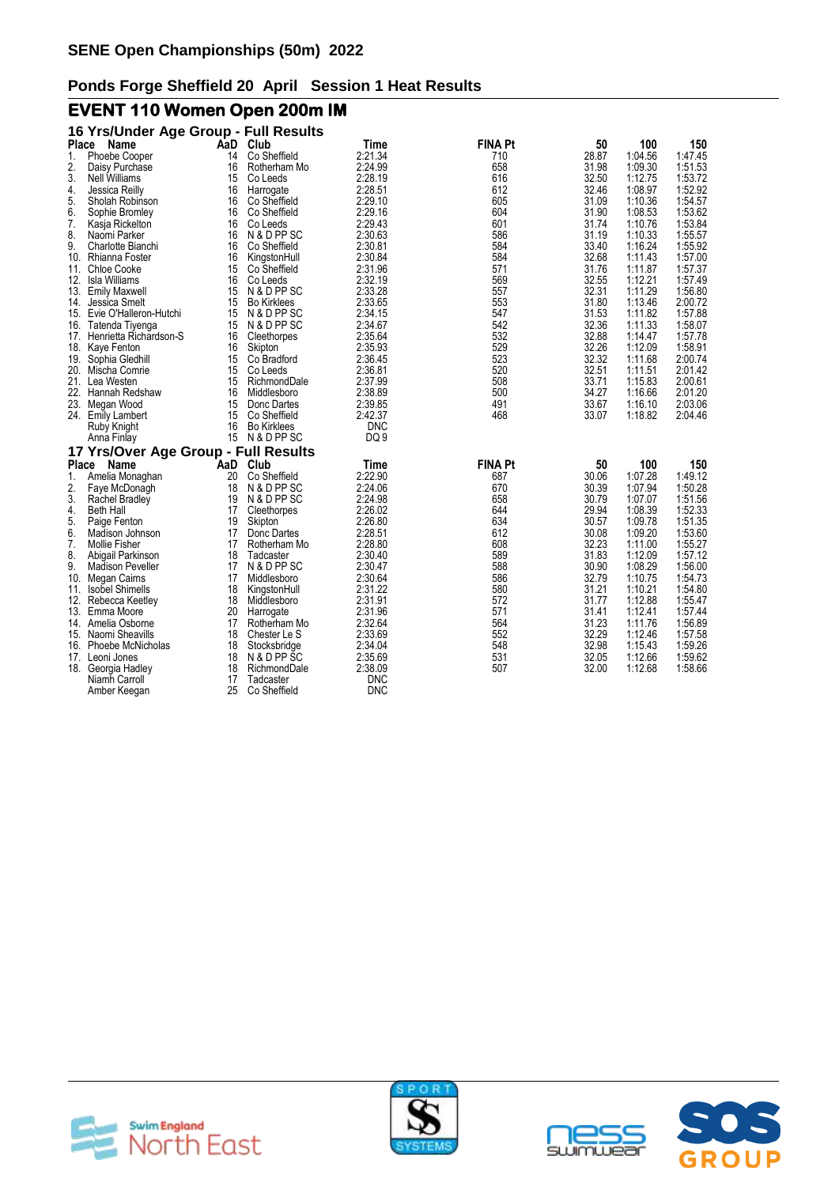# **EVENT 110 Women Open 200m IM**

|       | 16 Yrs/Under Age Group - Full Results |     |                    |                 |                |       |         |         |
|-------|---------------------------------------|-----|--------------------|-----------------|----------------|-------|---------|---------|
| Place | Name                                  | AaD | Club               | Time            | <b>FINA Pt</b> | 50    | 100     | 150     |
| 1.    | Phoebe Cooper                         | 14  | Co Sheffield       | 2:21.34         | 710            | 28.87 | 1:04.56 | 1:47.45 |
| 2.    | Daisy Purchase                        | 16  | Rotherham Mo       | 2:24.99         | 658            | 31.98 | 1:09.30 | 1:51.53 |
| 3.    | Nell Williams                         | 15  | Co Leeds           | 2:28.19         | 616            | 32.50 | 1:12.75 | 1:53.72 |
| 4.    | Jessica Reilly                        | 16  | Harrogate          | 2:28.51         | 612            | 32.46 | 1:08.97 | 1:52.92 |
| 5.    | Sholah Robinson                       | 16  | Co Sheffield       | 2:29.10         | 605            | 31.09 | 1:10.36 | 1:54.57 |
| 6.    | Sophie Bromley                        | 16  | Co Sheffield       | 2:29.16         | 604            | 31.90 | 1:08.53 | 1:53.62 |
| 7.    | Kasja Rickelton                       | 16  | Co Leeds           | 2:29.43         | 601            | 31.74 | 1:10.76 | 1:53.84 |
| 8.    | Naomi Parker                          | 16  | N & D PP SC        | 2:30.63         | 586            | 31.19 | 1:10.33 | 1:55.57 |
| 9.    | Charlotte Bianchi                     | 16  | Co Sheffield       | 2:30.81         | 584            | 33.40 | 1:16.24 | 1:55.92 |
|       | 10. Rhianna Foster                    | 16  | KingstonHull       | 2:30.84         | 584            | 32.68 | 1:11.43 | 1:57.00 |
|       | 11. Chloe Cooke                       | 15  | Co Sheffield       | 2:31.96         | 571            | 31.76 | 1:11.87 | 1:57.37 |
| 12.   | Isla Williams                         | 16  | Co Leeds           | 2:32.19         | 569            | 32.55 | 1:12.21 | 1:57.49 |
|       | 13. Emily Maxwell                     | 15  | N & D PP SC        | 2:33.28         | 557            | 32.31 | 1:11.29 | 1:56.80 |
| 14.   | Jessica Smelt                         | 15  | <b>Bo Kirklees</b> | 2:33.65         | 553            | 31.80 | 1:13.46 | 2:00.72 |
|       | 15. Evie O'Halleron-Hutchi            | 15  | N & D PP SC        | 2:34.15         | 547            | 31.53 | 1:11.82 | 1:57.88 |
| 16.   | Tatenda Tiyenga                       | 15  | N & D PP SC        | 2:34.67         | 542            | 32.36 | 1:11.33 | 1:58.07 |
|       | 17. Henrietta Richardson-S            | 16  | Cleethorpes        | 2:35.64         | 532            | 32.88 | 1:14.47 | 1:57.78 |
| 18.   | Kaye Fenton                           | 16  | Skipton            | 2:35.93         | 529            | 32.26 | 1:12.09 | 1:58.91 |
|       | 19. Sophia Gledhill                   | 15  | Co Bradford        | 2:36.45         | 523            | 32.32 | 1:11.68 | 2:00.74 |
| 20.   | Mischa Comrie                         | 15  | Co Leeds           | 2:36.81         | 520            | 32.51 | 1:11.51 | 2:01.42 |
|       | 21. Lea Westen                        | 15  | RichmondDale       | 2:37.99         | 508            | 33.71 | 1:15.83 | 2:00.61 |
| 22.   | Hannah Redshaw                        | 16  | Middlesboro        | 2:38.89         | 500            | 34.27 | 1:16.66 | 2:01.20 |
| 23.   | Megan Wood                            | 15  | Donc Dartes        | 2:39.85         | 491            | 33.67 | 1:16.10 | 2:03.06 |
|       | 24. Emily Lambert                     | 15  | Co Sheffield       | 2:42.37         | 468            | 33.07 | 1:18.82 | 2:04.46 |
|       | Ruby Knight                           | 16  | <b>Bo Kirklees</b> | <b>DNC</b>      |                |       |         |         |
|       | Anna Finlay                           | 15  | N & D PP SC        | DQ <sub>9</sub> |                |       |         |         |
|       | 17 Yrs/Over Age Group - Full Results  |     |                    |                 |                |       |         |         |
| Place | Name                                  | AaD | Club               | Time            | <b>FINA Pt</b> | 50    | 100     | 150     |
| 1.    | Amelia Monaghan                       | 20  | Co Sheffield       | 2:22.90         | 687            | 30.06 | 1:07.28 | 1:49.12 |
| 2.    | Faye McDonagh                         | 18  | N & D PP SC        | 2:24.06         | 670            | 30.39 | 1:07.94 | 1:50.28 |
| 3.    | Rachel Bradley                        | 19  | N & D PP SC        | 2:24.98         | 658            | 30.79 | 1:07.07 | 1:51.56 |
| 4.    | <b>Beth Hall</b>                      | 17  | Cleethorpes        | 2:26.02         | 644            | 29.94 | 1:08.39 | 1:52.33 |
| 5.    | Paige Fenton                          | 19  | Skipton            | 2:26.80         | 634            | 30.57 | 1:09.78 | 1:51.35 |
| 6.    | Madison Johnson                       | 17  | Donc Dartes        | 2:28.51         | 612            | 30.08 | 1:09.20 | 1:53.60 |
| 7.    | <b>Mollie Fisher</b>                  | 17  | Rotherham Mo       | 2:28.80         | 608            | 32.23 | 1:11.00 | 1:55.27 |
| 8.    | Abigail Parkinson                     | 18  | Tadcaster          | 2:30.40         | 589            | 31.83 | 1:12.09 | 1:57.12 |
| 9.    | <b>Madison Peveller</b>               | 17  | N & D PP SC        | 2:30.47         | 588            | 30.90 | 1:08.29 | 1:56.00 |
| 10.   | Megan Cairns                          | 17  | Middlesboro        | 2:30.64         | 586            | 32.79 | 1:10.75 | 1:54.73 |
| 11.   | <b>Isobel Shimells</b>                | 18  | KingstonHull       | 2:31.22         | 580            | 31.21 | 1:10.21 | 1:54.80 |
| 12.   | Rebecca Keetley                       | 18  | Middlesboro        | 2:31.91         | 572            | 31.77 | 1:12.88 | 1:55.47 |
|       | 13. Emma Moore                        | 20  | Harrogate          | 2:31.96         | 571            | 31.41 | 1:12.41 | 1:57.44 |
|       | 14. Amelia Osborne                    | 17  | Rotherham Mo       | 2:32.64         | 564            | 31.23 | 1:11.76 | 1:56.89 |
|       | 15. Naomi Sheavills                   | 18  | Chester Le S       | 2:33.69         | 552            | 32.29 | 1:12.46 | 1:57.58 |
|       | 16. Phoebe McNicholas                 | 18  | Stocksbridge       | 2:34.04         | 548            | 32.98 | 1:15.43 | 1:59.26 |
|       | 17. Leoni Jones                       | 18  | N & D PP SC        | 2:35.69         | 531            | 32.05 | 1:12.66 | 1:59.62 |
|       | 18. Georgia Hadley                    | 18  | RichmondDale       | 2:38.09         | 507            | 32.00 | 1:12.68 | 1:58.66 |
|       | Niamh Carroll                         | 17  | Tadcaster          | <b>DNC</b>      |                |       |         |         |
|       | Amber Keegan                          | 25  | Co Sheffield       | <b>DNC</b>      |                |       |         |         |





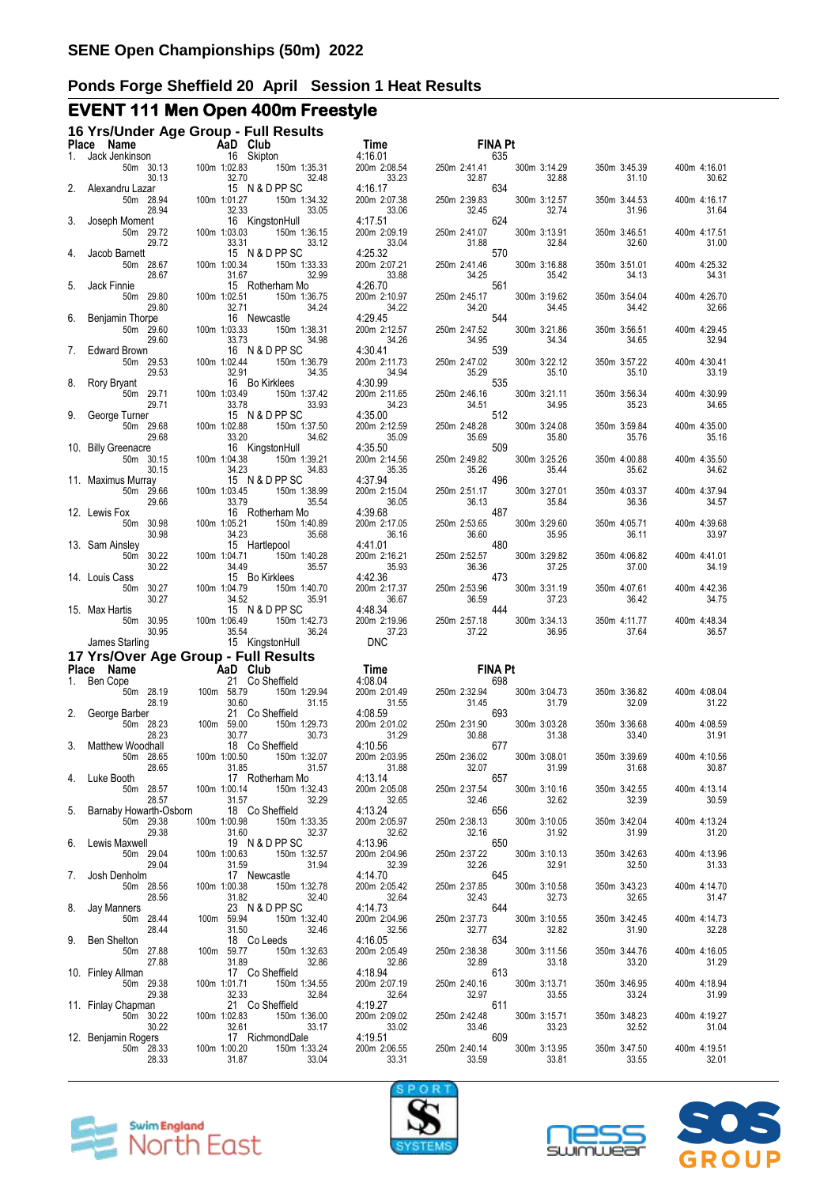# **EVENT 111 Men Open 400m Freestyle**

|       | 16 Yrs/Under Age Group - Full Results<br>Place Name | <b>Example 2</b> AaD Club |              |       |                 |                       | Time                    |       |              |                       | <b>FINA Pt</b> |                       |                       |                       |
|-------|-----------------------------------------------------|---------------------------|--------------|-------|-----------------|-----------------------|-------------------------|-------|--------------|-----------------------|----------------|-----------------------|-----------------------|-----------------------|
| 1.    | Jack Jenkinson                                      |                           |              |       | 16 Skipton      |                       | 4:16.01                 |       |              |                       | 635            |                       |                       |                       |
| 2.    |                                                     | 50m 30.13<br>30.13        | 100m 1:02.83 | 32.70 | 15 N & D PP SC  | 150m 1:35.31<br>32.48 | 200m 2:08.54<br>4:16.17 | 33.23 | 250m 2:41.41 | 32.87                 | 634            | 300m 3:14.29<br>32.88 | 350m 3:45.39<br>31.10 | 400m 4:16.01<br>30.62 |
|       | Alexandru Lazar<br>50m 28.94                        | 28.94                     | 100m 1:01.27 | 32.33 |                 | 150m 1:34.32<br>33.05 | 200m 2:07.38            | 33.06 | 250m 2:39.83 | 32.45                 |                | 300m 3:12.57<br>32.74 | 350m 3:44.53<br>31.96 | 400m 4:16.17<br>31.64 |
| 3.    | Joseph Moment<br>50m 29.72                          | 29.72                     | 100m 1:03.03 | 33.31 | 16 KingstonHull | 150m 1:36.15<br>33.12 | 4:17.51<br>200m 2:09.19 | 33.04 |              | 250m 2:41.07<br>31.88 | 624            | 300m 3:13.91<br>32.84 | 350m 3:46.51<br>32.60 | 400m 4:17.51<br>31.00 |
| 4.    | Jacob Barnett<br>50m 28.67                          |                           | 100m 1:00.34 |       | 15 N & D PP SC  | 150m 1:33.33          | 4:25.32<br>200m 2:07.21 |       | 250m 2:41.46 |                       | 570            | 300m 3:16.88          | 350m 3:51.01          | 400m 4:25.32          |
| 5.    | Jack Finnie<br>50m 29.80                            | 28.67                     | 100m 1:02.51 | 31.67 | 15 Rotherham Mo | 32.99<br>150m 1:36.75 | 4:26.70<br>200m 2:10.97 | 33.88 | 250m 2:45.17 | 34.25                 | 561            | 35.42<br>300m 3:19.62 | 34.13<br>350m 3:54.04 | 34.31<br>400m 4:26.70 |
| 6.    | Benjamin Thorpe<br>50m 29.60                        | 29.80                     | 100m 1:03.33 | 32.71 | 16 Newcastle    | 34.24<br>150m 1:38.31 | 4:29.45<br>200m 2:12.57 | 34.22 |              | 34.20<br>250m 2:47.52 | 544            | 34.45<br>300m 3:21.86 | 34.42<br>350m 3:56.51 | 32.66<br>400m 4:29.45 |
| 7.    | Edward Brown                                        | 29.60<br>50m 29.53        | 100m 1:02.44 | 33.73 | 16 N & D PP SC  | 34.98<br>150m 1:36.79 | 4:30.41<br>200m 2:11.73 | 34.26 | 250m 2:47.02 | 34.95                 | 539            | 34.34<br>300m 3:22.12 | 34.65<br>350m 3:57.22 | 32.94<br>400m 4:30.41 |
| 8.    | Rory Bryant                                         | 29.53                     |              | 32.91 | 16 Bo Kirklees  | 34.35                 | 4:30.99                 | 34.94 |              | 35.29                 | 535            | 35.10                 | 35.10                 | 33.19                 |
| 9.    | 50m 29.71<br>George Turner                          | 29.71                     | 100m 1:03.49 | 33.78 | 15 N & D PP SC  | 150m 1:37.42<br>33.93 | 200m 2:11.65<br>4:35.00 | 34.23 | 250m 2:46.16 | 34.51                 | 512            | 300m 3:21.11<br>34.95 | 350m 3:56.34<br>35.23 | 400m 4:30.99<br>34.65 |
|       | 50m 29.68<br>10. Billy Greenacre                    | 29.68                     | 100m 1:02.88 | 33.20 | 16 KingstonHull | 150m 1:37.50<br>34.62 | 200m 2:12.59<br>4:35.50 | 35.09 | 250m 2:48.28 | 35.69                 | 509            | 300m 3:24.08<br>35.80 | 350m 3:59.84<br>35.76 | 400m 4:35.00<br>35.16 |
|       | 50m 30.15                                           | 30.15                     | 100m 1:04.38 | 34.23 | 15 N & D PP SC  | 150m 1:39.21<br>34.83 | 200m 2:14.56            | 35.35 | 250m 2:49.82 | 35.26                 |                | 300m 3:25.26<br>35.44 | 350m 4:00.88<br>35.62 | 400m 4:35.50<br>34.62 |
|       | 11. Maximus Murray<br>50m 29.66                     | 29.66                     | 100m 1:03.45 | 33.79 |                 | 150m 1:38.99<br>35.54 | 4:37.94<br>200m 2:15.04 | 36.05 | 250m 2:51.17 | 36.13                 | 496            | 300m 3:27.01<br>35.84 | 350m 4:03.37<br>36.36 | 400m 4:37.94<br>34.57 |
|       | 12. Lewis Fox<br>50m 30.98                          | 30.98                     | 100m 1:05.21 | 34.23 | 16 Rotherham Mo | 150m 1:40.89<br>35.68 | 4:39.68<br>200m 2:17.05 | 36.16 | 250m 2:53.65 | 36.60                 | 487            | 300m 3:29.60<br>35.95 | 350m 4:05.71<br>36.11 | 400m 4:39.68<br>33.97 |
|       | 13. Sam Ainsley<br>50m 30.22                        | 30.22                     | 100m 1:04.71 | 34.49 | 15 Hartlepool   | 150m 1:40.28<br>35.57 | 4:41.01<br>200m 2:16.21 | 35.93 | 250m 2:52.57 | 36.36                 | 480            | 300m 3:29.82<br>37.25 | 350m 4:06.82<br>37.00 | 400m 4:41.01<br>34.19 |
|       | 14. Louis Cass<br>50m 30.27                         | 30.27                     | 100m 1:04.79 | 34.52 | 15 Bo Kirklees  | 150m 1:40.70<br>35.91 | 4:42.36<br>200m 2:17.37 | 36.67 | 250m 2:53.96 | 36.59                 | 473            | 300m 3:31.19<br>37.23 | 350m 4:07.61<br>36.42 | 400m 4:42.36<br>34.75 |
|       | 15. Max Hartis<br>50m 30.95                         |                           | 100m 1:06.49 |       | 15 N & D PP SC  | 150m 1:42.73          | 4:48.34<br>200m 2:19.96 |       |              | 444<br>250m 2:57.18   |                | 300m 3:34.13          | 350m 4:11.77          | 400m 4:48.34          |
|       | James Starling                                      | 30.95                     |              | 35.54 | 15 KingstonHull | 36.24                 | 37.23<br><b>DNC</b>     |       |              | 37.22                 |                | 36.95                 | 37.64                 | 36.57                 |
| Place | 17 Yrs/Over Age Group - Full Results<br>Name        |                           |              |       | AaD Club        |                       | Time                    |       |              |                       | <b>FINA Pt</b> |                       |                       |                       |
|       | 1. Ben Cope                                         |                           |              |       | 21 Co Sheffield |                       | 4:08.04                 |       |              |                       | 698            |                       |                       |                       |
| 2.    | 50m 28.19<br>George Barber                          | 28.19                     | 100m 58.79   | 30.60 | 21 Co Sheffield | 150m 1:29.94<br>31.15 | 200m 2:01.49<br>4:08.59 | 31.55 | 250m 2:32.94 | 31.45                 | 693            | 300m 3:04.73<br>31.79 | 350m 3:36.82<br>32.09 | 400m 4:08.04<br>31.22 |
|       | 50m 28.23                                           | 28.23                     | 100m 59.00   | 30.77 |                 | 150m 1:29.73<br>30.73 | 200m 2:01.02            | 31.29 | 250m 2:31.90 | 30.88                 |                | 300m 3:03.28<br>31.38 | 350m 3:36.68<br>33.40 | 400m 4:08.59<br>31.91 |
| 3.    | Matthew Woodhall<br>50m 28.65                       | 28.65                     | 100m 1:00.50 | 31.85 | 18 Co Sheffield | 150m 1:32.07<br>31.57 | 4:10.56<br>200m 2:03.95 | 31.88 | 250m 2:36.02 | 32.07                 | 677            | 300m 3:08.01<br>31.99 | 350m 3:39.69<br>31.68 | 400m 4:10.56<br>30.87 |
| 4.    | Luke Booth                                          | 50m 28.57<br>28.57        | 100m 1:00.14 | 31.57 | 17 Rotherham Mo | 150m 1:32.43<br>32.29 | 4:13.14<br>200m 2:05.08 | 32.65 | 250m 2:37.54 | 32.46                 | 657            | 300m 3:10.16<br>32.62 | 350m 3:42.55<br>32.39 | 400m 4:13.14<br>30.59 |
| 5.    | Barnaby Howarth-Osborn<br>50m 29.38                 | 29.38                     | 100m 1:00.98 | 31.60 | 18 Co Sheffield | 150m 1:33.35<br>32.37 | 4:13.24<br>200m 2:05.97 | 32.62 | 250m 2:38.13 | 32.16                 | 656            | 300m 3:10.05<br>31.92 | 350m 3:42.04<br>31.99 | 400m 4:13.24<br>31.20 |
| 6.    | Lewis Maxwell<br>50m 29.04                          | 29.04                     | 100m 1:00.63 | 31.59 | 19 N & D PP SC  | 150m 1:32.57<br>31.94 | 4:13.96<br>200m 2:04.96 | 32.39 | 250m 2:37.22 | 32.26                 | 650            | 300m 3:10.13<br>32.91 | 350m 3:42.63<br>32.50 | 400m 4:13.96<br>31.33 |
| 7.    | Josh Denholm<br>50m 28.56                           |                           | 100m 1:00.38 |       | 17 Newcastle    | 150m 1:32.78          | 4:14.70<br>200m 2:05.42 |       | 250m 2:37.85 |                       | 645            | 300m 3:10.58          | 350m 3:43.23          | 400m 4:14.70          |
| 8.    | Jay Manners<br>50m 28.44                            | 28.56                     | 100m 59.94   | 31.82 | 23 N & D PP SC  | 32.40<br>150m 1:32.40 | 4:14.73<br>200m 2:04.96 | 32.64 | 250m 2:37.73 | 32.43                 | 644            | 32.73<br>300m 3:10.55 | 32.65<br>350m 3:42.45 | 31.47<br>400m 4:14.73 |
| 9.    | Ben Shelton<br>50m 27.88                            | 28.44                     | 100m 59.77   | 31.50 | 18 Co Leeds     | 32.46<br>150m 1:32.63 | 4:16.05<br>200m 2:05.49 | 32.56 |              | 32.77<br>250m 2:38.38 | 634            | 32.82<br>300m 3:11.56 | 31.90<br>350m 3:44.76 | 32.28<br>400m 4:16.05 |
|       | 10. Finley Allman<br>50m 29.38                      | 27.88                     | 100m 1:01.71 | 31.89 | 17 Co Sheffield | 32.86<br>150m 1:34.55 | 4:18.94<br>200m 2:07.19 | 32.86 | 250m 2:40.16 | 32.89<br>613          |                | 33.18<br>300m 3:13.71 | 33.20<br>350m 3:46.95 | 31.29<br>400m 4:18.94 |
|       | 11. Finlay Chapman<br>50m 30.22                     | 29.38                     | 100m 1:02.83 | 32.33 | 21 Co Sheffield | 32.84<br>150m 1:36.00 | 4:19.27<br>200m 2:09.02 | 32.64 | 250m 2:42.48 | 32.97<br>611          |                | 33.55<br>300m 3:15.71 | 33.24<br>350m 3:48.23 | 31.99<br>400m 4:19.27 |
|       | 12. Benjamin Rogers                                 | 30.22                     |              | 32.61 | 17 RichmondDale | 33.17                 | 33.02<br>4:19.51        |       |              | 33.46<br>609          |                | 33.23                 | 32.52                 | 31.04                 |
|       | 50m 28.33                                           | 28.33                     | 100m 1:00.20 | 31.87 |                 | 150m 1:33.24<br>33.04 | 200m 2:06.55            | 33.31 |              | 250m 2:40.14<br>33.59 |                | 300m 3:13.95<br>33.81 | 350m 3:47.50<br>33.55 | 400m 4:19.51<br>32.01 |







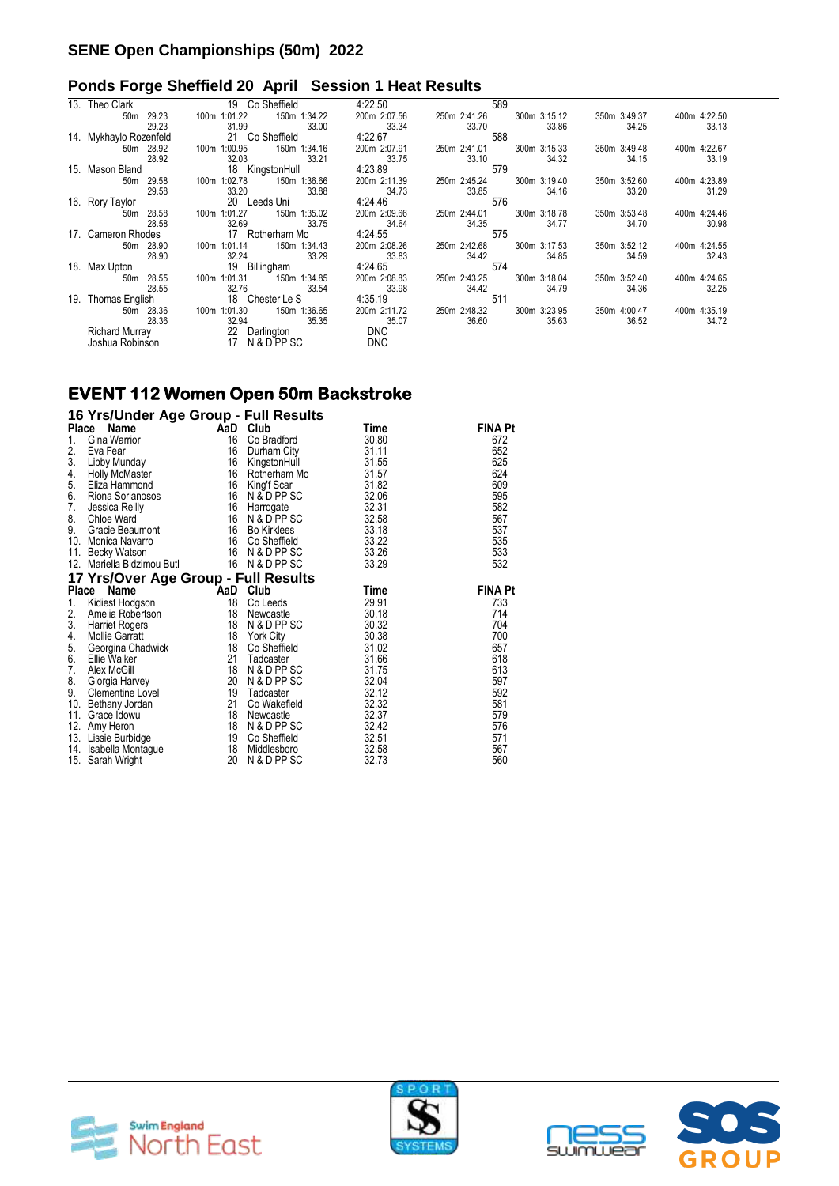#### **Ponds Forge Sheffield 20 April Session 1 Heat Results**

| 13. Theo Clark           | 19 Co Sheffield                 | 4:22.50      | 589                          |                              |       |
|--------------------------|---------------------------------|--------------|------------------------------|------------------------------|-------|
| 29.23<br>50 <sub>m</sub> | 150m 1:34.22<br>100m 1:01.22    | 200m 2:07.56 | 300m 3:15.12<br>250m 2:41.26 | 350m 3:49.37<br>400m 4:22.50 |       |
| 29.23                    | 31.99<br>33.00                  | 33.34        | 33.70<br>33.86               | 34.25                        | 33.13 |
| 14. Mykhaylo Rozenfeld   | 21 Co Sheffield                 | 4:22.67      | 588                          |                              |       |
| 50m 28.92                | 150m 1:34.16<br>1:00.95<br>100m | 200m 2:07.91 | 300m 3:15.33<br>250m 2:41.01 | 350m 3:49.48<br>400m 4:22.67 |       |
| 28.92                    | 32.03<br>33.21                  | 33.75        | 34.32<br>33.10               | 34.15                        | 33.19 |
| 15. Mason Bland          | 18 KingstonHull                 | 4:23.89      | 579                          |                              |       |
| 50m 29.58                | 1:02.78<br>150m 1:36.66<br>100m | 200m 2:11.39 | 300m 3:19.40<br>250m 2:45.24 | 400m 4:23.89<br>350m 3:52.60 |       |
| 29.58                    | 33.20<br>33.88                  | 34.73        | 33.85<br>34.16               | 33.20                        | 31.29 |
| 16. Rory Taylor          | 20 Leeds Uni                    | 4:24.46      | 576                          |                              |       |
| 28.58<br>50 <sub>m</sub> | 150m 1:35.02<br>1:01.27<br>100m | 200m 2:09.66 | 300m 3:18.78<br>250m 2:44.01 | 350m 3:53.48<br>400m 4:24.46 |       |
| 28.58                    | 32.69<br>33.75                  | 34.64        | 34.35<br>34.77               | 34.70                        | 30.98 |
| 17. Cameron Rhodes       | 17 Rotherham Mo                 | 4:24.55      | 575                          |                              |       |
| 28.90<br>50m             | 150m 1:34.43<br>1:01.14<br>100m | 200m 2:08.26 | 300m 3:17.53<br>250m 2:42.68 | 400m 4:24.55<br>350m 3:52.12 |       |
| 28.90                    | 32.24<br>33.29                  | 33.83        | 34.42<br>34.85               | 34.59                        | 32.43 |
| 18. Max Upton            | 19 Billingham                   | 4:24.65      | 574                          |                              |       |
| 50m 28.55                | 1:01.31<br>150m 1:34.85<br>100m | 200m 2:08.83 | 250m 2:43.25<br>300m 3:18.04 | 400m 4:24.65<br>350m 3:52.40 |       |
| 28.55                    | 32.76<br>33.54                  | 33.98        | 34.42<br>34.79               | 34.36                        | 32.25 |
| 19. Thomas English       | 18 Chester Le S                 | 4:35.19      | 511                          |                              |       |
| 50m 28.36                | 100m 1:01.30<br>150m 1:36.65    | 200m 2:11.72 | 250m 2:48.32<br>300m 3:23.95 | 350m 4:00.47<br>400m 4:35.19 |       |
| 28.36                    | 32.94<br>35.35                  | 35.07        | 36.60<br>35.63               | 36.52                        | 34.72 |
| <b>Richard Murray</b>    | 22 Darlington                   | <b>DNC</b>   |                              |                              |       |
| Joshua Robinson          | 17 <sup>17</sup><br>N & D PP SC | <b>DNC</b>   |                              |                              |       |
|                          |                                 |              |                              |                              |       |

#### **EVENT 112 Women Open 50m Backstroke**

#### **16 Yrs/Under Age Group - Full Results**

| <b>Place</b> | Name                                 | AaD | Club               | Time  | <b>FINA Pt</b> |
|--------------|--------------------------------------|-----|--------------------|-------|----------------|
| 1.           | Gina Warrior                         | 16  | Co Bradford        | 30.80 | 672            |
| 2.           | Eva Fear                             | 16  | Durham City        | 31.11 | 652            |
| 3.           | Libby Munday                         | 16  | KingstonHull       | 31.55 | 625            |
| 4.           | <b>Holly McMaster</b>                | 16  | Rotherham Mo       | 31.57 | 624            |
| 5.           | Eliza Hammond                        | 16  | King'f Scar        | 31.82 | 609            |
| 6.           | Riona Sorianosos                     | 16  | N & D PP SC        | 32.06 | 595            |
| 7.           | Jessica Reilly                       | 16  | Harrogate          | 32.31 | 582            |
| 8.           | Chloe Ward                           | 16  | N & D PP SC        | 32.58 | 567            |
| 9.           | Gracie Beaumont                      | 16  | <b>Bo Kirklees</b> | 33.18 | 537            |
|              | 10. Monica Navarro                   | 16  | Co Sheffield       | 33.22 | 535            |
| 11.          | Becky Watson                         |     | 16 N & D PP SC     | 33.26 | 533            |
| 12.          | Mariella Bidzimou Butl               |     | 16 N & D PP SC     | 33.29 | 532            |
|              | 17 Yrs/Over Age Group - Full Results |     |                    |       |                |
| Place        | Name                                 | AaD | Club               | Time  | FINA Pt        |
| 1.           | Kidiest Hodgson                      | 18  | Co Leeds           | 29.91 | 733            |
| 2.           | Amelia Robertson                     | 18  | Newcastle          | 30.18 | 714            |
| 3.           | Harriet Rogers                       | 18  | N & D PP SC        | 30.32 | 704            |
| 4.           | <b>Mollie Garratt</b>                | 18  | <b>York City</b>   | 30.38 | 700            |
| 5.           | Georgina Chadwick                    | 18  | Co Sheffield       | 31.02 | 657            |
| 6.           | Ellie Walker                         | 21  | Tadcaster          | 31.66 | 618            |
| 7.           | Alex McGill                          | 18  | N & D PP SC        | 31.75 | 613            |
| 8.           | Giorgia Harvey                       | 20  | N & D PP SC        | 32.04 | 597            |
| 9.           | Clementine Lovel                     | 19  | Tadcaster          | 32.12 | 592            |
|              | 10. Bethany Jordan                   | 21  | Co Wakefield       | 32.32 | 581            |
| 11.          | Grace Idowu                          | 18  | Newcastle          | 32.37 | 579            |
| 12.          | Amy Heron                            | 18  | N & D PP SC        | 32.42 | 576            |
|              | 13. Lissie Burbidge                  | 19  | Co Sheffield       | 32.51 | 571            |
| 14.          | Isabella Montague                    | 18  | Middlesboro        | 32.58 | 567            |
|              | 15. Sarah Wright                     | 20  | N & D PP SC        | 32.73 | 560            |





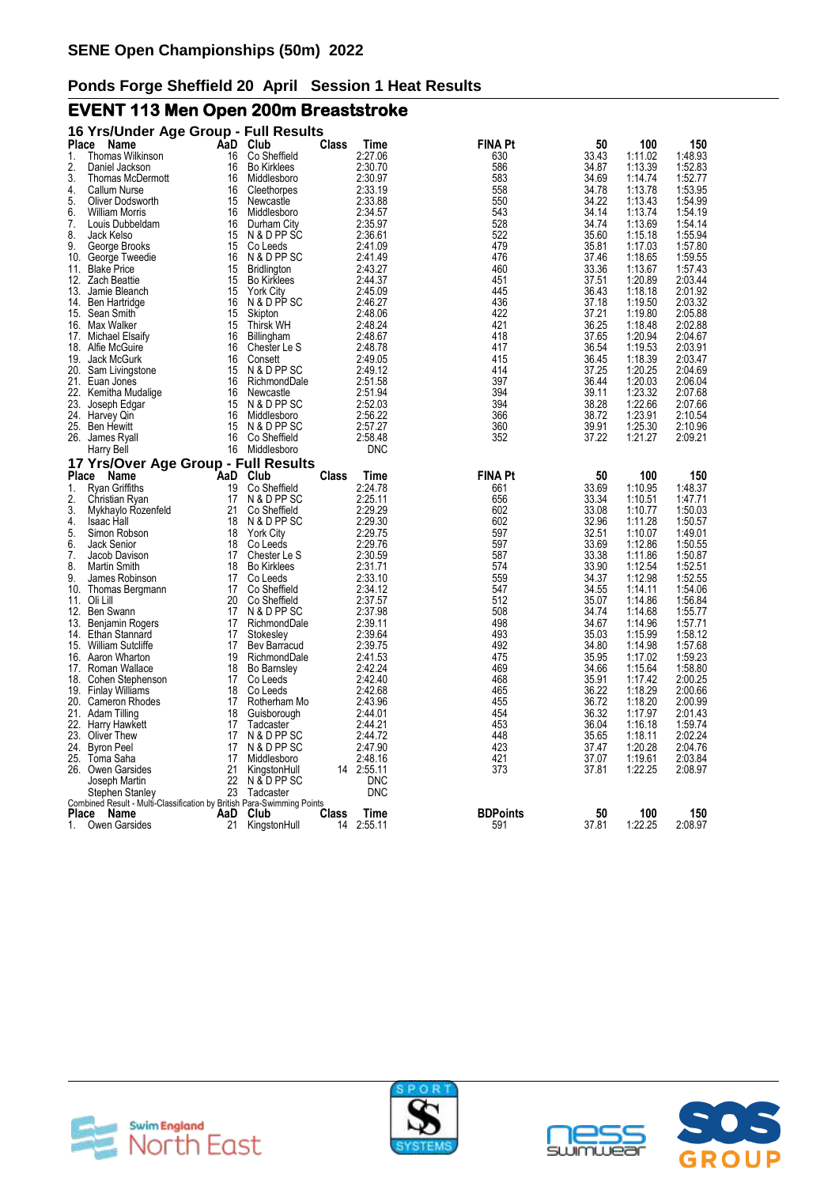# **EVENT 113 Men Open 200m Breaststroke**

|              | 16 Yrs/Under Age Group - Full Results                                  |           |                             |       |                    |                        |                |                    |                    |
|--------------|------------------------------------------------------------------------|-----------|-----------------------------|-------|--------------------|------------------------|----------------|--------------------|--------------------|
| Place        | Name                                                                   |           | AaD Club                    | Class | Time               | <b>FINA Pt</b>         | 50             | 100                | 150                |
| 1.           | Thomas Wilkinson                                                       | 16        | Co Sheffield                |       | 2:27.06            | 630                    | 33.43          | 1:11.02            | 1:48.93            |
| 2.           | Daniel Jackson                                                         | 16        | <b>Bo Kirklees</b>          |       | 2:30.70            | 586                    | 34.87          | 1:13.39            | 1:52.83            |
| 3.           | Thomas McDermott                                                       | 16        | Middlesboro                 |       | 2:30.97            | 583                    | 34.69          | 1:14.74            | 1:52.77            |
| 4.           | Callum Nurse                                                           | 16        | Cleethorpes                 |       | 2:33.19            | 558                    | 34.78          | 1:13.78            | 1:53.95            |
| 5.           | Oliver Dodsworth                                                       | 15        | Newcastle                   |       | 2:33.88            | 550                    | 34.22          | 1:13.43            | 1:54.99            |
| 6.           | <b>William Morris</b>                                                  | 16        | Middlesboro                 |       | 2:34.57            | 543                    | 34.14          | 1:13.74            | 1:54.19            |
| 7.           | Louis Dubbeldam                                                        | 16        | Durham City                 |       | 2:35.97            | 528                    | 34.74          | 1:13.69            | 1:54.14            |
| 8.<br>9.     | Jack Kelso                                                             | 15<br>15  | N & D PP SC<br>Co Leeds     |       | 2:36.61<br>2:41.09 | 522<br>479             | 35.60          | 1:15.18<br>1:17.03 | 1:55.94<br>1:57.80 |
| 10.          | George Brooks<br>George Tweedie                                        | 16        | N & D PP SC                 |       | 2:41.49            | 476                    | 35.81<br>37.46 | 1:18.65            | 1:59.55            |
| 11.          | <b>Blake Price</b>                                                     | 15        | <b>Bridlington</b>          |       | 2:43.27            | 460                    | 33.36          | 1:13.67            | 1:57.43            |
| 12.          | <b>Zach Beattie</b>                                                    | 15        | <b>Bo Kirklees</b>          |       | 2:44.37            | 451                    | 37.51          | 1:20.89            | 2:03.44            |
| 13.          | Jamie Bleanch                                                          | 15        | <b>York City</b>            |       | 2:45.09            | 445                    | 36.43          | 1:18.18            | 2:01.92            |
| 14.          | Ben Hartridge                                                          | 16        | N & D PP SC                 |       | 2:46.27            | 436                    | 37.18          | 1:19.50            | 2:03.32            |
|              | 15. Sean Smith                                                         | 15        | Skipton                     |       | 2:48.06            | 422                    | 37.21          | 1:19.80            | 2:05.88            |
|              | 16. Max Walker                                                         | 15        | <b>Thirsk WH</b>            |       | 2:48.24            | 421                    | 36.25          | 1:18.48            | 2:02.88            |
|              | 17. Michael Elsaify                                                    | 16        | Billingham                  |       | 2:48.67            | 418                    | 37.65          | 1:20.94            | 2:04.67            |
|              | 18. Alfie McGuire                                                      | 16        | Chester Le S                |       | 2:48.78            | 417                    | 36.54          | 1:19.53            | 2:03.91            |
| 19.          | Jack McGurk                                                            | 16        | Consett                     |       | 2:49.05            | 415                    | 36.45          | 1:18.39            | 2:03.47            |
|              | 20. Sam Livingstone                                                    | 15        | N & D PP SC                 |       | 2:49.12            | 414                    | 37.25          | 1:20.25            | 2:04.69            |
|              | 21. Euan Jones                                                         | 16        | RichmondDale                |       | 2:51.58            | 397                    | 36.44          | 1:20.03            | 2:06.04            |
| 22.          | Kemitha Mudalige                                                       | 16        | Newcastle                   |       | 2:51.94            | 394                    | 39.11          | 1:23.32            | 2:07.68            |
| 23.          | Joseph Edgar                                                           | 15        | N & D PP SC                 |       | 2:52.03            | 394                    | 38.28          | 1:22.66            | 2:07.66            |
|              | 24. Harvey Qin                                                         | 16        | Middlesboro                 |       | 2:56.22            | 366                    | 38.72          | 1:23.91            | 2:10.54            |
|              | 25. Ben Hewitt                                                         | 15        | N & D PP SC                 |       | 2:57.27            | 360                    | 39.91          | 1:25.30            | 2:10.96            |
|              | 26. James Ryall                                                        | 16        | Co Sheffield                |       | 2:58.48            | 352                    | 37.22          | 1:21.27            | 2:09.21            |
|              | Harry Bell                                                             | 16        | Middlesboro                 |       | <b>DNC</b>         |                        |                |                    |                    |
|              | 17 Yrs/Over Age Group - Full Results                                   |           |                             |       |                    |                        |                |                    |                    |
| <b>Place</b> | Name                                                                   | AaD       | Club                        | Class | Time               | <b>FINA Pt</b>         | 50             | 100                | 150                |
| 1.           | Rvan Griffiths                                                         | 19        | Co Sheffield                |       | 2:24.78            | 661                    | 33.69          | 1:10.95            | 1:48.37            |
| 2.           | Christian Ryan                                                         | 17        | N & D PP SC                 |       | 2:25.11            | 656                    | 33.34          | 1:10.51            | 1.47.71            |
| 3.           | Mykhaylo Rozenfeld                                                     | 21        | Co Sheffield                |       | 2:29.29            | 602                    | 33.08          | 1:10.77            | 1:50.03            |
| 4.           | Isaac Hall                                                             | 18        | N & D PP SC                 |       | 2:29.30            | 602                    | 32.96          | 1:11.28            | 1:50.57            |
| 5.           | Simon Robson                                                           | 18        | <b>York City</b>            |       | 2:29.75            | 597                    | 32.51          | 1:10.07            | 1:49.01            |
| 6.           | Jack Senior                                                            | 18        | Co Leeds                    |       | 2:29.76            | 597                    | 33.69          | 1:12.86            | 1:50.55            |
| 7.           | Jacob Davison                                                          | 17        | Chester Le S                |       | 2:30.59            | 587                    | 33.38          | 1:11.86            | 1:50.87            |
| 8.           | <b>Martin Smith</b>                                                    | 18        | <b>Bo Kirklees</b>          |       | 2:31.71            | 574                    | 33.90          | 1:12.54            | 1:52.51            |
| 9.           | James Robinson                                                         | 17        | Co Leeds                    |       | 2:33.10            | 559                    | 34.37          | 1:12.98            | 1:52.55            |
| 10.          | Thomas Bergmann                                                        | 17        | Co Sheffield                |       | 2:34.12            | 547<br>512             | 34.55          | 1:14.11            | 1:54.06            |
| 12.          | 11. Oli Lill                                                           | 20<br>17  | Co Sheffield<br>N & D PP SC |       | 2:37.57<br>2:37.98 | 508                    | 35.07<br>34.74 | 1:14.86<br>1:14.68 | 1:56.84            |
| 13.          | Ben Swann<br>Benjamin Rogers                                           | 17        | RichmondDale                |       | 2:39.11            | 498                    | 34.67          | 1:14.96            | 1:55.77<br>1:57.71 |
| 14.          | Ethan Stannard                                                         | 17        | Stokesley                   |       | 2:39.64            | 493                    | 35.03          | 1:15.99            | 1:58.12            |
|              | 15. William Sutcliffe                                                  | 17        | Bev Barracud                |       | 2:39.75            | 492                    | 34.80          | 1:14.98            | 1:57.68            |
|              | 16. Aaron Wharton                                                      | 19        | RichmondDale                |       | 2:41.53            | 475                    | 35.95          | 1:17.02            | 1:59.23            |
|              | 17. Roman Wallace                                                      | 18        | <b>Bo Barnsley</b>          |       | 2:42.24            | 469                    | 34.66          | 1:15.64            | 1:58.80            |
|              | 18. Cohen Stephenson                                                   | 17        | Co Leeds                    |       | 2:42.40            | 468                    | 35.91          | 1:17.42            | 2:00.25            |
|              | 19. Finlay Williams                                                    | 18        | Co Leeds                    |       | 2:42.68            | 465                    | 36.22          | 1:18.29            | 2:00.66            |
|              | 20. Cameron Rhodes                                                     | 17        | Rotherham Mo                |       | 2:43.96            | 455                    | 36.72          | 1:18.20            | 2:00.99            |
|              | 21. Adam Tilling                                                       | 18        | Guisborough                 |       | 2:44.01            | 454                    | 36.32          | 1:17.97            | 2:01.43            |
|              | 22. Harry Hawkett                                                      | 17        | Tadcaster                   |       | 2:44.21            | 453                    | 36.04          | 1:16.18            | 1:59.74            |
| 23.          | Oliver Thew                                                            | 17        | N & D PP SC                 |       | 2:44.72            | 448                    | 35.65          | 1:18.11            | 2:02.24            |
| 24.          | <b>Byron Peel</b>                                                      | 17        | N & D PP SC                 |       | 2:47.90            | 423                    | 37.47          | 1:20.28            | 2:04.76            |
|              | 25. Toma Saha                                                          | 17        | Middlesboro                 |       | 2:48.16            | 421                    | 37.07          | 1:19.61            | 2:03.84            |
|              | 26. Owen Garsides                                                      | 21        | KingstonHull                |       | 14 2:55.11         | 373                    | 37.81          | 1:22.25            | 2:08.97            |
|              | Joseph Martin                                                          | 22        | N & D PP SC                 |       | DNC                |                        |                |                    |                    |
|              | Stephen Stanley                                                        | 23        | Tadcaster                   |       | <b>DNC</b>         |                        |                |                    |                    |
|              | Combined Result - Multi-Classification by British Para-Swimming Points |           |                             |       |                    |                        |                |                    |                    |
| Place<br>1.  | Name<br>Owen Garsides                                                  | AaD<br>21 | Club                        | Class | Time<br>14 2:55.11 | <b>BDPoints</b><br>591 | 50<br>37.81    | 100<br>1:22.25     | 150<br>2:08.97     |
|              |                                                                        |           | KingstonHull                |       |                    |                        |                |                    |                    |







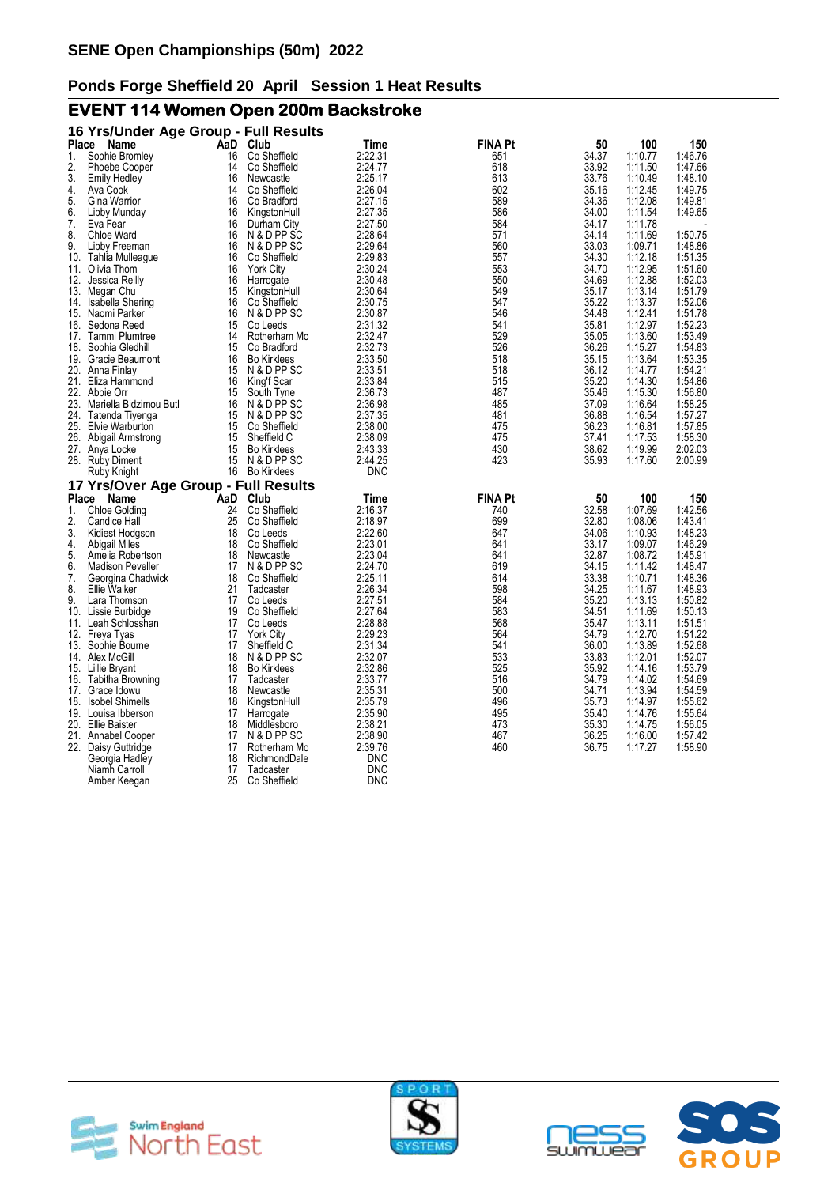# **EVENT 114 Women Open 200m Backstroke**

| Place        | 16 Yrs/Under Age Group - Full Results<br>Name | AaD      | Club                     | Time               | <b>FINA Pt</b> | 50             | 100                | 150                |
|--------------|-----------------------------------------------|----------|--------------------------|--------------------|----------------|----------------|--------------------|--------------------|
| 1.           | Sophie Bromley                                | 16       | Co Sheffield             | 2:22.31            | 651            | 34.37          | 1:10.77            | 1:46.76            |
| 2.           | <b>Phoebe Cooper</b>                          | 14       | Co Sheffield             | 2:24.77            | 618            | 33.92          | 1:11.50            | 1:47.66            |
| 3.           | <b>Emily Hedley</b>                           | 16       | Newcastle                | 2:25.17            | 613            | 33.76          | 1:10.49            | 1:48.10            |
| 4.           | Ava Cook                                      | 14       | Co Sheffield             | 2:26.04            | 602            | 35.16          | 1:12.45            | 1:49.75            |
| 5.           | Gina Warrior                                  | 16       | Co Bradford              | 2:27.15            | 589            | 34.36          | 1:12.08            | 1:49.81            |
| 6.           | Libby Munday                                  | 16       | KingstonHull             | 2:27.35            | 586            | 34.00          | 1:11.54            | 1:49.65            |
| 7.           | Eva Fear                                      | 16       | Durham City              | 2:27.50            | 584            | 34.17          | 1:11.78            |                    |
| 8.           | <b>Chloe Ward</b>                             | 16       | N & D PP SC              | 2:28.64            | 571            | 34.14          | 1:11.69            | 1:50.75            |
| 9.           | Libby Freeman                                 | 16       | N & D PP SC              | 2:29.64            | 560            | 33.03          | 1:09.71            | 1:48.86            |
| 10.          | Tahlia Mulleague                              | 16       | Co Sheffield             | 2:29.83            | 557            | 34.30          | 1:12.18            | 1:51.35            |
|              | 11. Olivia Thom                               | 16       | <b>York City</b>         | 2:30.24            | 553            | 34.70          | 1:12.95            | 1:51.60            |
| 12.          | Jessica Reilly                                | 16       | Harrogate                | 2:30.48            | 550            | 34.69          | 1:12.88            | 1:52.03            |
| 13.          | Megan Chu                                     | 15       | KingstonHull             | 2:30.64            | 549            | 35.17          | 1:13.14            | 1:51.79            |
| 14.          | Isabella Shering                              | 16       | Co Sheffield             | 2:30.75            | 547            | 35.22          | 1:13.37            | 1:52.06            |
|              | 15. Naomi Parker                              | 16       | N & D PP SC              | 2:30.87            | 546            | 34.48          | 1:12.41            | 1:51.78            |
| 16.          | Sedona Reed                                   | 15       | Co Leeds                 | 2:31.32            | 541            | 35.81          | 1:12.97            | 1:52.23            |
|              | 17. Tammi Plumtree                            | 14       | Rotherham Mo             | 2:32.47            | 529            | 35.05          | 1:13.60            | 1:53.49            |
| 18.          | Sophia Gledhill                               | 15       | Co Bradford              | 2:32.73            | 526            | 36.26          | 1:15.27            | 1:54.83            |
|              | 19. Gracie Beaumont                           | 16       | <b>Bo Kirklees</b>       | 2:33.50            | 518            | 35.15          | 1:13.64            | 1:53.35            |
| 20.          | Anna Finlay                                   | 15       | N & D PP SC              | 2:33.51            | 518            | 36.12          | 1:14.77            | 1:54.21            |
|              | 21. Eliza Hammond                             | 16       | King'f Scar              | 2:33.84            | 515            | 35.20          | 1:14.30            | 1:54.86            |
|              | 22. Abbie Orr                                 | 15       | South Tyne               | 2:36.73            | 487            | 35.46          | 1:15.30            | 1:56.80            |
| 23.          | Mariella Bidzimou Butl                        | 16       | N & D PP SC              | 2:36.98            | 485            | 37.09          | 1:16.64            | 1:58.25            |
| 24.          | Tatenda Tiyenga                               | 15       | N & D PP SC              | 2:37.35            | 481            | 36.88          | 1:16.54            | 1:57.27            |
|              | 25. Elvie Warburton                           | 15       | Co Sheffield             | 2:38.00            | 475            | 36.23          | 1:16.81            | 1:57.85            |
|              | 26. Abigail Armstrong                         | 15       | Sheffield C              | 2:38.09            | 475            | 37.41          | 1:17.53            | 1:58.30            |
|              | 27. Anya Locke                                | 15       | <b>Bo Kirklees</b>       | 2:43.33            | 430            | 38.62          | 1:19.99            | 2:02.03            |
|              | 28. Ruby Diment                               | 15       | N & D PP SC              | 2:44.25            | 423            | 35.93          | 1:17.60            | 2:00.99            |
|              | Ruby Knight                                   |          | 16 Bo Kirklees           | DNC                |                |                |                    |                    |
|              | 17 Yrs/Over Age Group - Full Results          |          |                          |                    |                |                |                    |                    |
| <b>Place</b> | Name                                          | AaD      | Club                     | Time               | <b>FINA Pt</b> | 50             | 100                | 150                |
| 1.           | <b>Chloe Golding</b>                          | 24       | Co Sheffield             | 2:16.37            | 740            | 32.58          | 1:07.69            | 1:42.56            |
| 2.           | Candice Hall                                  | 25       | Co Sheffield             | 2:18.97            | 699            | 32.80          | 1:08.06            | 1:43.41            |
| 3.           | Kidiest Hodgson                               | 18       | Co Leeds                 | 2:22.60            | 647            | 34.06          | 1:10.93            | 1:48.23            |
| 4.           | Abigail Miles                                 | 18<br>18 | Co Sheffield             | 2:23.01            | 641            | 33.17<br>32.87 | 1:09.07<br>1:08.72 | 1:46.29<br>1:45.91 |
| 5.<br>6.     | Amelia Robertson<br><b>Madison Peveller</b>   | 17       | Newcastle<br>N & D PP SC | 2:23.04<br>2:24.70 | 641<br>619     | 34.15          | 1:11.42            | 1:48.47            |
| 7.           | Georgina Chadwick                             | 18       | Co Sheffield             | 2:25.11            | 614            | 33.38          | 1:10.71            | 1:48.36            |
| 8.           | Ellie Walker                                  | 21       | Tadcaster                | 2:26.34            | 598            | 34.25          | 1:11.67            | 1:48.93            |
| 9.           | Lara Thomson                                  | 17       | Co Leeds                 | 2:27.51            | 584            | 35.20          | 1:13.13            | 1:50.82            |
| 10.          | Lissie Burbidge                               | 19       | Co Sheffield             | 2:27.64            | 583            | 34.51          | 1:11.69            | 1:50.13            |
|              | 11. Leah Schlosshan                           | 17       | Co Leeds                 | 2:28.88            | 568            | 35.47          | 1:13.11            | 1:51.51            |
|              | 12. Freya Tyas                                | 17       | <b>York City</b>         | 2:29.23            | 564            | 34.79          | 1:12.70            | 1:51.22            |
| 13.          | Sophie Bourne                                 | 17       | Sheffield C              | 2:31.34            | 541            | 36.00          | 1:13.89            | 1:52.68            |
| 14.          | Alex McGill                                   | 18       | N & D PP SC              | 2:32.07            | 533            | 33.83          | 1:12.01            | 1:52.07            |
|              | 15. Lillie Bryant                             | 18       | <b>Bo Kirklees</b>       | 2:32.86            | 525            | 35.92          | 1:14.16            | 1:53.79            |
|              | 16. Tabitha Browning                          | 17       | Tadcaster                | 2:33.77            | 516            | 34.79          | 1:14.02            | 1:54.69            |
| 17.          | Grace Idowu                                   | 18       | Newcastle                | 2:35.31            | 500            | 34.71          | 1:13.94            | 1:54.59            |
| 18.          | <b>Isobel Shimells</b>                        | 18       | KingstonHull             | 2:35.79            | 496            | 35.73          | 1:14.97            | 1:55.62            |
|              | 19. Louisa Ibberson                           | 17       | Harrogate                | 2:35.90            | 495            | 35.40          | 1:14.76            | 1:55.64            |
|              | 20. Ellie Baister                             | 18       | Middlesboro              | 2:38.21            | 473            | 35.30          | 1:14.75            | 1:56.05            |
|              | 21. Annabel Cooper                            | 17       | N & D PP SC              | 2:38.90            | 467            | 36.25          | 1:16.00            | 1:57.42            |
|              | 22. Daisy Guttridge                           | 17       | Rotherham Mo             | 2:39.76            | 460            | 36.75          | 1:17.27            | 1:58.90            |
|              | Georgia Hadley                                | 18       | RichmondDale             | DNC                |                |                |                    |                    |
|              | Niamh Carroll                                 | 17       | Tadcaster                | <b>DNC</b>         |                |                |                    |                    |
|              | Amber Keegan                                  | 25       | Co Sheffield             | <b>DNC</b>         |                |                |                    |                    |







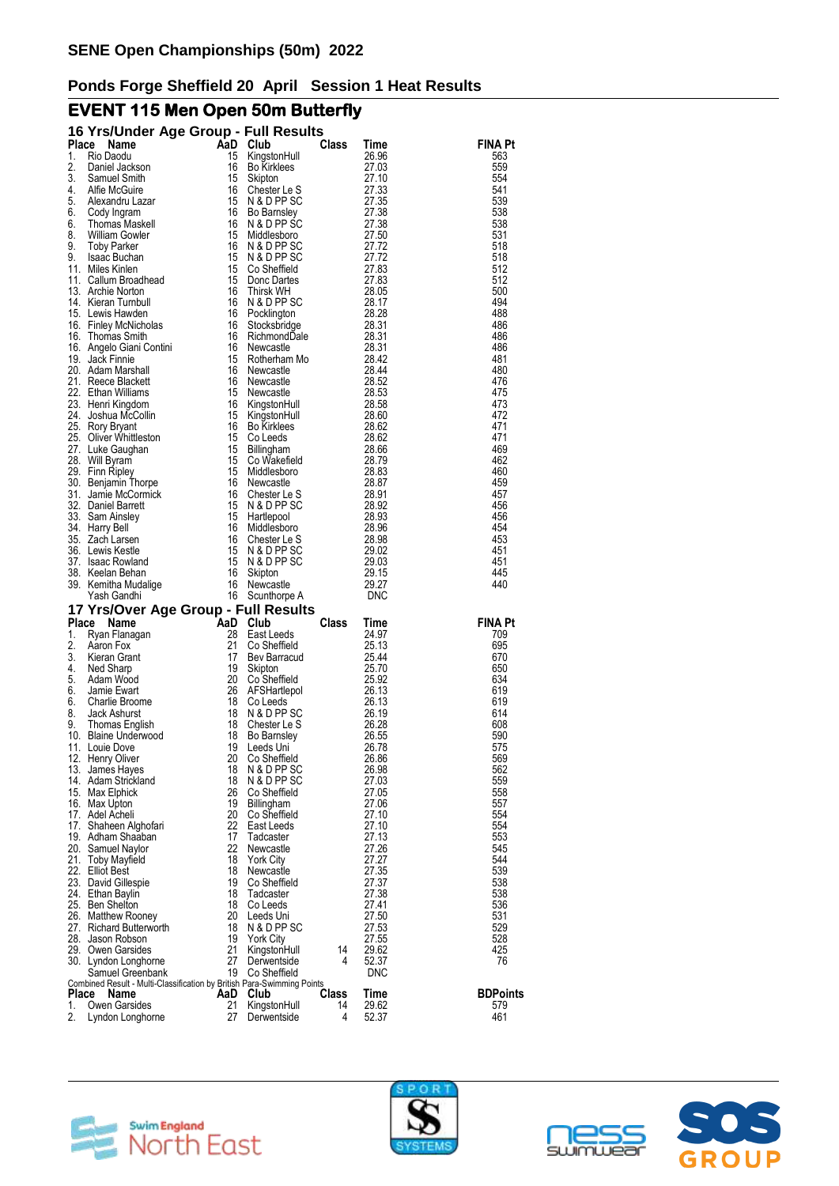# **EVENT 115 Men Open 50m Butterfly**

|          | 16 Yrs/Under Age Group - Full Results                                          |          |                               |       |                |                 |
|----------|--------------------------------------------------------------------------------|----------|-------------------------------|-------|----------------|-----------------|
| Place    | Name                                                                           | AaD      | Club                          | Class | Time           | FINA Pt         |
| 1.       | Rio Daodu                                                                      | 15       | KingstonHull                  |       | 26.96          | 563             |
| 2.<br>3. | Daniel Jackson<br>Samuel Smith                                                 | 16<br>15 | <b>Bo Kirklees</b><br>Skipton |       | 27.03<br>27.10 | 559<br>554      |
| 4.       | Alfie McGuire                                                                  | 16       | Chester Le S                  |       | 27.33          | 541             |
| 5.       | Alexandru Lazar                                                                | 15       | N & D PP SC                   |       | 27.35          | 539             |
| 6.       | Cody Ingram                                                                    | 16       | Bo Barnsley                   |       | 27.38          | 538             |
| 6.       | Thomas Maskell                                                                 | 16       | N & D PP SC                   |       | 27.38          | 538             |
| 8.       | <b>William Gowler</b>                                                          | 15       | Middlesboro                   |       | 27.50          | 531             |
| 9.<br>9. | <b>Toby Parker</b><br>Isaac Buchan                                             | 16<br>15 | N & D PP SC<br>N & D PP SC    |       | 27.72<br>27.72 | 518<br>518      |
|          | 11. Miles Kinlen                                                               | 15       | Co Sheffield                  |       | 27.83          | 512             |
|          | 11. Callum Broadhead                                                           | 15       | Donc Dartes                   |       | 27.83          | 512             |
|          | 13. Archie Norton                                                              | 16       | Thirsk WH                     |       | 28.05          | 500             |
|          | 14. Kieran Turnbull                                                            | 16       | N & D PP SC                   |       | 28.17          | 494             |
|          | 15. Lewis Hawden                                                               | 16<br>16 | Pocklington                   |       | 28.28<br>28.31 | 488<br>486      |
|          | 16. Finley McNicholas<br>16. Thomas Smith                                      | 16       | Stocksbridge<br>RichmondDale  |       | 28.31          | 486             |
|          | 16. Angelo Giani Contini                                                       | 16       | Newcastle                     |       | 28.31          | 486             |
|          | 19. Jack Finnie                                                                | 15       | Rotherham Mo                  |       | 28.42          | 481             |
|          | 20. Adam Marshall                                                              | 16       | Newcastle                     |       | 28.44          | 480             |
|          | 21. Reece Blackett                                                             | 16       | Newcastle                     |       | 28.52          | 476             |
|          | 22. Ethan Williams<br>23. Henri Kingdom                                        | 15<br>16 | Newcastle                     |       | 28.53<br>28.58 | 475<br>473      |
|          | 24. Joshua McCollin                                                            | 15       | KingstonHull<br>KingstonHull  |       | 28.60          | 472             |
|          | 25. Rory Bryant                                                                | 16       | <b>Bo Kirklees</b>            |       | 28.62          | 471             |
|          | 25. Oliver Whittleston                                                         | 15       | Co Leeds                      |       | 28.62          | 471             |
|          | 27. Luke Gaughan                                                               | 15       | <b>Billingham</b>             |       | 28.66          | 469             |
|          | 28. Will Byram                                                                 | 15       | Co Wakefield                  |       | 28.79          | 462             |
|          | 29. Finn Ripley                                                                | 15       | Middlesboro                   |       | 28.83          | 460             |
|          | 30. Benjamin Thorpe<br>31. Jamie McCormick                                     | 16<br>16 | Newcastle<br>Chester Le S     |       | 28.87<br>28.91 | 459<br>457      |
|          | 32. Daniel Barrett                                                             | 15       | N & D PP SC                   |       | 28.92          | 456             |
|          | 33. Sam Ainsley                                                                | 15       | Hartlepool                    |       | 28.93          | 456             |
|          | 34. Harry Bell                                                                 | 16       | Middlesboro                   |       | 28.96          | 454             |
|          | 35. Zach Larsen                                                                | 16       | Chester Le S                  |       | 28.98          | 453             |
|          | 36. Lewis Kestle                                                               | 15       | N & D PP SC                   |       | 29.02          | 451             |
|          | 37. Isaac Rowland<br>38. Keelan Behan                                          | 15<br>16 | N & D PP SC<br>Skipton        |       | 29.03<br>29.15 | 451<br>445      |
|          | 39. Kemitha Mudalige                                                           | 16       | Newcastle                     |       | 29.27          | 440             |
|          | Yash Gandhi                                                                    |          | 16 Scunthorpe A               |       | DNC            |                 |
|          |                                                                                |          |                               |       |                |                 |
|          |                                                                                |          |                               |       |                |                 |
|          | 17 Yrs/Over Age Group - Full Results<br>Place Name                             | AaD      | Club                          | Class | Time           | <b>FINA Pt</b>  |
| 1.       | Ryan Flanagan                                                                  | 28       | East Leeds                    |       | 24.97          | 709             |
| 2.       | Aaron Fox                                                                      | 21       | Co Sheffield                  |       | 25.13          | 695             |
| 3.       | Kieran Grant                                                                   | 17       | Bev Barracud                  |       | 25.44          | 670             |
| 4.       | Ned Sharp                                                                      | 19       | Skipton                       |       | 25.70          | 650             |
| 5.       | Adam Wood<br>Jamie Ewart                                                       | 20       | Co Sheffield                  |       | 25.92          | 634             |
| 6.<br>6. | Charlie Broome                                                                 | 26<br>18 | AFSHartlepol<br>Co Leeds      |       | 26.13<br>26.13 | 619<br>619      |
| 8.       | Jack Ashurst                                                                   | 18       | N & D PP SC                   |       | 26.19          | 614             |
| 9.       | Thomas English                                                                 | 18       | Chester Le S                  |       | 26.28          | 608             |
|          | 10. Blaine Underwood                                                           | 18       | Bo Barnsley                   |       | 26.55          | 590             |
|          | 11. Louie Dove                                                                 | 19       | Leeds Uni                     |       | 26.78          | 575             |
|          | 12. Henry Oliver                                                               | 20<br>18 | Co Sheffield                  |       | 26.86          | 569             |
|          | 13. James Hayes<br>14. Adam Strickland                                         | 18       | N & D PP SC<br>N & D PP SC    |       | 26.98<br>27.03 | 562<br>559      |
|          | 15. Max Elphick                                                                | 26       | Co Sheffield                  |       | 27.05          | 558             |
|          | 16. Max Upton                                                                  | 19       | Billingham                    |       | 27.06          | 557             |
|          | 17. Adel Acheli                                                                | 20       | Co Sheffield                  |       | 27.10          | 554             |
|          | 17. Shaheen Alghofari                                                          | 22       | East Leeds                    |       | 27.10          | 554             |
|          | 19. Adham Shaaban                                                              | 17<br>22 | Tadcaster                     |       | 27.13<br>27.26 | 553<br>545      |
|          | 20. Samuel Naylor<br>21. Toby Mayfield                                         | 18       | Newcastle<br><b>York City</b> |       | 27.27          | 544             |
|          | 22. Elliot Best                                                                | 18       | Newcastle                     |       | 27.35          | 539             |
|          | 23. David Gillespie                                                            | 19       | Co Sheffield                  |       | 27.37          | 538             |
|          | 24. Ethan Baylin                                                               | 18       | Tadcaster                     |       | 27.38          | 538             |
|          | 25. Ben Shelton                                                                | 18       | Co Leeds                      |       | 27.41          | 536             |
|          | 26. Matthew Rooney                                                             | 20<br>18 | Leeds Uni<br>N & D PP SC      |       | 27.50<br>27.53 | 531<br>529      |
|          | 27. Richard Butterworth<br>28. Jason Robson                                    | 19       | <b>York City</b>              |       | 27.55          | 528             |
|          | 29. Owen Garsides                                                              | 21       | KingstonHull                  | 14    | 29.62          | 425             |
|          | 30. Lyndon Longhorne                                                           | 27       | Derwentside                   | 4     | 52.37          | 76              |
|          | Samuel Greenbank                                                               | 19       | Co Sheffield                  |       | <b>DNC</b>     |                 |
| Place    | Combined Result - Multi-Classification by British Para-Swimming Points<br>Name | AaD      | Club                          | Class | Time           | <b>BDPoints</b> |
| 1.       | Owen Garsides                                                                  | 21       | KingstonHull                  | 14    | 29.62<br>52.37 | 579<br>461      |





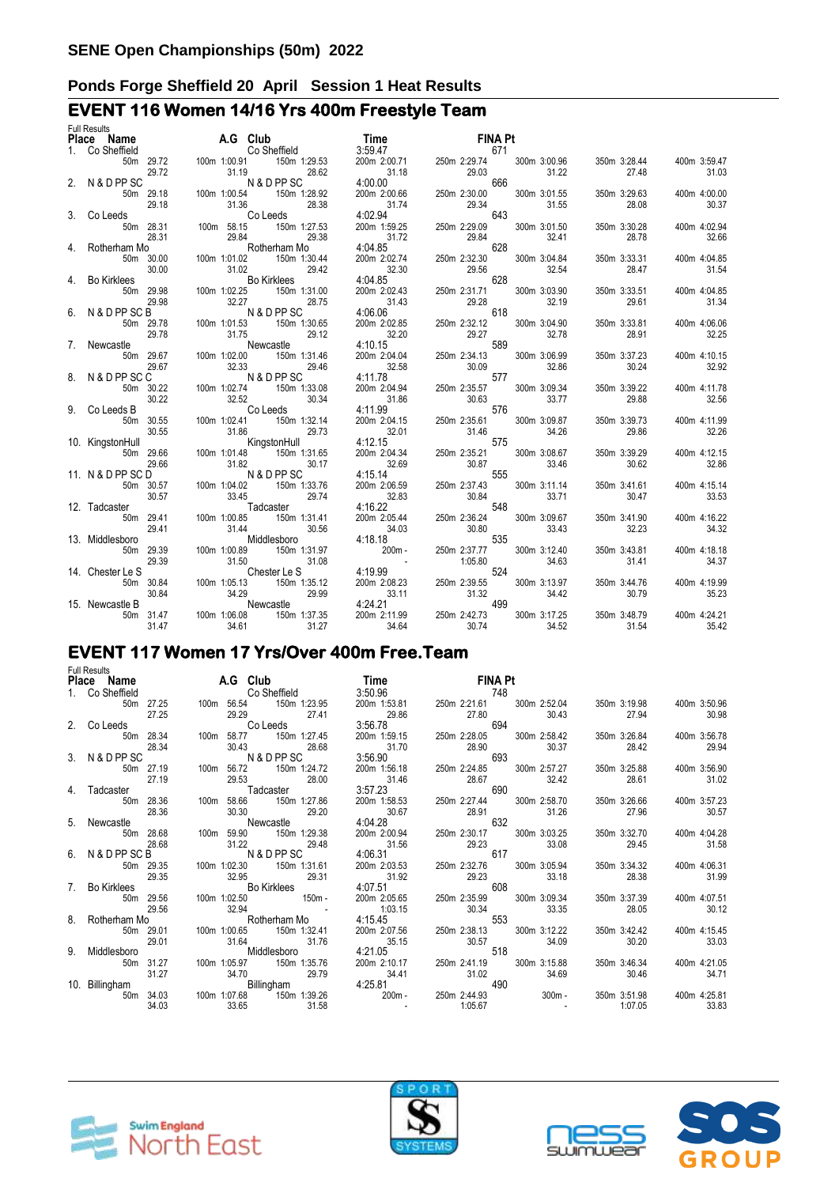# **EVENT 116 Women 14/16 Yrs 400m Freestyle Team**

| <b>Full Results</b> |  |                                                                                                                                                                                                                                                                                             |  |  |  |  |
|---------------------|--|---------------------------------------------------------------------------------------------------------------------------------------------------------------------------------------------------------------------------------------------------------------------------------------------|--|--|--|--|
|                     |  |                                                                                                                                                                                                                                                                                             |  |  |  |  |
|                     |  |                                                                                                                                                                                                                                                                                             |  |  |  |  |
|                     |  |                                                                                                                                                                                                                                                                                             |  |  |  |  |
|                     |  |                                                                                                                                                                                                                                                                                             |  |  |  |  |
|                     |  |                                                                                                                                                                                                                                                                                             |  |  |  |  |
|                     |  |                                                                                                                                                                                                                                                                                             |  |  |  |  |
|                     |  |                                                                                                                                                                                                                                                                                             |  |  |  |  |
|                     |  |                                                                                                                                                                                                                                                                                             |  |  |  |  |
|                     |  |                                                                                                                                                                                                                                                                                             |  |  |  |  |
|                     |  |                                                                                                                                                                                                                                                                                             |  |  |  |  |
|                     |  |                                                                                                                                                                                                                                                                                             |  |  |  |  |
|                     |  |                                                                                                                                                                                                                                                                                             |  |  |  |  |
|                     |  |                                                                                                                                                                                                                                                                                             |  |  |  |  |
|                     |  |                                                                                                                                                                                                                                                                                             |  |  |  |  |
|                     |  |                                                                                                                                                                                                                                                                                             |  |  |  |  |
|                     |  |                                                                                                                                                                                                                                                                                             |  |  |  |  |
|                     |  |                                                                                                                                                                                                                                                                                             |  |  |  |  |
|                     |  |                                                                                                                                                                                                                                                                                             |  |  |  |  |
|                     |  |                                                                                                                                                                                                                                                                                             |  |  |  |  |
|                     |  |                                                                                                                                                                                                                                                                                             |  |  |  |  |
|                     |  |                                                                                                                                                                                                                                                                                             |  |  |  |  |
|                     |  |                                                                                                                                                                                                                                                                                             |  |  |  |  |
|                     |  |                                                                                                                                                                                                                                                                                             |  |  |  |  |
|                     |  |                                                                                                                                                                                                                                                                                             |  |  |  |  |
|                     |  |                                                                                                                                                                                                                                                                                             |  |  |  |  |
|                     |  |                                                                                                                                                                                                                                                                                             |  |  |  |  |
|                     |  |                                                                                                                                                                                                                                                                                             |  |  |  |  |
|                     |  |                                                                                                                                                                                                                                                                                             |  |  |  |  |
|                     |  |                                                                                                                                                                                                                                                                                             |  |  |  |  |
|                     |  |                                                                                                                                                                                                                                                                                             |  |  |  |  |
|                     |  |                                                                                                                                                                                                                                                                                             |  |  |  |  |
|                     |  |                                                                                                                                                                                                                                                                                             |  |  |  |  |
|                     |  |                                                                                                                                                                                                                                                                                             |  |  |  |  |
|                     |  |                                                                                                                                                                                                                                                                                             |  |  |  |  |
|                     |  |                                                                                                                                                                                                                                                                                             |  |  |  |  |
|                     |  |                                                                                                                                                                                                                                                                                             |  |  |  |  |
|                     |  |                                                                                                                                                                                                                                                                                             |  |  |  |  |
|                     |  |                                                                                                                                                                                                                                                                                             |  |  |  |  |
|                     |  |                                                                                                                                                                                                                                                                                             |  |  |  |  |
|                     |  |                                                                                                                                                                                                                                                                                             |  |  |  |  |
|                     |  |                                                                                                                                                                                                                                                                                             |  |  |  |  |
|                     |  |                                                                                                                                                                                                                                                                                             |  |  |  |  |
|                     |  |                                                                                                                                                                                                                                                                                             |  |  |  |  |
|                     |  |                                                                                                                                                                                                                                                                                             |  |  |  |  |
|                     |  |                                                                                                                                                                                                                                                                                             |  |  |  |  |
|                     |  | <b>Pluce Started Me<br/> 1. Consideration AG Club Started 2008<br/> 2. NADPPSC<sup>2372</sup> 000 1000 1000 1000 2008<br/> 2. NADPPSC<sup>2372</sup> 000 1000 3000 2008<br/> 2. NADPPSC<sup>2372</sup> 000 1000 2008<br/> 2. NADPPSC<sup>2372</sup> 0000 3000 2000 2000 2000 2000 2000 </b> |  |  |  |  |
|                     |  |                                                                                                                                                                                                                                                                                             |  |  |  |  |
|                     |  |                                                                                                                                                                                                                                                                                             |  |  |  |  |

# **EVENT 117 Women 17 Yrs/Over 400m Free.Team**

| <b>Full Results</b>                                                                                                                                                                                   |           |                 |                                                                                                                                   |       |                                                                                                               |                                  |         |  |                           |                                               |              |                           |              |
|-------------------------------------------------------------------------------------------------------------------------------------------------------------------------------------------------------|-----------|-----------------|-----------------------------------------------------------------------------------------------------------------------------------|-------|---------------------------------------------------------------------------------------------------------------|----------------------------------|---------|--|---------------------------|-----------------------------------------------|--------------|---------------------------|--------------|
| Place Name                                                                                                                                                                                            |           | <b>A.G</b> Club |                                                                                                                                   |       | Time        FINA Pt                                                                                           |                                  |         |  |                           |                                               |              |                           |              |
| 1. Co Sheffield                                                                                                                                                                                       |           |                 |                                                                                                                                   |       |                                                                                                               |                                  |         |  |                           |                                               |              |                           |              |
| 50m 27.25                                                                                                                                                                                             |           |                 | 748<br>The Co Sheffield 3:50.96 350.96 748<br>The 56.54 150m 1:23.95 200m 1:53.81 250m 2:21.61 300m 2:52.04                       |       |                                                                                                               |                                  |         |  |                           |                                               |              | 350m 3:19.98 400m 3:50.96 |              |
| 27.25                                                                                                                                                                                                 |           |                 | 29.29 27.41                                                                                                                       |       |                                                                                                               |                                  |         |  |                           |                                               |              |                           |              |
| 2. Co Leeds                                                                                                                                                                                           |           |                 | Co Leeds                                                                                                                          |       | 29.86 27.80 30.43 27.94 30.98<br>3.56.78 694 200m 1:59.15 250m 2:28.05 300m 2:58.42 350m 3:26.84 400m 3:56.78 |                                  |         |  |                           |                                               |              |                           |              |
|                                                                                                                                                                                                       | 50m 28.34 |                 | 100m 58.77 150m 1:27.45                                                                                                           |       |                                                                                                               |                                  |         |  |                           |                                               |              |                           |              |
|                                                                                                                                                                                                       | 28.34     |                 | 30.43 28.68                                                                                                                       |       |                                                                                                               |                                  |         |  |                           | <b>30.37</b>                                  | 28.42        | 29.94                     |              |
| 3. N & D PP SC                                                                                                                                                                                        |           |                 | 30.43 28.68<br>N & D PP SC                                                                                                        |       | $31.70$ 28.90<br>3:56.90 693                                                                                  |                                  |         |  |                           |                                               |              |                           |              |
| 50m 27.19                                                                                                                                                                                             |           |                 | 100m 56.72 150m 1:24.72                                                                                                           |       | 200m 1:56.18  250m 2:24.85  300m 2:57.27                                                                      |                                  |         |  |                           |                                               |              | 350m 3:25.88 400m 3:56.90 |              |
| 27.19                                                                                                                                                                                                 |           |                 | 29.53 28.00                                                                                                                       |       | 31.46                                                                                                         |                                  |         |  |                           |                                               | 28.61        |                           | 31.02        |
| 4. Tadcaster                                                                                                                                                                                          |           |                 |                                                                                                                                   |       |                                                                                                               | 31.46 28.67 32.42<br>3:57.23 690 |         |  |                           |                                               |              |                           |              |
|                                                                                                                                                                                                       | 50m 28.36 |                 | 100m 58.66 150m 1:27.86                                                                                                           |       |                                                                                                               |                                  |         |  |                           |                                               |              |                           |              |
|                                                                                                                                                                                                       | 28.36     |                 |                                                                                                                                   |       |                                                                                                               |                                  |         |  |                           |                                               | 27.96        | 30.57                     |              |
| 5. Newcastle                                                                                                                                                                                          |           |                 | 30.30 29.20 30.67 28.91 31.26<br>Newcastle 4:04.28 632<br>100m 59.90 150m 1:29.38 200m 2:00.94 250m 2:30.17 300m 3:03.25 350m 3   |       |                                                                                                               |                                  |         |  |                           |                                               |              |                           |              |
|                                                                                                                                                                                                       | 50m 28.68 |                 |                                                                                                                                   |       |                                                                                                               |                                  |         |  |                           |                                               |              | 350m 3:32.70 400m 4:04.28 |              |
|                                                                                                                                                                                                       | 28.68     |                 |                                                                                                                                   |       |                                                                                                               |                                  |         |  |                           |                                               |              |                           |              |
| 6. N & D PP SC B                                                                                                                                                                                      |           |                 | 31.22 29.48 31.56 29.23 33.08 29.45 31.58<br>N& D P P SC 4:06.31 250m 2:03.53 250m 2:32.76 300m 3:05.94 350m 3:34.32 400m 4:06.31 |       |                                                                                                               |                                  |         |  |                           |                                               |              |                           |              |
| 50m 29.35                                                                                                                                                                                             |           |                 |                                                                                                                                   |       |                                                                                                               |                                  |         |  |                           |                                               |              |                           |              |
|                                                                                                                                                                                                       |           |                 |                                                                                                                                   |       |                                                                                                               |                                  |         |  |                           |                                               | 28.38        | 31.99                     |              |
| 29.35 29.35 29.35 29.31 29.31 29.31 29.32 29.36 29.36 32.95 29.36 29.37 29.37 29.38 29.38 29.38 29.38 29.38 29<br>7. Bo Kirklees 200m 2.9.56 100m 1:02.50 150m 200m 2:05.65 250m 2:35.99 300m 3:09.34 |           |                 |                                                                                                                                   |       |                                                                                                               |                                  |         |  |                           |                                               |              |                           |              |
|                                                                                                                                                                                                       |           |                 |                                                                                                                                   |       |                                                                                                               |                                  |         |  |                           |                                               | 350m 3:37.39 |                           | 400m 4:07.51 |
|                                                                                                                                                                                                       | 29.56     |                 |                                                                                                                                   |       |                                                                                                               |                                  |         |  |                           |                                               | 28.05        |                           | 30.12        |
| 8. Rotherham Mo                                                                                                                                                                                       |           |                 | 1.03.15 2.3.34 33.35<br>33.35 2.94 Rotherham Mo 4:15.45 553<br>100m 1:00.65 150m 1:32.41 200m 2:07.56 250m 2:38.13 300m 3:12.22   |       |                                                                                                               |                                  |         |  |                           |                                               |              |                           |              |
| 50m 29.01                                                                                                                                                                                             |           |                 |                                                                                                                                   |       |                                                                                                               |                                  |         |  |                           |                                               |              | 350m 3:42.42 400m 4:15.45 |              |
|                                                                                                                                                                                                       | 29.01     |                 |                                                                                                                                   |       |                                                                                                               |                                  |         |  |                           |                                               | 30.20        | 33.03                     |              |
| 9. Middlesboro                                                                                                                                                                                        |           |                 | 31.64 31.76 35.15 30.57 34.09<br>Middlesboro 4.21.05 518 568                                                                      |       |                                                                                                               |                                  |         |  |                           |                                               |              |                           |              |
| 50m 31.27                                                                                                                                                                                             |           |                 |                                                                                                                                   |       |                                                                                                               |                                  |         |  | 250m 2:41.19 300m 3:15.88 |                                               |              | 350m 3:46.34 400m 4:21.05 |              |
|                                                                                                                                                                                                       | 31.27     |                 |                                                                                                                                   |       |                                                                                                               |                                  |         |  |                           | 34.69                                         | 30.46        |                           | 34.71        |
| 10. Billingham                                                                                                                                                                                        |           |                 |                                                                                                                                   |       |                                                                                                               |                                  |         |  |                           |                                               |              |                           |              |
|                                                                                                                                                                                                       | 50m 34.03 |                 | 34.70<br>34.70<br>29.79<br>34.41<br>31.02<br>34.41<br>31.02<br>34.41<br>31.02<br>34.41<br>31.02<br>34.90<br>300m - 250m 2.44.93   |       |                                                                                                               |                                  |         |  |                           | 250m 2:44.93 300m - 350m 3:51.98 400m 4:25.81 |              |                           |              |
|                                                                                                                                                                                                       | 34.03     | 33.65           |                                                                                                                                   | 31.58 |                                                                                                               |                                  | 1:05.67 |  |                           | 1:07.05                                       |              | 33.83                     |              |







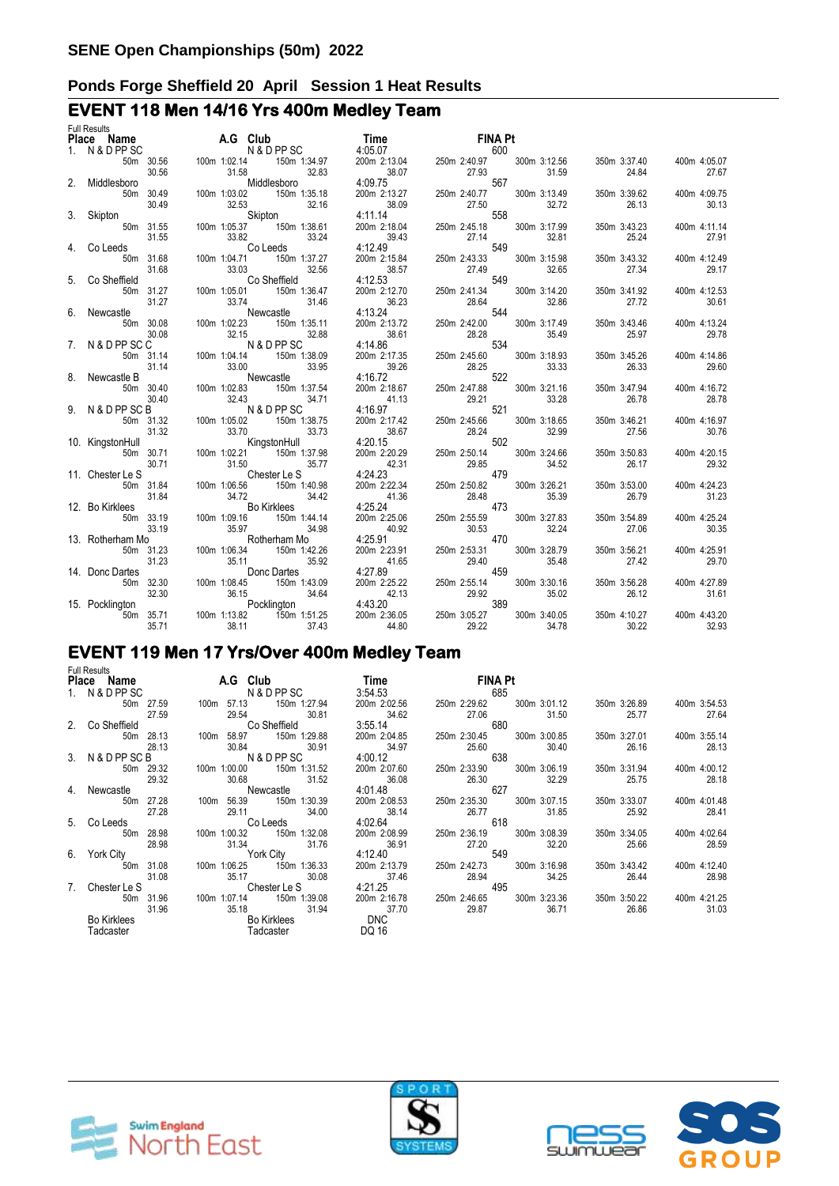# **EVENT 118 Men 14/16 Yrs 400m Medley Team**

| <b>Full Results</b> |  |                                                                                                                                                                                                                                    |  |  |              |                           |                       |
|---------------------|--|------------------------------------------------------------------------------------------------------------------------------------------------------------------------------------------------------------------------------------|--|--|--------------|---------------------------|-----------------------|
|                     |  |                                                                                                                                                                                                                                    |  |  |              |                           |                       |
|                     |  |                                                                                                                                                                                                                                    |  |  |              |                           |                       |
|                     |  |                                                                                                                                                                                                                                    |  |  |              | 350m 3:37.40 400m 4:05.07 |                       |
|                     |  |                                                                                                                                                                                                                                    |  |  |              |                           | 27.67                 |
|                     |  |                                                                                                                                                                                                                                    |  |  |              |                           |                       |
|                     |  |                                                                                                                                                                                                                                    |  |  |              |                           | 400m 4:09.75          |
|                     |  |                                                                                                                                                                                                                                    |  |  |              |                           | 30.13                 |
|                     |  |                                                                                                                                                                                                                                    |  |  |              |                           |                       |
|                     |  |                                                                                                                                                                                                                                    |  |  |              |                           | 400m 4:11.14          |
|                     |  |                                                                                                                                                                                                                                    |  |  |              |                           | 27.91                 |
|                     |  |                                                                                                                                                                                                                                    |  |  |              |                           |                       |
|                     |  |                                                                                                                                                                                                                                    |  |  |              |                           | 400m 4:12.49          |
|                     |  |                                                                                                                                                                                                                                    |  |  |              |                           | 29.17                 |
|                     |  |                                                                                                                                                                                                                                    |  |  |              |                           |                       |
|                     |  |                                                                                                                                                                                                                                    |  |  | 350m 3:41.92 |                           | 400m 4:12.53          |
|                     |  |                                                                                                                                                                                                                                    |  |  |              |                           | 30.61                 |
|                     |  |                                                                                                                                                                                                                                    |  |  |              |                           |                       |
|                     |  |                                                                                                                                                                                                                                    |  |  |              |                           | 400m 4:13.24          |
|                     |  |                                                                                                                                                                                                                                    |  |  |              |                           | 29.78                 |
|                     |  |                                                                                                                                                                                                                                    |  |  |              |                           |                       |
|                     |  |                                                                                                                                                                                                                                    |  |  | 350m 3:45.26 |                           | 400m 4:14.86          |
|                     |  |                                                                                                                                                                                                                                    |  |  |              |                           | 29.60                 |
|                     |  |                                                                                                                                                                                                                                    |  |  |              |                           |                       |
|                     |  |                                                                                                                                                                                                                                    |  |  | 350m 3:47.94 |                           | 400m 4:16.72          |
|                     |  |                                                                                                                                                                                                                                    |  |  |              |                           | 28.78                 |
|                     |  |                                                                                                                                                                                                                                    |  |  |              |                           |                       |
|                     |  |                                                                                                                                                                                                                                    |  |  |              | 350m 3:46.21 400m 4:16.97 |                       |
|                     |  |                                                                                                                                                                                                                                    |  |  |              |                           | 30.76                 |
|                     |  |                                                                                                                                                                                                                                    |  |  |              |                           |                       |
|                     |  |                                                                                                                                                                                                                                    |  |  | 350m 3:50.83 |                           | 400m 4:20.15          |
|                     |  |                                                                                                                                                                                                                                    |  |  |              |                           | 29.32                 |
|                     |  |                                                                                                                                                                                                                                    |  |  |              |                           |                       |
|                     |  |                                                                                                                                                                                                                                    |  |  |              |                           | 400m 4:24.23          |
|                     |  |                                                                                                                                                                                                                                    |  |  |              |                           | 31.23                 |
|                     |  |                                                                                                                                                                                                                                    |  |  |              |                           |                       |
|                     |  |                                                                                                                                                                                                                                    |  |  |              |                           | 400m 4:25.24          |
|                     |  |                                                                                                                                                                                                                                    |  |  | 350m 3:54.89 |                           | 30.35                 |
|                     |  |                                                                                                                                                                                                                                    |  |  |              |                           |                       |
|                     |  |                                                                                                                                                                                                                                    |  |  |              |                           |                       |
|                     |  |                                                                                                                                                                                                                                    |  |  | 350m 3:56.21 |                           | 400m 4:25.91<br>29.70 |
|                     |  |                                                                                                                                                                                                                                    |  |  |              |                           |                       |
|                     |  |                                                                                                                                                                                                                                    |  |  |              |                           |                       |
|                     |  |                                                                                                                                                                                                                                    |  |  |              | 350m 3:56.28 400m 4:27.89 |                       |
|                     |  | Pilaces Name 20 Constraints (Columb 102.8 1 The NNA DR Constraints (20 Constraints 200 242.34<br>2. Middlesson 30.56 100 102.8 Middlesson 32.83 403.7 230 230 230 230 330 330 330 34.84<br>2. Middlesson 30.56 100 103.8 Middlesso |  |  |              |                           | 31.61                 |
|                     |  |                                                                                                                                                                                                                                    |  |  |              |                           |                       |
|                     |  |                                                                                                                                                                                                                                    |  |  |              | 400m 4:43.20              |                       |
|                     |  |                                                                                                                                                                                                                                    |  |  |              |                           | 32.93                 |

# **EVENT 119 Men 17 Yrs/Over 400m Medley Team**

|    | <b>Full Results</b>   |                                                |                       |                                                |                       |                                    |
|----|-----------------------|------------------------------------------------|-----------------------|------------------------------------------------|-----------------------|------------------------------------|
|    | Place Name            | <b>A.G</b> Club                                | Time                  | <b>FINA Pt</b>                                 |                       |                                    |
|    | 1. N & D PP SC        | N & D PP SC                                    | 3:54.53               | 685                                            |                       |                                    |
|    | 50m 27.59<br>27.59    | 150m 1:27.94<br>100m 57.13<br>29.54 30.81      | 200m 2:02.56<br>34.62 | 250m 2:29.62 300m 3:01.12<br>27.06<br>31.50    | 350m 3:26.89<br>25.77 | 400m 3:54.53<br>27.64              |
|    | 2. Co Sheffield       | Co Sheffield                                   | 3:55.14               | 680                                            |                       |                                    |
|    | 50m 28.13<br>28.13    | 100m 58.97 150m 1:29.88<br>30.84<br>30.91      | 200m 2:04.85<br>34.97 | 250m 2:30.45 300m 3:00.85<br>25.60<br>30.40    | 350m 3:27.01<br>26.16 | 400m 3:55.14<br>28.13              |
|    | 3. N & D PP SC B      | N & D PP SC                                    | 4:00.12               | 638                                            |                       |                                    |
|    | 50m 29.32<br>29.32    | 100m 1:00.00<br>150m 1:31.52<br>30.68<br>31.52 | 200m 2:07.60<br>36.08 | 250m 2:33.90 300m 3:06.19<br>26.30<br>32.29    | 25.75                 | 350m 3:31.94 400m 4:00.12<br>28.18 |
|    | 4. Newcastle          | Newcastle                                      | 4:01.48               | 627                                            |                       |                                    |
|    | 50m 27.28<br>27.28    | 100m 56.39 150m 1:30.39<br>29.11<br>34.00      | 200m 2:08.53<br>38.14 | 250m 2:35.30 300m 3:07.15<br>26.77<br>31.85    | 350m 3:33.07<br>25.92 | 400m 4:01.48<br>28.41              |
|    | 5. Co Leeds           | <b>Colleeds</b>                                | 4:02.64               | 618                                            |                       |                                    |
|    | 28.98<br>50m<br>28.98 | 100m 1:00.32<br>150m 1:32.08<br>31.34<br>31.76 | 200m 2:08.99<br>36.91 | 300m 3:08.39<br>250m 2:36.19<br>27.20<br>32.20 | 350m 3:34.05<br>25.66 | 400m 4:02.64<br>28.59              |
| 6. | York City             | <b>York City</b>                               | 4:12.40               | 549                                            |                       |                                    |
|    | 50m 31.08<br>31.08    | 100m 1:06.25 150m 1:36.33<br>35.17<br>30.08    | 200m 2:13.79<br>37.46 | 250m 2:42.73 300m 3:16.98<br>28.94<br>34.25    | 350m 3:43.42<br>26.44 | 400m 4:12.40<br>28.98              |
| 7. | Chester Le S          | <b>Chester Le S</b>                            | 4:21.25               | 495                                            |                       |                                    |
|    | 50m 31.96<br>31.96    | 100m 1:07.14<br>150m 1:39.08<br>35.18<br>31.94 | 200m 2:16.78<br>37.70 | 300m 3:23.36<br>250m 2:46.65<br>29.87<br>36.71 | 350m 3:50.22<br>26.86 | 400m 4:21.25<br>31.03              |
|    | <b>Bo Kirklees</b>    | Bo Kirklees                                    | <b>DNC</b>            |                                                |                       |                                    |
|    | Tadcaster             | Tadcaster                                      | DQ 16                 |                                                |                       |                                    |







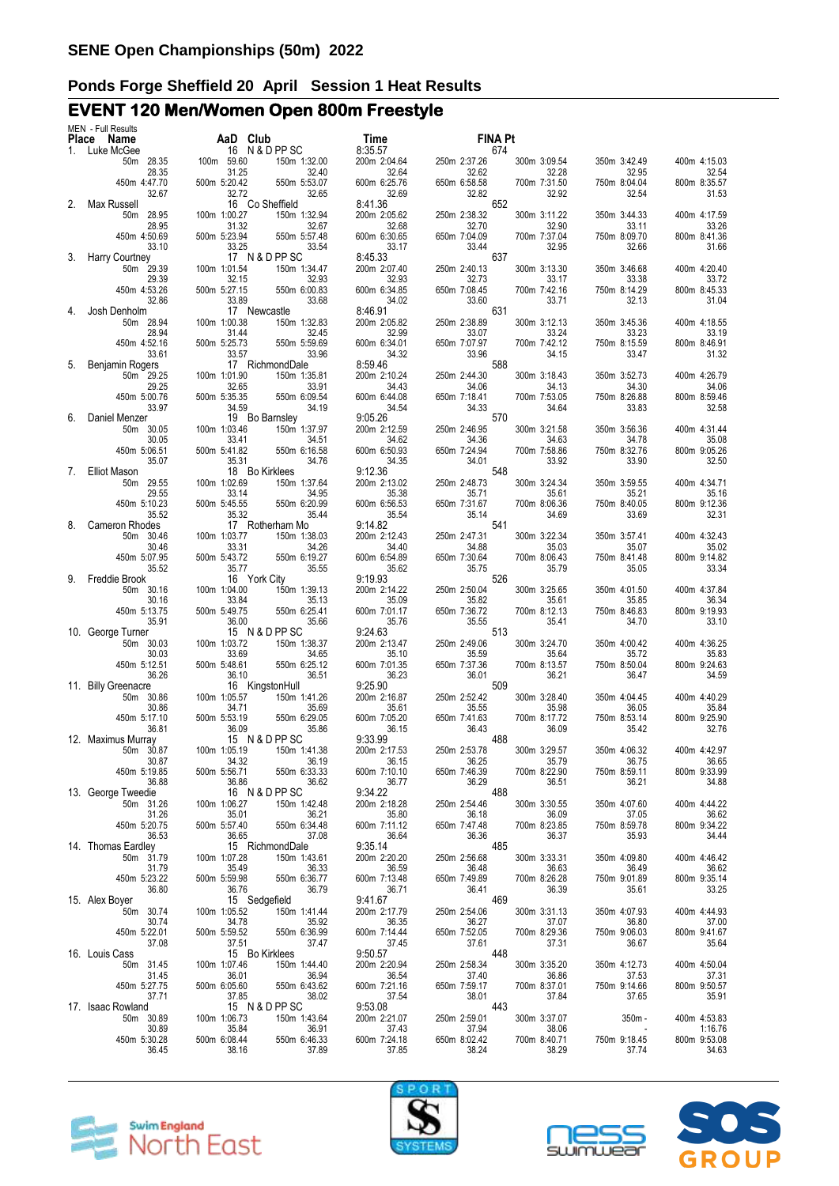# **EVENT 120 Men/Women Open 800m Freestyle**

|    | MEN - Full Results<br>Place Name | AaD Club              |                                                                                                   | Time                                                                      | <b>FINA Pt</b>                                                                                  |                       |                       |                         |
|----|----------------------------------|-----------------------|---------------------------------------------------------------------------------------------------|---------------------------------------------------------------------------|-------------------------------------------------------------------------------------------------|-----------------------|-----------------------|-------------------------|
|    | 1. Luke McGee                    |                       | 16 N & D PP SC                                                                                    | 8:35.57                                                                   | 674                                                                                             |                       |                       |                         |
|    | 50m 28.35                        | 100m 59.60            | 150m 1:32.00                                                                                      | 200m 2:04.64                                                              | 250m 2:37.26                                                                                    | 300m 3:09.54          | 350m 3:42.49          | 400m 4:15.03            |
|    | 28.35<br>450m 4:47.70            | 31.25<br>500m 5:20.42 | 32.40<br>550m 5:53.07                                                                             | 32.64<br>600m 6:25.76                                                     | 32.62<br>650m 6:58.58                                                                           | 32.28<br>700m 7:31.50 | 32.95<br>750m 8:04.04 | 32.54<br>800m 8:35.57   |
|    | 32.67                            | 32.72                 | 32.65                                                                                             | 32.69                                                                     | 32.82                                                                                           | 32.92                 | 32.54                 | 31.53                   |
| 2. | Max Russell                      |                       | 16 Co Sheffield                                                                                   | 8:41.36                                                                   | 652                                                                                             |                       |                       |                         |
|    | 50m 28.95<br>28.95               | 100m 1:00.27<br>31.32 | 150m 1:32.94<br>32.67                                                                             | 200m 2:05.62<br>32.68                                                     | 250m 2:38.32<br>32.70                                                                           | 300m 3:11.22<br>32.90 | 350m 3:44.33<br>33.11 | 400m 4:17.59<br>33.26   |
|    | 450m 4:50.69                     | 500m 5:23.94          | 550m 5:57.48                                                                                      | 600m 6:30.65                                                              | 650m 7:04.09                                                                                    | 700m 7:37.04          | 750m 8:09.70          | 800m 8:41.36            |
| 3. | 33.10<br>Harry Courtney          | 33.25                 | 33.54<br>17 N & D PP SC                                                                           | 33.17<br>8:45.33                                                          | 33.44<br>637                                                                                    | 32.95                 | 32.66                 | 31.66                   |
|    | 50m 29.39                        | 100m 1:01.54          | 150m 1:34.47                                                                                      | 200m 2:07.40                                                              | 250m 2:40.13                                                                                    | 300m 3:13.30          | 350m 3:46.68          | 400m 4:20.40            |
|    | 29.39<br>450m 4:53.26            | 32.15<br>500m 5:27.15 | 32.93<br>550m 6:00.83                                                                             | 32.93<br>600m 6:34.85                                                     | 32.73<br>650m 7:08.45                                                                           | 33.17<br>700m 7:42.16 | 33.38<br>750m 8:14.29 | 33.72<br>800m 8:45.33   |
|    | 32.86                            | 33.89                 | 33.68                                                                                             | 34.02                                                                     | 33.60                                                                                           | 33.71                 | 32.13                 | 31.04                   |
| 4. | Josh Denholm                     |                       | 17 Newcastle                                                                                      | 8:46.91<br>200m 2:05.82                                                   | 631                                                                                             |                       |                       |                         |
|    | 50m 28.94<br>28.94               | 100m 1:00.38<br>31.44 | 150m 1:32.83<br>32.45                                                                             | 32.99                                                                     | 250m 2:38.89<br>33.07                                                                           | 300m 3:12.13<br>33.24 | 350m 3:45.36<br>33.23 | 400m 4:18.55<br>33.19   |
|    | 450m 4:52.16                     | 500m 5:25.73          | 550m 5:59.69                                                                                      | 600m 6:34.01                                                              | 650m 7:07.97                                                                                    | 700m 7:42.12          | 750m 8:15.59          | 800m 8:46.91            |
| 5. | 33.61<br>Benjamin Rogers         | 33.57                 | 33.96<br>17 RichmondDale                                                                          | 34.32<br>8:59.46                                                          | 33.96<br>588                                                                                    | 34.15                 | 33.47                 | 31.32                   |
|    | 50m 29.25                        | 100m 1:01.90          | 150m 1:35.81                                                                                      | 200m 2:10.24                                                              | 250m 2:44.30                                                                                    | 300m 3:18.43          | 350m 3:52.73          | 400m 4:26.79            |
|    | 29.25                            | 32.65                 | 33.91                                                                                             | 34.43                                                                     | 34.06                                                                                           | 34.13                 | 34.30                 | 34.06                   |
|    | 450m 5:00.76<br>33.97            | 500m 5:35.35<br>34.59 | 550m 6:09.54<br>34.19                                                                             | 600m 6:44.08<br>34.54                                                     | 650m 7:18.41<br>34.33                                                                           | 700m 7:53.05<br>34.64 | 750m 8:26.88<br>33.83 | 800m 8:59.46<br>32.58   |
| 6. | Daniel Menzer                    |                       | 19 Bo Barnsley                                                                                    | 9:05.26                                                                   | 570                                                                                             |                       |                       |                         |
|    | 50m 30.05                        | 100m 1:03.46          | 150m 1:37.97                                                                                      | 200m 2:12.59                                                              | 250m 2:46.95                                                                                    | 300m 3:21.58          | 350m 3:56.36          | 400m 4:31.44            |
|    | 30.05<br>450m 5:06.51            | 33.41<br>500m 5:41.82 | 34.51<br>550m 6:16.58                                                                             | 34.62<br>600m 6:50.93                                                     | 34.36<br>650m 7:24.94                                                                           | 34.63<br>700m 7:58.86 | 34.78<br>750m 8:32.76 | 35.08<br>800m 9:05.26   |
|    | 35.07                            | 35.31                 | 34.76                                                                                             | 34.35                                                                     | 34.01                                                                                           | 33.92                 | 33.90                 | 32.50                   |
| 7. | Elliot Mason<br>50m 29.55        | 100m 1:02.69          | 18 Bo Kirklees<br>150m 1:37.64                                                                    | 9:12.36<br>200m 2:13.02                                                   | 548<br>250m 2:48.73                                                                             | 300m 3:24.34          | 350m 3:59.55          | 400m 4:34.71            |
|    | 29.55                            | 33.14                 | 34.95                                                                                             | 35.38                                                                     | 35.71                                                                                           | 35.61                 | 35.21                 | 35.16                   |
|    | 450m 5:10.23                     | 500m 5:45.55          | 550m 6:20.99                                                                                      | 600m 6:56.53                                                              | 650m 7:31.67                                                                                    | 700m 8:06.36          | 750m 8:40.05          | 800m 9:12.36            |
| 8. | 35.52<br>Cameron Rhodes          | 35.32                 | 35.44<br>17 Rotherham Mo                                                                          | 35.54<br>9:14.82                                                          | 35.14<br>541                                                                                    | 34.69                 | 33.69                 | 32.31                   |
|    | 50m 30.46                        | 100m 1:03.77          | 150m 1:38.03                                                                                      | 200m 2:12.43                                                              | 250m 2:47.31                                                                                    | 300m 3:22.34          | 350m 3:57.41          | 400m 4:32.43            |
|    | 30.46<br>450m 5:07.95            | 33.31<br>500m 5:43.72 | 34.26<br>550m 6:19.27                                                                             | 34.40<br>600m 6:54.89                                                     | 34.88<br>650m 7:30.64                                                                           | 35.03<br>700m 8:06.43 | 35.07<br>750m 8:41.48 | 35.02<br>800m 9:14.82   |
|    | 35.52                            | 35.77                 | 35.55                                                                                             | 35.62                                                                     | 35.75                                                                                           | 35.79                 | 35.05                 | 33.34                   |
| 9. | Freddie Brook                    |                       | 16 York City                                                                                      | 9:19.93                                                                   | 526                                                                                             |                       |                       |                         |
|    | 50m 30.16<br>30.16               | 100m 1:04.00<br>33.84 | 150m 1:39.13<br>35.13                                                                             | 200m 2:14.22<br>35.09                                                     | 250m 2:50.04<br>35.82                                                                           | 300m 3:25.65<br>35.61 | 350m 4:01.50<br>35.85 | 400m 4:37.84<br>36.34   |
|    | 450m 5:13.75                     | 500m 5:49.75          | 550m 6:25.41                                                                                      | 600m 7:01.17                                                              | 650m 7:36.72                                                                                    | 700m 8:12.13          | 750m 8:46.83          | 800m 9:19.93            |
|    | 35.91<br>10. George Turner       | 36.00                 | 35.66<br>15 N & D PP SC                                                                           | 35.76<br>9:24.63                                                          | 35.55<br>513                                                                                    | 35.41                 | 34.70                 | 33.10                   |
|    | 50m 30.03                        | 100m 1:03.72          | 150m 1:38.37                                                                                      | 200m 2:13.47                                                              | 250m 2:49.06                                                                                    | 300m 3:24.70          | 350m 4:00.42          | 400m 4:36.25            |
|    | 30.03<br>450m 5:12.51            | 33.69<br>500m 5:48.61 | 34.65<br>550m 6:25.12                                                                             | 35.10<br>600m 7:01.35                                                     | 35.59<br>650m 7:37.36                                                                           | 35.64<br>700m 8:13.57 | 35.72<br>750m 8:50.04 | 35.83<br>800m 9:24.63   |
|    | 36.26                            | 36.10                 | 36.51                                                                                             | 36.23                                                                     | 36.01                                                                                           | 36.21                 | 36.47                 | 34.59                   |
|    | 11. Billy Greenacre              |                       | 16 KingstonHull                                                                                   | 9:25.90                                                                   | 509                                                                                             |                       |                       |                         |
|    | 50m 30.86<br>30.86               | 100m 1:05.57<br>34.71 | 150m 1:41.26<br>35.69                                                                             | 200m 2:16.87<br>35.61                                                     | 250m 2:52.42<br>35.55                                                                           | 300m 3:28.40<br>35.98 | 350m 4:04.45<br>36.05 | 400m 4:40.29<br>35.84   |
|    | 450m 5:17.10                     | 500m 5:53.19          | 550m 6:29.05                                                                                      | 600m 7:05.20                                                              | 650m 7:41.63                                                                                    | 700m 8:17.72          | 750m 8:53.14          | 800m 9:25.90            |
|    | 36.81<br>12. Maximus Murray      | 36.09                 | 35.86<br>15 N & D PP SC                                                                           | 36.15<br>9:33.99                                                          | 36.43<br>488                                                                                    | 36.09                 | 35.42                 | 32.76                   |
|    | 50m 30.87                        | 100m 1:05.19          | 150m 1:41.38                                                                                      | 200m 2:17.53                                                              | 250m 2:53.78                                                                                    | 300m 3:29.57          | 350m 4:06.32          | 400m 4:42.97            |
|    | 30.87                            |                       |                                                                                                   | 36.15<br>600m 7:10.10                                                     | $36.25$ $35.79$                                                                                 |                       | 36.75                 | 36.65                   |
|    | 450m 5:19.85<br>36.88            |                       | 1.0011 1.02.19<br>34.32<br>500m 5:56.71<br>550m 6:33.33<br>36.86<br>16 N & D PP SC                | 36.77                                                                     | $\frac{30.23}{36.29}$<br>36.29<br>200                                                           | 700m 8:22.90<br>36.51 | 750m 8:59.11<br>36.21 | 800m 9:33.99<br>34.88   |
|    | 13. George Tweedie               |                       |                                                                                                   | 9:34.22                                                                   |                                                                                                 |                       |                       |                         |
|    | 50m 31.26<br>31.26               |                       |                                                                                                   | 200m 2:18.28<br>35.80                                                     |                                                                                                 |                       | 350m 4:07.60<br>37.05 | 400m 4:44.22<br>36.62   |
|    | 450m 5:20.75                     |                       |                                                                                                   | 600m 7:11.12                                                              |                                                                                                 |                       | 750m 8:59.78          | 800m 9:34.22            |
|    | 36.53<br>14. Thomas Eardley      |                       | 100m 1:06.27<br>150m 1:42.48<br>35.01<br>500m 5:57.40<br>550m 6:34.48<br>37.08<br>15 RichmondDale | 36.64<br>9:35.14                                                          | 250m 2:54.46<br>36.18<br>650m 7:47.48<br>650m 7:47.48<br>36.36<br>36.37<br>36.37<br>36.37       |                       | 35.93                 | 34.44                   |
|    | 50m 31.79                        |                       |                                                                                                   | 200m 2:20.20                                                              |                                                                                                 | 300m 3:33.31          | 350m 4:09.80          | 400m 4:46.42            |
|    | 31.79                            |                       |                                                                                                   | 36.59                                                                     |                                                                                                 | 36.63                 | 36.49                 | 36.62                   |
|    | 450m 5:23.22<br>36.80            |                       | 100m 1:07.28 150m 1:43.61<br>35.49 36.33<br>500m 5:59.98 550m 6:36.77<br>36.76 36.79              | 600m 7:13.48<br>36.71                                                     | 250m 2:56.68 300m<br>36.48 36.48 650m 7:49.89 700m<br>36.41 469 886                             | 700m 8:26.28<br>36.39 | 750m 9:01.89<br>35.61 | 800m 9:35.14<br>33.25   |
|    | 15. Alex Boyer                   |                       | 36.76<br>15 Sedgefield                                                                            | 9:41.67                                                                   |                                                                                                 |                       |                       |                         |
|    | 50m 30.74<br>30.74               |                       | 100m 1:05.52 150m 1:41.44<br>34.78 35.92<br>500m 5:59.52 550m 6:36.99<br>37.51 37.47              | 200m 2:17.79<br>36.35                                                     | 250m 2:54.06<br>36.27                                                                           | 300m 3:31.13<br>37.07 | 350m 4:07.93<br>36.80 | 400m 4:44.93<br>37.00   |
|    | 450m 5:22.01                     |                       |                                                                                                   | 600m 7:14.44                                                              |                                                                                                 | 700m 8:29.36          | 750m 9:06.03          | 800m 9:41.67            |
|    | 37.08<br>16. Louis Cass          |                       | 37.51<br>15 Bo Kirklees                                                                           | 37.45<br>9:50.57                                                          | $\begin{array}{r}\n 650 \text{m} \\  7:52.05 \\  \hline\n 37.61 \\  \hline\n 448\n \end{array}$ | 37.31                 | 36.67                 | 35.64                   |
|    | 50m 31.45                        | 100m 1:07.46          | 150m 1:44.40                                                                                      | 200m 2:20.94                                                              | 250m 2:58.34                                                                                    | 300m 3:35.20          | 350m 4:12.73          | 400m 4:50.04            |
|    | 31.45<br>450m 5:27.75            |                       |                                                                                                   | 36.54<br>600m 7:21.16                                                     |                                                                                                 |                       | 37.53<br>750m 9:14.66 | 37.31<br>800m 9:50.57   |
|    | 37.71                            |                       | 36.01 36.94<br>500m 6:05.60 550m 6:43.62<br>37.85                                                 | 37.54                                                                     | 37.40 36.86<br>650m 7:59.17 700m 8:37.01<br>38.01 37.84<br>443                                  |                       | 37.65                 | 35.91                   |
|    | 17. Isaac Rowland                |                       | 37.85 38.02<br>15 N & D PP SC                                                                     | 9:53.08                                                                   |                                                                                                 |                       |                       |                         |
|    | 50m 30.89<br>30.89               | 100m 1:06.73<br>35.84 | $\begin{array}{r} 150m \\ 1:43.64 \\ 36.91 \\ 550m \\ 6:46.33 \\ 37.89 \end{array}$               | 200m 2:21.07                                                              | 250m 2:59.01                                                                                    | 300m 3:37.07          | $350m -$              | 400m 4:53.83<br>1:16.76 |
|    | 450m 5:30.28                     | 500m 6:08.44          |                                                                                                   | $\begin{array}{r} 37.43 \\ 37.43 \\ 600 \text{m} \ \ 7:24.18 \end{array}$ | 37.94<br>37.94<br>650m 8:02.42 700m 8:40.71<br>38.24 38.29                                      |                       | 750m 9:18.45          | 800m 9:53.08            |
|    | 36.45                            | 38.16                 |                                                                                                   | 37.85                                                                     |                                                                                                 |                       | 37.74                 | 34.63                   |
|    |                                  |                       |                                                                                                   |                                                                           |                                                                                                 |                       |                       |                         |







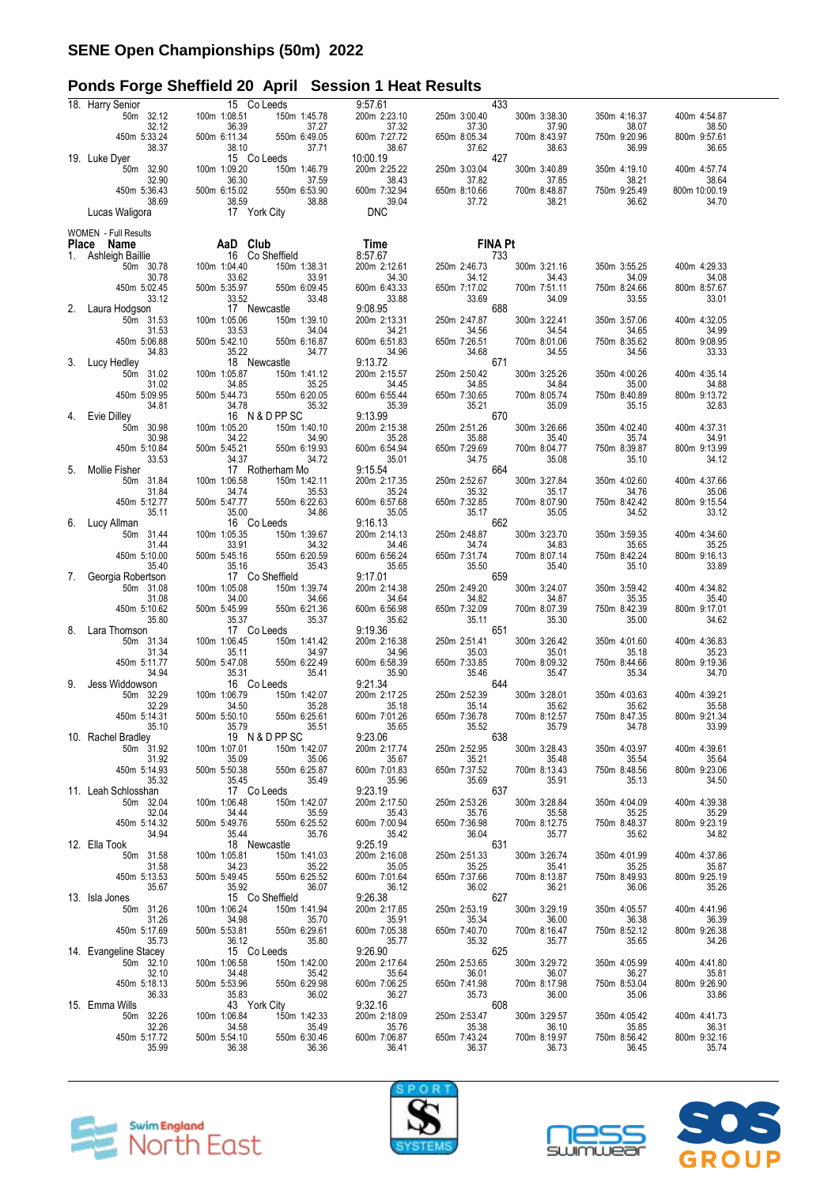# **Ponds Forge Sheffield 20 April Session 1 Heat Results**

|              | 18. Harry Senior                 | 15 Co Leeds                                    | 9:57.61                  | 433                   |                       |                       |                        |
|--------------|----------------------------------|------------------------------------------------|--------------------------|-----------------------|-----------------------|-----------------------|------------------------|
|              | 50m 32.12<br>32.12               | 100m 1:08.51<br>150m 1:45.78<br>36.39<br>37.27 | 200m 2:23.10<br>37.32    | 250m 3:00.40<br>37.30 | 300m 3:38.30<br>37.90 | 350m 4:16.37<br>38.07 | 400m 4:54.87<br>38.50  |
|              | 450m 5:33.24                     | 500m 6:11.34<br>550m 6:49.05                   | 600m 7:27.72             | 650m 8:05.34          | 700m 8:43.97          | 750m 9:20.96          | 800m 9:57.61           |
|              | 38.37                            | 38.10<br>37.71                                 | 38.67                    | 37.62                 | 38.63                 | 36.99                 | 36.65                  |
|              | 19. Luke Dyer<br>50m 32.90       | 15 Co Leeds<br>100m 1:09.20<br>150m 1:46.79    | 10:00.19<br>200m 2:25.22 | 427<br>250m 3:03.04   | 300m 3:40.89          | 350m 4:19.10          | 400m 4:57.74           |
|              | 32.90                            | 36.30<br>37.59                                 | 38.43                    | 37.82                 | 37.85                 | 38.21<br>750m 9:25.49 | 38.64<br>800m 10:00.19 |
|              | 450m 5:36.43<br>38.69            | 500m 6:15.02<br>550m 6:53.90<br>38.59<br>38.88 | 600m 7:32.94<br>39.04    | 650m 8:10.66<br>37.72 | 700m 8:48.87<br>38.21 | 36.62                 | 34.70                  |
|              | Lucas Waligora                   | 17 York City                                   | <b>DNC</b>               |                       |                       |                       |                        |
|              | <b>WOMEN</b> - Full Results      |                                                |                          |                       |                       |                       |                        |
| <b>Place</b> | Name                             | AaD Club<br>16 Co Sheffield                    | Time                     | <b>FINA Pt</b>        |                       |                       |                        |
| 1.           | Ashleigh Baillie<br>50m 30.78    | 100m 1:04.40<br>150m 1:38.31                   | 8:57.67<br>200m 2:12.61  | 733<br>250m 2:46.73   | 300m 3:21.16          | 350m 3:55.25          | 400m 4:29.33           |
|              | 30.78                            | 33.91<br>33.62                                 | 34.30                    | 34.12                 | 34.43                 | 34.09                 | 34.08                  |
|              | 450m 5:02.45<br>33.12            | 500m 5:35.97<br>550m 6:09.45<br>33.52<br>33.48 | 600m 6:43.33<br>33.88    | 650m 7:17.02<br>33.69 | 700m 7:51.11<br>34.09 | 750m 8:24.66<br>33.55 | 800m 8:57.67<br>33.01  |
| 2.           | Laura Hodgson                    | 17 Newcastle                                   | 9:08.95                  | 688                   |                       |                       |                        |
|              | 50m 31.53<br>31.53               | 100m 1:05.06<br>150m 1:39.10<br>33.53<br>34.04 | 200m 2:13.31<br>34.21    | 250m 2:47.87<br>34.56 | 300m 3:22.41<br>34.54 | 350m 3:57.06<br>34.65 | 400m 4:32.05<br>34.99  |
|              | 450m 5:06.88                     | 500m 5:42.10<br>550m 6:16.87                   | 600m 6:51.83             | 650m 7:26.51          | 700m 8:01.06          | 750m 8:35.62          | 800m 9:08.95           |
| 3.           | 34.83<br>Lucy Hedley             | 35.22<br>34.77<br>18 Newcastle                 | 34.96<br>9:13.72         | 34.68<br>671          | 34.55                 | 34.56                 | 33.33                  |
|              | 50m 31.02                        | 100m 1:05.87<br>150m 1:41.12                   | 200m 2:15.57             | 250m 2:50.42          | 300m 3:25.26          | 350m 4:00.26          | 400m 4:35.14           |
|              | 31.02<br>450m 5:09.95            | 34.85<br>35.25<br>500m 5:44.73<br>550m 6:20.05 | 34.45<br>600m 6:55.44    | 34.85<br>650m 7:30.65 | 34.84<br>700m 8:05.74 | 35.00<br>750m 8:40.89 | 34.88<br>800m 9:13.72  |
|              | 34.81                            | 34.78<br>35.32                                 | 35.39                    | 35.21                 | 35.09                 | 35.15                 | 32.83                  |
| 4.           | Evie Dilley                      | 16 N & D PP SC                                 | 9:13.99                  | 670                   |                       |                       |                        |
|              | 50m 30.98<br>30.98               | 100m 1:05.20<br>150m 1:40.10<br>34.22<br>34.90 | 200m 2:15.38<br>35.28    | 250m 2:51.26<br>35.88 | 300m 3:26.66<br>35.40 | 350m 4:02.40<br>35.74 | 400m 4:37.31<br>34.91  |
|              | 450m 5:10.84                     | 500m 5:45.21<br>550m 6:19.93                   | 600m 6:54.94             | 650m 7:29.69          | 700m 8:04.77          | 750m 8:39.87          | 800m 9:13.99           |
| 5.           | 33.53<br>Mollie Fisher           | 34.37<br>34.72<br>17 Rotherham Mo              | 35.01<br>9:15.54         | 34.75<br>664          | 35.08                 | 35.10                 | 34.12                  |
|              | 50m 31.84                        | 100m 1:06.58<br>150m 1:42.11                   | 200m 2:17.35             | 250m 2:52.67          | 300m 3:27.84          | 350m 4:02.60          | 400m 4:37.66           |
|              | 31.84<br>450m 5:12.77            | 34.74<br>35.53<br>500m 5:47.77<br>550m 6:22.63 | 35.24<br>600m 6:57.68    | 35.32<br>650m 7:32.85 | 35.17<br>700m 8:07.90 | 34.76<br>750m 8:42.42 | 35.06<br>800m 9:15.54  |
|              | 35.11                            | 35.00<br>34.86                                 | 35.05                    | 35.17                 | 35.05                 | 34.52                 | 33.12                  |
| 6.           | Lucy Allman<br>50m 31.44         | 16 Co Leeds<br>100m 1:05.35<br>150m 1:39.67    | 9:16.13<br>200m 2:14.13  | 662<br>250m 2:48.87   | 300m 3:23.70          | 350m 3:59.35          | 400m 4:34.60           |
|              | 31.44                            | 33.91<br>34.32                                 | 34.46                    | 34.74                 | 34.83                 | 35.65                 | 35.25                  |
|              | 450m 5:10.00<br>35.40            | 500m 5:45.16<br>550m 6:20.59<br>35.16<br>35.43 | 600m 6:56.24<br>35.65    | 650m 7:31.74<br>35.50 | 700m 8:07.14<br>35.40 | 750m 8:42.24<br>35.10 | 800m 9:16.13<br>33.89  |
| 7.           | Georgia Robertson                | 17 Co Sheffield                                | 9:17.01                  | 659                   |                       |                       |                        |
|              | 50m 31.08                        | 100m 1:05.08<br>150m 1:39.74<br>34.66          | 200m 2:14.38             | 250m 2:49.20<br>34.82 | 300m 3:24.07          | 350m 3:59.42<br>35.35 | 400m 4:34.82<br>35.40  |
|              | 31.08<br>450m 5:10.62            | 34.00<br>550m 6:21.36<br>500m 5:45.99          | 34.64<br>600m 6:56.98    | 650m 7:32.09          | 34.87<br>700m 8:07.39 | 750m 8:42.39          | 800m 9:17.01           |
|              | 35.80                            | 35.37<br>35.37<br>17 Co Leeds                  | 35.62                    | 35.11<br>651          | 35.30                 | 35.00                 | 34.62                  |
| 8.           | Lara Thomson<br>50m 31.34        | 100m 1:06.45<br>150m 1:41.42                   | 9:19.36<br>200m 2:16.38  | 250m 2:51.41          | 300m 3:26.42          | 350m 4:01.60          | 400m 4:36.83           |
|              | 31.34                            | 35.11<br>34.97                                 | 34.96                    | 35.03                 | 35.01                 | 35.18                 | 35.23                  |
|              | 450m 5:11.77<br>34.94            | 500m 5:47.08<br>550m 6:22.49<br>35.31<br>35.41 | 600m 6:58.39<br>35.90    | 650m 7:33.85<br>35.46 | 700m 8:09.32<br>35.47 | 750m 8:44.66<br>35.34 | 800m 9:19.36<br>34.70  |
| 9.           | Jess Widdowson                   | 16 Co Leeds                                    | 9:21.34                  | 644                   |                       |                       |                        |
|              | 50m 32.29<br>32.29               | 100m 1:06.79<br>150m 1:42.07<br>35.28<br>34.50 | 200m 2:17.25<br>35.18    | 250m 2:52.39<br>35.14 | 300m 3:28.01<br>35.62 | 350m 4:03.63<br>35.62 | 400m 4:39.21<br>35.58  |
|              | 450m 5:14.31                     | 500m 5:50.10<br>550m 6:25.61                   | 600m 7:01.26             | 650m 7:36.78          | 700m 8:12.57          | 750m 8:47.35          | 800m 9:21.34           |
|              | 35.10<br>10. Rachel Bradley      | 35.79<br>35.51<br>19 N & D PP SC               | 35.65<br>9:23.06         | 35.52<br>638          | 35.79                 | 34.78                 | 33.99                  |
|              | 50m 31.92                        | 100m 1:07.01<br>150m 1:42.07                   | 200m 2:17.74             | 250m 2:52.95          | 300m 3:28.43          | 350m 4:03.97          | 400m 4:39.61           |
|              | 31.92<br>450m 5:14.93            | 35.09<br>35.06<br>500m 5:50.38<br>550m 6:25.87 | 35.67<br>600m 7:01.83    | 35.21<br>650m 7:37.52 | 35.48<br>700m 8:13.43 | 35.54<br>750m 8:48.56 | 35.64<br>800m 9:23.06  |
|              | 35.32                            | 35.45<br>35.49                                 | 35.96                    | 35.69                 | 35.91                 | 35.13                 | 34.50                  |
|              | 11. Leah Schlosshan<br>50m 32.04 | 17 Co Leeds<br>100m 1:06.48<br>150m 1:42.07    | 9:23.19<br>200m 2:17.50  | 637<br>250m 2:53.26   | 300m 3:28.84          | 350m 4:04.09          | 400m 4:39.38           |
|              | 32.04                            | 34.44<br>35.59                                 | 35.43                    | 35.76                 | 35.58                 | 35.25                 | 35.29                  |
|              | 450m 5:14.32<br>34.94            | 500m 5:49.76<br>550m 6:25.52<br>35.44<br>35.76 | 600m 7:00.94<br>35.42    | 650m 7:36.98<br>36.04 | 700m 8:12.75<br>35.77 | 750m 8:48.37<br>35.62 | 800m 9:23.19<br>34.82  |
|              | 12. Ella Took                    | 18 Newcastle                                   | 9:25.19                  | 631                   |                       |                       |                        |
|              | 50m 31.58<br>31.58               | 150m 1:41.03<br>100m 1:05.81<br>34.23<br>35.22 | 200m 2:16.08<br>35.05    | 250m 2:51.33<br>35.25 | 300m 3:26.74<br>35.41 | 350m 4:01.99<br>35.25 | 400m 4:37.86<br>35.87  |
|              | 450m 5:13.53                     | 550m 6:25.52<br>500m 5:49.45                   | 600m 7:01.64             | 650m 7:37.66          | 700m 8:13.87          | 750m 8:49.93          | 800m 9:25.19           |
|              | 35.67<br>13. Isla Jones          | 35.92<br>36.07<br>15 Co Sheffield              | 36.12<br>9:26.38         | 36.02<br>627          | 36.21                 | 36.06                 | 35.26                  |
|              | 50m 31.26                        | 100m 1:06.24<br>150m 1:41.94                   | 200m 2:17.85             | 250m 2:53.19          | 300m 3:29.19          | 350m 4:05.57          | 400m 4:41.96           |
|              | 31.26<br>450m 5:17.69            | 34.98<br>35.70<br>550m 6:29.61<br>500m 5:53.81 | 35.91<br>600m 7:05.38    | 35.34<br>650m 7:40.70 | 36.00<br>700m 8:16.47 | 36.38<br>750m 8:52.12 | 36.39<br>800m 9:26.38  |
|              | 35.73                            | 36.12<br>35.80                                 | 35.77                    | 35.32                 | 35.77                 | 35.65                 | 34.26                  |
|              | 14. Evangeline Stacey            | 15 Co Leeds                                    | 9:26.90                  | 625                   |                       |                       |                        |
|              | 50m 32.10<br>32.10               | 100m 1:06.58<br>150m 1:42.00<br>34.48<br>35.42 | 200m 2:17.64<br>35.64    | 250m 2:53.65<br>36.01 | 300m 3:29.72<br>36.07 | 350m 4:05.99<br>36.27 | 400m 4:41.80<br>35.81  |
|              | 450m 5:18.13                     | 500m 5:53.96<br>550m 6:29.98                   | 600m 7:06.25             | 650m 7:41.98<br>35.73 | 700m 8:17.98          | 750m 8:53.04          | 800m 9:26.90           |
|              | 36.33<br>15. Emma Wills          | 36.02<br>35.83<br>43 York City                 | 36.27<br>9:32.16         | 608                   | 36.00                 | 35.06                 | 33.86                  |
|              | 50m 32.26                        | 100m 1:06.84<br>150m 1:42.33                   | 200m 2:18.09             | 250m 2:53.47          | 300m 3:29.57          | 350m 4:05.42          | 400m 4:41.73           |
|              | 32.26<br>450m 5:17.72            | 34.58<br>35.49<br>500m 5:54.10<br>550m 6:30.46 | 35.76<br>600m 7:06.87    | 35.38<br>650m 7:43.24 | 36.10<br>700m 8:19.97 | 35.85<br>750m 8:56.42 | 36.31<br>800m 9:32.16  |
|              | 35.99                            | 36.38<br>36.36                                 | 36.41                    | 36.37                 | 36.73                 | 36.45                 | 35.74                  |







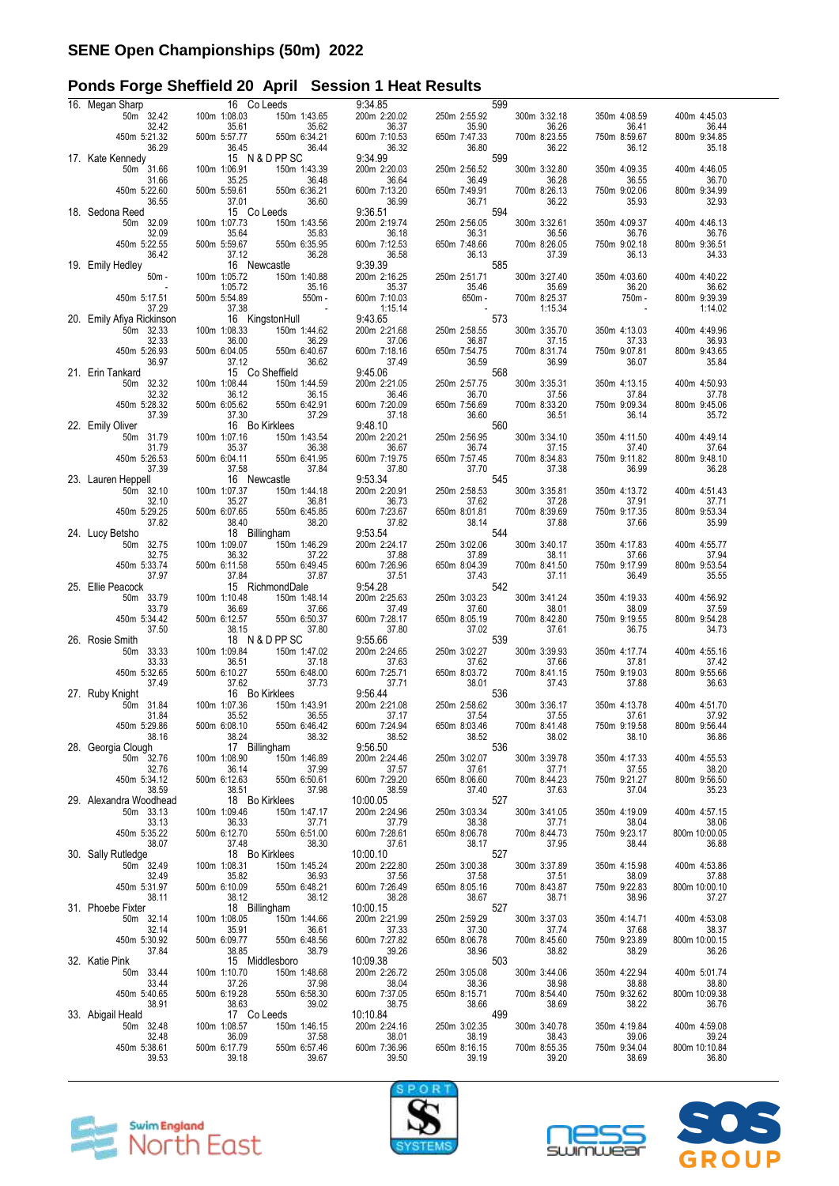# **Ponds Forge Sheffield 20 April Session 1 Heat Results**

| 16. Megan Sharp                    |                                            | 16 Co Leeds                               |                        |                       | 9:34.85                 |                       |                                                                                                                                                                           | 599 |                       |                       |               |         |
|------------------------------------|--------------------------------------------|-------------------------------------------|------------------------|-----------------------|-------------------------|-----------------------|---------------------------------------------------------------------------------------------------------------------------------------------------------------------------|-----|-----------------------|-----------------------|---------------|---------|
| 50m 32.42                          | 100m 1:08.03                               |                                           |                        | 150m 1:43.65          | 200m 2:20.02            |                       | 250m 2:55.92                                                                                                                                                              |     | 300m 3:32.18          | 350m 4:08.59          | 400m 4:45.03  |         |
| 32.42<br>450m 5:21.32              | 500m 5:57.77                               | 35.61                                     |                        | 35.62<br>550m 6:34.21 |                         | 36.37<br>600m 7:10.53 | 35.90<br>650m 7:47.33                                                                                                                                                     |     | 36.26<br>700m 8:23.55 | 36.41<br>750m 8:59.67 | 800m 9:34.85  | 36.44   |
| 36.29                              |                                            |                                           |                        | 36.44                 |                         | 36.32                 |                                                                                                                                                                           |     | 36.22                 | 36.12                 |               | 35.18   |
| 17. Kate Kennedy                   |                                            | 36.45<br>15 N & D PP SC                   |                        |                       |                         | 9:34.99               | $36.80$<br>$36.80$<br>$250m$<br>$250m$                                                                                                                                    |     |                       |                       |               |         |
| 50m 31.66                          | 100m 1:06.91                               |                                           |                        | 150m 1:43.39          | 200m 2:20.03            |                       | 250m 2:56.52                                                                                                                                                              |     | 300m 3:32.80          | 350m 4:09.35          | 400m 4:46.05  |         |
| 31.66<br>450m 5:22.60              | 500m 5:59.61                               | 35.25                                     |                        | 36.48<br>550m 6:36.21 | 600m 7:13.20            | 36.64                 | 36.49<br>650m 7:49.91                                                                                                                                                     |     | 36.28<br>700m 8:26.13 | 36.55<br>750m 9:02.06 | 800m 9:34.99  | 36.70   |
| 36.55                              |                                            | 37.01                                     |                        | 36.60                 |                         | 36.99                 |                                                                                                                                                                           |     | 36.22                 | 35.93                 |               | 32.93   |
| 18. Sedona Reed                    |                                            | 15 Co Leeds                               |                        |                       |                         | 9:36.51               | 36.71<br>594                                                                                                                                                              |     |                       |                       |               |         |
| 50m 32.09                          | 100m 1:07.73                               |                                           |                        | 150m 1:43.56          |                         | 200m 2:19.74          | 250m 2:56.05                                                                                                                                                              |     | 300m 3:32.61          | 350m 4:09.37          | 400m 4:46.13  |         |
| 32.09                              |                                            | 35.64                                     |                        | 35.83                 |                         | 36.18                 | 36.31<br>650m 7:48.66<br>36.13                                                                                                                                            |     | 36.56                 | 36.76                 |               | 36.76   |
| 450m 5:22.55<br>36.42              | 500m 5:59.67                               | 37.12                                     |                        | 550m 6:35.95<br>36.28 | 600m 7:12.53            | 36.58                 | 36.13                                                                                                                                                                     |     | 700m 8:26.05<br>37.39 | 750m 9:02.18<br>36.13 | 800m 9:36.51  | 34.33   |
| 19. Emily Hedley                   |                                            | 16 Newcastle                              |                        |                       | 9:39.39                 |                       | $36.13$ 585                                                                                                                                                               |     |                       |                       |               |         |
| $50m -$                            | 100m 1:05.72                               |                                           |                        | 150m 1:40.88          |                         | 200m 2:16.25          | 250m 2:51.71                                                                                                                                                              |     | 300m 3:27.40          | 350m 4:03.60          | 400m 4:40.22  |         |
|                                    |                                            | 1:05.72                                   |                        | 35.16                 |                         | 35.37                 | 35.46<br>35.46<br>650m -                                                                                                                                                  |     | 35.69                 | 36.20                 |               | 36.62   |
| 450m 5:17.51                       | 500m 5:54.89                               |                                           |                        | 550m -                | 600m 7:10.03            |                       |                                                                                                                                                                           |     | 700m 8:25.37          | 750m -                | 800m 9:39.39  |         |
| 37.29<br>20. Emily Afiya Rickinson |                                            | $\frac{16}{16}$ KingstonHull<br>1.1:08.33 |                        |                       | 9:43.65                 | 1:15.14               | $573$<br>250m 2:58.55                                                                                                                                                     |     | 1:15.34               |                       |               | 1:14.02 |
| 50m 32.33                          | 100m 1:08.33                               |                                           |                        | 150m 1:44.62          | 200m 2:21.68            |                       |                                                                                                                                                                           |     | 300m 3:35.70          | 350m 4:13.03          | 400m 4:49.96  |         |
| 32.33                              |                                            | 36.00                                     |                        | 36.29                 |                         | 37.06                 | 36.87                                                                                                                                                                     |     | 37.15                 | 37.33                 |               | 36.93   |
| 450m 5:26.93                       | 500m 6:04.05                               |                                           |                        | 550m 6:40.67          | 600m 7:18.16            |                       | 650m 7:54.75                                                                                                                                                              |     | 700m 8:31.74          | 750m 9:07.81          | 800m 9:43.65  |         |
| 36.97<br>21. Erin Tankard          |                                            | 37.12<br>15 Co Sheffield                  |                        | 36.62                 |                         | 37.49<br>9:45.06      |                                                                                                                                                                           |     | 36.99                 | 36.07                 |               | 35.84   |
| 50m 32.32                          | 100m 1:08.44                               |                                           |                        | 150m 1:44.59          |                         | 200m 2:21.05          |                                                                                                                                                                           |     | 300m 3:35.31          | 350m 4:13.15          | 400m 4:50.93  |         |
| 32.32                              |                                            | 36.12                                     |                        | 36.15                 |                         | 36.46                 | 36.70                                                                                                                                                                     |     | 37.56                 | 37.84                 |               | 37.78   |
| 450m 5:28.32                       | 500m 6:05.62                               |                                           |                        | 550m 6:42.91          | 600m 7:20.09            |                       | 650m 7:56.69                                                                                                                                                              |     | 700m 8:33.20          | 750m 9:09.34          | 800m 9:45.06  |         |
| 37.39                              |                                            | 37.30                                     |                        | 37.29                 |                         | 37.18                 | 36.60<br>$36.60$ $560$                                                                                                                                                    |     | 36.51                 | 36.14                 |               | 35.72   |
| 22. Emily Oliver<br>50m 31.79      | 100m 1:07.16                               | 16 Bo Kirklees                            |                        | 150m 1:43.54          | 9:48.10<br>200m 2:20.21 |                       | 250m 2:56.95                                                                                                                                                              |     | 300m 3:34.10          | 350m 4:11.50          | 400m 4:49.14  |         |
| 31.79                              |                                            | 35.37                                     |                        | 36.38                 |                         | 36.67                 | 36.74                                                                                                                                                                     |     | 37.15                 | 37.40                 |               | 37.64   |
| 450m 5:26.53                       | 500m 6:04.11                               |                                           |                        | 550m 6:41.95          | 600m 7:19.75            |                       | 650m 7:57.45                                                                                                                                                              |     | 700m 8:34.83          | 750m 9:11.82          | 800m 9:48.10  |         |
| 37.39                              |                                            | 37.58                                     |                        | 37.84                 |                         | 37.80                 | 37.70                                                                                                                                                                     |     | 37.38                 | 36.99                 |               | 36.28   |
| 23. Lauren Heppell<br>50m 32.10    | 100m 1:07.37                               | 16 Newcastle                              |                        | 150m 1:44.18          | 9:53.34<br>200m 2:20.91 |                       | 545<br>250m 2:58.53                                                                                                                                                       |     | 300m 3:35.81          | 350m 4:13.72          | 400m 4:51.43  |         |
| 32.10                              |                                            | 35.27                                     |                        | 36.81                 |                         | 36.73                 | 37.62                                                                                                                                                                     |     | 37.28                 | 37.91                 |               | 37.71   |
| 450m 5:29.25                       | 500m 6:07.65                               |                                           |                        | 550m 6:45.85          | 600m 7:23.67            |                       | 650m 8:01.81                                                                                                                                                              |     | 700m 8:39.69          | 750m 9:17.35          | 800m 9:53.34  |         |
| 37.82                              |                                            | 38.40                                     |                        | 38.20                 |                         | 37.82                 | 38.14                                                                                                                                                                     |     | 37.88                 | 37.66                 |               | 35.99   |
| 24. Lucy Betsho                    |                                            | 18 Billingham                             |                        |                       | 9:53.54                 |                       | 544                                                                                                                                                                       |     |                       |                       |               |         |
| 50m 32.75<br>32.75                 | 100m 1:09.07                               | 36.32                                     |                        | 150m 1:46.29<br>37.22 | 200m 2:24.17            | 37.88                 | 250m 3:02.06<br>37.89                                                                                                                                                     |     | 300m 3:40.17<br>38.11 | 350m 4:17.83<br>37.66 | 400m 4:55.77  | 37.94   |
| 450m 5:33.74                       | 500m 6:11.58                               |                                           |                        | 550m 6:49.45          | 600m 7:26.96            |                       | 650m 8:04.39                                                                                                                                                              |     | 700m 8:41.50          | 750m 9:17.99          | 800m 9:53.54  |         |
| 37.97                              |                                            | 37.84                                     |                        | 37.87                 |                         | 37.51                 | 37.43                                                                                                                                                                     |     | 37.11                 | 36.49                 |               | 35.55   |
| 25. Ellie Peacock                  |                                            | 15 RichmondDale                           |                        |                       | 9:54.28                 |                       | 542                                                                                                                                                                       |     |                       |                       |               |         |
| 50m 33.79<br>33.79                 | 100m 1:10.48                               | 36.69                                     |                        | 150m 1:48.14<br>37.66 | 200m 2:25.63            | 37.49                 | 250m 3:03.23<br>37.60                                                                                                                                                     |     | 300m 3:41.24<br>38.01 | 350m 4:19.33<br>38.09 | 400m 4:56.92  | 37.59   |
| 450m 5:34.42                       | 500m 6:12.57                               |                                           |                        | 550m 6:50.37          | 600m 7:28.17            |                       | 650m 8:05.19                                                                                                                                                              |     | 700m 8:42.80          | 750m 9:19.55          | 800m 9:54.28  |         |
| 37.50                              |                                            | 38.15                                     |                        | 37.80                 |                         | 37.80                 | 37.02<br>$31.02$ 539                                                                                                                                                      |     | 37.61                 | 36.75                 |               | 34.73   |
| 26. Rosie Smith                    |                                            | 18 N & D PP SC                            |                        |                       | 9:55.66                 |                       |                                                                                                                                                                           |     |                       |                       |               |         |
| 50m 33.33<br>33.33                 | 100m 1:09.84                               | 36.51                                     |                        | 150m 1:47.02<br>37.18 | 200m 2:24.65            | 37.63                 | 250m 3:02.27<br>37.62                                                                                                                                                     |     | 300m 3:39.93<br>37.66 | 350m 4:17.74<br>37.81 | 400m 4:55.16  | 37.42   |
| 450m 5:32.65                       | 500m 6:10.27                               |                                           |                        | 550m 6:48.00          | 600m 7:25.71            |                       | 650m 8:03.72                                                                                                                                                              |     | 700m 8:41.15          | 750m 9:19.03          | 800m 9:55.66  |         |
| 37.49                              |                                            | 37.62                                     |                        | 37.73                 |                         | 37.71                 | 38.01                                                                                                                                                                     |     | 37.43                 | 37.88                 |               | 36.63   |
| 27. Ruby Knight                    |                                            | 16 Bo Kirklees                            |                        |                       |                         | 9:56.44               |                                                                                                                                                                           |     |                       |                       |               |         |
| 50m 31.84<br>31.84                 | 100m 1:07.36                               | 35.52                                     |                        | 150m 1:43.91<br>36.55 | 200m 2:21.08            | 37.17                 | 250m 2:58.62<br>37.54                                                                                                                                                     |     | 300m 3:36.17<br>37.55 | 350m 4:13.78<br>37.61 | 400m 4:51.70  | 37.92   |
| 450m 5:29.86                       | 500m 6:08.10                               |                                           |                        | 550m 6:46.42          | 600m 7:24.94            |                       | 650m 8:03.46                                                                                                                                                              |     | 700m 8:41.48          | 750m 9:19.58          | 800m 9:56.44  |         |
| 38.16                              |                                            | 38.24                                     | an Salah Kabupatén Jaw | 38.32                 |                         | 38.52                 | 38.52<br>38.52<br>536                                                                                                                                                     |     | 38.02                 | 38.10                 |               | 36.86   |
| 28. Georgia Clough                 |                                            | 17 Billingham                             |                        |                       |                         | 9:56.50               |                                                                                                                                                                           |     |                       |                       |               |         |
| 50m 32.76<br>32.76                 | 100m 1:08.90                               |                                           |                        | 150m 1:46.89          |                         | 200m 2:24.46<br>37.57 | 250m 3:02.07                                                                                                                                                              |     | 300m 3:39.78          | 350m 4:17.33<br>37.55 | 400m 4:55.53  | 38.20   |
| 450m 5:34.12                       |                                            | 36.14 37.99<br>500m 6:12.63 550m 6:50.61  |                        |                       | 600m 7:29.20            |                       |                                                                                                                                                                           |     |                       | 750m 9:21.27          | 800m 9:56.50  |         |
| 38.59                              |                                            | <sup>38.51</sup><br>18 Bo Kirklees        |                        | 37.98                 | 38.59                   |                       |                                                                                                                                                                           |     |                       | 37.04                 |               | 35.23   |
| 29. Alexandra Woodhead             |                                            |                                           |                        |                       | 10:00.05                |                       | $\begin{array}{cccc}\n & 37.61 & 37.71 \\  & 37.61 & 33.71 \\ \hline\n650 \text{m} & 8:06.60 & 700 \text{m} & 8:44.23 \\  & 37.40 & 527 \\  & & 527 & \dots\n\end{array}$ |     |                       |                       |               |         |
| 50m 33.13                          | 100m 1:09.46                               |                                           |                        | 150m 1:47.17          | 200m 2:24.96            |                       | 250m 3:03.34                                                                                                                                                              |     | 300m 3:41.05          | 350m 4:19.09          | 400m 4:57.15  |         |
| 33.13<br>450m 5:35.22              | 500m 6:12.70                               | 36.33                                     |                        | 37.71<br>550m 6:51.00 | 600m 7:28.61            | 37.79                 |                                                                                                                                                                           |     | 37.71<br>700m 8:44.73 | 38.04<br>750m 9:23.17 | 800m 10:00.05 | 38.06   |
| 38.07                              |                                            | 37.48                                     | 550m 6:                | 38.30                 | 37.61                   |                       | 38.38<br>650m 8:06.78<br>38.17                                                                                                                                            |     | 37.95                 | 38.44                 |               | 36.88   |
| 30. Sally Rutledge                 |                                            | 18 Bo Kirklees                            |                        |                       | 10:00.10                |                       | 527                                                                                                                                                                       |     |                       |                       |               |         |
| 50m 32.49                          | 100m 1:08.31                               |                                           |                        | 150m 1:45.24          | 200m 2:22.80            |                       | 250m 3:00.38                                                                                                                                                              |     | 300m 3:37.89          | 350m 4:15.98          | 400m 4:53.86  |         |
| 32.49<br>450m 5:31.97              | 500m 6:10.09                               | 35.82                                     |                        | 36.93<br>550m 6:48.21 | 600m 7:26.49            | 37.56                 | 37.58<br>650m 8:05.16                                                                                                                                                     |     | 37.51<br>700m 8:43.87 | 38.09<br>750m 9:22.83 | 800m 10:00.10 | 37.88   |
| 38.11                              |                                            |                                           |                        |                       | 38.28                   |                       | 38.67                                                                                                                                                                     |     | 38.71                 | 38.96                 |               | 37.27   |
| 31. Phoebe Fixter                  |                                            | 38.12<br>18 Billingham<br>150m 1:44.66    |                        |                       | 10:00.15                |                       | 38.67<br>527                                                                                                                                                              |     |                       |                       |               |         |
| 50m 32.14                          | 100m 1:08.05                               |                                           |                        | 150m 1:44.66          | 200m 2:21.99            |                       | 250m 2:59.29                                                                                                                                                              |     | 300m 3:37.03          | 350m 4:14.71          | 400m 4:53.08  |         |
| 32.14<br>450m 5:30.92              | 500m 6:09.77                               | 35.91                                     |                        | 36.61<br>550m 6:48.56 | 600m 7:27.82            | 37.33                 | 37.30<br>650m 8:06.78                                                                                                                                                     |     | 37.74<br>700m 8:45.60 | 37.68<br>750m 9:23.89 | 800m 10:00.15 | 38.37   |
| 37.84                              |                                            | 38.85                                     |                        | 38.79                 | 39.26                   |                       |                                                                                                                                                                           |     | 38.82                 | 38.29                 |               | 36.26   |
| 32. Katie Pink                     |                                            | 15 Middlesboro                            |                        |                       | 10:09.38                |                       | 38.96<br>503                                                                                                                                                              |     |                       |                       |               |         |
| 50m 33.44                          | 100m 1:10.70                               |                                           |                        | 150m 1:48.68          | 200m 2:26.72            |                       | 250m 3:05.08                                                                                                                                                              |     | 300m 3:44.06          | 350m 4:22.94          | 400m 5:01.74  |         |
| 33.44<br>450m 5:40.65              | 500m 6:19.28                               | 37.26                                     |                        | 37.98<br>550m 6:58.30 | 600m 7:37.05            | 38.04                 | 38.36<br>38.36<br>650m 8:15.71                                                                                                                                            |     | 38.98<br>700m 8:54.40 | 38.88<br>750m 9:32.62 | 800m 10:09.38 | 38.80   |
| 38.91                              |                                            |                                           |                        | 39.02                 | 38.75                   |                       |                                                                                                                                                                           |     | 38.69                 | 38.22                 |               | 36.76   |
| 33. Abigail Heald                  | $\begin{array}{c} 38.63 \\ 17 \end{array}$ | 17 Co Leeds                               |                        |                       | 10:10.84                |                       | 38.66<br>499                                                                                                                                                              |     |                       |                       |               |         |
|                                    |                                            |                                           |                        | 150m 1:46.15          |                         | 200m 2:24.16          | 250m 3:02.35                                                                                                                                                              |     | 300m 3:40.78          | 350m 4:19.84          | 400m 4:59.08  |         |
| 50m 32.48                          | 100m 1:08.57                               |                                           |                        |                       |                         |                       |                                                                                                                                                                           |     |                       |                       |               |         |
| 32.48                              |                                            | 36.09                                     |                        | 37.58                 |                         | 38.01                 | 38.19                                                                                                                                                                     |     | 38.43                 | 39.06                 |               | 39.24   |
| 450m 5:38.61<br>39.53              | 500m 6:17.79                               | 39.18                                     |                        | 550m 6:57.46<br>39.67 | 600m 7:36.96            | 39.50                 | 650m 8:16.15<br>39.19                                                                                                                                                     |     | 700m 8:55.35<br>39.20 | 750m 9:34.04<br>38.69 | 800m 10:10.84 | 36.80   |







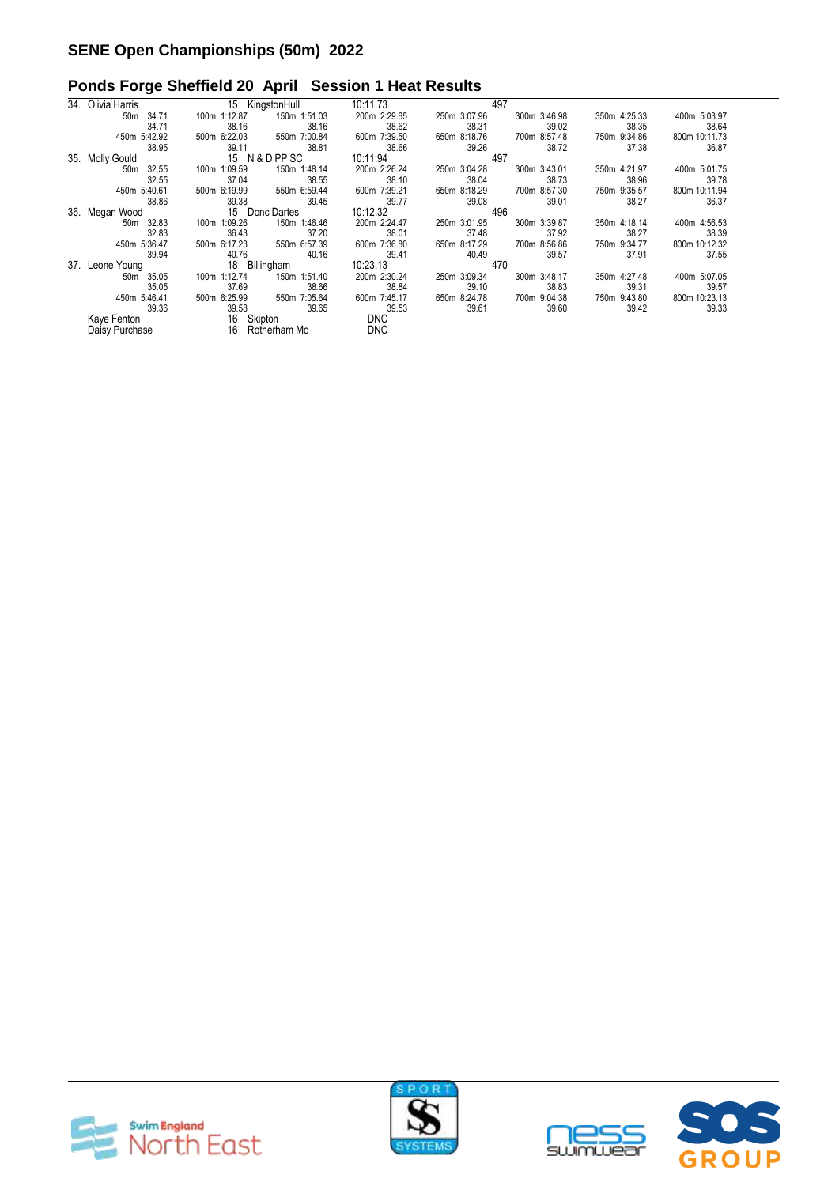# **Ponds Forge Sheffield 20 April Session 1 Heat Results**

| 34. | Olivia Harris            | 15 KingstonHull              | 10:11.73     | 497                          |                               |
|-----|--------------------------|------------------------------|--------------|------------------------------|-------------------------------|
|     | 50 <sub>m</sub><br>34.71 | 150m 1:51.03<br>100m 1:12.87 | 200m 2:29.65 | 250m 3:07.96<br>300m 3:46.98 | 350m 4:25.33<br>400m 5:03.97  |
|     | 34.71                    | 38.16<br>38.16               | 38.62        | 38.31<br>39.02               | 38.35<br>38.64                |
|     | 450m 5:42.92             | 500m 6:22.03<br>550m 7:00.84 | 600m 7:39.50 | 700m 8:57.48<br>650m 8:18.76 | 750m 9:34.86<br>800m 10:11.73 |
|     | 38.95                    | 39.11<br>38.81               | 38.66        | 39.26<br>38.72               | 37.38<br>36.87                |
|     | 35. Molly Gould          | 15 N & D PP SC               | 10:11.94     | 497                          |                               |
|     | 32.55<br>50m             | 100m 1:09.59<br>150m 1:48.14 | 200m 2:26.24 | 300m 3:43.01<br>250m 3:04.28 | 350m 4:21.97<br>400m 5:01.75  |
|     | 32.55                    | 38.55<br>37.04               | 38.10        | 38.04<br>38.73               | 38.96<br>39.78                |
|     | 450m 5:40.61             | 500m 6:19.99<br>550m 6:59.44 | 600m 7:39.21 | 650m 8:18.29<br>700m 8:57.30 | 800m 10:11.94<br>750m 9:35.57 |
|     | 38.86                    | 39.45<br>39.38               | 39.77        | 39.08<br>39.01               | 38.27<br>36.37                |
|     | 36. Megan Wood           | 15 Donc Dartes               | 10:12.32     | 496                          |                               |
|     | 50m 32.83                | 100m 1:09.26<br>150m 1:46.46 | 200m 2:24.47 | 300m 3:39.87<br>250m 3:01.95 | 400m 4:56.53<br>350m 4:18.14  |
|     | 32.83                    | 36.43<br>37.20               | 38.01        | 37.48<br>37.92               | 38.27<br>38.39                |
|     | 450m 5:36.47             | 500m 6:17.23<br>550m 6:57.39 | 600m 7:36.80 | 650m 8:17.29<br>700m 8:56.86 | 750m 9:34.77<br>800m 10:12.32 |
|     | 39.94                    | 40.76<br>40.16               | 39.41        | 40.49<br>39.57               | 37.91<br>37.55                |
|     | 37. Leone Young          | 18 Billingham                | 10:23.13     | 470                          |                               |
|     | 50m 35.05                | 100m 1:12.74<br>150m 1:51.40 | 200m 2:30.24 | 250m 3:09.34<br>300m 3:48.17 | 350m 4:27.48<br>400m 5:07.05  |
|     | 35.05                    | 37.69<br>38.66               | 38.84        | 39.10<br>38.83               | 39.31<br>39.57                |
|     | 450m 5:46.41             | 500m 6:25.99<br>550m 7:05.64 | 600m 7:45.17 | 650m 8:24.78<br>700m 9:04.38 | 750m 9:43.80<br>800m 10:23.13 |
|     | 39.36                    | 39.58<br>39.65               | 39.53        | 39.61<br>39.60               | 39.42<br>39.33                |
|     | Kaye Fenton              | 16 Skipton                   | <b>DNC</b>   |                              |                               |
|     | Daisy Purchase           | 16 Rotherham Mo              | <b>DNC</b>   |                              |                               |





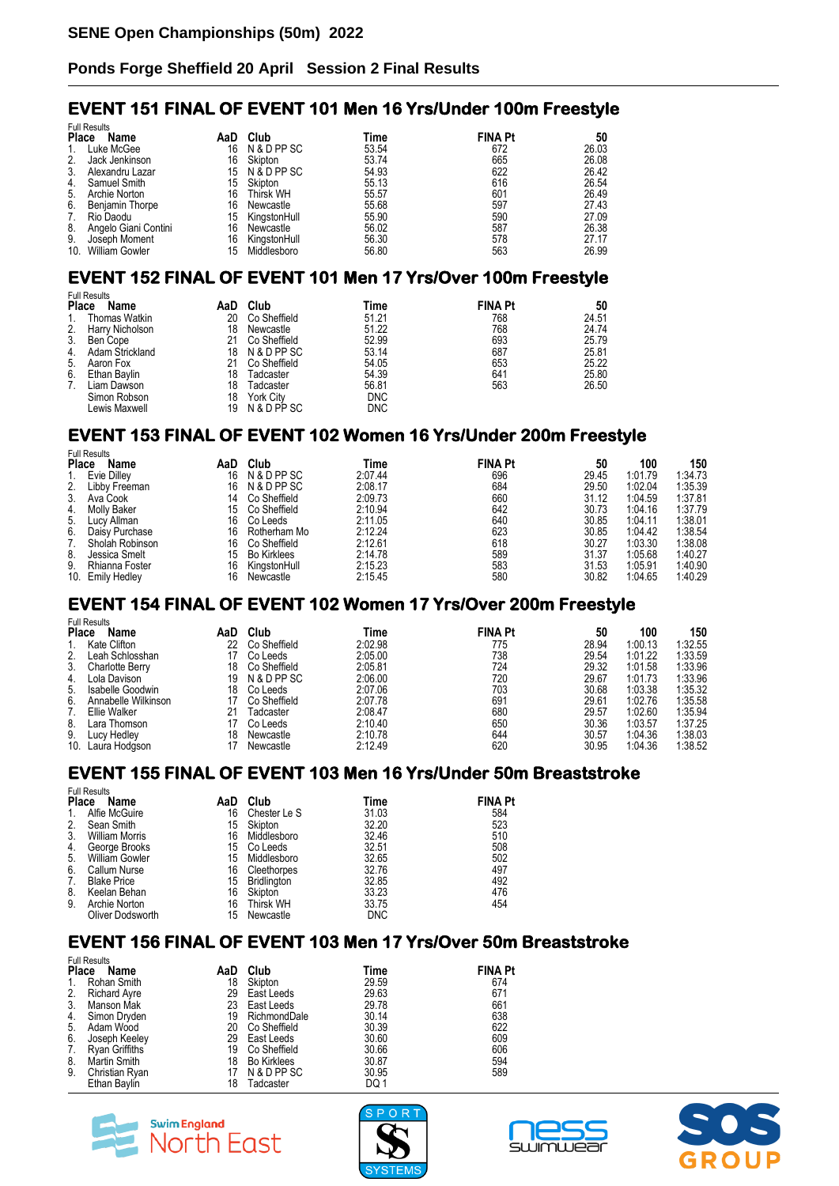### **EVENT 151 FINAL OF EVENT 101 Men 16 Yrs/Under 100m Freestyle**

| <b>Full Results</b> |                      |     |                  |       |                |       |  |  |  |
|---------------------|----------------------|-----|------------------|-------|----------------|-------|--|--|--|
| <b>Place</b>        | Name                 | AaD | Club             | Time  | <b>FINA Pt</b> | 50    |  |  |  |
| 1.                  | Luke McGee           | 16  | N & D PP SC      | 53.54 | 672            | 26.03 |  |  |  |
| 2.                  | Jack Jenkinson       | 16  | Skipton          | 53.74 | 665            | 26.08 |  |  |  |
| 3.                  | Alexandru Lazar      | 15  | N & D PP SC      | 54.93 | 622            | 26.42 |  |  |  |
| 4.                  | Samuel Smith         | 15  | Skipton          | 55.13 | 616            | 26.54 |  |  |  |
| 5.                  | Archie Norton        | 16  | <b>Thirsk WH</b> | 55.57 | 601            | 26.49 |  |  |  |
| 6.                  | Beniamin Thorpe      | 16  | Newcastle        | 55.68 | 597            | 27.43 |  |  |  |
| 7.                  | Rio Daodu            | 15  | KingstonHull     | 55.90 | 590            | 27.09 |  |  |  |
| 8.                  | Angelo Giani Contini | 16  | Newcastle        | 56.02 | 587            | 26.38 |  |  |  |
| 9.                  | Joseph Moment        | 16  | KingstonHull     | 56.30 | 578            | 27.17 |  |  |  |
|                     | 10. William Gowler   | 15  | Middlesboro      | 56.80 | 563            | 26.99 |  |  |  |

# **EVENT 152 FINAL OF EVENT 101 Men 17 Yrs/Over 100m Freestyle**

|              | <b>Full Results</b> |     |                  |            |                |       |
|--------------|---------------------|-----|------------------|------------|----------------|-------|
| <b>Place</b> | Name                | AaD | Club             | Time       | <b>FINA Pt</b> | 50    |
| 1.           | Thomas Watkin       | 20  | Co Sheffield     | 51.21      | 768            | 24.51 |
| 2.           | Harry Nicholson     | 18  | Newcastle        | 51.22      | 768            | 24.74 |
| 3.           | Ben Cope            | 21  | Co Sheffield     | 52.99      | 693            | 25.79 |
| 4.           | Adam Strickland     | 18  | N & D PP SC      | 53.14      | 687            | 25.81 |
| 5.           | Aaron Fox           | 21  | Co Sheffield     | 54.05      | 653            | 25.22 |
| 6.           | Ethan Baylin        | 18  | Tadcaster        | 54.39      | 641            | 25.80 |
| 7.           | Liam Dawson         | 18  | Tadcaster        | 56.81      | 563            | 26.50 |
|              | Simon Robson        | 18  | <b>York City</b> | <b>DNC</b> |                |       |
|              | Lewis Maxwell       | 19  | N & D PP SC      | DNC        |                |       |

### **EVENT 153 FINAL OF EVENT 102 Women 16 Yrs/Under 200m Freestyle**

|       | <b>Full Results</b> |     |                    |         |                |       |         |         |
|-------|---------------------|-----|--------------------|---------|----------------|-------|---------|---------|
| Place | Name                | AaD | Club               | Time    | <b>FINA Pt</b> | 50    | 100     | 150     |
| 1.    | Evie Dilley         | 16  | N & D PP SC        | 2:07.44 | 696            | 29.45 | 1:01.79 | 1:34.73 |
| 2.    | Libby Freeman       | 16  | N & D PP SC        | 2:08.17 | 684            | 29.50 | 1:02.04 | 1:35.39 |
| 3.    | Ava Cook            | 14  | Co Sheffield       | 2:09.73 | 660            | 31.12 | 1:04.59 | 1:37.81 |
| 4.    | Molly Baker         | 15  | Co Sheffield       | 2:10.94 | 642            | 30.73 | 1:04.16 | 1:37.79 |
| 5.    | Lucy Allman         | 16  | Co Leeds           | 2:11.05 | 640            | 30.85 | 1:04.11 | 1:38.01 |
| 6.    | Daisy Purchase      | 16  | Rotherham Mo       | 2:12.24 | 623            | 30.85 | 1:04.42 | 1:38.54 |
| 7.    | Sholah Robinson     | 16  | Co Sheffield       | 2:12.61 | 618            | 30.27 | 1:03.30 | 1:38.08 |
| 8.    | Jessica Smelt       | 15  | <b>Bo Kirklees</b> | 2:14.78 | 589            | 31.37 | 1:05.68 | 1:40.27 |
| 9.    | Rhianna Foster      | 16  | KingstonHull       | 2:15.23 | 583            | 31.53 | 1:05.91 | 1:40.90 |
|       | 10. Emily Hedley    | 16  | Newcastle          | 2:15.45 | 580            | 30.82 | 1:04.65 | 1:40.29 |

### **EVENT 154 FINAL OF EVENT 102 Women 17 Yrs/Over 200m Freestyle**

|              | <b>Full Results</b>    |     |              |         |                |       |         |         |  |
|--------------|------------------------|-----|--------------|---------|----------------|-------|---------|---------|--|
| <b>Place</b> | Name                   | AaD | Club         | Time    | <b>FINA Pt</b> | 50    | 100     | 150     |  |
|              | Kate Clifton           | 22  | Co Sheffield | 2:02.98 | 775            | 28.94 | 1:00.13 | 1:32.55 |  |
| 2.           | Leah Schlosshan        |     | Co Leeds     | 2:05.00 | 738            | 29.54 | 1:01.22 | 1:33.59 |  |
| 3.           | <b>Charlotte Berry</b> | 18  | Co Sheffield | 2:05.81 | 724            | 29.32 | 1:01.58 | 1:33.96 |  |
| 4.           | Lola Davison           | 19  | N & D PP SC  | 2:06.00 | 720            | 29.67 | 1:01.73 | 1:33.96 |  |
| 5.           | Isabelle Goodwin       | 18  | Co Leeds     | 2:07.06 | 703            | 30.68 | 1:03.38 | 1:35.32 |  |
| 6.           | Annabelle Wilkinson    |     | Co Sheffield | 2:07.78 | 691            | 29.61 | 1:02.76 | 1:35.58 |  |
| 7.           | Ellie Walker           | 21  | Tadcaster    | 2:08.47 | 680            | 29.57 | 1:02.60 | 1:35.94 |  |
| 8.           | Lara Thomson           |     | Co Leeds     | 2:10.40 | 650            | 30.36 | 1:03.57 | 1:37.25 |  |
| 9.           | Lucy Hedley            | 18  | Newcastle    | 2:10.78 | 644            | 30.57 | 1:04.36 | 1:38.03 |  |
| 10.          | Laura Hodgson          |     | Newcastle    | 2:12.49 | 620            | 30.95 | 1:04.36 | 1:38.52 |  |

# **EVENT 155 FINAL OF EVENT 103 Men 16 Yrs/Under 50m Breaststroke**

|              | <b>Full Results</b>   |     |                    |            |                |  |  |  |  |
|--------------|-----------------------|-----|--------------------|------------|----------------|--|--|--|--|
| <b>Place</b> | Name                  | AaD | Club               | Time       | <b>FINA Pt</b> |  |  |  |  |
| 1.           | Alfie McGuire         | 16  | Chester Le S       | 31.03      | 584            |  |  |  |  |
| 2.           | Sean Smith            | 15  | Skipton            | 32.20      | 523            |  |  |  |  |
| 3.           | <b>William Morris</b> | 16  | Middlesboro        | 32.46      | 510            |  |  |  |  |
| 4.           | George Brooks         | 15  | Co Leeds           | 32.51      | 508            |  |  |  |  |
| 5.           | <b>William Gowler</b> | 15  | Middlesboro        | 32.65      | 502            |  |  |  |  |
| 6.           | <b>Callum Nurse</b>   | 16  | Cleethorpes        | 32.76      | 497            |  |  |  |  |
| 7.           | <b>Blake Price</b>    | 15  | <b>Bridlington</b> | 32.85      | 492            |  |  |  |  |
| 8.           | Keelan Behan          | 16  | Skipton            | 33.23      | 476            |  |  |  |  |
| 9.           | Archie Norton         | 16  | <b>Thirsk WH</b>   | 33.75      | 454            |  |  |  |  |
|              | Oliver Dodsworth      | 15  | Newcastle          | <b>DNC</b> |                |  |  |  |  |

#### **EVENT 156 FINAL OF EVENT 103 Men 17 Yrs/Over 50m Breaststroke**

|              | <b>Full Results</b> |     |                    |       |                |  |  |  |  |
|--------------|---------------------|-----|--------------------|-------|----------------|--|--|--|--|
| <b>Place</b> | Name                | AaD | Club               | Time  | <b>FINA Pt</b> |  |  |  |  |
| 1.           | Rohan Smith         | 18  | Skipton            | 29.59 | 674            |  |  |  |  |
| 2.           | <b>Richard Ayre</b> | 29  | East Leeds         | 29.63 | 671            |  |  |  |  |
| 3.           | Manson Mak          | 23  | East Leeds         | 29.78 | 661            |  |  |  |  |
| 4.           | Simon Dryden        | 19  | RichmondDale       | 30.14 | 638            |  |  |  |  |
| 5.           | Adam Wood           | 20  | Co Sheffield       | 30.39 | 622            |  |  |  |  |
| 6.           | Joseph Keeley       | 29  | East Leeds         | 30.60 | 609            |  |  |  |  |
| 7.           | Rvan Griffiths      | 19  | Co Sheffield       | 30.66 | 606            |  |  |  |  |
| 8.           | Martin Smith        | 18  | <b>Bo Kirklees</b> | 30.87 | 594            |  |  |  |  |
| 9.           | Christian Ryan      |     | N & D PP SC        | 30.95 | 589            |  |  |  |  |
|              | Ethan Baylin        | 18  | Tadcaster          | DQ 1  |                |  |  |  |  |







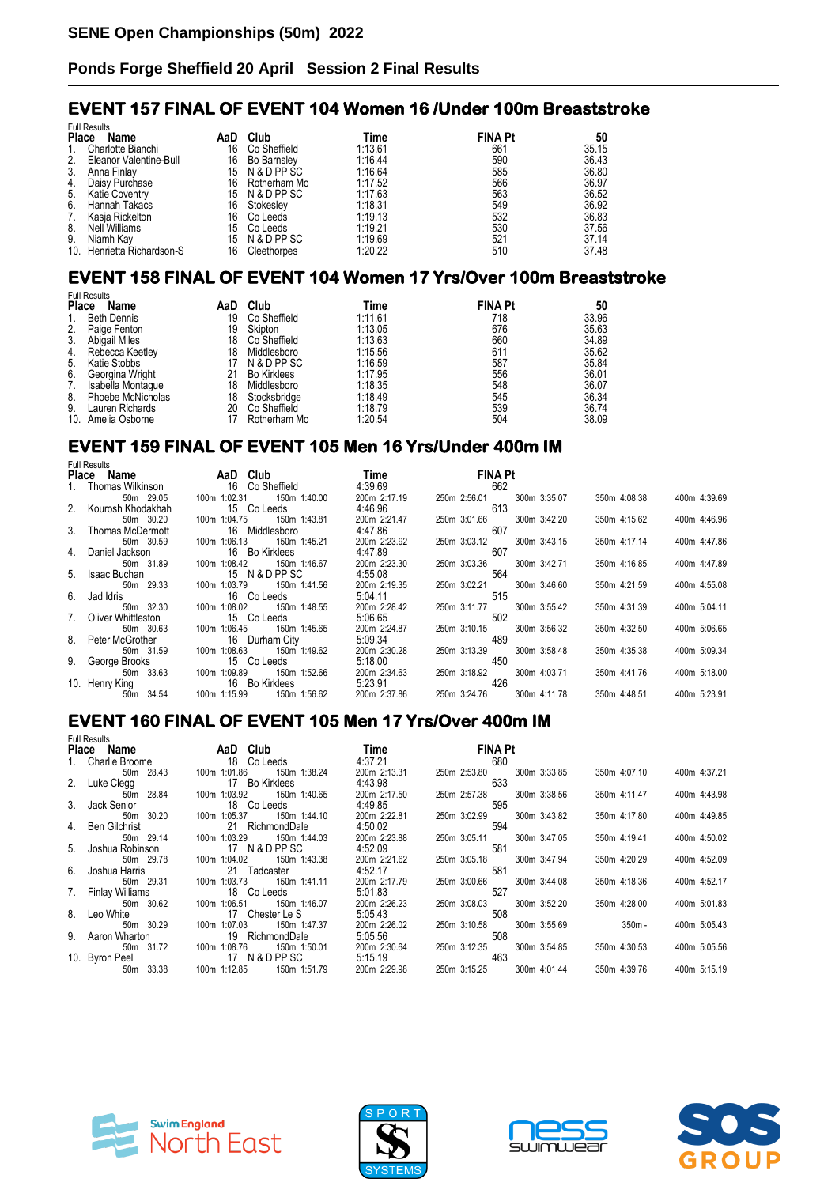### **EVENT 157 FINAL OF EVENT 104 Women 16 /Under 100m Breaststroke**

|              | <b>Full Results</b>        |     |                    |         |                |       |  |  |
|--------------|----------------------------|-----|--------------------|---------|----------------|-------|--|--|
| <b>Place</b> | Name                       | AaD | Club               | Time    | <b>FINA Pt</b> | 50    |  |  |
| 1.           | Charlotte Bianchi          | 16  | Co Sheffield       | 1:13.61 | 661            | 35.15 |  |  |
| 2.           | Eleanor Valentine-Bull     | 16  | <b>Bo Barnsley</b> | 1:16.44 | 590            | 36.43 |  |  |
| 3.           | Anna Finlav                | 15  | N & D PP SC        | 1:16.64 | 585            | 36.80 |  |  |
| 4.           | Daisy Purchase             | 16  | Rotherham Mo       | 1:17.52 | 566            | 36.97 |  |  |
| 5.           | Katie Coventry             |     | 15 N & D PP SC     | 1:17.63 | 563            | 36.52 |  |  |
| 6.           | Hannah Takacs              | 16  | Stokesley          | 1:18.31 | 549            | 36.92 |  |  |
| 7.           | Kasia Rickelton            | 16  | Co Leeds           | 1:19.13 | 532            | 36.83 |  |  |
| 8.           | Nell Williams              | 15  | Co Leeds           | 1:19.21 | 530            | 37.56 |  |  |
| 9.           | Niamh Kav                  | 15  | N & D PP SC        | 1:19.69 | 521            | 37.14 |  |  |
|              | 10. Henrietta Richardson-S | 16  | Cleethorpes        | 1:20.22 | 510            | 37.48 |  |  |

### **EVENT 158 FINAL OF EVENT 104 Women 17 Yrs/Over 100m Breaststroke**

|              | <b>Full Results</b> |     |                    |         |                |       |  |  |
|--------------|---------------------|-----|--------------------|---------|----------------|-------|--|--|
| <b>Place</b> | Name                | AaD | Club               | Time    | <b>FINA Pt</b> | 50    |  |  |
| 1.           | <b>Beth Dennis</b>  | 19  | Co Sheffield       | 1:11.61 | 718            | 33.96 |  |  |
| 2.           | Paige Fenton        | 19  | Skipton            | 1:13.05 | 676            | 35.63 |  |  |
| 3.           | Abigail Miles       | 18  | Co Sheffield       | 1:13.63 | 660            | 34.89 |  |  |
| 4.           | Rebecca Keetley     | 18  | Middlesboro        | 1:15.56 | 611            | 35.62 |  |  |
| 5.           | Katie Stobbs        |     | N & D PP SC        | 1:16.59 | 587            | 35.84 |  |  |
| 6.           | Georgina Wright     | 21  | <b>Bo Kirklees</b> | 1:17.95 | 556            | 36.01 |  |  |
| 7.           | Isabella Montaque   | 18  | Middlesboro        | 1:18.35 | 548            | 36.07 |  |  |
| 8.           | Phoebe McNicholas   | 18  | Stocksbridge       | 1:18.49 | 545            | 36.34 |  |  |
| 9.           | Lauren Richards     | 20  | Co Sheffield       | 1:18.79 | 539            | 36.74 |  |  |
|              | 10. Amelia Osborne  |     | Rotherham Mo       | 1:20.54 | 504            | 38.09 |  |  |

#### **EVENT 159 FINAL OF EVENT 105 Men 16 Yrs/Under 400m IM**

| <b>Full Results</b>   |                              |              |                              |                              |  |
|-----------------------|------------------------------|--------------|------------------------------|------------------------------|--|
| Place Name            | AaD Club                     | Time         | <b>FINA Pt</b>               |                              |  |
| 1. Thomas Wilkinson   | 16 Co Sheffield              | 4:39.69      | 662                          |                              |  |
| 50m 29.05             | 150m 1:40.00<br>100m 1:02.31 | 200m 2:17.19 | 300m 3:35.07<br>250m 2:56.01 | 350m 4:08.38<br>400m 4:39.69 |  |
| 2. Kourosh Khodakhah  | 15 Co Leeds                  | 4:46.96      | 613                          |                              |  |
| 50m 30.20             | 100m 1:04.75<br>150m 1:43.81 | 200m 2:21.47 | 250m 3:01.66<br>300m 3:42.20 | 350m 4:15.62<br>400m 4:46.96 |  |
| 3. Thomas McDermott   | 16 Middlesboro               | 4:47.86      | 607                          |                              |  |
| 50m 30.59             | 100m 1:06.13<br>150m 1:45.21 | 200m 2:23.92 | 250m 3:03.12<br>300m 3:43.15 | 400m 4:47.86<br>350m 4:17.14 |  |
| 4. Daniel Jackson     | 16 Bo Kirklees               | 4:47.89      | 607                          |                              |  |
| 50m 31.89             | 100m 1:08.42<br>150m 1:46.67 | 200m 2:23.30 | 300m 3:42.71<br>250m 3:03.36 | 400m 4:47.89<br>350m 4:16.85 |  |
| 5. Isaac Buchan       | 15 N & D PP SC               | 4:55.08      | 564                          |                              |  |
| 50m 29.33             | 100m 1:03.79<br>150m 1:41.56 | 200m 2:19.35 | 300m 3:46.60<br>250m 3:02.21 | 350m 4:21.59<br>400m 4:55.08 |  |
| 6. Jad Idris          | 16 Co Leeds                  | 5:04.11      | 515                          |                              |  |
| 50m 32.30             | 100m 1:08.02<br>150m 1:48.55 | 200m 2:28.42 | 300m 3:55.42<br>250m 3:11.77 | 350m 4:31.39<br>400m 5:04.11 |  |
| 7. Oliver Whittleston | 15 Co Leeds                  | 5:06.65      | 502                          |                              |  |
| 50m 30.63             | 100m 1:06.45<br>150m 1:45.65 | 200m 2:24.87 | 300m 3:56.32<br>250m 3:10.15 | 350m 4:32.50<br>400m 5:06.65 |  |
| 8. Peter McGrother    | 16 Durham City               | 5:09.34      | 489                          |                              |  |
| 50m 31.59             | 100m 1:08.63<br>150m 1:49.62 | 200m 2:30.28 | 300m 3:58.48<br>250m 3:13.39 | 400m 5:09.34<br>350m 4:35.38 |  |
| 9. George Brooks      | 15 Co Leeds                  | 5:18.00      | 450                          |                              |  |
| 50m 33.63             | 100m 1:09.89<br>150m 1:52.66 | 200m 2:34.63 | 300m 4:03.71<br>250m 3:18.92 | 350m 4:41.76<br>400m 5:18.00 |  |
| 10. Henry King        | 16 Bo Kirklees               | 5:23.91      | 426                          |                              |  |
| 50m 34.54             | 100m 1:15.99<br>150m 1:56.62 | 200m 2:37.86 | 250m 3:24.76<br>300m 4:11.78 | 350m 4:48.51<br>400m 5:23.91 |  |

#### **EVENT 160 FINAL OF EVENT 105 Men 17 Yrs/Over 400m IM**

| <b>Full Results</b> |                               |              |                              |              |              |
|---------------------|-------------------------------|--------------|------------------------------|--------------|--------------|
| Place Name          | AaD Club                      | <b>Time</b>  | <b>FINA Pt</b>               |              |              |
| 1. Charlie Broome   | 18 Co Leeds                   | 4:37.21      | 680                          |              |              |
| 50m 28.43           | 100m 1:01.86<br>150m 1:38.24  | 200m 2:13.31 | 250m 2:53.80 300m 3:33.85    | 350m 4:07.10 | 400m 4:37.21 |
| 2. Luke Clegg       | 17 Bo Kirklees                | 4:43.98      | 633                          |              |              |
| 50m 28.84           |                               | 200m 2:17.50 | 250m 2:57.38 300m 3:38.56    | 350m 4:11.47 | 400m 4:43.98 |
| 3. Jack Senior      | 18 Co Leeds                   | 4:49.85      | 595                          |              |              |
| 50m 30.20           | 100m 1:05.37<br>150m 1:44.10  | 200m 2:22.81 | 250m 3:02.99 300m 3:43.82    | 350m 4:17.80 | 400m 4:49.85 |
| 4. Ben Gilchrist    | 21 RichmondDale               | 4:50.02      | 594                          |              |              |
| 50m 29.14           | 100m 1:03.29 150m 1:44.03     | 200m 2:23.88 | 250m 3:05.11<br>300m 3:47.05 | 350m 4:19.41 | 400m 4:50.02 |
| 5. Joshua Robinson  | 17 N & D PP SC                | 4:52.09      | 581                          |              |              |
| 50m 29.78           | 100m 1:04.02<br>150m 1:43.38  | 200m 2:21.62 | 250m 3:05.18 300m 3:47.94    | 350m 4:20.29 | 400m 4:52.09 |
| 6. Joshua Harris    | 21 Tadcaster                  | 4:52.17      | 581                          |              |              |
| 50m 29.31           |                               | 200m 2:17.79 | 250m 3:00.66 300m 3:44.08    | 350m 4:18.36 | 400m 4:52.17 |
| 7. Finlay Williams  | 18 Co Leeds                   | 5:01.83      | 527                          |              |              |
| 50m 30.62           |                               | 200m 2:26.23 | 250m 3:08.03 300m 3:52.20    | 350m 4:28.00 | 400m 5:01.83 |
| 8. Leo White        | 17 Chester Le S               | 5:05.43      | 508                          |              |              |
| 50m 30.29           | 100m 1:07.03 150m 1:47.37     | 200m 2:26.02 | 300m 3:55.69<br>250m 3:10.58 | $350m -$     | 400m 5:05.43 |
| 9. Aaron Wharton    | 19 RichmondDale               | 5:05.56      | 508                          |              |              |
| 50m 31.72           |                               | 200m 2:30.64 | 250m 3:12.35<br>300m 3:54.85 | 350m 4:30.53 | 400m 5:05.56 |
|                     | 10. Byron Peel 17 N & D PP SC | 5:15.19      | 463                          |              |              |
| 50m 33.38           |                               | 200m 2:29.98 | 300m 4:01.44<br>250m 3:15.25 | 350m 4:39.76 | 400m 5:15.19 |







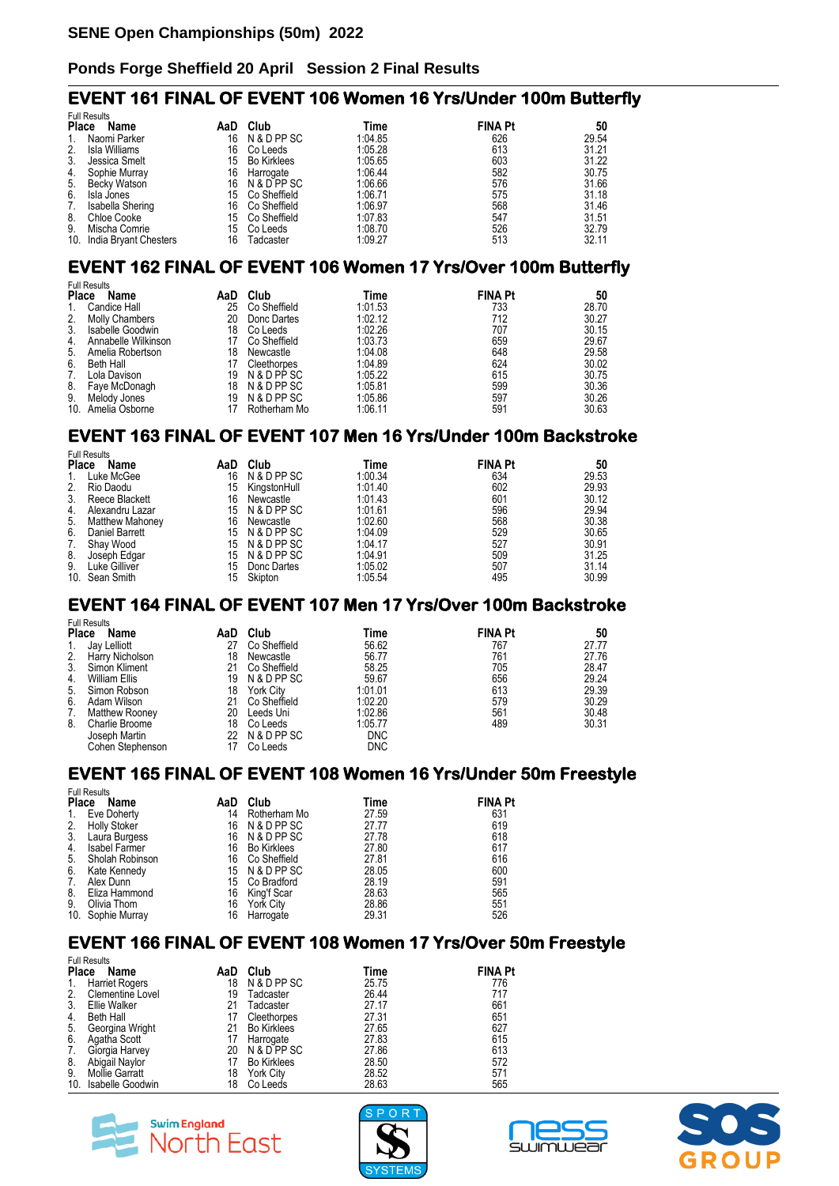#### **EVENT 161 FINAL OF EVENT 106 Women 16 Yrs/Under 100m Butterfly**

|       | <b>Full Results</b>       |     |                    |         |                |       |  |  |
|-------|---------------------------|-----|--------------------|---------|----------------|-------|--|--|
| Place | Name                      | AaD | Club               | Time    | <b>FINA Pt</b> | 50    |  |  |
| 1.    | Naomi Parker              | 16  | N & D PP SC        | 1:04.85 | 626            | 29.54 |  |  |
| 2.    | Isla Williams             | 16  | Co Leeds           | 1:05.28 | 613            | 31.21 |  |  |
| 3.    | Jessica Smelt             | 15  | <b>Bo Kirklees</b> | 1:05.65 | 603            | 31.22 |  |  |
| 4.    | Sophie Murrav             | 16  | Harrogate          | 1:06.44 | 582            | 30.75 |  |  |
| 5.    | Becky Watson              | 16  | N & D PP SC        | 1:06.66 | 576            | 31.66 |  |  |
| 6.    | Isla Jones                | 15  | Co Sheffield       | 1:06.71 | 575            | 31.18 |  |  |
| 7.    | Isabella Shering          | 16  | Co Sheffield       | 1:06.97 | 568            | 31.46 |  |  |
| 8.    | Chloe Cooke               | 15  | Co Sheffield       | 1:07.83 | 547            | 31.51 |  |  |
| 9.    | Mischa Comrie             | 15  | Co Leeds           | 1:08.70 | 526            | 32.79 |  |  |
|       | 10. India Bryant Chesters | 16  | Tadcaster          | 1:09.27 | 513            | 32.11 |  |  |

#### **EVENT 162 FINAL OF EVENT 106 Women 17 Yrs/Over 100m Butterfly**

|              | <b>Full Results</b>   |     |              |         |                |       |  |  |
|--------------|-----------------------|-----|--------------|---------|----------------|-------|--|--|
| <b>Place</b> | Name                  | AaD | Club         | Time    | <b>FINA Pt</b> | 50    |  |  |
| 1.           | Candice Hall          | 25  | Co Sheffield | 1:01.53 | 733            | 28.70 |  |  |
| 2.           | <b>Molly Chambers</b> | 20  | Donc Dartes  | 1:02.12 | 712            | 30.27 |  |  |
| 3.           | Isabelle Goodwin      | 18  | Co Leeds     | 1:02.26 | 707            | 30.15 |  |  |
| 4.           | Annabelle Wilkinson   | 17  | Co Sheffield | 1:03.73 | 659            | 29.67 |  |  |
| 5.           | Amelia Robertson      | 18  | Newcastle    | 1:04.08 | 648            | 29.58 |  |  |
| 6.           | Beth Hall             | 17  | Cleethorpes  | 1:04.89 | 624            | 30.02 |  |  |
| 7.           | Lola Davison          | 19  | N & D PP SC  | 1:05.22 | 615            | 30.75 |  |  |
| 8.           | Faye McDonagh         | 18  | N & D PP SC  | 1:05.81 | 599            | 30.36 |  |  |
| 9.           | Melody Jones          | 19  | N & D PP SC  | 1:05.86 | 597            | 30.26 |  |  |
|              | 10. Amelia Osborne    | 17  | Rotherham Mo | 1:06.11 | 591            | 30.63 |  |  |

### **EVENT 163 FINAL OF EVENT 107 Men 16 Yrs/Under 100m Backstroke**

|              | <b>Full Results</b>    |     |                |         |                |       |  |
|--------------|------------------------|-----|----------------|---------|----------------|-------|--|
| <b>Place</b> | Name                   | AaD | Club           | Time    | <b>FINA Pt</b> | 50    |  |
| 1.           | Luke McGee             | 16  | N & D PP SC    | 1:00.34 | 634            | 29.53 |  |
| 2.           | Rio Daodu              | 15  | KingstonHull   | 1:01.40 | 602            | 29.93 |  |
| 3.           | Reece Blackett         | 16  | Newcastle      | 1:01.43 | 601            | 30.12 |  |
| 4.           | Alexandru Lazar        | 15  | N & D PP SC    | 1:01.61 | 596            | 29.94 |  |
| 5.           | <b>Matthew Mahoney</b> | 16  | Newcastle      | 1:02.60 | 568            | 30.38 |  |
| 6.           | Daniel Barrett         |     | 15 N & D PP SC | 1:04.09 | 529            | 30.65 |  |
| 7.           | Shay Wood              |     | 15 N & D PP SC | 1:04.17 | 527            | 30.91 |  |
| 8.           | Joseph Edgar           | 15  | N & D PP SC    | 1:04.91 | 509            | 31.25 |  |
| 9.           | Luke Gilliver          | 15  | Donc Dartes    | 1:05.02 | 507            | 31.14 |  |
|              | 10. Sean Smith         | 15  | Skipton        | 1:05.54 | 495            | 30.99 |  |

# **EVENT 164 FINAL OF EVENT 107 Men 17 Yrs/Over 100m Backstroke**

| Name                  | AaD                                                                                        | Club         | Time        |                                     | 50             |
|-----------------------|--------------------------------------------------------------------------------------------|--------------|-------------|-------------------------------------|----------------|
| Jay Lelliott          | 27                                                                                         | Co Sheffield | 56.62       | 767                                 | 27.77          |
| Harry Nicholson       | 18                                                                                         | Newcastle    | 56.77       | 761                                 | 27.76          |
| Simon Kliment         | 21                                                                                         | Co Sheffield | 58.25       | 705                                 | 28.47          |
| William Ellis         | 19                                                                                         | N & D PP SC  | 59.67       | 656                                 | 29.24          |
| Simon Robson          | 18                                                                                         | York City    | 1:01.01     | 613                                 | 29.39          |
| Adam Wilson           | 21                                                                                         | Co Sheffield | 1:02.20     | 579                                 | 30.29          |
| <b>Matthew Rooney</b> | 20                                                                                         | Leeds Uni    | 1:02.86     | 561                                 | 30.48          |
|                       | 18                                                                                         | Co Leeds     |             | 489                                 | 30.31          |
|                       |                                                                                            |              |             |                                     |                |
|                       | 17                                                                                         | Co Leeds     |             |                                     |                |
|                       | <b>Full Results</b><br><b>Place</b><br>Charlie Broome<br>Joseph Martin<br>Cohen Stephenson | 22           | N & D PP SC | 1:05.77<br><b>DNC</b><br><b>DNC</b> | <b>FINA Pt</b> |

# **EVENT 165 FINAL OF EVENT 108 Women 16 Yrs/Under 50m Freestyle**

| <b>Full Results</b> |                      |     |                    |       |                |  |  |  |
|---------------------|----------------------|-----|--------------------|-------|----------------|--|--|--|
| <b>Place</b>        | Name                 | AaD | Club               | Time  | <b>FINA Pt</b> |  |  |  |
| 1.                  | Eve Doherty          | 14  | Rotherham Mo       | 27.59 | 631            |  |  |  |
| 2.                  | <b>Holly Stoker</b>  | 16  | N & D PP SC        | 27.77 | 619            |  |  |  |
| 3 <sub>1</sub>      | Laura Burgess        |     | 16 N & D PP SC     | 27.78 | 618            |  |  |  |
| 4.                  | <b>Isabel Farmer</b> | 16  | <b>Bo Kirklees</b> | 27.80 | 617            |  |  |  |
| 5.                  | Sholah Robinson      | 16  | Co Sheffield       | 27.81 | 616            |  |  |  |
| 6.                  | Kate Kennedy         |     | 15 N & D PP SC     | 28.05 | 600            |  |  |  |
| 7.                  | Alex Dunn            | 15  | Co Bradford        | 28.19 | 591            |  |  |  |
| 8.                  | Eliza Hammond        | 16  | King'f Scar        | 28.63 | 565            |  |  |  |
| 9.                  | Olivia Thom          | 16  | York City          | 28.86 | 551            |  |  |  |
|                     | 10. Sophie Murray    | 16  | Harrogate          | 29.31 | 526            |  |  |  |

#### **EVENT 166 FINAL OF EVENT 108 Women 17 Yrs/Over 50m Freestyle**

| <b>Full Results</b> |                         |     |                    |       |                |  |  |
|---------------------|-------------------------|-----|--------------------|-------|----------------|--|--|
| <b>Place</b>        | Name                    | AaD | Club               | Time  | <b>FINA Pt</b> |  |  |
| 1.                  | Harriet Rogers          | 18  | N & D PP SC        | 25.75 | 776            |  |  |
| 2.                  | <b>Clementine Lovel</b> | 19  | Tadcaster          | 26.44 | 717            |  |  |
| 3.                  | <b>Ellie Walker</b>     | 21  | Tadcaster          | 27.17 | 661            |  |  |
| 4.                  | <b>Beth Hall</b>        | 17  | Cleethorpes        | 27.31 | 651            |  |  |
| 5.                  | Georgina Wright         | 21  | <b>Bo Kirklees</b> | 27.65 | 627            |  |  |
| 6.                  | Agatha Scott            |     | Harrogate          | 27.83 | 615            |  |  |
| 7.                  | Giorgia Harvey          | 20  | N & D PP SC        | 27.86 | 613            |  |  |
| 8.                  | Abigail Naylor          |     | <b>Bo Kirklees</b> | 28.50 | 572            |  |  |
| 9.                  | Mollie Garratt          | 18  | York City          | 28.52 | 571            |  |  |
| 10.                 | Isabelle Goodwin        | 18  | Co Leeds           | 28.63 | 565            |  |  |







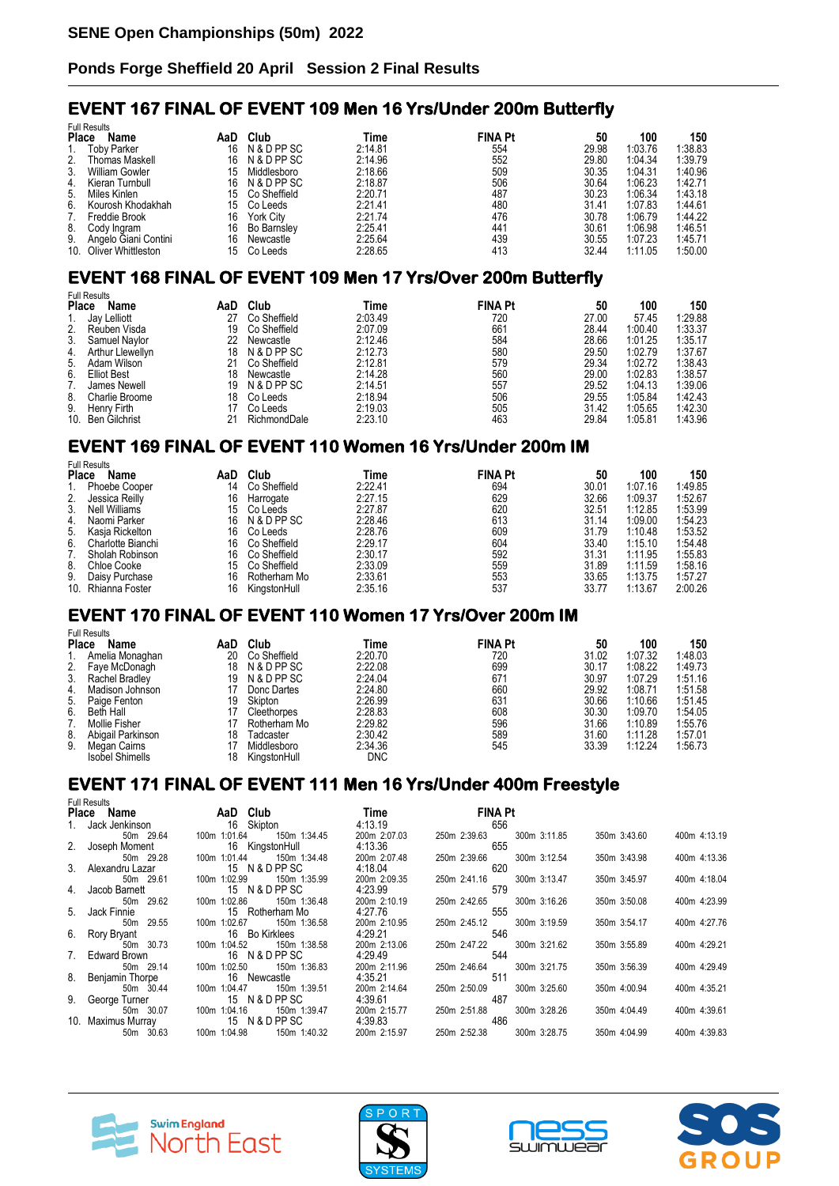#### **EVENT 167 FINAL OF EVENT 109 Men 16 Yrs/Under 200m Butterfly**

|              | <b>Full Results</b>    |     |                    |         |                |       |         |         |
|--------------|------------------------|-----|--------------------|---------|----------------|-------|---------|---------|
| <b>Place</b> | Name                   | AaD | Club               | Time    | <b>FINA Pt</b> | 50    | 100     | 150     |
| 1.           | <b>Toby Parker</b>     | 16  | N & D PP SC        | 2:14.81 | 554            | 29.98 | 1:03.76 | 1:38.83 |
| 2.           | <b>Thomas Maskell</b>  | 16  | N & D PP SC        | 2:14.96 | 552            | 29.80 | 1:04.34 | 1:39.79 |
| 3.           | William Gowler         | 15  | Middlesboro        | 2:18.66 | 509            | 30.35 | 1:04.31 | 1:40.96 |
| 4.           | Kieran Turnbull        | 16  | N & D PP SC        | 2:18.87 | 506            | 30.64 | 1:06.23 | 1:42.71 |
| 5.           | Miles Kinlen           | 15  | Co Sheffield       | 2:20.71 | 487            | 30.23 | 1:06.34 | 1:43.18 |
| 6.           | Kourosh Khodakhah      | 15  | Co Leeds           | 2:21.41 | 480            | 31.41 | 1:07.83 | 1:44.61 |
| 7.           | Freddie Brook          | 16  | <b>York City</b>   | 2:21.74 | 476            | 30.78 | 1:06.79 | 1:44.22 |
| 8.           | Cody Ingram            | 16  | <b>Bo Barnsley</b> | 2:25.41 | 441            | 30.61 | 1:06.98 | 1:46.51 |
| 9.           | Angelo Giani Contini   | 16  | Newcastle          | 2:25.64 | 439            | 30.55 | 1:07.23 | 1:45.71 |
|              | 10. Oliver Whittleston | 15  | Co Leeds           | 2:28.65 | 413            | 32.44 | 1:11.05 | 1:50.00 |

### **EVENT 168 FINAL OF EVENT 109 Men 17 Yrs/Over 200m Butterfly**

| Name           | AaD                                                                                                | Club         | Time        |     | 50             | 100     | 150     |
|----------------|----------------------------------------------------------------------------------------------------|--------------|-------------|-----|----------------|---------|---------|
|                | 27                                                                                                 | Co Sheffield | 2:03.49     | 720 | 27.00          | 57.45   | 1:29.88 |
| Reuben Visda   | 19                                                                                                 | Co Sheffield | 2:07.09     | 661 | 28.44          | 1:00.40 | 1:33.37 |
| Samuel Naylor  | 22                                                                                                 | Newcastle    | 2:12.46     | 584 | 28.66          | 1:01.25 | 1:35.17 |
|                | 18                                                                                                 | N & D PP SC  | 2:12.73     | 580 | 29.50          | 1:02.79 | 1:37.67 |
| Adam Wilson    | 21                                                                                                 | Co Sheffield | 2:12.81     | 579 | 29.34          | 1:02.72 | 1:38.43 |
| Elliot Best    | 18                                                                                                 | Newcastle    | 2:14.28     | 560 | 29.00          | 1:02.83 | 1:38.57 |
| James Newell   | 19                                                                                                 |              | 2:14.51     | 557 | 29.52          | 1:04.13 | 1:39.06 |
| Charlie Broome | 18                                                                                                 | Co Leeds     | 2:18.94     | 506 | 29.55          | 1:05.84 | 1:42.43 |
| Henry Firth    |                                                                                                    | Co Leeds     | 2:19.03     | 505 | 31.42          | 1:05.65 | 1:42.30 |
|                | 21                                                                                                 | RichmondDale | 2:23.10     | 463 | 29.84          | 1:05.81 | 1:43.96 |
| 2.<br>9.       | <b>Full Results</b><br><b>Place</b><br>Jay Lelliott<br>Arthur Llewellyn<br>6.<br>10. Ben Gilchrist |              | N & D PP SC |     | <b>FINA Pt</b> |         |         |

#### **EVENT 169 FINAL OF EVENT 110 Women 16 Yrs/Under 200m IM**

| Name              | AaD                                                       | Club         | Time    |     | 50             | 100     | 150     |
|-------------------|-----------------------------------------------------------|--------------|---------|-----|----------------|---------|---------|
| Phoebe Cooper     | 14                                                        | Co Sheffield | 2:22.41 | 694 | 30.01          | 1:07.16 | 1:49.85 |
| Jessica Reilly    | 16                                                        | Harrogate    | 2:27.15 | 629 | 32.66          | 1:09.37 | 1:52.67 |
| Nell Williams     | 15                                                        | Co Leeds     | 2:27.87 | 620 | 32.51          | 1:12.85 | 1:53.99 |
| Naomi Parker      | 16                                                        | N & D PP SC  | 2:28.46 | 613 | 31.14          | 1:09.00 | 1:54.23 |
| Kasia Rickelton   | 16                                                        | Co Leeds     | 2:28.76 | 609 | 31.79          | 1:10.48 | 1:53.52 |
| Charlotte Bianchi | 16                                                        | Co Sheffield | 2:29.17 | 604 | 33.40          | 1:15.10 | 1:54.48 |
| Sholah Robinson   | 16                                                        | Co Sheffield | 2:30.17 | 592 | 31.31          | 1:11.95 | 1:55.83 |
| Chloe Cooke       | 15                                                        | Co Sheffield | 2:33.09 | 559 | 31.89          | 1:11.59 | 1:58.16 |
| Daisy Purchase    | 16                                                        | Rotherham Mo | 2:33.61 | 553 | 33.65          | 1:13.75 | 1:57.27 |
|                   | 16                                                        | KingstonHull | 2:35.16 | 537 | 33.77          | 1:13.67 | 2:00.26 |
|                   | <b>Full Results</b><br><b>Place</b><br>10. Rhianna Foster |              |         |     | <b>FINA Pt</b> |         |         |

#### **EVENT 170 FINAL OF EVENT 110 Women 17 Yrs/Over 200m IM**  Full Results

| ı uli nesulis          |                                                   |              |            |                |       |         |         |
|------------------------|---------------------------------------------------|--------------|------------|----------------|-------|---------|---------|
| Name                   | AaD                                               | Club         | Time       | <b>FINA Pt</b> | 50    | 100     | 150     |
| Amelia Monaghan        | 20                                                | Co Sheffield | 2:20.70    | 720            | 31.02 | 1:07.32 | 1:48.03 |
| Faye McDonagh          | 18                                                | N & D PP SC  | 2:22.08    | 699            | 30.17 | 1:08.22 | 1:49.73 |
| Rachel Bradley         | 19                                                | N & D PP SC  | 2:24.04    | 671            | 30.97 | 1:07.29 | 1:51.16 |
| Madison Johnson        |                                                   | Donc Dartes  | 2:24.80    | 660            | 29.92 | 1:08.71 | 1:51.58 |
|                        | 19                                                | Skipton      | 2:26.99    | 631            | 30.66 | 1:10.66 | 1:51.45 |
| Beth Hall              |                                                   | Cleethorpes  | 2:28.83    | 608            | 30.30 | 1:09.70 | 1:54.05 |
| Mollie Fisher          |                                                   | Rotherham Mo | 2:29.82    | 596            | 31.66 | 1:10.89 | 1:55.76 |
| Abigail Parkinson      | 18                                                | Tadcaster    | 2:30.42    | 589            | 31.60 | 1:11.28 | 1:57.01 |
| Megan Cairns           |                                                   | Middlesboro  | 2:34.36    | 545            | 33.39 | 1:12.24 | 1:56.73 |
| <b>Isobel Shimells</b> | 18                                                | KingstonHull | <b>DNC</b> |                |       |         |         |
|                        | <b>Place</b><br>2.<br>3.<br>5. Paige Fenton<br>6. |              |            |                |       |         |         |

### **EVENT 171 FINAL OF EVENT 111 Men 16 Yrs/Under 400m Freestyle**

| <b>Full Results</b> |                                   |              |                              |              |              |
|---------------------|-----------------------------------|--------------|------------------------------|--------------|--------------|
| Place Name          | AaD Club                          | <b>Time</b>  | <b>FINA Pt</b>               |              |              |
| 1. Jack Jenkinson   | 16 Skipton                        | 4:13.19      | 656                          |              |              |
| 50m 29.64           | 150m 1:34.45<br>100m 1:01.64      | 200m 2:07.03 | 300m 3:11.85<br>250m 2:39.63 | 350m 3:43.60 | 400m 4:13.19 |
| 2. Joseph Moment    | 16 KingstonHull                   | 4:13.36      | 655                          |              |              |
| 50m 29.28           | 150m 1:34.48<br>100m 1:01.44      | 200m 2:07.48 | 300m 3:12.54<br>250m 2:39.66 | 350m 3:43.98 | 400m 4:13.36 |
| 3. Alexandru Lazar  | 15 N & D PP SC                    | 4:18.04      | 620                          |              |              |
| 50m 29.61           | 100m 1:02.99<br>150m 1:35.99      | 200m 2:09.35 | 250m 2:41.16<br>300m 3:13.47 | 350m 3:45.97 | 400m 4:18.04 |
| 4. Jacob Barnett    | 15 N & D PP SC                    | 4:23.99      | 579                          |              |              |
| 50m 29.62           | 150m 1:36.48<br>100m 1:02.86      | 200m 2:10.19 | 300m 3:16.26<br>250m 2:42.65 | 350m 3:50.08 | 400m 4:23.99 |
| 5. Jack Finnie      | 15 Rotherham Mo                   | 4:27.76      | 555                          |              |              |
| 50m 29.55           | 100m 1:02.67<br>150m 1:36.58      | 200m 2:10.95 | 250m 2:45.12<br>300m 3:19.59 | 350m 3:54.17 | 400m 4:27.76 |
| 6. Rory Bryant      | 16 Bo Kirklees                    | 4:29.21      | 546                          |              |              |
| 50m 30.73           | 150m 1:38.58<br>100m 1:04.52      | 200m 2:13.06 | 300m 3:21.62<br>250m 2:47.22 | 350m 3:55.89 | 400m 4:29.21 |
| 7. Edward Brown     | 16 N & D PP SC                    | 4:29.49      | 544                          |              |              |
| 50m 29.14           | 100m 1:02.50<br>150m 1:36.83      | 200m 2:11.96 | 300m 3:21.75<br>250m 2:46.64 | 350m 3:56.39 | 400m 4:29.49 |
| 8. Benjamin Thorpe  | 16 Newcastle                      | 4:35.21      | 511                          |              |              |
| 50m 30.44           | 100m 1:04.47<br>150m 1:39.51      | 200m 2:14.64 | 250m 2:50.09<br>300m 3:25.60 | 350m 4:00.94 | 400m 4:35.21 |
| 9. George Turner    | 15 N & D PP SC                    | 4:39.61      | 487                          |              |              |
| 50m 30.07           | 150m 1:39.47<br>100m 1:04.16      | 200m 2:15.77 | 250m 2:51.88<br>300m 3:28.26 | 350m 4:04.49 | 400m 4:39.61 |
|                     | 10. Maximus Murray 15 N & D PP SC | 4:39.83      | 486                          |              |              |
| 50m 30.63           | 150m 1:40.32<br>100m 1:04.98      | 200m 2:15.97 | 300m 3:28.75<br>250m 2:52.38 | 350m 4:04.99 | 400m 4:39.83 |







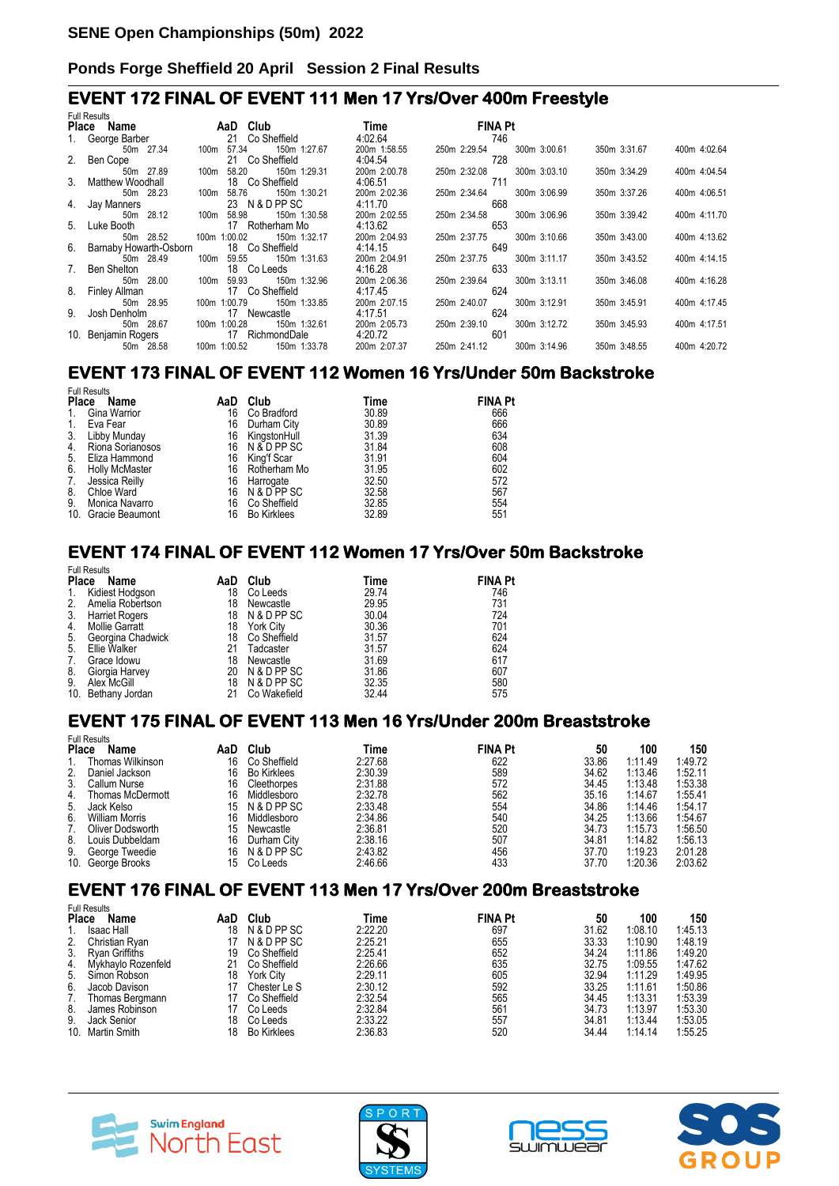#### **EVENT 172 FINAL OF EVENT 111 Men 17 Yrs/Over 400m Freestyle**

| <b>Full Results</b>       |               |                 |              |                |              |              |              |  |  |
|---------------------------|---------------|-----------------|--------------|----------------|--------------|--------------|--------------|--|--|
| Place Name                | AaD Club      |                 | <b>Time</b>  | <b>FINA Pt</b> |              |              |              |  |  |
| 1. George Barber          |               | 21 Co Sheffield | 4:02.64      | 746            |              |              |              |  |  |
| 50m 27.34                 | 100m 57.34    | 150m 1:27.67    | 200m 1:58.55 | 250m 2:29.54   | 300m 3:00.61 | 350m 3:31.67 | 400m 4:02.64 |  |  |
| 2. Ben Cope               |               | 21 Co Sheffield | 4:04.54      | 728            |              |              |              |  |  |
| 50m 27.89                 | 100m 58.20    | 150m 1:29.31    | 200m 2:00.78 | 250m 2:32.08   | 300m 3:03.10 | 350m 3:34.29 | 400m 4:04.54 |  |  |
| 3. Matthew Woodhall       |               | 18 Co Sheffield | 4:06.51      | 711            |              |              |              |  |  |
| 50m 28.23                 | 100m 58.76    | 150m 1:30.21    | 200m 2:02.36 | 250m 2:34.64   | 300m 3:06.99 | 350m 3:37.26 | 400m 4:06.51 |  |  |
| 4. Jay Manners            |               | 23 N & D PP SC  | 4:11.70      | 668            |              |              |              |  |  |
| 50m 28.12                 | 58.98<br>100m | 150m 1:30.58    | 200m 2:02.55 | 250m 2:34.58   | 300m 3:06.96 | 350m 3:39.42 | 400m 4:11.70 |  |  |
| 5. Luke Booth             |               | 17 Rotherham Mo | 4:13.62      | 653            |              |              |              |  |  |
| 50m 28.52                 | 100m 1:00.02  | 150m 1:32.17    | 200m 2:04.93 | 250m 2:37.75   | 300m 3:10.66 | 350m 3:43.00 | 400m 4:13.62 |  |  |
| 6. Barnaby Howarth-Osborn |               | 18 Co Sheffield | 4:14.15      | 649            |              |              |              |  |  |
| 50m 28.49                 | 59.55<br>100m | 150m 1:31.63    | 200m 2:04.91 | 250m 2:37.75   | 300m 3:11.17 | 350m 3:43.52 | 400m 4:14.15 |  |  |
| 7. Ben Shelton            |               | 18 Co Leeds     | 4:16.28      | 633            |              |              |              |  |  |
| 50m 28.00                 | 100m 59.93    | 150m 1:32.96    | 200m 2:06.36 | 250m 2:39.64   | 300m 3:13.11 | 350m 3:46.08 | 400m 4:16.28 |  |  |
| 8. Finley Allman          |               | 17 Co Sheffield | 4:17.45      | 624            |              |              |              |  |  |
| 50m 28.95                 | 100m 1:00.79  | 150m 1:33.85    | 200m 2:07.15 | 250m 2:40.07   | 300m 3:12.91 | 350m 3:45.91 | 400m 4:17.45 |  |  |
| 9. Josh Denholm           |               | 17 Newcastle    | 4:17.51      | 624            |              |              |              |  |  |
| 50m 28.67                 | 100m 1:00.28  | 150m 1:32.61    | 200m 2:05.73 | 250m 2:39.10   | 300m 3:12.72 | 350m 3:45.93 | 400m 4:17.51 |  |  |
| 10. Benjamin Rogers       |               | 17 RichmondDale | 4:20.72      | 601            |              |              |              |  |  |
| 50m 28.58                 | 100m 1:00.52  | 150m 1:33.78    | 200m 2:07.37 | 250m 2:41.12   | 300m 3:14.96 | 350m 3:48.55 | 400m 4:20.72 |  |  |

#### **EVENT 173 FINAL OF EVENT 112 Women 16 Yrs/Under 50m Backstroke**

|              | <b>Full Results</b>   |     |                    |       |                |
|--------------|-----------------------|-----|--------------------|-------|----------------|
| <b>Place</b> | Name                  | AaD | Club               | Time  | <b>FINA Pt</b> |
| 1.           | Gina Warrior          | 16  | Co Bradford        | 30.89 | 666            |
| 1.           | Eva Fear              | 16  | Durham City        | 30.89 | 666            |
| 3.           | Libby Munday          | 16  | KingstonHull       | 31.39 | 634            |
| 4.           | Riona Sorianosos      |     | 16 N&DPPSC         | 31.84 | 608            |
| 5.           | Eliza Hammond         | 16  | King'f Scar        | 31.91 | 604            |
| 6.           | <b>Holly McMaster</b> |     | 16 Rotherham Mo    | 31.95 | 602            |
| 7.           | Jessica Reilly        | 16  | Harrogate          | 32.50 | 572            |
| 8.           | Chloe Ward            | 16  | N & D PP SC        | 32.58 | 567            |
| 9.           | Monica Navarro        | 16  | Co Sheffield       | 32.85 | 554            |
|              | 10. Gracie Beaumont   | 16  | <b>Bo Kirklees</b> | 32.89 | 551            |

### **EVENT 174 FINAL OF EVENT 112 Women 17 Yrs/Over 50m Backstroke**

| Name                  | AaD                                                                                                                | Club             | Time                                                         | <b>FINA Pt</b> |
|-----------------------|--------------------------------------------------------------------------------------------------------------------|------------------|--------------------------------------------------------------|----------------|
|                       | 18                                                                                                                 | Co Leeds         | 29.74                                                        | 746            |
|                       | 18                                                                                                                 | Newcastle        | 29.95                                                        | 731            |
|                       | 18                                                                                                                 |                  | 30.04                                                        | 724            |
| <b>Mollie Garratt</b> | 18                                                                                                                 | <b>York City</b> | 30.36                                                        | 701            |
| Georgina Chadwick     | 18                                                                                                                 |                  | 31.57                                                        | 624            |
| Ellie Walker          | 21                                                                                                                 | Tadcaster        | 31.57                                                        | 624            |
| Grace Idowu           | 18                                                                                                                 | Newcastle        | 31.69                                                        | 617            |
| Giorgia Harvey        |                                                                                                                    |                  | 31.86                                                        | 607            |
| Alex McGill           | 18                                                                                                                 |                  | 32.35                                                        | 580            |
|                       | 21                                                                                                                 | Co Wakefield     | 32.44                                                        | 575            |
|                       | <b>Full Results</b><br><b>Place</b><br>Kidiest Hodgson<br>Amelia Robertson<br>Harriet Rogers<br>10. Bethany Jordan |                  | N & D PP SC<br>Co Sheffield<br>20 N & D PP SC<br>N & D PP SC |                |

#### **EVENT 175 FINAL OF EVENT 113 Men 16 Yrs/Under 200m Breaststroke**

| Name | AaD                                                                                                                                                                                                                         | Club               | Time    |     | 50             | 100     | 150     |
|------|-----------------------------------------------------------------------------------------------------------------------------------------------------------------------------------------------------------------------------|--------------------|---------|-----|----------------|---------|---------|
|      | 16                                                                                                                                                                                                                          | Co Sheffield       | 2:27.68 | 622 | 33.86          | 1:11.49 | 1:49.72 |
|      | 16                                                                                                                                                                                                                          | <b>Bo Kirklees</b> | 2:30.39 | 589 | 34.62          | 1:13.46 | 1:52.11 |
|      | 16                                                                                                                                                                                                                          | Cleethorpes        | 2:31.88 | 572 | 34.45          | 1:13.48 | 1:53.38 |
|      | 16                                                                                                                                                                                                                          | Middlesboro        | 2:32.78 | 562 | 35.16          | 1:14.67 | 1:55.41 |
|      | 15                                                                                                                                                                                                                          | N & D PP SC        | 2:33.48 | 554 | 34.86          | 1:14.46 | 1:54.17 |
|      | 16                                                                                                                                                                                                                          | Middlesboro        | 2:34.86 | 540 | 34.25          | 1:13.66 | 1:54.67 |
|      | 15                                                                                                                                                                                                                          | Newcastle          | 2:36.81 | 520 | 34.73          | 1:15.73 | 1:56.50 |
|      | 16                                                                                                                                                                                                                          | Durham City        | 2:38.16 | 507 | 34.81          | 1:14.82 | 1:56.13 |
|      | 16                                                                                                                                                                                                                          | N & D PP SC        | 2:43.82 | 456 | 37.70          | 1:19.23 | 2:01.28 |
|      | 15                                                                                                                                                                                                                          | Co Leeds           | 2:46.66 | 433 | 37.70          | 1:20.36 | 2:03.62 |
|      | <b>Full Results</b><br><b>Place</b><br>Thomas Wilkinson<br>Daniel Jackson<br>Callum Nurse<br>Thomas McDermott<br>Jack Kelso<br>William Morris<br>Oliver Dodsworth<br>Louis Dubbeldam<br>George Tweedie<br>10. George Brooks |                    |         |     | <b>FINA Pt</b> |         |         |

#### **EVENT 176 FINAL OF EVENT 113 Men 17 Yrs/Over 200m Breaststroke**

|              | <b>Full Results</b> |     |                    |         |                |       |         |         |
|--------------|---------------------|-----|--------------------|---------|----------------|-------|---------|---------|
| <b>Place</b> | <b>Name</b>         | AaD | Club               | Time    | <b>FINA Pt</b> | 50    | 100     | 150     |
|              | <b>Isaac Hall</b>   | 18  | N & D PP SC        | 2:22.20 | 697            | 31.62 | 1:08.10 | 1:45.13 |
| 2.           | Christian Rvan      |     | N & D PP SC        | 2:25.21 | 655            | 33.33 | 1:10.90 | 1:48.19 |
| 3.           | Rvan Griffiths      | 19  | Co Sheffield       | 2:25.41 | 652            | 34.24 | 1:11.86 | 1:49.20 |
| 4.           | Mykhavlo Rozenfeld  | 21  | Co Sheffield       | 2:26.66 | 635            | 32.75 | 1:09.55 | 1:47.62 |
| 5.           | Simon Robson        | 18  | <b>York City</b>   | 2:29.11 | 605            | 32.94 | 1:11.29 | 1:49.95 |
| 6.           | Jacob Davison       |     | Chester Le S       | 2:30.12 | 592            | 33.25 | 1:11.61 | 1:50.86 |
| 7.           | Thomas Bergmann     |     | Co Sheffield       | 2:32.54 | 565            | 34.45 | 1:13.31 | 1:53.39 |
| 8.           | James Robinson      |     | Co Leeds           | 2:32.84 | 561            | 34.73 | 1:13.97 | 1:53.30 |
| 9.           | Jack Senior         | 18  | Co Leeds           | 2:33.22 | 557            | 34.81 | 1:13.44 | 1:53.05 |
|              | 10. Martin Smith    | 18  | <b>Bo Kirklees</b> | 2:36.83 | 520            | 34.44 | 1:14.14 | 1:55.25 |







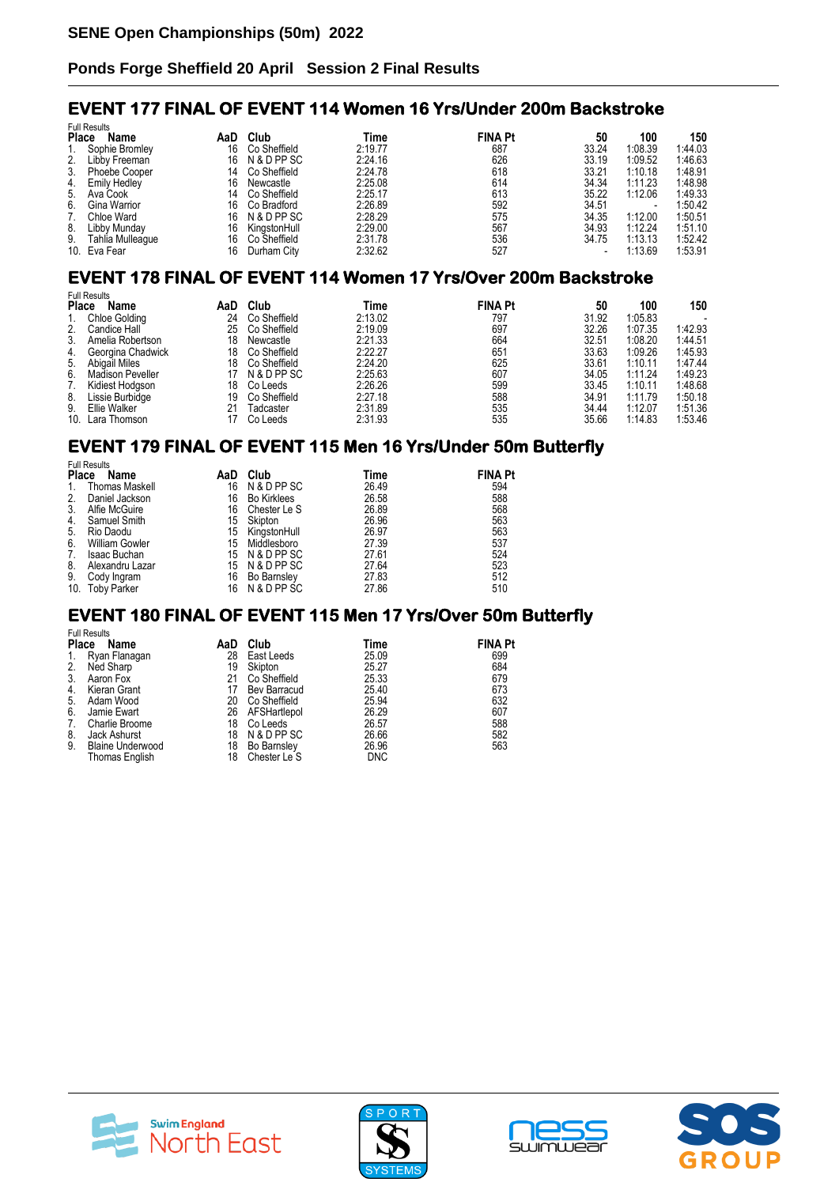#### **EVENT 177 FINAL OF EVENT 114 Women 16 Yrs/Under 200m Backstroke**

| <b>Full Results</b> |                  |     |              |         |                |       |         |         |
|---------------------|------------------|-----|--------------|---------|----------------|-------|---------|---------|
| <b>Place</b>        | Name             | AaD | Club         | Time    | <b>FINA Pt</b> | 50    | 100     | 150     |
|                     | Sophie Bromley   | 16  | Co Sheffield | 2:19.77 | 687            | 33.24 | 1:08.39 | 1:44.03 |
| 2.                  | Libby Freeman    | 16  | N & D PP SC  | 2:24.16 | 626            | 33.19 | 1:09.52 | 1:46.63 |
| 3.                  | Phoebe Cooper    | 14  | Co Sheffield | 2:24.78 | 618            | 33.21 | 1:10.18 | 1:48.91 |
| 4.                  | Emily Hedley     | 16  | Newcastle    | 2:25.08 | 614            | 34.34 | 1:11.23 | 1:48.98 |
|                     | 5. Ava Cook      | 14  | Co Sheffield | 2:25.17 | 613            | 35.22 | 1:12.06 | 1:49.33 |
| 6.                  | Gina Warrior     | 16  | Co Bradford  | 2:26.89 | 592            | 34.51 |         | 1:50.42 |
| 7.                  | Chloe Ward       | 16  | N & D PP SC  | 2:28.29 | 575            | 34.35 | 1:12.00 | 1:50.51 |
| 8.                  | Libby Munday     | 16  | KingstonHull | 2:29.00 | 567            | 34.93 | 1:12.24 | 1:51.10 |
| 9.                  | Tahlia Mulleaque | 16  | Co Sheffield | 2:31.78 | 536            | 34.75 | 1:13.13 | 1:52.42 |
|                     | 10. Eva Fear     | 16  | Durham City  | 2:32.62 | 527            |       | 1:13.69 | 1:53.91 |

# **EVENT 178 FINAL OF EVENT 114 Women 17 Yrs/Over 200m Backstroke**

| <b>Full Results</b> |                      |     |              |         |                |       |         |         |
|---------------------|----------------------|-----|--------------|---------|----------------|-------|---------|---------|
| Place               | Name                 | AaD | Club         | Time    | <b>FINA Pt</b> | 50    | 100     | 150     |
|                     | <b>Chloe Golding</b> | 24  | Co Sheffield | 2:13.02 | 797            | 31.92 | 1:05.83 |         |
| 2.                  | Candice Hall         | 25  | Co Sheffield | 2:19.09 | 697            | 32.26 | 1:07.35 | 1:42.93 |
| 3.                  | Amelia Robertson     | 18  | Newcastle    | 2:21.33 | 664            | 32.51 | 1:08.20 | 1:44.51 |
| 4.                  | Georgina Chadwick    | 18  | Co Sheffield | 2:22.27 | 651            | 33.63 | 1:09.26 | 1:45.93 |
| 5.                  | Abigail Miles        | 18  | Co Sheffield | 2:24.20 | 625            | 33.61 | 1:10.11 | 1:47.44 |
| 6.                  | Madison Peveller     |     | N & D PP SC  | 2:25.63 | 607            | 34.05 | 1:11.24 | 1:49.23 |
| 7.                  | Kidiest Hodason      | 18  | Co Leeds     | 2:26.26 | 599            | 33.45 | 1:10.11 | 1:48.68 |
| 8.                  | Lissie Burbidge      | 19  | Co Sheffield | 2:27.18 | 588            | 34.91 | 1:11.79 | 1:50.18 |
| 9.                  | Ellie Walker         |     | Tadcaster    | 2:31.89 | 535            | 34.44 | 1:12.07 | 1:51.36 |
| 10.                 | Lara Thomson         |     | Co Leeds     | 2:31.93 | 535            | 35.66 | 1:14.83 | 1:53.46 |

### **EVENT 179 FINAL OF EVENT 115 Men 16 Yrs/Under 50m Butterfly**

|              | <b>Full Results</b>   |     |                    |       |                |  |  |  |  |  |
|--------------|-----------------------|-----|--------------------|-------|----------------|--|--|--|--|--|
| <b>Place</b> | Name                  | AaD | Club               | Time  | <b>FINA Pt</b> |  |  |  |  |  |
| $1_{\cdot}$  | <b>Thomas Maskell</b> | 16  | N & D PP SC        | 26.49 | 594            |  |  |  |  |  |
| 2.           | Daniel Jackson        | 16  | <b>Bo Kirklees</b> | 26.58 | 588            |  |  |  |  |  |
| 3.           | Alfie McGuire         | 16  | Chester Le S       | 26.89 | 568            |  |  |  |  |  |
| 4.           | Samuel Smith          | 15  | Skipton            | 26.96 | 563            |  |  |  |  |  |
| 5.           | Rio Daodu             | 15  | KingstonHull       | 26.97 | 563            |  |  |  |  |  |
| 6.           | <b>William Gowler</b> | 15  | Middlesboro        | 27.39 | 537            |  |  |  |  |  |
| 7.           | Isaac Buchan          |     | 15 N & D PP SC     | 27.61 | 524            |  |  |  |  |  |
| 8.           | Alexandru Lazar       |     | 15 N & D PP SC     | 27.64 | 523            |  |  |  |  |  |
| 9.           | Cody Ingram           | 16  | Bo Barnsley        | 27.83 | 512            |  |  |  |  |  |
|              | 10. Toby Parker       | 16  | N & D PP SC        | 27.86 | 510            |  |  |  |  |  |

#### **EVENT 180 FINAL OF EVENT 115 Men 17 Yrs/Over 50m Butterfly**  Full Results

| Name                    | AaD                                                         | Club                | Time                                                       | <b>FINA Pt</b> |
|-------------------------|-------------------------------------------------------------|---------------------|------------------------------------------------------------|----------------|
|                         | 28                                                          | East Leeds          | 25.09                                                      | 699            |
|                         | 19                                                          | Skipton             | 25.27                                                      | 684            |
| Aaron Fox               | 21                                                          |                     | 25.33                                                      | 679            |
| Kieran Grant            | 17                                                          | <b>Bev Barracud</b> | 25.40                                                      | 673            |
| Adam Wood               | 20                                                          | Co Sheffield        | 25.94                                                      | 632            |
| Jamie Ewart             | 26                                                          |                     | 26.29                                                      | 607            |
| Charlie Broome          | 18                                                          |                     | 26.57                                                      | 588            |
| Jack Ashurst            |                                                             |                     | 26.66                                                      | 582            |
| <b>Blaine Underwood</b> | 18                                                          | Bo Barnsley         | 26.96                                                      | 563            |
| Thomas English          | 18                                                          | Chester Le S        | <b>DNC</b>                                                 |                |
|                         | i uli nesults<br><b>Place</b><br>Ryan Flanagan<br>Ned Sharp |                     | Co Sheffield<br>AFSHartlepol<br>Co Leeds<br>18 N & D PP SC |                |







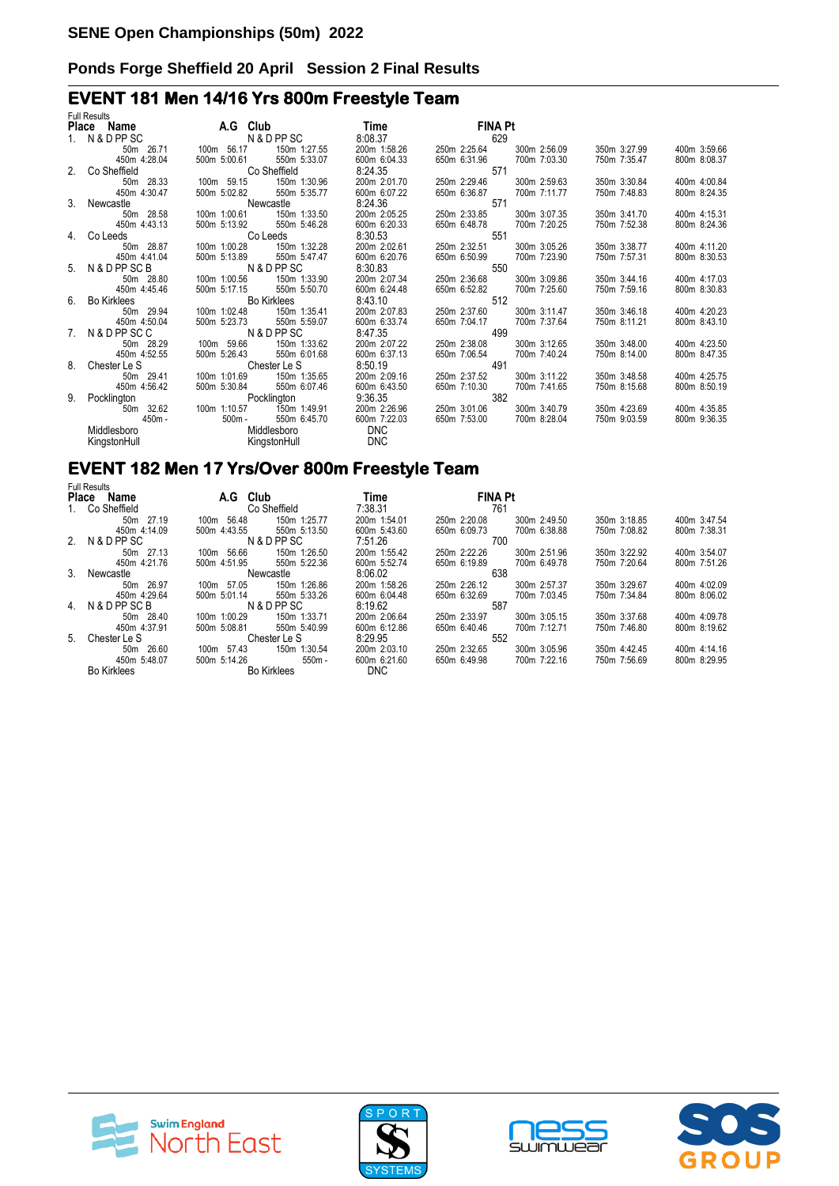# **EVENT 181 Men 14/16 Yrs 800m Freestyle Team**

| <b>Full Results</b> |                                                                                                                       |                           |              |                |              |              |              |
|---------------------|-----------------------------------------------------------------------------------------------------------------------|---------------------------|--------------|----------------|--------------|--------------|--------------|
| Place Name          |                                                                                                                       | <b>A.G. Club</b>          | Time         | <b>FINA Pt</b> |              |              |              |
| 1. N & D PP SC      |                                                                                                                       | N & D PP SC               | 8:08.37      | 629            |              |              |              |
| 50m 26.71           | 100m 56.17                                                                                                            | 150m 1:27.55              | 200m 1:58.26 | 250m 2:25.64   | 300m 2:56.09 | 350m 3:27.99 | 400m 3:59.66 |
| 450m 4:28.04        | 500m 5:00.61                                                                                                          | 550m 5:33.07              | 600m 6:04.33 | 650m 6:31.96   | 700m 7:03.30 | 750m 7:35.47 | 800m 8:08.37 |
| 2. Co Sheffield     | <b>Co Sheffield</b>                                                                                                   |                           | 8:24.35      | 571            |              |              |              |
| 50m 28.33           | 100m 59.15                                                                                                            | 150m 1:30.96              | 200m 2:01.70 | 250m 2:29.46   | 300m 2:59.63 | 350m 3:30.84 | 400m 4:00.84 |
| 450m 4:30.47        |                                                                                                                       | 500m 5:02.82 550m 5:35.77 | 600m 6:07.22 | 650m 6:36.87   | 700m 7:11.77 | 750m 7:48.83 | 800m 8:24.35 |
| 3. Newcastle        |                                                                                                                       | Newcastle                 | 8:24.36      | 571            |              |              |              |
| 50m 28.58           | 100m 1:00.61                                                                                                          | 150m 1:33.50              | 200m 2:05.25 | 250m 2:33.85   | 300m 3:07.35 | 350m 3:41.70 | 400m 4:15.31 |
| 450m 4:43.13        | 500m 5:13.92                                                                                                          | 550m 5:46.28              | 600m 6:20.33 | 650m 6:48.78   | 700m 7:20.25 | 750m 7:52.38 | 800m 8:24.36 |
| 4. Co Leeds         |                                                                                                                       | Co Leeds                  | 8:30.53      | 551            |              |              |              |
| 50m 28.87           |                                                                                                                       | 100m 1:00.28 150m 1:32.28 | 200m 2:02.61 | 250m 2:32.51   | 300m 3:05.26 | 350m 3:38.77 | 400m 4:11.20 |
| 450m 4:41.04        | 500m 5:13.89                                                                                                          | 550m 5:47.47              | 600m 6:20.76 | 650m 6:50.99   | 700m 7:23.90 | 750m 7:57.31 | 800m 8:30.53 |
| 5. N & D PP SC B    |                                                                                                                       | N & D PP SC               | 8:30.83      | 550            |              |              |              |
| 50m 28.80           | 100m 1:00.56                                                                                                          | 150m 1:33.90              | 200m 2:07.34 | 250m 2:36.68   | 300m 3:09.86 | 350m 3:44.16 | 400m 4:17.03 |
| 450m 4:45.46        | 500m 5:17.15                                                                                                          | 550m 5:50.70              | 600m 6:24.48 | 650m 6:52.82   | 700m 7:25.60 | 750m 7:59.16 | 800m 8:30.83 |
| 6. Bo Kirklees      |                                                                                                                       | <b>Bo Kirklees</b>        | 8:43.10      | 512            |              |              |              |
| 50m 29.94           | 100m 1:02.48                                                                                                          | 150m 1:35.41              | 200m 2:07.83 | 250m 2:37.60   | 300m 3:11.47 | 350m 3:46.18 | 400m 4:20.23 |
| 450m 4:50.04        | 500m 5:23.73                                                                                                          | 550m 5:59.07              | 600m 6:33.74 | 650m 7:04.17   | 700m 7:37.64 | 750m 8:11.21 | 800m 8:43.10 |
| 7. N&DPPSCC         |                                                                                                                       | N & D PP SC               | 8:47.35      | 499            |              |              |              |
| 50m 28.29           | 100m 59.66                                                                                                            | 150m 1:33.62              | 200m 2:07.22 | 250m 2:38.08   | 300m 3:12.65 | 350m 3:48.00 | 400m 4:23.50 |
| 450m 4:52.55        | 500m 5:26.43                                                                                                          | 550m 6:01.68              | 600m 6:37.13 | 650m 7:06.54   | 700m 7:40.24 | 750m 8:14.00 | 800m 8:47.35 |
| 8. Chester Le S     |                                                                                                                       | Chester Le S              | 8:50.19      | 491            |              |              |              |
| 50m 29.41           | 100m 1:01.69                                                                                                          | 150m 1:35.65              | 200m 2:09.16 | 250m 2:37.52   | 300m 3:11.22 | 350m 3:48.58 | 400m 4:25.75 |
| 450m 4:56.42        |                                                                                                                       | 500m 5:30.84 550m 6:07.46 | 600m 6:43.50 | 650m 7:10.30   | 700m 7:41.65 | 750m 8:15.68 | 800m 8:50.19 |
| 9. Pocklington      |                                                                                                                       | Pocklington               | 9:36.35      | 382            |              |              |              |
| 50m 32.62           | 100m 1:10.57                                                                                                          | 150m 1:49.91              | 200m 2:26.96 | 250m 3:01.06   | 300m 3:40.79 | 350m 4:23.69 | 400m 4:35.85 |
| 450m -              | 500m -                                                                                                                | 550m 6:45.70              | 600m 7:22.03 | 650m 7:53.00   | 700m 8:28.04 | 750m 9:03.59 | 800m 9:36.35 |
| Middlesboro         |                                                                                                                       | Middlesboro               | <b>DNC</b>   |                |              |              |              |
| KingstonHull        | <b>Example 25 Service Street Service Street Street Street Street Street Street Street Street Street Street Street</b> |                           | <b>DNC</b>   |                |              |              |              |
|                     |                                                                                                                       |                           |              |                |              |              |              |

# **EVENT 182 Men 17 Yrs/Over 800m Freestyle Team**

| <b>Full Results</b> |              |                    |              |                |              |              |              |
|---------------------|--------------|--------------------|--------------|----------------|--------------|--------------|--------------|
| Place<br>Name       | A.G Club     |                    | Time         | <b>FINA Pt</b> |              |              |              |
| 1. Co Sheffield     |              | Co Sheffield       | 7:38.31      | 761            |              |              |              |
| 50m 27.19           | 100m 56.48   | 150m 1:25.77       | 200m 1:54.01 | 250m 2:20.08   | 300m 2:49.50 | 350m 3:18.85 | 400m 3:47.54 |
| 450m 4:14.09        | 500m 4:43.55 | 550m 5:13.50       | 600m 5:43.60 | 650m 6:09.73   | 700m 6:38.88 | 750m 7:08.82 | 800m 7:38.31 |
| 2. N&DPPSC          |              | N & D PP SC        | 7:51.26      | 700            |              |              |              |
| 50m 27.13           | 100m 56.66   | 150m 1:26.50       | 200m 1:55.42 | 250m 2:22.26   | 300m 2:51.96 | 350m 3:22.92 | 400m 3:54.07 |
| 450m 4:21.76        | 500m 4:51.95 | 550m 5:22.36       | 600m 5:52.74 | 650m 6:19.89   | 700m 6:49.78 | 750m 7:20.64 | 800m 7:51.26 |
| 3. Newcastle        | Newcastle    |                    | 8:06.02      | 638            |              |              |              |
| 50m 26.97           | 100m 57.05   | 150m 1:26.86       | 200m 1:58.26 | 250m 2:26.12   | 300m 2:57.37 | 350m 3:29.67 | 400m 4:02.09 |
| 450m 4:29.64        | 500m 5:01.14 | 550m 5:33.26       | 600m 6:04.48 | 650m 6:32.69   | 700m 7:03.45 | 750m 7:34.84 | 800m 8:06.02 |
| 4. N&DPPSCB         |              | N & D PP SC        | 8:19.62      | 587            |              |              |              |
| 50m 28.40           | 100m 1:00.29 | 150m 1:33.71       | 200m 2:06.64 | 250m 2:33.97   | 300m 3:05.15 | 350m 3:37.68 | 400m 4:09.78 |
| 450m 4:37.91        | 500m 5:08.81 | 550m 5:40.99       | 600m 6:12.86 | 650m 6:40.46   | 700m 7:12.71 | 750m 7:46.80 | 800m 8:19.62 |
| 5. Chester Le S     |              | Chester Le S       | 8:29.95      | 552            |              |              |              |
| 50m 26.60           | 100m 57.43   | 150m 1:30.54       | 200m 2:03.10 | 250m 2:32.65   | 300m 3:05.96 | 350m 4:42.45 | 400m 4:14.16 |
| 450m 5:48.07        | 500m 5:14.26 | $550m -$           | 600m 6:21.60 | 650m 6:49.98   | 700m 7:22.16 | 750m 7:56.69 | 800m 8:29.95 |
| <b>Bo Kirklees</b>  |              | <b>Bo Kirklees</b> | <b>DNC</b>   |                |              |              |              |







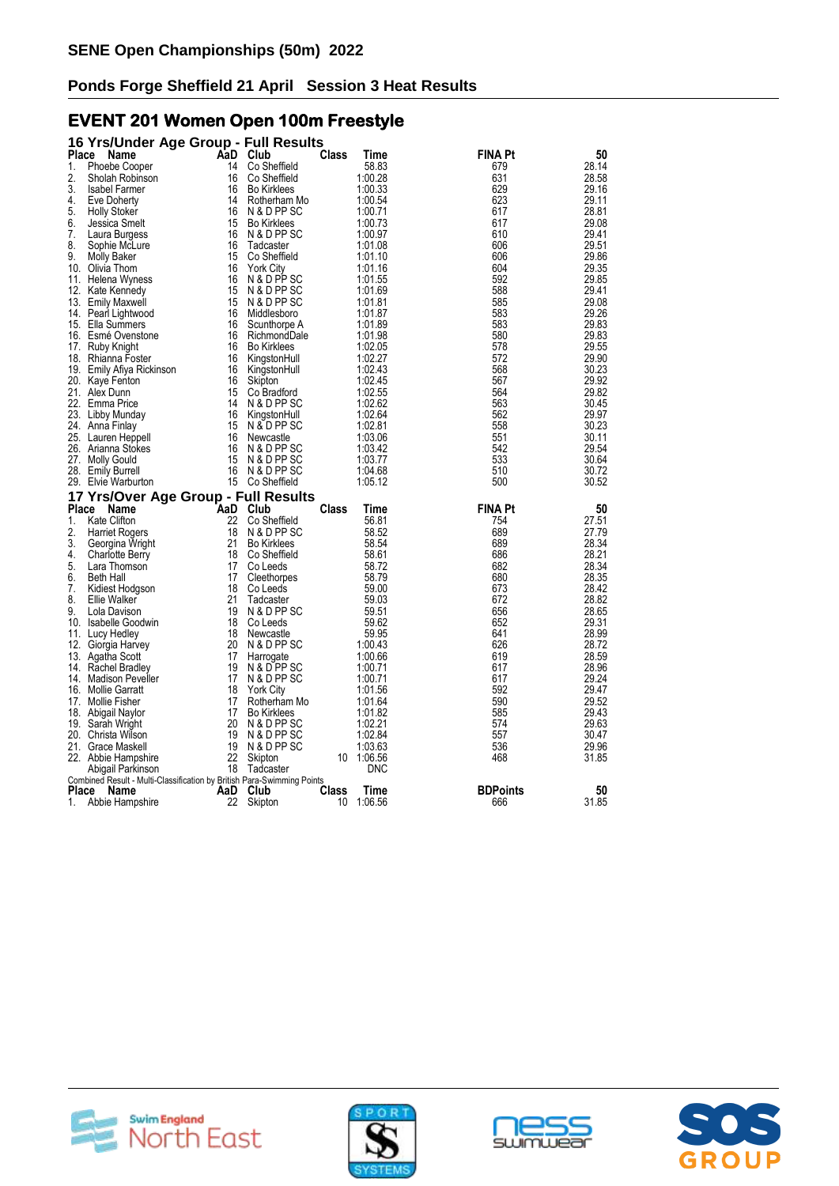# **EVENT 201 Women Open 100m Freestyle**

| 16 Yrs/Under Age Group - Full Results                                                   |          |                             |              |                    |                 |                |
|-----------------------------------------------------------------------------------------|----------|-----------------------------|--------------|--------------------|-----------------|----------------|
| Place<br>Name                                                                           |          | AaD Club                    | Class        | Time               | FINA Pt         | 50             |
| 1.<br>Phoebe Cooper                                                                     | 14       | Co Sheffield                |              | 58.83              | 679             | 28.14          |
| 2.<br>Sholah Robinson                                                                   | 16       | Co Sheffield                |              | 1:00.28            | 631             | 28.58          |
| 3.<br>Isabel Farmer                                                                     | 16       | <b>Bo Kirklees</b>          |              | 1:00.33            | 629             | 29.16          |
| 4.<br>Eve Doherty                                                                       | 14       | Rotherham Mo                |              | 1:00.54            | 623             | 29.11          |
| 5.<br><b>Holly Stoker</b>                                                               | 16       | N & D PP SC                 |              | 1:00.71            | 617             | 28.81          |
| 6.<br>Jessica Smelt                                                                     | 15       | <b>Bo Kirklees</b>          |              | 1:00.73            | 617             | 29.08          |
| 7.<br>Laura Burgess                                                                     | 16       | N & D PP SC                 |              | 1:00.97            | 610             | 29.41          |
| 8.<br>Sophie McLure                                                                     | 16       | Tadcaster                   |              | 1:01.08            | 606             | 29.51          |
| 9.<br>Molly Baker                                                                       | 15       | Co Sheffield                |              | 1:01.10            | 606             | 29.86          |
| 10. Olivia Thom                                                                         | 16       | <b>York City</b>            |              | 1:01.16            | 604             | 29.35          |
| 11. Helena Wyness                                                                       | 16       | N & D PP SC                 |              | 1:01.55            | 592             | 29.85          |
| 12. Kate Kennedy                                                                        | 15       | N & D PP SC                 |              | 1:01.69            | 588             | 29.41          |
| 13. Emily Maxwell                                                                       | 15       | N & D PP SC                 |              | 1:01.81            | 585             | 29.08          |
| 14. Pearl Lightwood                                                                     | 16       | Middlesboro                 |              | 1:01.87            | 583             | 29.26          |
| 15. Ella Summers                                                                        | 16       | Scunthorpe A                |              | 1:01.89            | 583             | 29.83          |
| 16. Esmé Ovenstone                                                                      | 16       | RichmondDale                |              | 1:01.98            | 580             | 29.83          |
| 17. Ruby Knight                                                                         | 16       | <b>Bo Kirklees</b>          |              | 1:02.05            | 578             | 29.55          |
| 18. Rhianna Foster                                                                      | 16       | KingstonHull                |              | 1:02.27            | 572             | 29.90          |
| 19. Emily Afiya Rickinson                                                               | 16       | KingstonHull                |              | 1:02.43            | 568             | 30.23          |
| 20. Kaye Fenton                                                                         | 16       | Skipton                     |              | 1:02.45            | 567             | 29.92          |
| 21. Alex Dunn                                                                           | 15<br>14 | Co Bradford                 |              | 1:02.55            | 564             | 29.82          |
| 22. Emma Price                                                                          | 16       | N & D PP SC                 |              | 1:02.62<br>1:02.64 | 563<br>562      | 30.45          |
| 23. Libby Munday                                                                        | 15       | KingstonHull<br>N & D PP SC |              | 1:02.81            | 558             | 29.97<br>30.23 |
| 24. Anna Finlay<br>25. Lauren Heppell                                                   | 16       | Newcastle                   |              | 1:03.06            | 551             | 30.11          |
| 26. Arianna Stokes                                                                      | 16       | N & D PP SC                 |              | 1:03.42            | 542             | 29.54          |
| 27. Molly Gould                                                                         | 15       | N & D PP SC                 |              | 1:03.77            | 533             | 30.64          |
| 28. Emily Burrell                                                                       | 16       | N & D PP SC                 |              | 1:04.68            | 510             | 30.72          |
| 29. Elvie Warburton                                                                     |          | 15 Co Sheffield             |              | 1:05.12            | 500             | 30.52          |
| 17 Yrs/Over Age Group - Full Results                                                    |          |                             |              |                    |                 |                |
| Place<br>Name                                                                           | AaD      | Club                        | Class        | Time               | <b>FINA Pt</b>  | 50             |
| 1.<br><b>Kate Clifton</b>                                                               | 22       | Co Sheffield                |              | 56.81              | 754             | 27.51          |
| 2.<br><b>Harriet Rogers</b>                                                             | 18       | N & D PP SC                 |              | 58.52              | 689             | 27.79          |
| 3.<br>Georgina Wright                                                                   | 21       | <b>Bo Kirklees</b>          |              | 58.54              | 689             | 28.34          |
| 4.<br><b>Charlotte Berry</b>                                                            | 18       | Co Sheffield                |              | 58.61              | 686             | 28.21          |
| 5.<br>Lara Thomson                                                                      | 17       | Co Leeds                    |              | 58.72              | 682             | 28.34          |
| 6.<br>Beth Hall                                                                         | 17       | Cleethorpes                 |              | 58.79              | 680             | 28.35          |
| 7.<br>Kidiest Hodgson                                                                   | 18       | Co Leeds                    |              | 59.00              | 673             | 28.42          |
| 8.<br>Ellie Walker                                                                      | 21       | Tadcaster                   |              | 59.03              | 672             | 28.82          |
| 9.<br>Lola Davison                                                                      | 19       | N & D PP SC                 |              | 59.51              | 656             | 28.65          |
| 10. Isabelle Goodwin                                                                    | 18       | Co Leeds                    |              | 59.62              | 652             | 29.31          |
| 11.<br>Lucy Hedley                                                                      | 18       | Newcastle                   |              | 59.95              | 641             | 28.99          |
| 12. Giorgia Harvey                                                                      | 20       | N & D PP SC                 |              | 1:00.43            | 626             | 28.72          |
| 13. Agatha Scott                                                                        | 17       | Harrogate                   |              | 1:00.66            | 619             | 28.59          |
| 14. Rachel Bradley                                                                      | 19       | N & D PP SC                 |              | 1:00.71            | 617             | 28.96          |
| 14. Madison Peveller                                                                    | 17       | N & D PP SC                 |              | 1:00.71            | 617             | 29.24          |
| 16. Mollie Garratt                                                                      | 18       | <b>York City</b>            |              | 1:01.56            | 592             | 29.47          |
| 17. Mollie Fisher                                                                       | 17       | Rotherham Mo                |              | 1:01.64            | 590             | 29.52          |
| 18. Abigail Naylor                                                                      | 17       | <b>Bo Kirklees</b>          |              | 1:01.82            | 585             | 29.43          |
| 19. Sarah Wright                                                                        | 20       | N & D PP SC                 |              | 1:02.21            | 574             | 29.63          |
| 20. Christa Wilson                                                                      | 19       | N & D PP SC                 |              | 1:02.84            | 557             | 30.47          |
| 21. Grace Maskell                                                                       | 19       | N & D PP SC                 |              | 1:03.63            | 536             | 29.96          |
| 22. Abbie Hampshire                                                                     | 22       | Skipton                     | 10           | 1:06.56            | 468             | 31.85          |
| Abigail Parkinson                                                                       | 18       | Tadcaster                   |              | <b>DNC</b>         |                 |                |
| Combined Result - Multi-Classification by British Para-Swimming Points<br>Place<br>Name | AaD      | Club                        | <b>Class</b> | Time               | <b>BDPoints</b> | 50             |
| 1.<br>Abbie Hampshire                                                                   | 22       | Skipton                     | 10           | 1:06.56            | 666             | 31.85          |
|                                                                                         |          |                             |              |                    |                 |                |







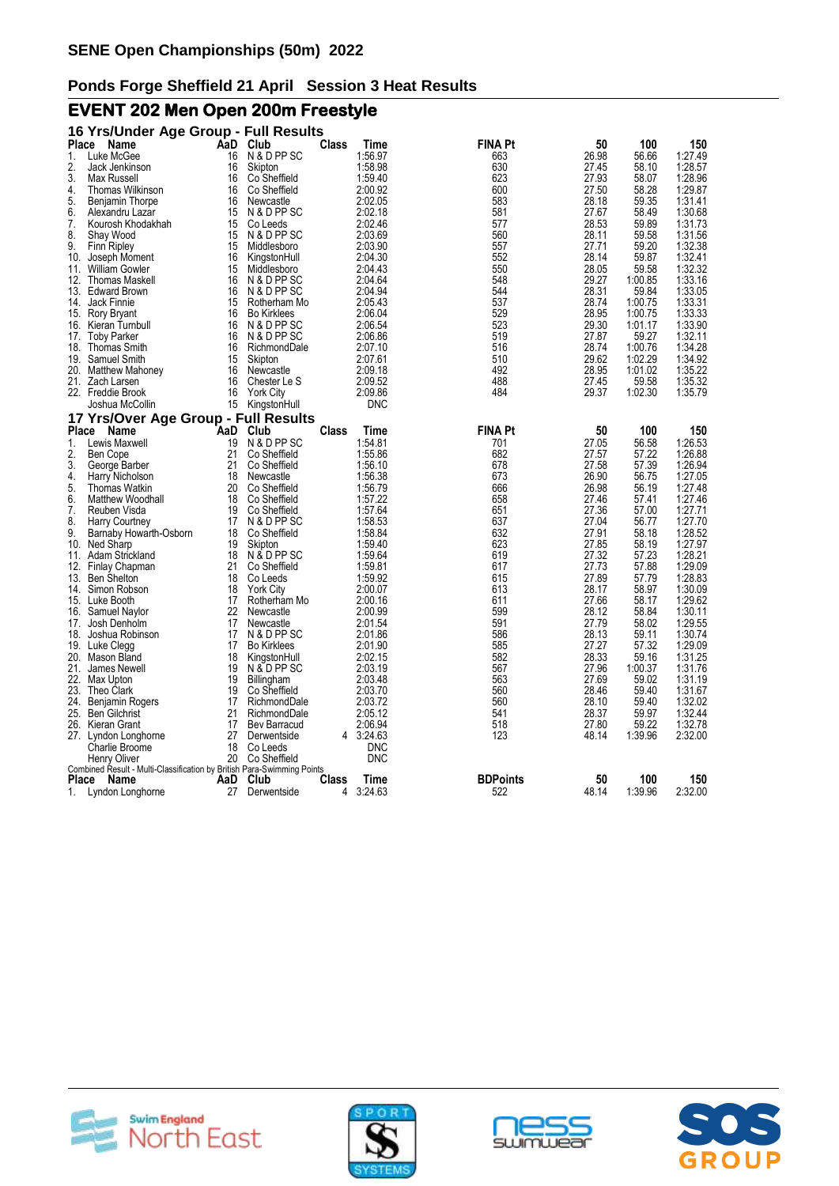# **EVENT 202 Men Open 200m Freestyle**

|              | 16 Yrs/Under Age Group - Full Results                                                  |     |                    |              |            |                 |       |         |         |
|--------------|----------------------------------------------------------------------------------------|-----|--------------------|--------------|------------|-----------------|-------|---------|---------|
| <b>Place</b> | Name                                                                                   |     | AaD Club           | Class        | Time       | FINA Pt         | 50    | 100     | 150     |
| 1.           | Luke McGee                                                                             | 16  | N & D PP SC        |              | 1:56.97    | 663             | 26.98 | 56.66   | 1:27.49 |
| 2.           | Jack Jenkinson                                                                         | 16  | Skipton            |              | 1:58.98    | 630             | 27.45 | 58.10   | 1:28.57 |
| 3.           | Max Russell                                                                            | 16  | Co Sheffield       |              | 1:59.40    | 623             | 27.93 | 58.07   | 1:28.96 |
| 4.           | Thomas Wilkinson                                                                       | 16  | Co Sheffield       |              | 2:00.92    | 600             | 27.50 | 58.28   | 1:29.87 |
| 5.           | Benjamin Thorpe                                                                        | 16  | Newcastle          |              | 2:02.05    | 583             | 28.18 | 59.35   | 1:31.41 |
| 6.           | Alexandru Lazar                                                                        | 15  | N & D PP SC        |              | 2:02.18    | 581             | 27.67 | 58.49   | 1:30.68 |
| 7.           | Kourosh Khodakhah                                                                      | 15  | Co Leeds           |              | 2:02.46    | 577             | 28.53 | 59.89   | 1:31.73 |
| 8.           | Shay Wood                                                                              | 15  | N & D PP SC        |              | 2:03.69    | 560             | 28.11 | 59.58   | 1:31.56 |
| 9.           | <b>Finn Ripley</b>                                                                     | 15  | Middlesboro        |              | 2:03.90    | 557             | 27.71 | 59.20   | 1:32.38 |
| 10.          | Joseph Moment                                                                          | 16  | KingstonHull       |              | 2:04.30    | 552             | 28.14 | 59.87   | 1:32.41 |
| 11.          | <b>William Gowler</b>                                                                  | 15  | Middlesboro        |              | 2:04.43    | 550             | 28.05 | 59.58   | 1:32.32 |
| 12.          | Thomas Maskell                                                                         | 16  | N & D PP SC        |              | 2:04.64    | 548             | 29.27 | 1:00.85 | 1:33.16 |
|              | 13. Edward Brown                                                                       | 16  | N & D PP SC        |              | 2:04.94    | 544             | 28.31 | 59.84   | 1:33.05 |
| 14.          | Jack Finnie                                                                            | 15  | Rotherham Mo       |              | 2:05.43    | 537             | 28.74 | 1:00.75 | 1:33.31 |
|              | 15. Rory Bryant                                                                        | 16  | <b>Bo Kirklees</b> |              | 2:06.04    | 529             | 28.95 | 1:00.75 | 1:33.33 |
|              | 16. Kieran Turnbull                                                                    | 16  | N & D PP SC        |              | 2:06.54    | 523             | 29.30 | 1:01.17 | 1:33.90 |
| 17.          | <b>Toby Parker</b>                                                                     | 16  | N & D PP SC        |              | 2:06.86    | 519             | 27.87 | 59.27   | 1:32.11 |
|              | 18. Thomas Smith                                                                       | 16  | RichmondDale       |              | 2:07.10    | 516             | 28.74 | 1:00.76 | 1:34.28 |
| 19.          | Samuel Smith                                                                           | 15  | Skipton            |              | 2:07.61    | 510             | 29.62 | 1:02.29 | 1:34.92 |
|              | 20. Matthew Mahoney                                                                    | 16  | Newcastle          |              | 2:09.18    | 492             | 28.95 | 1:01.02 | 1:35.22 |
| 21.          | Zach Larsen                                                                            | 16  | Chester Le S       |              | 2:09.52    | 488             | 27.45 | 59.58   | 1:35.32 |
|              | 22. Freddie Brook                                                                      | 16  | <b>York City</b>   |              | 2:09.86    | 484             | 29.37 | 1:02.30 | 1:35.79 |
|              | Joshua McCollin                                                                        | 15  | KingstonHull       |              | <b>DNC</b> |                 |       |         |         |
|              | 17 Yrs/Over Age Group - Full Results                                                   |     |                    |              |            |                 |       |         |         |
|              | Place<br>Name                                                                          | AaD | Club               | Class        | Time       | <b>FINA Pt</b>  | 50    | 100     | 150     |
| 1.           | Lewis Maxwell                                                                          | 19  | N & D PP SC        |              | 1:54.81    | 701             | 27.05 | 56.58   | 1:26.53 |
| 2.           | Ben Cope                                                                               | 21  | Co Sheffield       |              | 1:55.86    | 682             | 27.57 | 57.22   | 1:26.88 |
| 3.           | George Barber                                                                          | 21  | Co Sheffield       |              | 1:56.10    | 678             | 27.58 | 57.39   | 1:26.94 |
| 4.           | Harry Nicholson                                                                        | 18  | Newcastle          |              | 1:56.38    | 673             | 26.90 | 56.75   | 1:27.05 |
| 5.           | <b>Thomas Watkin</b>                                                                   | 20  | Co Sheffield       |              | 1:56.79    | 666             | 26.98 | 56.19   | 1:27.48 |
| 6.           | Matthew Woodhall                                                                       | 18  | Co Sheffield       |              | 1:57.22    | 658             | 27.46 | 57.41   | 1:27.46 |
| 7.           | Reuben Visda                                                                           | 19  | Co Sheffield       |              | 1:57.64    | 651             | 27.36 | 57.00   | 1:27.71 |
| 8.           | <b>Harry Courtney</b>                                                                  | 17  | N & D PP SC        |              | 1:58.53    | 637             | 27.04 | 56.77   | 1:27.70 |
| 9.           | Barnaby Howarth-Osborn                                                                 | 18  | Co Sheffield       |              | 1:58.84    | 632             | 27.91 | 58.18   | 1:28.52 |
| 10.          | Ned Sharp                                                                              | 19  | Skipton            |              | 1:59.40    | 623             | 27.85 | 58.19   | 1:27.97 |
| 11.          | Adam Strickland                                                                        | 18  | N & D PP SC        |              | 1:59.64    | 619             | 27.32 | 57.23   | 1:28.21 |
| 12.          | Finlay Chapman                                                                         | 21  | Co Sheffield       |              | 1:59.81    | 617             | 27.73 | 57.88   | 1:29.09 |
| 13.          | <b>Ben Shelton</b>                                                                     | 18  | Co Leeds           |              | 1:59.92    | 615             | 27.89 | 57.79   | 1:28.83 |
| 14.          | Simon Robson                                                                           | 18  | <b>York City</b>   |              | 2:00.07    | 613             | 28.17 | 58.97   | 1:30.09 |
|              | 15. Luke Booth                                                                         | 17  | Rotherham Mo       |              | 2:00.16    | 611             | 27.66 | 58.17   | 1:29.62 |
| 16.          | Samuel Naylor                                                                          | 22  | Newcastle          |              | 2:00.99    | 599             | 28.12 | 58.84   | 1:30.11 |
| 17.          | Josh Denholm                                                                           | 17  | Newcastle          |              | 2:01.54    | 591             | 27.79 | 58.02   | 1:29.55 |
| 18.          | Joshua Robinson                                                                        | 17  | N & D PP SC        |              | 2:01.86    | 586             | 28.13 | 59.11   | 1:30.74 |
| 19.          | Luke Clegg                                                                             | 17  | <b>Bo Kirklees</b> |              | 2:01.90    | 585             | 27.27 | 57.32   | 1:29.09 |
|              | 20. Mason Bland                                                                        | 18  | KingstonHull       |              | 2:02.15    | 582             | 28.33 | 59.16   | 1:31.25 |
| 21.          | James Newell                                                                           | 19  | N & D PP SC        |              | 2:03.19    | 567             | 27.96 | 1:00.37 | 1:31.76 |
|              | 22. Max Upton                                                                          | 19  | Billingham         |              | 2:03.48    | 563             | 27.69 | 59.02   | 1:31.19 |
|              | 23. Theo Clark                                                                         | 19  | Co Sheffield       |              | 2:03.70    | 560             | 28.46 | 59.40   | 1:31.67 |
| 24.          | Benjamin Rogers                                                                        | 17  | RichmondDale       |              | 2:03.72    | 560             | 28.10 | 59.40   | 1:32.02 |
|              | 25. Ben Gilchrist                                                                      | 21  | RichmondDale       |              | 2:05.12    | 541             | 28.37 | 59.97   | 1:32.44 |
|              | 26. Kieran Grant                                                                       | 17  | Bev Barracud       |              | 2:06.94    | 518             | 27.80 | 59.22   | 1:32.78 |
|              | 27. Lyndon Longhorne                                                                   | 27  | Derwentside        |              | 4 3:24.63  | 123             | 48.14 | 1:39.96 | 2:32.00 |
|              | Charlie Broome                                                                         | 18  | Co Leeds           |              | <b>DNC</b> |                 |       |         |         |
|              | Henry Oliver<br>Combined Result - Multi-Classification by British Para-Swimming Points | 20  | Co Sheffield       |              | <b>DNC</b> |                 |       |         |         |
| Place        | Name                                                                                   | AaD | Club               | <b>Class</b> | Time       | <b>BDPoints</b> | 50    | 100     | 150     |
| 1.           | Lyndon Longhorne                                                                       | 27  | Derwentside        | 4            | 3:24.63    | 522             | 48.14 | 1:39.96 | 2:32.00 |
|              |                                                                                        |     |                    |              |            |                 |       |         |         |







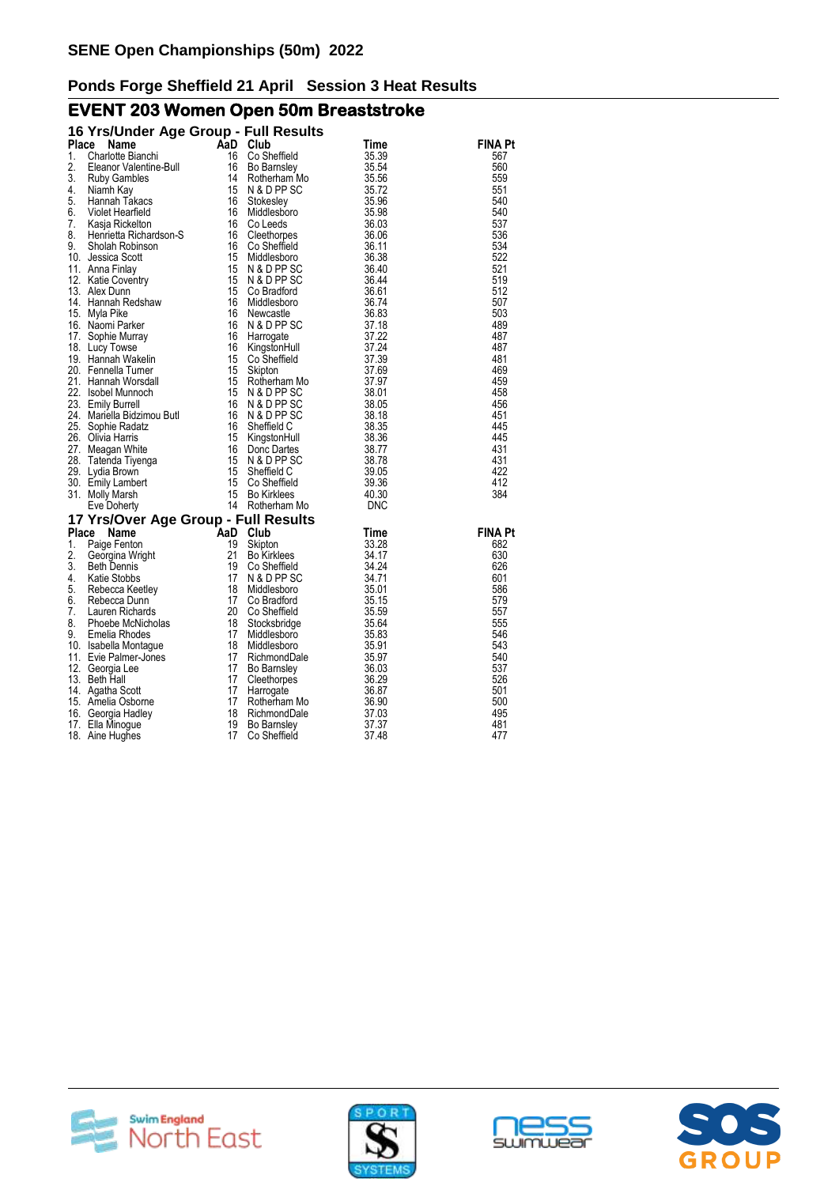# **EVENT 203 Women Open 50m Breaststroke**

| 16 Yrs/Under Age Group - Full Results                                                                                                                                                                                                                                                                                                                                                                                                                                                                                                                                                                                             |                                                                                                                                                                                                                                                      |       |                |
|-----------------------------------------------------------------------------------------------------------------------------------------------------------------------------------------------------------------------------------------------------------------------------------------------------------------------------------------------------------------------------------------------------------------------------------------------------------------------------------------------------------------------------------------------------------------------------------------------------------------------------------|------------------------------------------------------------------------------------------------------------------------------------------------------------------------------------------------------------------------------------------------------|-------|----------------|
|                                                                                                                                                                                                                                                                                                                                                                                                                                                                                                                                                                                                                                   |                                                                                                                                                                                                                                                      |       | FINA Pt        |
|                                                                                                                                                                                                                                                                                                                                                                                                                                                                                                                                                                                                                                   |                                                                                                                                                                                                                                                      |       | 567            |
|                                                                                                                                                                                                                                                                                                                                                                                                                                                                                                                                                                                                                                   |                                                                                                                                                                                                                                                      |       | 560            |
|                                                                                                                                                                                                                                                                                                                                                                                                                                                                                                                                                                                                                                   |                                                                                                                                                                                                                                                      |       | 559            |
|                                                                                                                                                                                                                                                                                                                                                                                                                                                                                                                                                                                                                                   |                                                                                                                                                                                                                                                      |       | 551            |
|                                                                                                                                                                                                                                                                                                                                                                                                                                                                                                                                                                                                                                   |                                                                                                                                                                                                                                                      |       | 540            |
|                                                                                                                                                                                                                                                                                                                                                                                                                                                                                                                                                                                                                                   |                                                                                                                                                                                                                                                      |       | 540            |
|                                                                                                                                                                                                                                                                                                                                                                                                                                                                                                                                                                                                                                   |                                                                                                                                                                                                                                                      |       | 537            |
|                                                                                                                                                                                                                                                                                                                                                                                                                                                                                                                                                                                                                                   |                                                                                                                                                                                                                                                      |       | 536            |
|                                                                                                                                                                                                                                                                                                                                                                                                                                                                                                                                                                                                                                   |                                                                                                                                                                                                                                                      |       | 534            |
|                                                                                                                                                                                                                                                                                                                                                                                                                                                                                                                                                                                                                                   |                                                                                                                                                                                                                                                      |       | 522            |
|                                                                                                                                                                                                                                                                                                                                                                                                                                                                                                                                                                                                                                   |                                                                                                                                                                                                                                                      |       | 521            |
|                                                                                                                                                                                                                                                                                                                                                                                                                                                                                                                                                                                                                                   |                                                                                                                                                                                                                                                      |       | 519            |
|                                                                                                                                                                                                                                                                                                                                                                                                                                                                                                                                                                                                                                   |                                                                                                                                                                                                                                                      |       | 512            |
|                                                                                                                                                                                                                                                                                                                                                                                                                                                                                                                                                                                                                                   |                                                                                                                                                                                                                                                      |       | 507            |
|                                                                                                                                                                                                                                                                                                                                                                                                                                                                                                                                                                                                                                   |                                                                                                                                                                                                                                                      |       | 503            |
|                                                                                                                                                                                                                                                                                                                                                                                                                                                                                                                                                                                                                                   |                                                                                                                                                                                                                                                      |       | 489            |
|                                                                                                                                                                                                                                                                                                                                                                                                                                                                                                                                                                                                                                   |                                                                                                                                                                                                                                                      |       | 487            |
|                                                                                                                                                                                                                                                                                                                                                                                                                                                                                                                                                                                                                                   |                                                                                                                                                                                                                                                      |       | 487            |
|                                                                                                                                                                                                                                                                                                                                                                                                                                                                                                                                                                                                                                   |                                                                                                                                                                                                                                                      |       | 481            |
|                                                                                                                                                                                                                                                                                                                                                                                                                                                                                                                                                                                                                                   |                                                                                                                                                                                                                                                      |       | 469            |
|                                                                                                                                                                                                                                                                                                                                                                                                                                                                                                                                                                                                                                   |                                                                                                                                                                                                                                                      |       | 459            |
|                                                                                                                                                                                                                                                                                                                                                                                                                                                                                                                                                                                                                                   |                                                                                                                                                                                                                                                      |       | 458            |
|                                                                                                                                                                                                                                                                                                                                                                                                                                                                                                                                                                                                                                   |                                                                                                                                                                                                                                                      |       | 456            |
|                                                                                                                                                                                                                                                                                                                                                                                                                                                                                                                                                                                                                                   |                                                                                                                                                                                                                                                      |       | 451            |
|                                                                                                                                                                                                                                                                                                                                                                                                                                                                                                                                                                                                                                   |                                                                                                                                                                                                                                                      |       | 445            |
|                                                                                                                                                                                                                                                                                                                                                                                                                                                                                                                                                                                                                                   |                                                                                                                                                                                                                                                      |       | 445            |
|                                                                                                                                                                                                                                                                                                                                                                                                                                                                                                                                                                                                                                   |                                                                                                                                                                                                                                                      |       | 431            |
|                                                                                                                                                                                                                                                                                                                                                                                                                                                                                                                                                                                                                                   |                                                                                                                                                                                                                                                      |       | 431            |
|                                                                                                                                                                                                                                                                                                                                                                                                                                                                                                                                                                                                                                   |                                                                                                                                                                                                                                                      |       | 422            |
|                                                                                                                                                                                                                                                                                                                                                                                                                                                                                                                                                                                                                                   |                                                                                                                                                                                                                                                      |       | 412            |
|                                                                                                                                                                                                                                                                                                                                                                                                                                                                                                                                                                                                                                   |                                                                                                                                                                                                                                                      |       | 384            |
|                                                                                                                                                                                                                                                                                                                                                                                                                                                                                                                                                                                                                                   |                                                                                                                                                                                                                                                      |       |                |
| <b>16 Yrs/Under Age Group - Full Results<br/> 16 Confield<br/> 1. Charlotte Bianchi<br/> 1. Charlotte Bianchi<br/> 1. 6 Confield<br/> 1. Time<br/> 1. Says (Subset Hearfield<br/> 1. Says (Subset Hearfield<br/> 4. Niamh Takkas<br/> 5. Notel Hearfield<br/> 1. Says Ri</b><br><b>17 Yrs/Over Age Group - Full Results<br/>Place Name AaD Club<br/>1 Paige Fenton 19 Skipton</b><br>17 Yrs/Over Age Group - Full Resul<br>1. Paige Fenton 19 Skipton<br>1. Paige Fenton 19 Skipton<br>21 Bo Kirklees<br>3. Beth Dennis<br>4. Katie Stobbs 117 N & D PP SC<br>5. Rebecca Keetley 18 Middlesboro<br>6. Rebecca Neetley 18 Middlesb |                                                                                                                                                                                                                                                      |       |                |
|                                                                                                                                                                                                                                                                                                                                                                                                                                                                                                                                                                                                                                   |                                                                                                                                                                                                                                                      | Time  | <b>FINA Pt</b> |
|                                                                                                                                                                                                                                                                                                                                                                                                                                                                                                                                                                                                                                   |                                                                                                                                                                                                                                                      | 33.28 | 682            |
|                                                                                                                                                                                                                                                                                                                                                                                                                                                                                                                                                                                                                                   |                                                                                                                                                                                                                                                      |       | 630            |
|                                                                                                                                                                                                                                                                                                                                                                                                                                                                                                                                                                                                                                   |                                                                                                                                                                                                                                                      |       | 626            |
|                                                                                                                                                                                                                                                                                                                                                                                                                                                                                                                                                                                                                                   |                                                                                                                                                                                                                                                      |       | 601            |
|                                                                                                                                                                                                                                                                                                                                                                                                                                                                                                                                                                                                                                   |                                                                                                                                                                                                                                                      |       | 586            |
|                                                                                                                                                                                                                                                                                                                                                                                                                                                                                                                                                                                                                                   |                                                                                                                                                                                                                                                      |       | 579            |
|                                                                                                                                                                                                                                                                                                                                                                                                                                                                                                                                                                                                                                   |                                                                                                                                                                                                                                                      |       | 557            |
|                                                                                                                                                                                                                                                                                                                                                                                                                                                                                                                                                                                                                                   |                                                                                                                                                                                                                                                      |       | 555<br>546     |
|                                                                                                                                                                                                                                                                                                                                                                                                                                                                                                                                                                                                                                   |                                                                                                                                                                                                                                                      |       | 543            |
|                                                                                                                                                                                                                                                                                                                                                                                                                                                                                                                                                                                                                                   |                                                                                                                                                                                                                                                      |       | 540            |
|                                                                                                                                                                                                                                                                                                                                                                                                                                                                                                                                                                                                                                   |                                                                                                                                                                                                                                                      |       | 537            |
|                                                                                                                                                                                                                                                                                                                                                                                                                                                                                                                                                                                                                                   |                                                                                                                                                                                                                                                      |       | 526            |
|                                                                                                                                                                                                                                                                                                                                                                                                                                                                                                                                                                                                                                   |                                                                                                                                                                                                                                                      |       | 501            |
|                                                                                                                                                                                                                                                                                                                                                                                                                                                                                                                                                                                                                                   |                                                                                                                                                                                                                                                      |       | 500            |
|                                                                                                                                                                                                                                                                                                                                                                                                                                                                                                                                                                                                                                   |                                                                                                                                                                                                                                                      |       | 495            |
|                                                                                                                                                                                                                                                                                                                                                                                                                                                                                                                                                                                                                                   |                                                                                                                                                                                                                                                      |       | 481            |
| 18. Aine Hughes                                                                                                                                                                                                                                                                                                                                                                                                                                                                                                                                                                                                                   | Skipton 33.28<br>Bo Kirklees 34.17<br>Co Sheffield 34.24<br>N & D PP SC 34.24<br>Middlesboro 35.01<br>Co Bradford 35.15<br>Co Sheffield 35.54<br>Stocksbridge 35.64<br>Middlesboro 35.83<br>Middlesboro 35.83<br>Middlesboro 35.83<br>Middlesboro 35 |       | 477            |







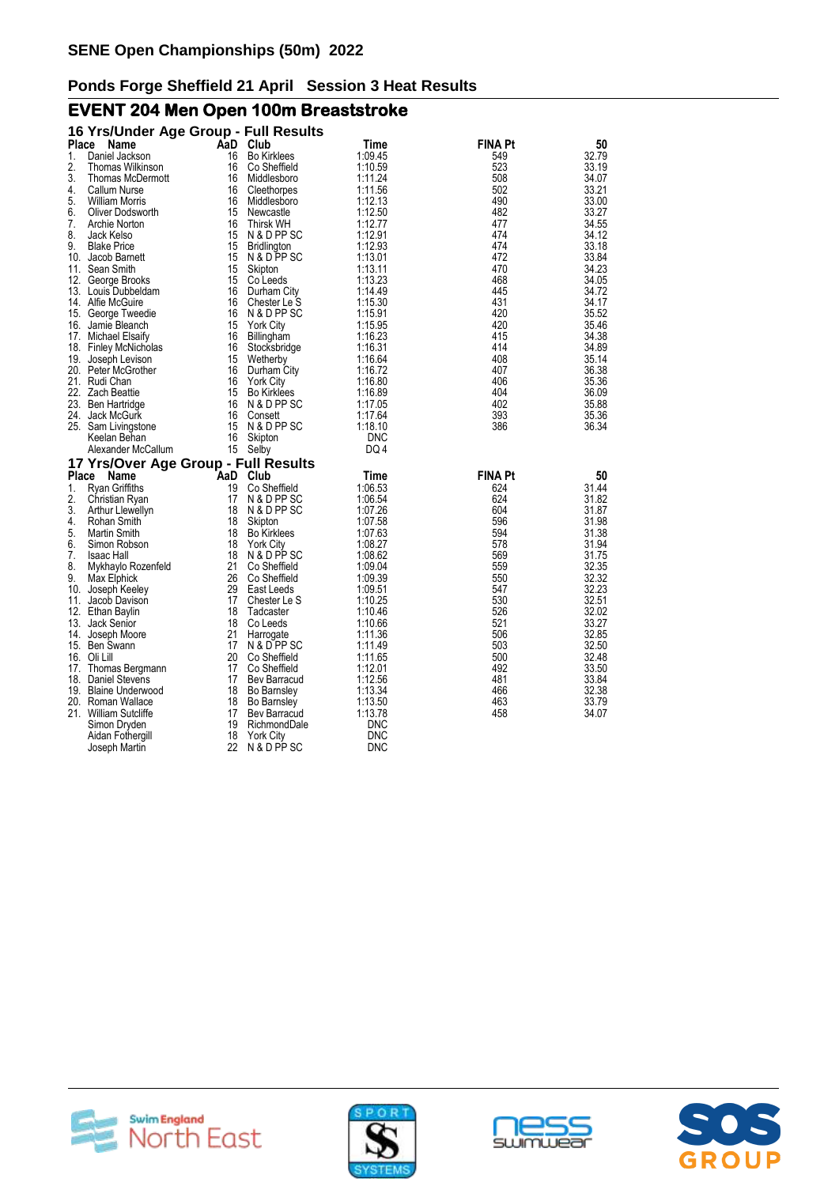# **EVENT 204 Men Open 100m Breaststroke**

|              | 16 Yrs/Under Age Group - Full Results       |          |                                 |                    |                |                |
|--------------|---------------------------------------------|----------|---------------------------------|--------------------|----------------|----------------|
| <b>Place</b> | Name                                        | AaD      | Club                            | Time               | FINA Pt        | 50             |
| 1.           | Daniel Jackson                              | 16       | <b>Bo Kirklees</b>              | 1:09.45            | 549            | 32.79          |
| 2.           | Thomas Wilkinson                            | 16       | Co Sheffield                    | 1:10.59            | 523            | 33.19          |
| 3.           | Thomas McDermott                            | 16       | Middlesboro                     | 1:11.24            | 508            | 34.07          |
| 4.           | Callum Nurse                                | 16       | Cleethorpes                     | 1:11.56            | 502            | 33.21          |
| 5.           | <b>William Morris</b>                       | 16       | Middlesboro                     | 1:12.13            | 490            | 33.00          |
| 6.           | Oliver Dodsworth                            | 15       | Newcastle                       | 1:12.50            | 482            | 33.27          |
| 7.           | Archie Norton                               | 16       | <b>Thirsk WH</b>                | 1:12.77            | 477            | 34.55          |
| 8.           | Jack Kelso                                  | 15       | N & D PP SC                     | 1:12.91            | 474            | 34.12          |
| 9.           | <b>Blake Price</b>                          | 15       | <b>Bridlington</b>              | 1:12.93            | 474            | 33.18          |
|              | 10. Jacob Barnett                           | 15       | N & D PP SC                     | 1:13.01            | 472            | 33.84          |
|              | 11. Sean Smith                              | 15       | Skipton                         | 1:13.11            | 470            | 34.23          |
|              | 12. George Brooks                           | 15       | Co Leeds                        | 1:13.23            | 468            | 34.05          |
|              | 13. Louis Dubbeldam                         | 16       | Durham City                     | 1:14.49            | 445            | 34.72          |
|              | 14. Alfie McGuire                           | 16<br>16 | Chester Le S                    | 1:15.30            | 431<br>420     | 34.17          |
|              | 15. George Tweedie<br>16. Jamie Bleanch     | 15       | N & D PP SC<br><b>York City</b> | 1:15.91<br>1:15.95 | 420            | 35.52<br>35.46 |
|              |                                             | 16       |                                 |                    | 415            |                |
|              | 17. Michael Elsaify                         | 16       | Billingham<br>Stocksbridge      | 1:16.23<br>1:16.31 | 414            | 34.38<br>34.89 |
|              | 18. Finley McNicholas<br>19. Joseph Levison | 15       | Wetherby                        | 1:16.64            | 408            | 35.14          |
|              | 20. Peter McGrother                         | 16       | Durham City                     | 1:16.72            | 407            | 36.38          |
|              | 21. Rudi Chan                               | 16       | <b>York City</b>                | 1:16.80            | 406            | 35.36          |
|              | 22. Zach Beattie                            | 15       | <b>Bo Kirklees</b>              | 1:16.89            | 404            | 36.09          |
|              | 23. Ben Hartridge                           | 16       | N & D PP SC                     | 1:17.05            | 402            | 35.88          |
|              | 24. Jack McGurk                             | 16       | Consett                         | 1:17.64            | 393            | 35.36          |
|              | 25. Sam Livingstone                         | 15       | N & D PP SC                     | 1:18.10            | 386            | 36.34          |
|              | Keelan Behan                                | 16       | Skipton                         | <b>DNC</b>         |                |                |
|              | Alexander McCallum                          |          | 15 Selby                        | DQ 4               |                |                |
|              | 17 Yrs/Over Age Group - Full Results        |          |                                 |                    |                |                |
| Place        | <b>Name</b>                                 | AaD      | Club                            | Time               | <b>FINA Pt</b> | 50             |
| 1.           | <b>Ryan Griffiths</b>                       | 19       | Co Sheffield                    | 1:06.53            | 624            | 31.44          |
| 2.           | Christian Ryan                              | 17       | N & D PP SC                     | 1:06.54            | 624            | 31.82          |
| 3.           | Arthur Llewellyn                            | 18       | N & D PP SC                     | 1:07.26            | 604            | 31.87          |
| 4.           | Rohan Smith                                 | 18       | Skipton                         | 1:07.58            | 596            | 31.98          |
| 5.           | Martin Smith                                | 18       | <b>Bo Kirklees</b>              | 1:07.63            | 594            | 31.38          |
| 6.           | Simon Robson                                | 18       | <b>York City</b>                | 1:08.27            | 578            | 31.94          |
| 7.           | <b>Isaac Hall</b>                           | 18       | N & D PP SC                     | 1:08.62            | 569            | 31.75          |
| 8.           | Mykhaylo Rozenfeld                          | 21       | Co Sheffield                    | 1:09.04            | 559            | 32.35          |
| 9.           | Max Elphick                                 | 26       | Co Sheffield                    | 1:09.39            | 550            | 32.32          |
|              | 10. Joseph Keeley                           | 29       | East Leeds                      | 1:09.51            | 547            | 32.23          |
|              | 11. Jacob Davison                           | 17<br>18 | Chester Le S                    | 1:10.25<br>1:10.46 | 530<br>526     | 32.51          |
|              | 12. Ethan Baylin<br>13. Jack Senior         | 18       | Tadcaster<br>Co Leeds           | 1:10.66            | 521            | 32.02<br>33.27 |
|              | 14. Joseph Moore                            | 21       | Harrogate                       | 1:11.36            | 506            | 32.85          |
|              | 15. Ben Swann                               | 17       | N & D PP SC                     | 1:11.49            | 503            | 32.50          |
|              | 16. Oli Lill                                | 20       | Co Sheffield                    | 1:11.65            | 500            | 32.48          |
|              | 17. Thomas Bergmann                         | 17       | Co Sheffield                    | 1:12.01            | 492            | 33.50          |
|              | 18. Daniel Stevens                          | 17       | Bev Barracud                    | 1:12.56            | 481            | 33.84          |
|              | 19. Blaine Underwood                        | 18       | <b>Bo Barnsley</b>              | 1:13.34            | 466            | 32.38          |
|              | 20. Roman Wallace                           | 18       | <b>Bo Barnsley</b>              | 1:13.50            | 463            | 33.79          |
|              | 21. William Sutcliffe                       | 17       | <b>Bev Barracud</b>             | 1:13.78            | 458            | 34.07          |
|              | Simon Dryden                                | 19       | RichmondDale                    | DNC                |                |                |
|              | Aidan Fothergill                            | 18       | <b>York City</b>                | DNC                |                |                |
|              | Joseph Martin                               | 22       | N & D PP SC                     | <b>DNC</b>         |                |                |







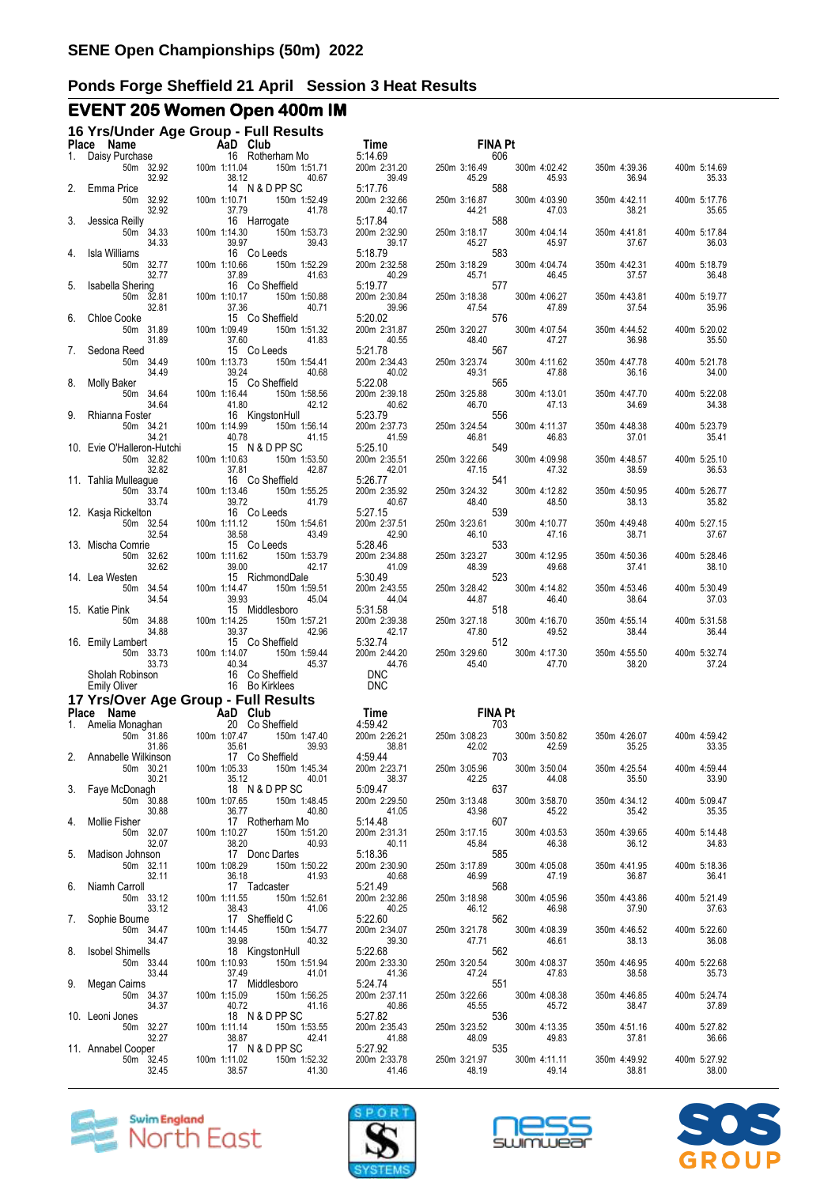# **EVENT 205 Women Open 400m IM**

|       | 16 Yrs/Under Age Group - Full Results<br>Place Name | AaD Club                                 |                                         | Time                                | <b>FINA Pt</b>                       |                       |                       |                       |
|-------|-----------------------------------------------------|------------------------------------------|-----------------------------------------|-------------------------------------|--------------------------------------|-----------------------|-----------------------|-----------------------|
| 1.    | Daisy Purchase<br>50m 32.92<br>32.92                | 16 Rotherham Mo<br>100m 1:11.04<br>38.12 | 150m 1:51.71<br>40.67                   | 5:14.69<br>200m 2:31.20<br>39.49    | 606<br>250m 3:16.49<br>45.29         | 300m 4:02.42<br>45.93 | 350m 4:39.36<br>36.94 | 400m 5:14.69<br>35.33 |
| 2.    | Emma Price<br>50m 32.92                             | 14 N & D PP SC<br>100m 1:10.71           | 150m 1:52.49                            | 5:17.76<br>200m 2:32.66             | 588<br>250m 3:16.87                  | 300m 4:03.90          | 350m 4:42.11          | 400m 5:17.76          |
| 3.    | 32.92<br>Jessica Reilly<br>50m 34.33                | 37.79<br>16 Harrogate<br>100m 1:14.30    | 41.78<br>150m 1:53.73                   | 40.17<br>5:17.84<br>200m 2:32.90    | 44.21<br>588<br>250m 3:18.17         | 47.03<br>300m 4:04.14 | 38.21<br>350m 4:41.81 | 35.65<br>400m 5:17.84 |
| 4.    | 34.33<br>Isla Williams<br>50m 32.77                 | 39.97<br>16 Co Leeds<br>100m 1:10.66     | 39.43<br>150m 1:52.29                   | 39.17<br>5:18.79<br>200m 2:32.58    | 45.27<br>583<br>250m 3:18.29         | 45.97<br>300m 4:04.74 | 37.67<br>350m 4:42.31 | 36.03<br>400m 5:18.79 |
| 5.    | 32.77<br>Isabella Shering                           | 37.89<br>16 Co Sheffield                 | 41.63                                   | 40.29<br>5:19.77                    | 45.71<br>577                         | 46.45                 | 37.57                 | 36.48                 |
| 6.    | 50m 32.81<br>32.81<br><b>Chloe Cooke</b>            | 100m 1:10.17<br>37.36<br>15 Co Sheffield | 150m 1:50.88<br>40.71                   | 200m 2:30.84<br>39.96<br>5:20.02    | 250m 3:18.38<br>47.54<br>576         | 300m 4:06.27<br>47.89 | 350m 4:43.81<br>37.54 | 400m 5:19.77<br>35.96 |
|       | 50m 31.89<br>31.89<br>Sedona Reed                   | 100m 1:09.49<br>37.60<br>15 Co Leeds     | 150m 1:51.32<br>41.83                   | 200m 2:31.87<br>40.55<br>5:21.78    | 250m 3:20.27<br>48.40<br>567         | 300m 4:07.54<br>47.27 | 350m 4:44.52<br>36.98 | 400m 5:20.02<br>35.50 |
| 8.    | 50m 34.49<br>34.49<br>Molly Baker                   | 100m 1:13.73<br>39.24<br>15 Co Sheffield | 150m 1:54.41<br>40.68                   | 200m 2:34.43<br>40.02<br>5:22.08    | 250m 3:23.74<br>49.31<br>565         | 300m 4:11.62<br>47.88 | 350m 4:47.78<br>36.16 | 400m 5:21.78<br>34.00 |
|       | 50m 34.64<br>34.64                                  | 100m 1:16.44<br>41.80                    | 150m 1:58.56<br>42.12                   | 200m 2:39.18<br>40.62               | 250m 3:25.88<br>46.70                | 300m 4:13.01<br>47.13 | 350m 4:47.70<br>34.69 | 400m 5:22.08<br>34.38 |
| 9.    | Rhianna Foster<br>50m 34.21<br>34.21                | 16 KingstonHull<br>100m 1:14.99<br>40.78 | 150m 1:56.14<br>41.15                   | 5:23.79<br>200m 2:37.73<br>41.59    | 556<br>250m 3:24.54<br>46.81         | 300m 4:11.37<br>46.83 | 350m 4:48.38<br>37.01 | 400m 5:23.79<br>35.41 |
|       | 10. Evie O'Halleron-Hutchi<br>50m 32.82<br>32.82    | 15 N & D PP SC<br>100m 1:10.63<br>37.81  | 150m 1:53.50<br>42.87                   | 5:25.10<br>200m 2:35.51<br>42.01    | 549<br>250m 3:22.66<br>47.15         | 300m 4:09.98<br>47.32 | 350m 4:48.57<br>38.59 | 400m 5:25.10<br>36.53 |
|       | 11. Tahlia Mulleague<br>50m 33.74                   | 16 Co Sheffield<br>100m 1:13.46          | 150m 1:55.25<br>41.79                   | 5:26.77<br>200m 2:35.92             | 541<br>250m 3:24.32<br>48.40         | 300m 4:12.82<br>48.50 | 350m 4:50.95<br>38.13 | 400m 5:26.77          |
|       | 33.74<br>12. Kasja Rickelton<br>50m 32.54           | 39.72<br>16 Co Leeds<br>100m 1:11.12     | 150m 1:54.61                            | 40.67<br>5:27.15<br>200m 2:37.51    | 539<br>250m 3:23.61                  | 300m 4:10.77          | 350m 4:49.48          | 35.82<br>400m 5:27.15 |
|       | 32.54<br>13. Mischa Comrie<br>50m 32.62             | 38.58<br>15 Co Leeds<br>100m 1:11.62     | 43.49<br>150m 1:53.79                   | 42.90<br>5:28.46<br>200m 2:34.88    | 46.10<br>533<br>250m 3:23.27         | 47.16<br>300m 4:12.95 | 38.71<br>350m 4:50.36 | 37.67<br>400m 5:28.46 |
|       | 32.62<br>14. Lea Westen<br>50m 34.54                | 39.00<br>15 RichmondDale<br>100m 1:14.47 | 42.17<br>150m 1:59.51                   | 41.09<br>5:30.49<br>200m 2:43.55    | 48.39<br>523<br>250m 3:28.42         | 49.68<br>300m 4:14.82 | 37.41<br>350m 4:53.46 | 38.10<br>400m 5:30.49 |
|       | 34.54<br>15. Katie Pink                             | 39.93<br>15 Middlesboro                  | 45.04                                   | 44.04<br>5:31.58                    | 44.87<br>518                         | 46.40                 | 38.64                 | 37.03                 |
|       | 50m 34.88<br>34.88<br>16. Emily Lambert             | 100m 1:14.25<br>39.37<br>15 Co Sheffield | 150m 1:57.21<br>42.96                   | 200m 2:39.38<br>42.17<br>5:32.74    | 250m 3:27.18<br>47.80<br>512         | 300m 4:16.70<br>49.52 | 350m 4:55.14<br>38.44 | 400m 5:31.58<br>36.44 |
|       | 50m 33.73<br>33.73<br>Sholah Robinson               | 100m 1:14.07<br>40.34<br>16 Co Sheffield | 150m 1:59.44<br>45.37                   | 200m 2:44.20<br>44.76<br><b>DNC</b> | 250m 3:29.60<br>45.40                | 300m 4:17.30<br>47.70 | 350m 4:55.50<br>38.20 | 400m 5:32.74<br>37.24 |
|       | <b>Emily Oliver</b>                                 | 16 Bo Kirklees                           |                                         | <b>DNC</b>                          |                                      |                       |                       |                       |
| Place | 17 Yrs/Over Age Group - Full Results<br>Name        | <b>Exalt Club</b>                        |                                         | Time                                | <b>FINA Pt</b>                       |                       |                       |                       |
| 1.    | Amelia Monaghan<br>50m 31.86<br>31.86               | 20 Co Sheffield<br>100m 1:07.47<br>35.61 | 150m 1:47.40<br>39.93                   | 4:59.42<br>200m 2:26.21<br>38.81    | 703<br>250m 3:08.23<br>42.02         | 300m 3:50.82<br>42.59 | 350m 4:26.07<br>35.25 | 400m 4:59.42<br>33.35 |
| 2.    | Annabelle Wilkinson<br>50m 30.21<br>30.21           | 17 Co Sheffield<br>100m 1:05.33          | 150m 1:45.34<br>35.12 40.01             | 4:59.44<br>200m 2:23.71<br>38.37    | 703<br>250m 3:05.96 300<br>42.25 637 | 300m 3:50.04          | 350m 4:25.54          | 400m 4:59.44<br>33.90 |
| 3.    | Faye McDonagh<br>50m 30.88                          | 100m 1:07.65                             | 18 N & D PP SC<br>150m 1:48.45          | 5:09.47<br>200m 2:29.50             | 250m 3:13.48                         | 44.08<br>300m 3:58.70 | 35.50<br>350m 4:34.12 | 400m 5:09.47          |
| 4.    | 30.88<br>Mollie Fisher<br>50m 32.07                 | 36.77<br>17 Rotherham Mo<br>100m 1:10.27 | 40.80<br>150m 1:51.20                   | 41.05<br>5:14.48<br>200m 2:31.31    | 43.98<br>607<br>250m 3:17.15         | 45.22<br>300m 4:03.53 | 35.42<br>350m 4:39.65 | 35.35<br>400m 5:14.48 |
| 5.    | 32.07<br>Madison Johnson<br>50m 32.11               | 38.20<br>17 Donc Dartes<br>100m 1:08.29  | 40.93<br>150m 1:50.22                   | 40.11<br>5:18.36<br>200m 2:30.90    | 45.84<br>585<br>585                  | 46.38<br>300m 4:05.08 | 36.12<br>350m 4:41.95 | 34.83<br>400m 5:18.36 |
| 6.    | 32.11<br>Niamh Carroll                              | 36.18<br>17 Tadcaster                    | 41.93                                   | 40.68<br>5:21.49                    | 250m 3:17.89 300<br>46.99 568        | 47.19                 | 36.87                 | 36.41                 |
| 7.    | 50m 33.12<br>33.12<br>Sophie Bourne                 | 100m 1:11.55<br>38.43<br>17 Sheffield C  | 150m 1:52.61<br>41.06                   | 200m 2:32.86<br>40.25<br>5:22.60    | 250m 3:18.98<br>46.12<br>562         | 300m 4:05.96<br>46.98 | 350m 4:43.86<br>37.90 | 400m 5:21.49<br>37.63 |
| 8.    | 50m 34.47<br>34.47<br><b>Isobel Shimells</b>        | 100m 1:14.45<br>39.98<br>18 KingstonHull | 150m 1:54.77<br>40.32                   | 200m 2:34.07<br>39.30<br>5:22.68    | 250m 3:21.78<br>47.71<br>562<br>562  | 300m 4:08.39<br>46.61 | 350m 4:46.52<br>38.13 | 400m 5:22.60<br>36.08 |
| 9.    | 50m 33.44<br>33.44<br>Megan Cairns                  | 100m 1:10.93<br>37.49<br>17 Middlesboro  | 150m 1:51.94<br>41.01                   | 200m 2:33.30<br>41.36<br>5:24.74    | 250m 3:20.54<br>47.24<br>551         | 300m 4:08.37<br>47.83 | 350m 4:46.95<br>38.58 | 400m 5:22.68<br>35.73 |
|       | 50m 34.37<br>34.37                                  | 100m 1:15.09<br>40.72                    | 150m 1:56.25<br>41.16                   | 200m 2:37.11<br>40.86               | 250m 3:22.66<br>45.55                | 300m 4:08.38<br>45.72 | 350m 4:46.85<br>38.47 | 400m 5:24.74<br>37.89 |
|       | 10. Leoni Jones<br>50m 32.27<br>32.27               | 18 N & D PP SC<br>100m 1:11.14<br>38.87  | 150m 1:53.55<br>42.41                   | 5:27.82<br>200m 2:35.43<br>41.88    | 536<br>250m 3:23.52<br>48.09         | 300m 4:13.35<br>49.83 | 350m 4:51.16<br>37.81 | 400m 5:27.82<br>36.66 |
|       | 11. Annabel Cooper<br>50m 32.45<br>32.45            | 100m 1:11.02<br>38.57                    | 17 N & D PP SC<br>150m 1:52.32<br>41.30 | 5:27.92<br>200m 2:33.78<br>41.46    | 535<br>250m 3:21.97<br>48.19         | 300m 4:11.11<br>49.14 | 350m 4:49.92<br>38.81 | 400m 5:27.92<br>38.00 |







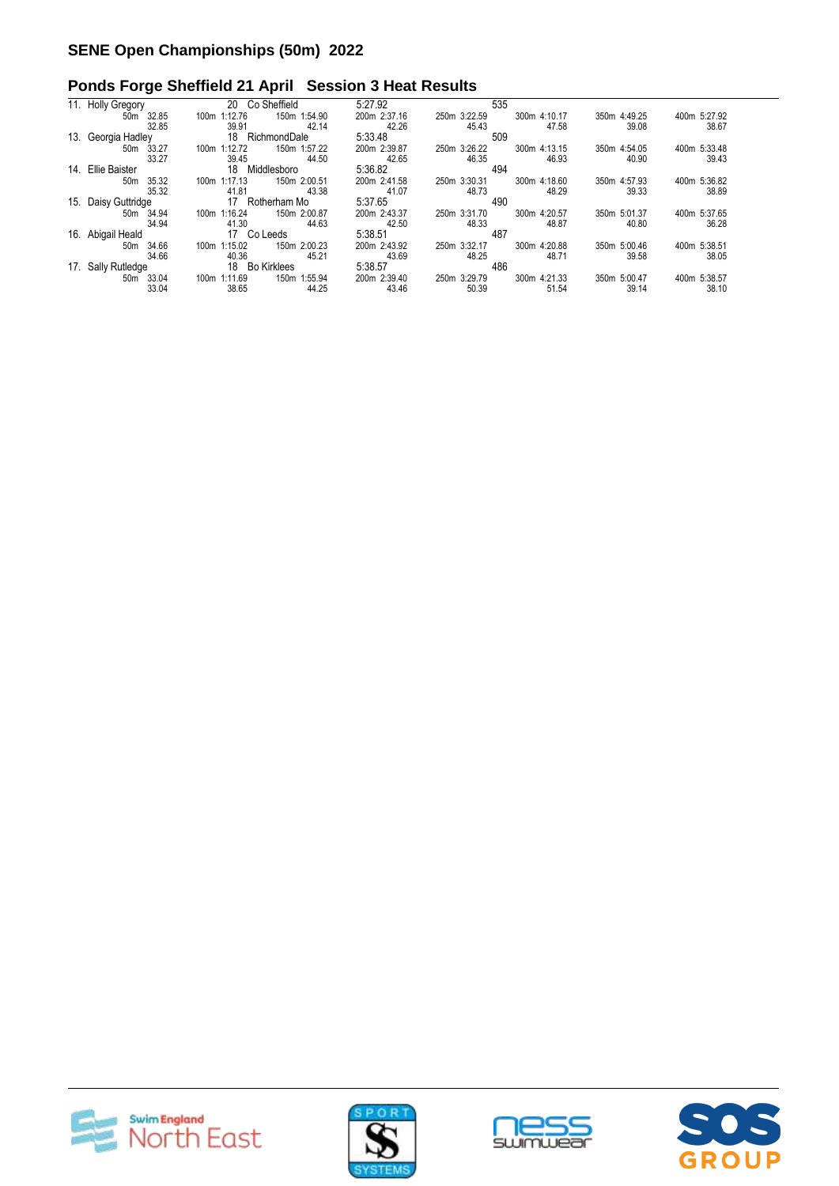|                       | 20 Co Sheffield                                                                                                                | 5:27.92         | 535                          |                              |
|-----------------------|--------------------------------------------------------------------------------------------------------------------------------|-----------------|------------------------------|------------------------------|
| 50m 32.85             | 150m 1:54.90<br>1:12.76<br>100m                                                                                                | 200m 2:37.16    | 300m 4:10.17<br>250m 3:22.59 | 350m 4:49.25<br>400m 5:27.92 |
| 32.85                 | 39.91<br>42.14                                                                                                                 | 42.26           | 45.43<br>47.58               | 39.08<br>38.67               |
|                       |                                                                                                                                |                 |                              |                              |
| 50m 33.27             | 150m 1:57.22<br>1:12.72<br>100m                                                                                                | 200m 2:39.87    | 300m 4:13.15<br>250m 3:26.22 | 400m 5:33.48<br>350m 4:54.05 |
| 33.27                 | 39.45<br>44.50                                                                                                                 | 42.65           | 46.35<br>46.93               | 40.90<br>39.43               |
|                       | 18 Middlesboro                                                                                                                 | 5:36.82         | 494                          |                              |
| 35.32<br>50m          | 150m 2:00.51<br>1:17.13<br>100m                                                                                                | 200m 2:41.58    | 300m 4:18.60<br>250m 3:30.31 | 400m 5:36.82<br>350m 4:57.93 |
| 35.32                 | 41.81<br>43.38                                                                                                                 | 41.07           | 48.73<br>48.29               | 38.89<br>39.33               |
|                       | 17 Rotherham Mo                                                                                                                | 5:37.65         | 490                          |                              |
| 50m 34.94             | 1:16.24<br>150m 2:00.87<br>100m                                                                                                | 200m 2:43.37    | 300m 4:20.57<br>250m 3:31.70 | 350m 5:01.37<br>400m 5:37.65 |
| 34.94                 | 41.30<br>44.63                                                                                                                 | 42.50           | 48.33<br>48.87               | 36.28<br>40.80               |
|                       | 17 Co Leeds                                                                                                                    | 5:38.51         | 487                          |                              |
| 50m 34.66             | 150m 2:00.23<br>100m 1:15.02                                                                                                   | 200m 2:43.92    | 300m 4:20.88<br>250m 3:32.17 | 350m 5:00.46<br>400m 5:38.51 |
| 34.66                 | 40.36<br>45.21                                                                                                                 | 43.69           | 48.25<br>48.71               | 38.05<br>39.58               |
|                       | 18 Bo Kirklees                                                                                                                 | 5:38.57         | 486                          |                              |
| 50 <sub>m</sub> 33.04 | 150m 1:55.94<br>100m 1:11.69                                                                                                   | 200m 2:39.40    | 300m 4:21.33<br>250m 3:29.79 | 350m 5:00.47<br>400m 5:38.57 |
| 33.04                 | 38.65<br>44.25                                                                                                                 | 43.46           | 51.54<br>50.39               | 38.10<br>39.14               |
|                       | 11. Holly Gregory<br>13. Georgia Hadley<br>14. Ellie Baister<br>15. Daisy Guttridge<br>16. Abigail Heald<br>17. Sally Rutledge | 18 RichmondDale | 5:33.48                      | 509                          |







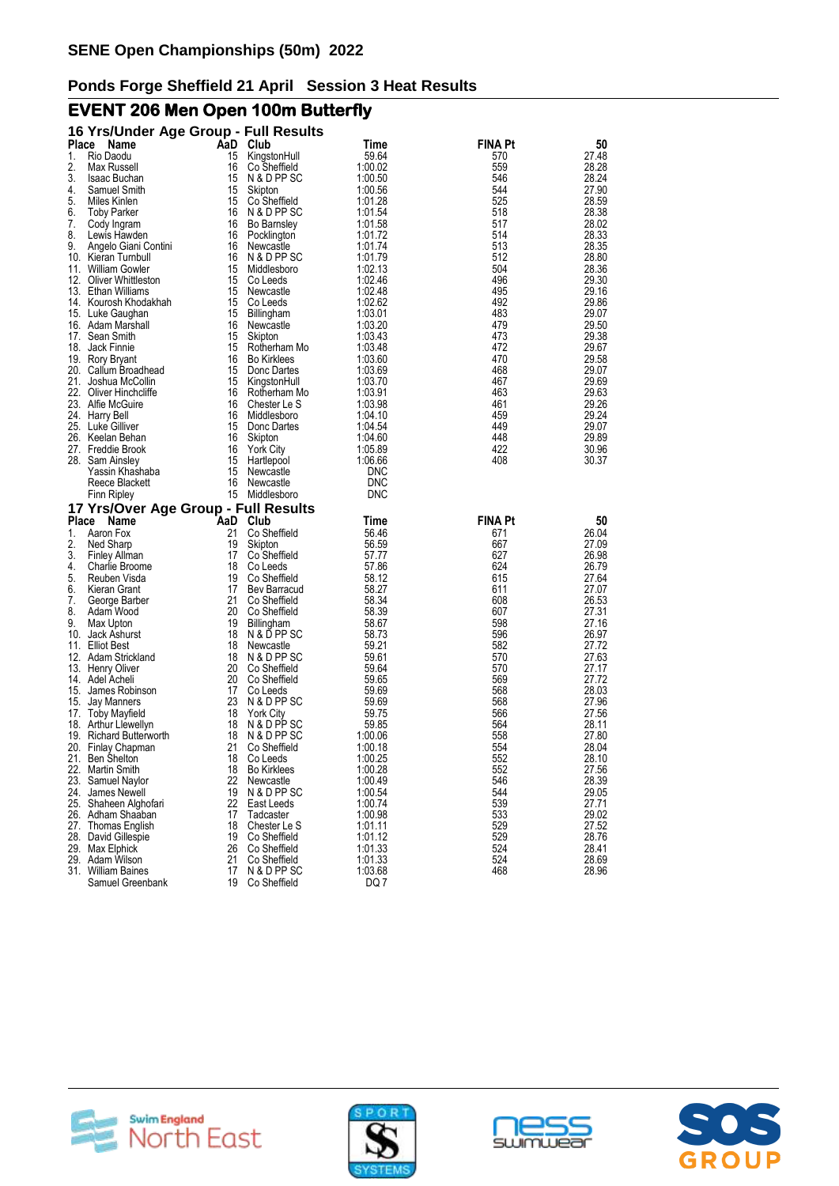# **EVENT 206 Men Open 100m Butterfly**

|            | 16 Yrs/Under Age Group - Full Results           |     |                    |            |                |       |
|------------|-------------------------------------------------|-----|--------------------|------------|----------------|-------|
| Place      | Name                                            | AaD | Club               | Time       | FINA Pt        | 50    |
| 1.         | Rio Daodu                                       | 15  | KingstonHull       | 59.64      | 570            | 27.48 |
| 2.         | Max Russell                                     | 16  | Co Sheffield       | 1:00.02    | 559            | 28.28 |
| 3.         | Isaac Buchan                                    | 15  | N & D PP SC        | 1:00.50    | 546            | 28.24 |
| 4.         | Samuel Smith                                    | 15  | Skipton            | 1:00.56    | 544            | 27.90 |
| 5.         | Miles Kinlen                                    | 15  | Co Sheffield       | 1:01.28    | 525            | 28.59 |
| 6.         | <b>Toby Parker</b>                              | 16  | N & D PP SC        | 1:01.54    | 518            | 28.38 |
| 7.         | Cody Ingram                                     | 16  | <b>Bo Barnsley</b> | 1:01.58    | 517            | 28.02 |
| 8.         | Lewis Hawden                                    | 16  | Pocklington        | 1:01.72    | 514            | 28.33 |
| 9.         | Angelo Giani Contini                            | 16  | Newcastle          | 1:01.74    | 513            | 28.35 |
|            | 10. Kieran Turnbull                             | 16  | N & D PP SC        | 1:01.79    | 512            | 28.80 |
| 11.        | <b>William Gowler</b>                           | 15  | Middlesboro        | 1:02.13    | 504            | 28.36 |
|            | 12. Oliver Whittleston                          | 15  | Co Leeds           | 1:02.46    | 496            | 29.30 |
|            | 13. Ethan Williams                              | 15  | Newcastle          | 1:02.48    | 495            | 29.16 |
|            | 14. Kourosh Khodakhah                           | 15  | Co Leeds           | 1:02.62    | 492            | 29.86 |
|            | 15. Luke Gaughan                                | 15  | <b>Billingham</b>  | 1:03.01    | 483            | 29.07 |
|            | 16. Adam Marshall                               | 16  | Newcastle          | 1:03.20    | 479            | 29.50 |
| 17.        | Sean Smith                                      | 15  | Skipton            | 1:03.43    | 473            | 29.38 |
| 18.        | Jack Finnie                                     | 15  | Rotherham Mo       | 1:03.48    | 472            | 29.67 |
|            | 19. Rory Bryant                                 | 16  | <b>Bo Kirklees</b> | 1:03.60    | 470            | 29.58 |
|            | 20. Callum Broadhead                            | 15  | Donc Dartes        | 1:03.69    | 468            | 29.07 |
| 21.        | Joshua McCollin                                 | 15  | KingstonHull       | 1:03.70    | 467            | 29.69 |
|            | 22. Oliver Hinchcliffe                          | 16  | Rotherham Mo       | 1:03.91    | 463            | 29.63 |
|            | 23. Alfie McGuire                               | 16  | Chester Le S       | 1:03.98    | 461            | 29.26 |
|            | 24. Harry Bell                                  | 16  | Middlesboro        | 1:04.10    | 459            | 29.24 |
|            | 25. Luke Gilliver                               | 15  | Donc Dartes        | 1:04.54    | 449            | 29.07 |
|            | 26. Keelan Behan                                | 16  | Skipton            | 1:04.60    | 448            | 29.89 |
|            | 27. Freddie Brook                               | 16  | <b>York City</b>   | 1:05.89    | 422            | 30.96 |
|            | 28. Sam Ainsley                                 | 15  | Hartlepool         | 1:06.66    | 408            | 30.37 |
|            | Yassin Khashaba                                 | 15  | Newcastle          | <b>DNC</b> |                |       |
|            | Reece Blackett                                  | 16  | Newcastle          | <b>DNC</b> |                |       |
|            | Finn Ripley                                     |     | 15 Middlesboro     | <b>DNC</b> |                |       |
|            |                                                 |     |                    |            |                |       |
|            |                                                 |     |                    |            |                |       |
| Place      | 17 Yrs/Over Age Group - Full Results<br>Name    | AaD | Club               | Time       | <b>FINA Pt</b> | 50    |
| 1.         | Aaron Fox                                       | 21  | Co Sheffield       | 56.46      | 671            | 26.04 |
| 2.         | Ned Sharp                                       | 19  | Skipton            | 56.59      | 667            | 27.09 |
| 3.         | Finley Allman                                   | 17  | Co Sheffield       | 57.77      | 627            | 26.98 |
| 4.         | Charlie Broome                                  | 18  | Co Leeds           | 57.86      | 624            | 26.79 |
| 5.         | Reuben Visda                                    | 19  | Co Sheffield       | 58.12      | 615            | 27.64 |
| 6.         | Kieran Grant                                    | 17  | Bev Barracud       | 58.27      | 611            | 27.07 |
| 7.         | George Barber                                   | 21  | Co Sheffield       | 58.34      | 608            | 26.53 |
| 8.         | Adam Wood                                       | 20  | Co Sheffield       | 58.39      | 607            | 27.31 |
| 9.         | Max Upton                                       | 19  | Billingham         | 58.67      | 598            | 27.16 |
| 10.        | Jack Ashurst                                    | 18  | N & D PP SC        | 58.73      | 596            | 26.97 |
| 11.        | Elliot Best                                     | 18  | Newcastle          | 59.21      | 582            | 27.72 |
| 12.        | Adam Strickland                                 | 18  | N & D PP SC        | 59.61      | 570            | 27.63 |
|            | 13. Henry Oliver                                | 20  | Co Sheffield       | 59.64      | 570            | 27.17 |
|            | 14. Adel Acheli                                 | 20  | Co Sheffield       | 59.65      | 569            | 27.72 |
| 15.        | James Robinson                                  | 17  | Co Leeds           | 59.69      | 568            | 28.03 |
| 15.        | Jay Manners                                     | 23  | N & D PP SC        | 59.69      | 568            | 27.96 |
| 17.        | <b>Toby Mayfield</b>                            | 18  | <b>York City</b>   | 59.75      | 566            | 27.56 |
|            |                                                 | 18  | N & D PP SC        | 59.85      | 564            | 28.11 |
|            | 18. Arthur Llewellyn<br>19. Richard Butterworth | 18  | N & D PP SC        | 1:00.06    | 558            | 27.80 |
|            |                                                 | 21  | Co Sheffield       | 1:00.18    | 554            | 28.04 |
|            | 20. Finlay Chapman<br>21. Ben Shelton           | 18  | Co Leeds           | 1:00.25    |                | 28.10 |
|            | 22. Martin Smith                                | 18  | <b>Bo Kirklees</b> | 1:00.28    | 552<br>552     | 27.56 |
|            | Samuel Navlor                                   | 22  | Newcastle          | 1:00.49    | 546            | 28.39 |
| 23.<br>24. | James Newell                                    | 19  | N & D PP SC        | 1:00.54    | 544            | 29.05 |
| 25.        | Shaheen Alghofari                               | 22  | East Leeds         | 1:00.74    | 539            | 27.71 |
|            | 26. Adham Shaaban                               | 17  | Tadcaster          | 1:00.98    | 533            | 29.02 |
| 27.        | Thomas English                                  | 18  | Chester Le S       | 1:01.11    | 529            | 27.52 |
| 28.        | David Gillespie                                 | 19  | Co Sheffield       | 1:01.12    |                | 28.76 |
| 29.        | Max Elphick                                     | 26  | Co Sheffield       | 1:01.33    | 529<br>524     | 28.41 |
|            | 29. Adam Wilson                                 | 21  | Co Sheffield       | 1:01.33    | 524            | 28.69 |
|            | 31. William Baines                              | 17  | N & D PP SC        | 1:03.68    | 468            | 28.96 |







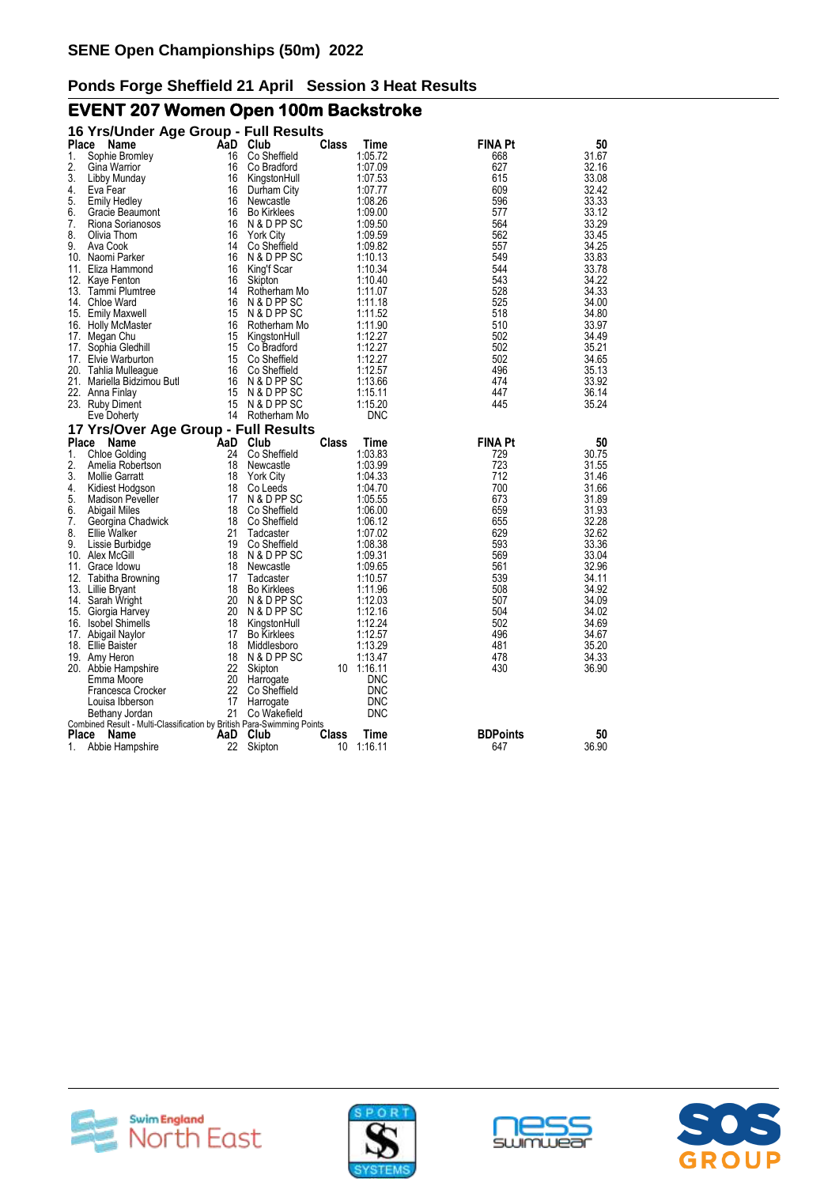# **EVENT 207 Women Open 100m Backstroke**

|                    | 16 Yrs/Under Age Group - Full Results                                  |           |                            |             |                    |                        |                |
|--------------------|------------------------------------------------------------------------|-----------|----------------------------|-------------|--------------------|------------------------|----------------|
| <b>Place</b>       | Name                                                                   | AaD       | Club                       | Class       | Time               | FINA Pt                | 50             |
| 1.                 | Sophie Bromley                                                         | 16        | Co Sheffield               |             | 1:05.72            | 668                    | 31.67          |
| 2.                 | Gina Warrior                                                           | 16        | Co Bradford                |             | 1:07.09            | 627                    | 32.16          |
| 3.                 | Libby Munday                                                           | 16        | KingstonHull               |             | 1:07.53            | 615                    | 33.08          |
| 4.                 | Eva Fear                                                               | 16        | Durham City                |             | 1:07.77            | 609                    | 32.42          |
| 5.                 | <b>Emily Hedley</b>                                                    | 16        | Newcastle                  |             | 1:08.26            | 596                    | 33.33          |
| 6.                 | Gracie Beaumont                                                        | 16        | <b>Bo Kirklees</b>         |             | 1:09.00            | 577                    | 33.12          |
| 7.                 | Riona Sorianosos                                                       | 16        | N & D PP SC                |             | 1:09.50            | 564                    | 33.29          |
| 8.                 | Olivia Thom                                                            | 16        | <b>York City</b>           |             | 1:09.59            | 562                    | 33.45          |
| 9.                 | Ava Cook                                                               | 14        | Co Sheffield               |             | 1:09.82            | 557                    | 34.25          |
|                    | 10. Naomi Parker                                                       | 16        | N & D PP SC                |             | 1:10.13            | 549                    | 33.83          |
| 11.                | Eliza Hammond                                                          | 16        | King'f Scar                |             | 1:10.34            | 544                    | 33.78          |
|                    | 12. Kaye Fenton                                                        | 16        | Skipton                    |             | 1:10.40            | 543                    | 34.22          |
|                    | 13. Tammi Plumtree                                                     | 14        | Rotherham Mo               |             | 1:11.07            | 528                    | 34.33          |
|                    | 14. Chloe Ward                                                         | 16        | N & D PP SC                |             | 1:11.18            | 525                    | 34.00          |
|                    | 15. Emily Maxwell                                                      | 15        | N & D PP SC                |             | 1:11.52            | 518                    | 34.80          |
|                    | 16. Holly McMaster                                                     | 16        | Rotherham Mo               |             | 1:11.90            | 510                    | 33.97          |
| 17.                | Megan Chu                                                              | 15        | KingstonHull               |             | 1:12.27            | 502                    | 34.49          |
| 17.                | Sophia Gledhill                                                        | 15        | Co Bradford                |             | 1:12.27            | 502                    | 35.21          |
|                    | 17. Elvie Warburton                                                    | 15        | Co Sheffield               |             | 1:12.27            | 502                    | 34.65          |
|                    | 20. Tahlia Mulleague                                                   | 16        | Co Sheffield               |             | 1:12.57            | 496                    | 35.13          |
|                    | 21. Mariella Bidzimou Butl                                             | 16        | N & D PP SC                |             | 1:13.66            | 474                    | 33.92          |
|                    | 22. Anna Finlay                                                        | 15<br>15  | N & D PP SC<br>N & D PP SC |             | 1:15.11<br>1:15.20 | 447<br>445             | 36.14<br>35.24 |
|                    | 23. Ruby Diment                                                        |           | 14 Rotherham Mo            |             | <b>DNC</b>         |                        |                |
|                    | Eve Doherty                                                            |           |                            |             |                    |                        |                |
| Place              | 17 Yrs/Over Age Group - Full Results<br>Name                           | AaD       | Club                       | Class       | Time               | <b>FINA Pt</b>         | 50             |
| 1.                 | <b>Chloe Golding</b>                                                   | 24        | Co Sheffield               |             | 1:03.83            | 729                    | 30.75          |
| 2.                 | Amelia Robertson                                                       | 18        | Newcastle                  |             | 1:03.99            | 723                    | 31.55          |
| 3.                 | <b>Mollie Garratt</b>                                                  | 18        | <b>York City</b>           |             | 1:04.33            | 712                    | 31.46          |
| 4.                 | Kidiest Hodgson                                                        | 18        | Co Leeds                   |             | 1:04.70            | 700                    | 31.66          |
| 5.                 | <b>Madison Peveller</b>                                                | 17        | N & D PP SC                |             | 1:05.55            | 673                    | 31.89          |
| 6.                 | <b>Abigail Miles</b>                                                   | 18        | Co Sheffield               |             | 1:06.00            | 659                    | 31.93          |
| 7.                 | Georgina Chadwick                                                      | 18        | Co Sheffield               |             | 1:06.12            | 655                    | 32.28          |
| 8.                 | Ellie Walker                                                           | 21        | Tadcaster                  |             | 1:07.02            | 629                    | 32.62          |
| 9.                 | Lissie Burbidge                                                        | 19        | Co Sheffield               |             | 1:08.38            | 593                    | 33.36          |
|                    | 10. Alex McGill                                                        | 18        | N & D PP SC                |             | 1:09.31            | 569                    | 33.04          |
| 11.                | Grace Idowu                                                            | 18        | Newcastle                  |             | 1:09.65            | 561                    | 32.96          |
|                    | 12. Tabitha Browning                                                   | 17        | Tadcaster                  |             | 1:10.57            | 539                    | 34.11          |
|                    | 13. Lillie Bryant                                                      | 18        | <b>Bo Kirklees</b>         |             | 1:11.96            | 508                    | 34.92          |
| 14.                | Sarah Wright                                                           | 20        | N & D PP SC                |             | 1:12.03            | 507                    | 34.09          |
| 15.                | Giorgia Harvey                                                         | 20        | N & D PP SC                |             | 1:12.16            | 504                    | 34.02          |
| 16.                | <b>Isobel Shimells</b>                                                 | 18        | KingstonHull               |             | 1:12.24            | 502                    | 34.69          |
| 17.                | Abigail Naylor                                                         | 17        | <b>Bo Kirklees</b>         |             | 1:12.57            | 496                    | 34.67          |
|                    | 18. Ellie Baister                                                      | 18        | Middlesboro                |             | 1:13.29            | 481                    | 35.20          |
|                    | 19. Amy Heron                                                          | 18        | N & D PP SC                |             | 1:13.47            | 478                    | 34.33          |
|                    | 20. Abbie Hampshire                                                    | 22        | Skipton                    | 10          | 1:16.11            | 430                    | 36.90          |
|                    | Emma Moore                                                             | 20        | Harrogate                  |             | <b>DNC</b>         |                        |                |
|                    | Francesca Crocker                                                      | 22        | Co Sheffield               |             | <b>DNC</b>         |                        |                |
|                    | Louisa Ibberson                                                        | 17        | Harrogate                  |             | <b>DNC</b>         |                        |                |
|                    | Bethany Jordan                                                         | 21        | Co Wakefield               |             | <b>DNC</b>         |                        |                |
|                    | Combined Result - Multi-Classification by British Para-Swimming Points |           |                            |             |                    |                        |                |
| <b>Place</b><br>1. | Name                                                                   | AaD<br>22 | Club                       | Class<br>10 | Time<br>1:16.11    | <b>BDPoints</b><br>647 | 50<br>36.90    |
|                    | Abbie Hampshire                                                        |           | Skipton                    |             |                    |                        |                |







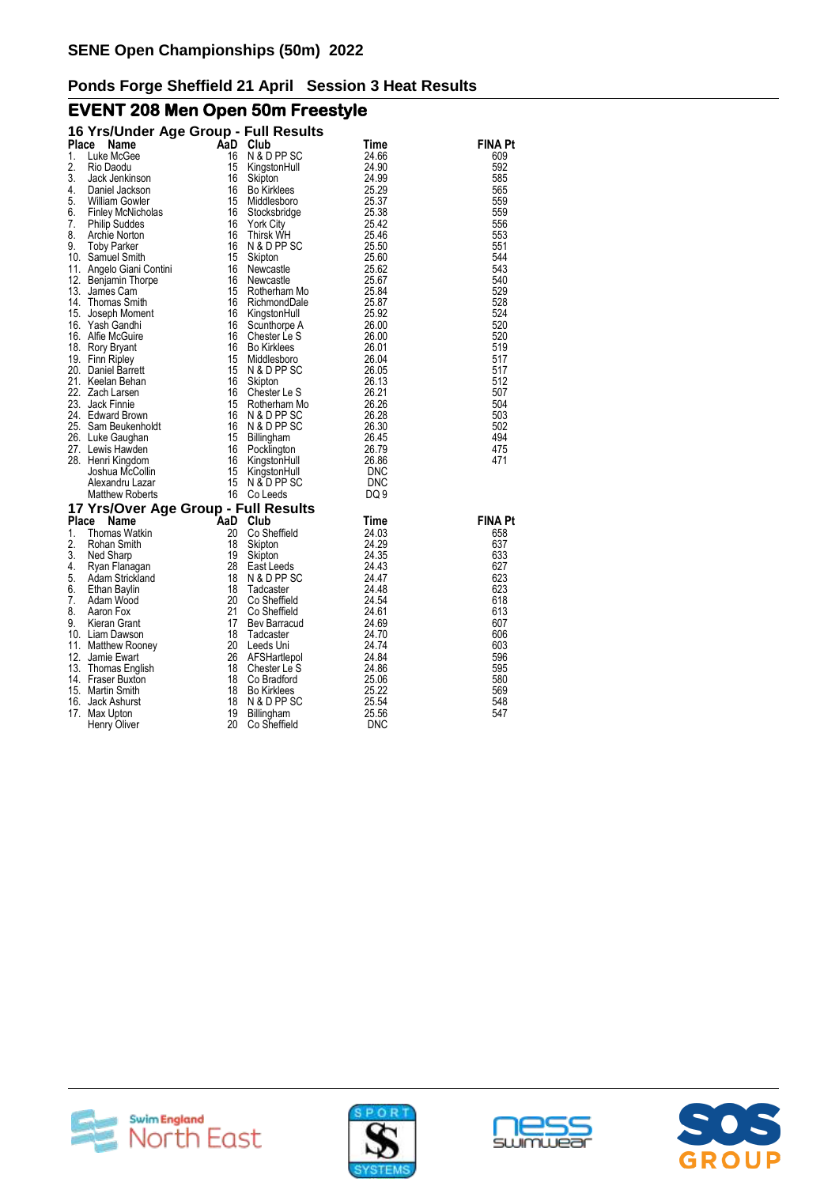# **EVENT 208 Men Open 50m Freestyle**

|              | 16 Yrs/Under Age Group - Full Results |     |                    |             |                |
|--------------|---------------------------------------|-----|--------------------|-------------|----------------|
| <b>Place</b> | Name                                  |     | AaD Club           | <b>Time</b> | <b>FINA Pt</b> |
| 1.           | Luke McGee                            | 16  | N & D PP SC        | 24.66       | 609            |
| 2.           | Rio Daodu                             | 15  | KingstonHull       | 24.90       | 592            |
| 3.           | Jack Jenkinson                        | 16  | Skipton            | 24.99       | 585            |
| 4.           | Daniel Jackson                        | 16  | <b>Bo Kirklees</b> | 25.29       | 565            |
| 5.           | William Gowler                        | 15  | Middlesboro        | 25.37       | 559            |
| 6.           | Finley McNicholas                     | 16  | Stocksbridge       | 25.38       | 559            |
| 7.           | <b>Philip Suddes</b>                  | 16  | <b>York City</b>   | 25.42       | 556            |
| 8.           | Archie Norton                         | 16  | Thirsk WH          | 25.46       | 553            |
| 9.           | <b>Toby Parker</b>                    | 16  | N & D PP SC        | 25.50       | 551            |
|              | 10. Samuel Smith                      | 15  | Skipton            | 25.60       | 544            |
|              | 11. Angelo Giani Contini              | 16  | Newcastle          | 25.62       | 543            |
|              | 12. Benjamin Thorpe                   | 16  | Newcastle          | 25.67       | 540            |
|              | 13. James Cam                         | 15  | Rotherham Mo       | 25.84       | 529            |
|              | 14. Thomas Smith                      | 16  | RichmondDale       | 25.87       | 528            |
|              | 15. Joseph Moment                     | 16  | KingstonHull       | 25.92       | 524            |
|              | 16. Yash Gandhi                       | 16  | Scunthorpe A       | 26.00       | 520            |
|              | 16. Alfie McGuire                     | 16  | Chester Le S       | 26.00       | 520            |
|              | 18. Rory Bryant                       | 16  | <b>Bo Kirklees</b> | 26.01       | 519            |
|              | 19. Finn Ripley                       | 15  | Middlesboro        | 26.04       | 517            |
|              | 20. Daniel Barrett                    | 15  | N & D PP SC        | 26.05       | 517            |
|              | 21. Keelan Behan                      | 16  | Skipton            | 26.13       | 512            |
|              | 22. Zach Larsen                       | 16  | Chester Le S       | 26.21       | 507            |
|              | 23. Jack Finnie                       | 15  | Rotherham Mo       | 26.26       | 504            |
|              | 24. Edward Brown                      | 16  | N & D PP SC        | 26.28       | 503            |
|              | 25. Sam Beukenholdt                   | 16  | N & D PP SC        | 26.30       | 502            |
|              | 26. Luke Gaughan                      | 15  | Billingham         | 26.45       | 494            |
|              | 27. Lewis Hawden                      | 16  | Pocklington        | 26.79       | 475            |
|              | 28. Henri Kingdom                     | 16  | KingstonHull       | 26.86       | 471            |
|              | Joshua McCollin                       | 15  | KingstonHull       | DNC         |                |
|              | Alexandru Lazar                       | 15  | N & D PP SC        | <b>DNC</b>  |                |
|              | <b>Matthew Roberts</b>                |     | 16 Co Leeds        | DQ 9        |                |
|              |                                       |     |                    |             |                |
|              | 17 Yrs/Over Age Group - Full Results  |     |                    |             |                |
| Place        | Name                                  | AaD | Club               | Time        | <b>FINA Pt</b> |
| 1.           | Thomas Watkin                         | 20  | Co Sheffield       | 24.03       | 658            |
| 2.           | Rohan Smith                           | 18  | Skipton            | 24.29       | 637            |
| 3.           | Ned Sharp                             | 19  | Skipton            | 24.35       | 633            |
| 4.           | Ryan Flanagan                         | 28  | East Leeds         | 24.43       | 627            |
| 5.           | Adam Strickland                       | 18  | N & D PP SC        | 24.47       | 623            |
| 6.           | Ethan Baylin                          | 18  | Tadcaster          | 24.48       | 623            |
| 7.           | Adam Wood                             | 20  | Co Sheffield       | 24.54       | 618            |
| 8.           | Aaron Fox                             | 21  | Co Sheffield       | 24.61       | 613            |
| 9.           | Kieran Grant                          | 17  | Bev Barracud       | 24.69       | 607            |
|              | 10. Liam Dawson                       | 18  | Tadcaster          | 24.70       | 606            |
|              | 11. Matthew Rooney                    | 20  | Leeds Uni          | 24.74       | 603            |
|              | 12. Jamie Ewart                       | 26  | AFSHartlepol       | 24.84       | 596            |
|              | 13. Thomas English                    | 18  | Chester Le S       | 24.86       | 595            |
|              | 14. Fraser Buxton                     | 18  | Co Bradford        | 25.06       | 580            |
|              | 15. Martin Smith                      | 18  | <b>Bo Kirklees</b> | 25.22       | 569            |
| 16.          | Jack Ashurst                          | 18  | N & D PP SC        | 25.54       | 548            |
|              | 17. Max Upton                         | 19  | Billingham         | 25.56       | 547            |
|              | Henry Oliver                          | 20  | Co Sheffield       | <b>DNC</b>  |                |







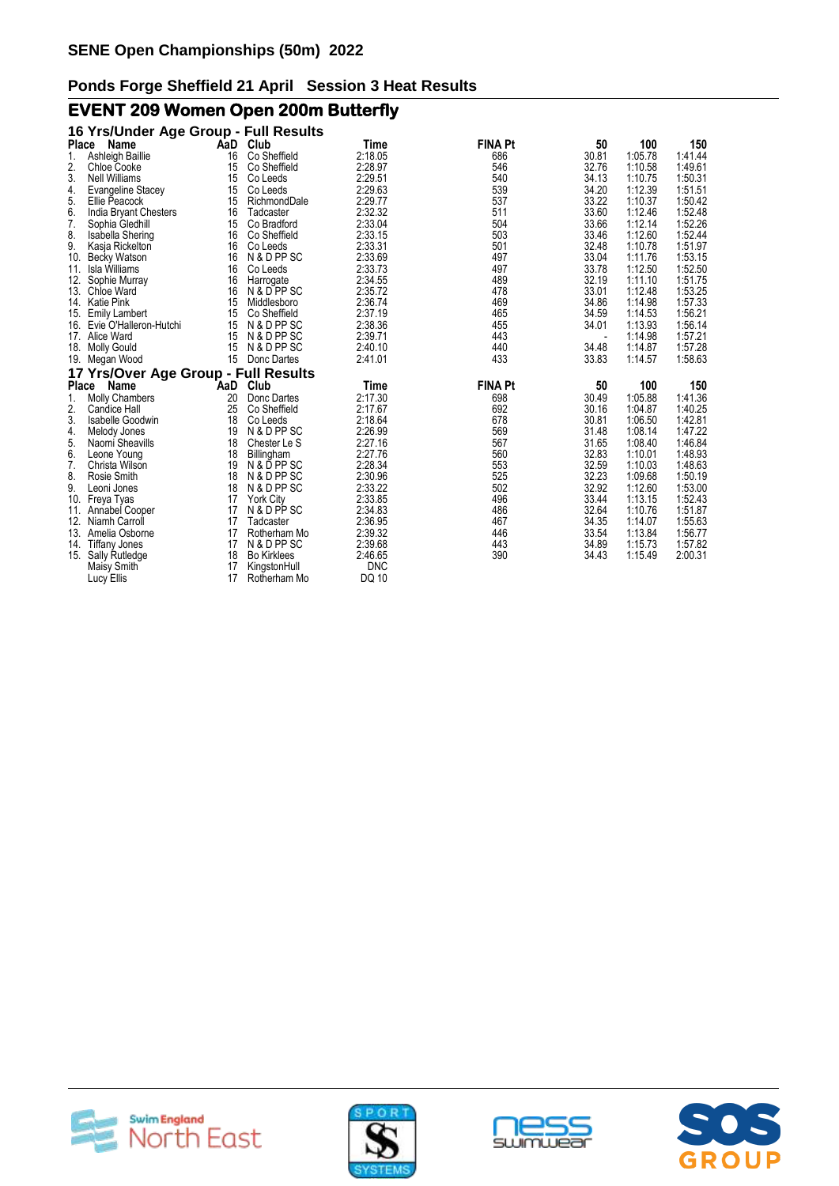# **EVENT 209 Women Open 200m Butterfly**

|       | 16 Yrs/Under Age Group - Full Results |     |                    |              |                |       |         |         |
|-------|---------------------------------------|-----|--------------------|--------------|----------------|-------|---------|---------|
| Place | Name                                  |     | AaD Club           | Time         | <b>FINA Pt</b> | 50    | 100     | 150     |
| 1.    | Ashleigh Baillie                      | 16  | Co Sheffield       | 2:18.05      | 686            | 30.81 | 1:05.78 | 1:41.44 |
| 2.    | <b>Chloe Cooke</b>                    | 15  | Co Sheffield       | 2:28.97      | 546            | 32.76 | 1:10.58 | 1:49.61 |
| 3.    | <b>Nell Williams</b>                  | 15  | Co Leeds           | 2:29.51      | 540            | 34.13 | 1:10.75 | 1:50.31 |
| 4.    | Evangeline Stacey                     | 15  | Co Leeds           | 2:29.63      | 539            | 34.20 | 1:12.39 | 1:51.51 |
| 5.    | Ellie Peacock                         | 15  | RichmondDale       | 2:29.77      | 537            | 33.22 | 1:10.37 | 1:50.42 |
| 6.    | India Bryant Chesters                 | 16  | Tadcaster          | 2:32.32      | 511            | 33.60 | 1:12.46 | 1:52.48 |
| 7.    | Sophia Gledhill                       | 15  | Co Bradford        | 2:33.04      | 504            | 33.66 | 1:12.14 | 1:52.26 |
| 8.    | Isabella Shering                      | 16  | Co Sheffield       | 2:33.15      | 503            | 33.46 | 1:12.60 | 1:52.44 |
| 9.    | Kasja Rickelton                       | 16  | Co Leeds           | 2:33.31      | 501            | 32.48 | 1:10.78 | 1:51.97 |
| 10.   | Becky Watson                          | 16  | N & D PP SC        | 2:33.69      | 497            | 33.04 | 1:11.76 | 1:53.15 |
| 11.   | Isla Williams                         | 16  | Co Leeds           | 2:33.73      | 497            | 33.78 | 1:12.50 | 1:52.50 |
| 12.   | Sophie Murray                         | 16  | Harrogate          | 2:34.55      | 489            | 32.19 | 1:11.10 | 1:51.75 |
| 13.   | Chloe Ward                            | 16  | N & D PP SC        | 2:35.72      | 478            | 33.01 | 1:12.48 | 1:53.25 |
|       | 14. Katie Pink                        | 15  | Middlesboro        | 2:36.74      | 469            | 34.86 | 1:14.98 | 1:57.33 |
|       | 15. Emily Lambert                     | 15  | Co Sheffield       | 2:37.19      | 465            | 34.59 | 1:14.53 | 1:56.21 |
| 16.   | Evie O'Halleron-Hutchi                | 15  | N & D PP SC        | 2:38.36      | 455            | 34.01 | 1:13.93 | 1:56.14 |
| 17.   | Alice Ward                            | 15  | N & D PP SC        | 2:39.71      | 443            |       | 1:14.98 | 1:57.21 |
| 18.   | <b>Molly Gould</b>                    | 15  | N & D PP SC        | 2:40.10      | 440            | 34.48 | 1:14.87 | 1:57.28 |
| 19.   | Megan Wood                            | 15  | Donc Dartes        | 2:41.01      | 433            | 33.83 | 1:14.57 | 1:58.63 |
|       | 17 Yrs/Over Age Group - Full Results  |     |                    |              |                |       |         |         |
| Place | Name                                  | AaD | Club               | Time         | <b>FINA Pt</b> | 50    | 100     | 150     |
| 1.    | <b>Molly Chambers</b>                 | 20  | Donc Dartes        | 2:17.30      | 698            | 30.49 | 1:05.88 | 1:41.36 |
| 2.    | <b>Candice Hall</b>                   | 25  | Co Sheffield       | 2:17.67      | 692            | 30.16 | 1:04.87 | 1:40.25 |
| 3.    | <b>Isabelle Goodwin</b>               | 18  | Co Leeds           | 2:18.64      | 678            | 30.81 | 1:06.50 | 1:42.81 |
| 4.    | Melody Jones                          | 19  | N & D PP SC        | 2:26.99      | 569            | 31.48 | 1:08.14 | 1:47.22 |
| 5.    | Naomi Sheavills                       | 18  | Chester Le S       | 2:27.16      | 567            | 31.65 | 1:08.40 | 1:46.84 |
| 6.    | Leone Young                           | 18  | Billingham         | 2:27.76      | 560            | 32.83 | 1:10.01 | 1:48.93 |
| 7.    | Christa Wilson                        | 19  | N & D PP SC        | 2:28.34      | 553            | 32.59 | 1:10.03 | 1:48.63 |
| 8.    | Rosie Smith                           | 18  | N & D PP SC        | 2:30.96      | 525            | 32.23 | 1:09.68 | 1:50.19 |
| 9.    | Leoni Jones                           | 18  | N & D PP SC        | 2:33.22      | 502            | 32.92 | 1:12.60 | 1:53.00 |
| 10.   | Freya Tyas                            | 17  | <b>York City</b>   | 2:33.85      | 496            | 33.44 | 1:13.15 | 1:52.43 |
| 11.   | Annabel Cooper                        | 17  | N & D PP SC        | 2:34.83      | 486            | 32.64 | 1:10.76 | 1:51.87 |
| 12.   | Niamh Carroll                         | 17  | Tadcaster          | 2:36.95      | 467            | 34.35 | 1:14.07 | 1:55.63 |
| 13.   | Amelia Osborne                        | 17  | Rotherham Mo       | 2:39.32      | 446            | 33.54 | 1:13.84 | 1:56.77 |
|       | 14. Tiffany Jones                     | 17  | N & D PP SC        | 2:39.68      | 443            | 34.89 | 1:15.73 | 1:57.82 |
| 15.   | Sally Rutledge                        | 18  | <b>Bo Kirklees</b> | 2:46.65      | 390            | 34.43 | 1:15.49 | 2:00.31 |
|       | Maisy Smith                           | 17  | KingstonHull       | <b>DNC</b>   |                |       |         |         |
|       | Lucy Ellis                            | 17  | Rotherham Mo       | <b>DQ 10</b> |                |       |         |         |







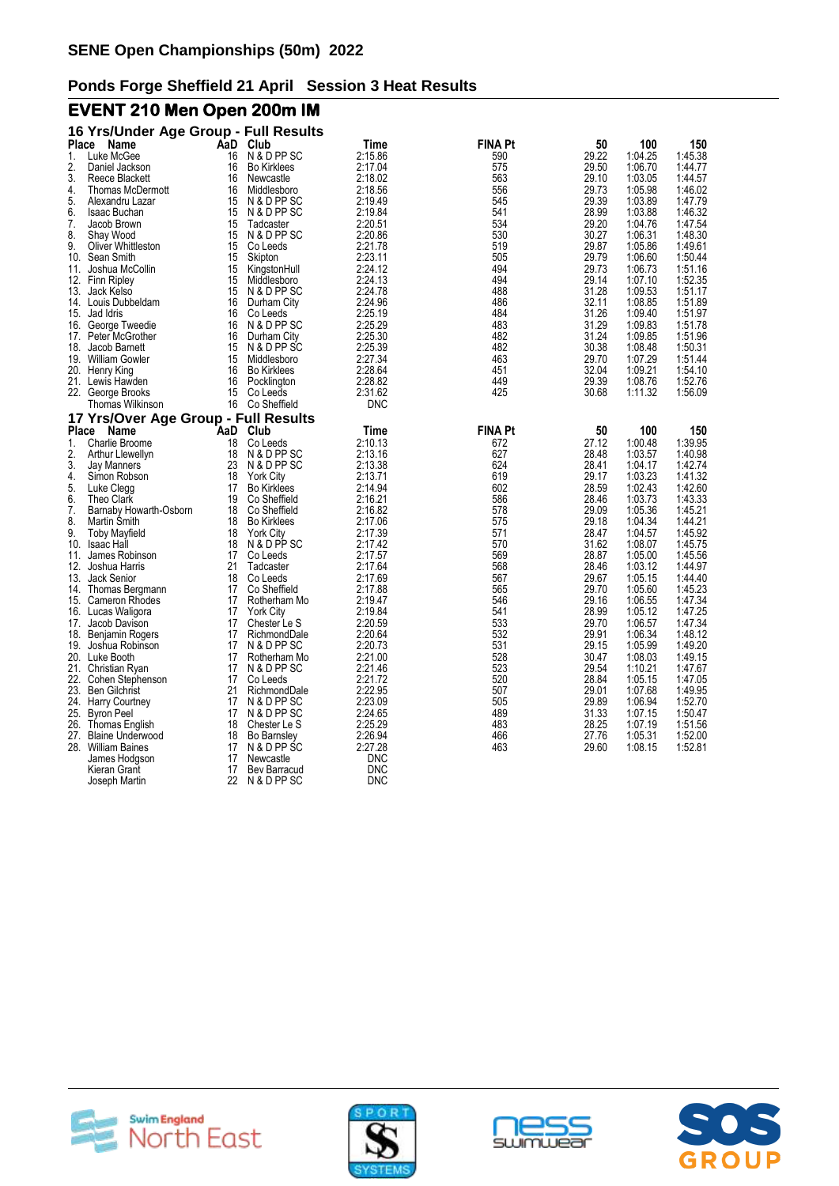# **EVENT 210 Men Open 200m IM**

|           | 16 Yrs/Under Age Group - Full Results         |          |                                   |                    |                |                |                    |                    |
|-----------|-----------------------------------------------|----------|-----------------------------------|--------------------|----------------|----------------|--------------------|--------------------|
| Place     | Name                                          |          | AaD Club                          | Time               | <b>FINA Pt</b> | 50             | 100                | 150                |
| 1.        | Luke McGee                                    | 16       | N & D PP SC                       | 2:15.86            | 590            | 29.22          | 1:04.25            | 1:45.38            |
| 2.        | Daniel Jackson                                | 16       | <b>Bo Kirklees</b>                | 2:17.04            | 575            | 29.50          | 1:06.70            | 1:44.77            |
| 3.        | Reece Blackett                                | 16       | Newcastle                         | 2:18.02            | 563            | 29.10          | 1:03.05            | 1:44.57            |
| 4.        | <b>Thomas McDermott</b>                       | 16       | Middlesboro                       | 2:18.56            | 556            | 29.73          | 1:05.98            | 1:46.02            |
| 5.        | Alexandru Lazar                               | 15       | N & D PP SC                       | 2:19.49            | 545            | 29.39          | 1:03.89            | 1:47.79            |
| 6.        | Isaac Buchan                                  | 15       | N & D PP SC                       | 2:19.84            | 541            | 28.99          | 1:03.88            | 1:46.32            |
| 7.        | Jacob Brown                                   | 15       | Tadcaster                         | 2:20.51            | 534            | 29.20          | 1:04.76            | 1:47.54            |
| 8.        | Shay Wood                                     | 15       | N & D PP SC                       | 2:20.86            | 530            | 30.27          | 1:06.31            | 1:48.30            |
| 9.<br>10. | <b>Oliver Whittleston</b><br>Sean Smith       | 15<br>15 | Co Leeds<br>Skipton               | 2:21.78<br>2:23.11 | 519<br>505     | 29.87<br>29.79 | 1:05.86<br>1:06.60 | 1:49.61<br>1:50.44 |
| 11.       | Joshua McCollin                               | 15       | KingstonHull                      | 2:24.12            | 494            | 29.73          | 1:06.73            | 1:51.16            |
|           | 12. Finn Ripley                               | 15       | Middlesboro                       | 2:24.13            | 494            | 29.14          | 1:07.10            | 1:52.35            |
|           | 13. Jack Kelso                                | 15       | N & D PP SC                       | 2:24.78            | 488            | 31.28          | 1:09.53            | 1:51.17            |
|           | 14. Louis Dubbeldam                           | 16       | Durham City                       | 2:24.96            | 486            | 32.11          | 1:08.85            | 1:51.89            |
|           | 15. Jad Idris                                 | 16       | Co Leeds                          | 2:25.19            | 484            | 31.26          | 1:09.40            | 1:51.97            |
|           | 16. George Tweedie                            | 16       | N & D PP SC                       | 2:25.29            | 483            | 31.29          | 1:09.83            | 1:51.78            |
|           | 17. Peter McGrother                           | 16       | Durham City                       | 2:25.30            | 482            | 31.24          | 1:09.85            | 1:51.96            |
| 18.       | Jacob Barnett                                 | 15       | N & D PP SC                       | 2:25.39            | 482            | 30.38          | 1:08.48            | 1:50.31            |
|           | 19. William Gowler                            | 15       | Middlesboro                       | 2:27.34            | 463            | 29.70          | 1:07.29            | 1:51.44            |
|           | 20. Henry King                                | 16       | <b>Bo Kirklees</b>                | 2:28.64            | 451            | 32.04          | 1:09.21            | 1:54.10            |
|           | 21. Lewis Hawden                              | 16       | Pocklington                       | 2:28.82            | 449            | 29.39          | 1:08.76            | 1:52.76            |
|           | 22. George Brooks                             | 15       | Co Leeds                          | 2:31.62            | 425            | 30.68          | 1:11.32            | 1:56.09            |
|           | Thomas Wilkinson                              |          | 16 Co Sheffield                   | <b>DNC</b>         |                |                |                    |                    |
|           | 17 Yrs/Over Age Group - Full Results          |          |                                   |                    |                |                |                    |                    |
| Place     | Name                                          | AaD      | Club                              | Time               | <b>FINA Pt</b> | 50             | 100                | 150                |
| 1.        | Charlie Broome                                | 18       | Co Leeds                          | 2:10.13            | 672            | 27.12          | 1:00.48            | 1:39.95            |
| 2.        | Arthur Llewellyn                              | 18       | N & D PP SC                       | 2:13.16            | 627            | 28.48          | 1:03.57            | 1:40.98            |
| 3.        | Jay Manners                                   | 23       | N & D PP SC                       | 2:13.38            | 624            | 28.41          | 1:04.17            | 1:42.74            |
| 4.        | Simon Robson                                  | 18       | <b>York City</b>                  | 2:13.71            | 619            | 29.17          | 1:03.23            | 1:41.32            |
| 5.        | Luke Clegg                                    | 17       | <b>Bo Kirklees</b>                | 2:14.94            | 602            | 28.59          | 1:02.43            | 1:42.60            |
| 6.        | Theo Clark                                    | 19       | Co Sheffield                      | 2:16.21            | 586            | 28.46          | 1:03.73            | 1:43.33            |
| 7.        | Barnaby Howarth-Osborn                        | 18       | Co Sheffield                      | 2:16.82            | 578            | 29.09          | 1:05.36            | 1:45.21            |
| 8.<br>9.  | Martin Smith                                  | 18<br>18 | <b>Bo Kirklees</b>                | 2:17.06<br>2:17.39 | 575<br>571     | 29.18<br>28.47 | 1:04.34<br>1:04.57 | 1:44.21<br>1:45.92 |
| 10.       | <b>Toby Mayfield</b><br><b>Isaac Hall</b>     | 18       | <b>York City</b><br>N & D PP SC   | 2:17.42            | 570            | 31.62          | 1:08.07            | 1:45.75            |
| 11.       | James Robinson                                | 17       | Co Leeds                          | 2:17.57            | 569            | 28.87          | 1:05.00            | 1:45.56            |
| 12.       | Joshua Harris                                 | 21       | Tadcaster                         | 2:17.64            | 568            | 28.46          | 1:03.12            | 1:44.97            |
| 13.       | Jack Senior                                   | 18       | Co Leeds                          | 2:17.69            | 567            | 29.67          | 1:05.15            | 1:44.40            |
| 14.       | Thomas Bergmann                               | 17       | Co Sheffield                      | 2:17.88            | 565            | 29.70          | 1:05.60            | 1:45.23            |
|           | 15. Cameron Rhodes                            | 17       | Rotherham Mo                      | 2:19.47            | 546            | 29.16          | 1:06.55            | 1:47.34            |
|           | 16. Lucas Waligora                            | 17       | <b>York City</b>                  | 2:19.84            | 541            | 28.99          | 1:05.12            | 1:47.25            |
|           | 17. Jacob Davison                             | 17       | Chester Le S                      | 2:20.59            | 533            | 29.70          | 1:06.57            | 1:47.34            |
| 18.       | Benjamin Rogers                               | 17       | RichmondDale                      | 2:20.64            | 532            | 29.91          | 1:06.34            | 1:48.12            |
|           | 19. Joshua Robinson                           | 17       | N & D PP SC                       | 2:20.73            | 531            | 29.15          | 1:05.99            | 1:49.20            |
|           | 20. Luke Booth                                | 17       | Rotherham Mo                      | 2:21.00            | 528            | 30.47          | 1:08.03            | 1:49.15            |
|           | 21. Christian Ryan                            | 17       | N & D PP SC                       | 2:21.46            | 523            | 29.54          | 1:10.21            | 1:47.67            |
| 22.       | Cohen Stephenson                              | 17       | Co Leeds                          | 2:21.72            | 520            | 28.84          | 1:05.15            | 1:47.05            |
|           | 23. Ben Gilchrist                             | 21       | RichmondDale                      | 2:22.95            | 507            | 29.01          | 1:07.68            | 1:49.95            |
|           | 24. Harry Courtney                            | 17       | N & D PP SC                       | 2:23.09            | 505            | 29.89          | 1:06.94            | 1:52.70            |
|           | 25. Byron Peel                                | 17       | N & D PP SC                       | 2:24.65            | 489            | 31.33          | 1:07.15            | 1:50.47            |
| 26.       | <b>Thomas English</b><br>27. Blaine Underwood | 18<br>18 | Chester Le S                      | 2:25.29<br>2:26.94 | 483<br>466     | 28.25<br>27.76 | 1:07.19<br>1:05.31 | 1:51.56<br>1:52.00 |
|           | 28. William Baines                            | 17       | <b>Bo Barnsley</b><br>N & D PP SC | 2:27.28            | 463            | 29.60          | 1:08.15            | 1:52.81            |
|           | James Hodgson                                 | 17       | Newcastle                         | DNC                |                |                |                    |                    |
|           | Kieran Grant                                  | 17       | Bev Barracud                      | DNC                |                |                |                    |                    |
|           | Joseph Martin                                 | 22       | N & D PP SC                       | DNC                |                |                |                    |                    |
|           |                                               |          |                                   |                    |                |                |                    |                    |







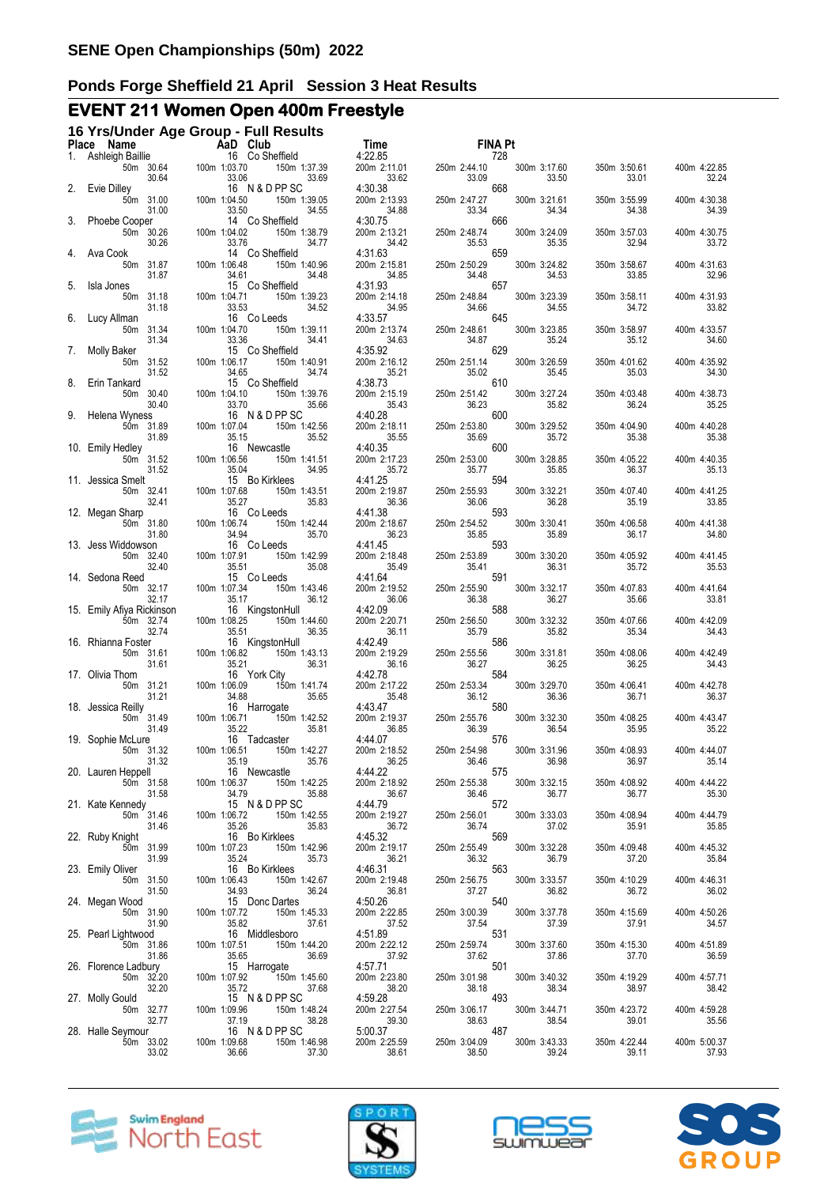# **EVENT 211 Women Open 400m Freestyle**

|    | 16 Yrs/Under Age Group - Full Results                                                                     |                                       |                                                                    |                                                  | FINA Pt                                                 |                       |                                                |
|----|-----------------------------------------------------------------------------------------------------------|---------------------------------------|--------------------------------------------------------------------|--------------------------------------------------|---------------------------------------------------------|-----------------------|------------------------------------------------|
|    | <b>Place Name AaD Club</b><br>1. Ashleigh Baillie 16 Co Sheffield<br>50m 30.64 100m 1:03.70 150m<br>30.64 |                                       | 150m 1:37.39<br>33.06<br>33.69                                     | 33.62                                            | 728<br>250m 2:44.10<br>33.09                            | 300m 3:17.60<br>33.50 | 350m 3:50.61<br>400m 4:22.85<br>33.01<br>32.24 |
|    | Evie Dilley<br>50m 31.00<br>31.00                                                                         | 100m 1:04.50<br>33.50                 | 16 N & D PP SC<br>150m 1:39.05<br>34.55                            | 4:30.38<br>200m 2:13.93<br>34.88                 | 668<br>250m 2:47.27<br>34 <sup>29</sup><br>33.34        | 300m 3:21.61<br>34.34 | 400m 4:30.38<br>350m 3:55.99<br>34.38<br>34.39 |
|    | Phoebe Cooper<br>50m 30.26<br>30.26                                                                       | 100m 1:04.02<br>33.76                 | 14 Co Sheffield<br>150m 1:38.79<br>34.77                           | 4:30.75<br>200m 2:13.21<br>34.42                 | 666<br>250m 2:48.74<br>35.53                            | 300m 3:24.09<br>35.35 | 400m 4:30.75<br>350m 3:57.03<br>32.94<br>33.72 |
| 4. | Ava Cook<br>50m 31.87<br>31.87                                                                            | 100m 1:06.48<br>34.61                 | 14 Co Sheffield<br>150m 1:40.96<br>34.48                           | 4:31.63<br>200m 2:15.81<br>34.85                 | 659<br>250m 2:50.29<br>34.48                            | 300m 3:24.82<br>34.53 | 350m 3:58.67<br>400m 4:31.63<br>33.85<br>32.96 |
| 5. | Isla Jones<br>50m 31.18<br>31.18                                                                          | 100m 1:04.71<br>33.53                 | 15 Co Sheffield<br>150m 1:39.23<br>34.52                           | 4:31.93<br>200m 2:14.18<br>34.95                 | 657<br>250m 2:48.84<br>34.66                            | 300m 3:23.39<br>34.55 | 350m 3:58.11<br>400m 4:31.93<br>33.82<br>34.72 |
| 6. | Lucy Allman<br>50m 31.34                                                                                  | 100m 1:04.70                          | 16 Co Leeds<br>150m 1:39.11                                        | 4:33.57<br>200m 2:13.74                          | 645<br>250m 2:48.61                                     | 300m 3:23.85          | 400m 4:33.57<br>350m 3:58.97                   |
| 7. | 31.34<br><b>Molly Baker</b><br>50m 31.52                                                                  | 33.36<br>100m 1:06.17                 | 34.41<br>15 Co Sheffield<br>150m 1:40.91                           | 34.63<br>4:35.92<br>200m 2:16.12                 | 34.87<br>629<br>250m 2:51.14                            | 35.24<br>300m 3:26.59 | 35.12<br>34.60<br>350m 4:01.62<br>400m 4:35.92 |
| 8. | 31.52<br>Erin Tankard<br>50m 30.40                                                                        | 34.65<br>100m 1:04.10                 | 34.74<br>15 Co Sheffield<br>150m 1:39.76                           | 35.21<br>4:38.73<br>200m 2:15.19                 | 35.02<br>610<br>250m 2:51.42                            | 35.45<br>300m 3:27.24 | 35.03<br>34.30<br>350m 4:03.48<br>400m 4:38.73 |
|    | 30.40<br>9. Helena Wyness<br>50m 31.89                                                                    | 33.70<br>100m 1:07.04                 | 35.66<br>16 N & D PP SC<br>150m 1:42.56                            | 35.43<br>4:40.28<br>200m 2:18.11                 | 36.23<br>600<br>250m 2:53.80                            | 35.82<br>300m 3:29.52 | 36.24<br>35.25<br>400m 4:40.28<br>350m 4:04.90 |
|    | 31.89<br>10. Emily Hedley<br>50m 31.52                                                                    | 35.15<br>100m 1:06.56                 | 35.52<br>16 Newcastle<br>150m 1:41.51                              | 35.55<br>4:40.35<br>200m 2:17.23                 | 35.09<br>600<br>250m 2:53.00                            | 35.72<br>300m 3:28.85 | 35.38<br>35.38<br>350m 4:05.22<br>400m 4:40.35 |
|    | 31.52<br>11. Jessica Smelt<br>50m 32.41                                                                   | 35.04<br>100m 1:07.68                 | 34.95<br>15 Bo Kirklees<br>150m 1:43.51                            | 35.72<br>4:41.25<br>200m 2:19.87                 | 35.77<br>an an Aire.<br>Tagairtí<br>594<br>250m 2:55.93 | 35.85<br>300m 3:32.21 | 36.37<br>35.13<br>350m 4:07.40<br>400m 4:41.25 |
|    | 32.41<br>12. Megan Sharp<br>50m 31.80                                                                     | 35.27<br>100m 1:06.74                 | 35.83<br>16 Co Leeds<br>150m 1:42.44                               | 36.36<br>4:41.38<br>200m 2:18.67                 | 36.06<br>593<br>250m 2:54.52                            | 36.28<br>300m 3:30.41 | 35.19<br>33.85<br>350m 4:06.58<br>400m 4:41.38 |
|    | 31.80<br>13. Jess Widdowson<br>50m 32.40                                                                  | 34.94<br>100m 1:07.91                 | 35.70<br>16 Co Leeds<br>150m 1:42.99                               | 36.23<br>4:41.45<br>200m 2:18.48                 | 35.85<br>593<br>250m 2:53.89                            | 35.89<br>300m 3:30.20 | 36.17<br>34.80<br>350m 4:05.92<br>400m 4:41.45 |
|    | 32.40<br>14. Sedona Reed<br>50m 32.17                                                                     | 35.51<br>100m 1:07.34                 | 35.08<br>15 Co Leeds<br>150m 1:43.46                               | 35.49<br>4:41.64<br>200m 2:19.52                 | 35.41<br>591<br>250m 2:55.90                            | 36.31<br>300m 3:32.17 | 35.72<br>35.53<br>350m 4:07.83<br>400m 4:41.64 |
|    | 32.17<br>15. Emily Afiya Rickinson<br>50m 32.74                                                           | 35.17<br>100m 1:08.25                 | 36.12<br>16 KingstonHull<br>150m 1:44.60                           | 36.06<br>4:42.09<br>200m 2:20.71                 | 36.38<br>588<br>250m 2:56.50                            | 36.27<br>300m 3:32.32 | 35.66<br>33.81<br>400m 4:42.09<br>350m 4:07.66 |
|    | 32.74<br>16. Rhianna Foster<br>50m 31.61                                                                  | 35.51<br>100m 1:06.82                 | 36.35<br>16 KingstonHull<br>150m 1:43.13                           | 36.11<br>4:42.49<br>200m 2:19.29                 | 35.79<br>586<br>250m 2:55.56                            | 35.82<br>300m 3:31.81 | 35.34<br>34.43<br>350m 4:08.06<br>400m 4:42.49 |
|    | 31.61<br>17. Olivia Thom<br>50m 31.21                                                                     | 35.21                                 | 36.31<br>16 York City<br>150m 1:41.74                              | 36.16<br>4:42.78<br>200m 2:17.22                 | 36.27<br>584<br>250m 2:53.34                            | 36.25<br>300m 3:29.70 | 36.25<br>34.43<br>350m 4:06.41<br>400m 4:42.78 |
|    | 31.21 34.88<br>Reilly<br>50m 31.49 100m 1:06.71<br>49 100m 1:06.71<br>101.112<br>18. Jessica Reilly       | 100m 1:06.09<br>34.88                 | 35.65<br>16 Harrogate<br>150m 1:42.52                              | 35.48<br>4:43.47<br>200m 2:19.37                 | 36.12<br>580<br>250m 2:55.76                            | 36.36<br>300m 3:32.30 | 36.71<br>36.37<br>350m 4:08.25<br>400m 4:43.47 |
|    | 19. Sophie McLure<br>50m 31.32                                                                            | 100m 1:06.51                          | 35.81<br>16 Tadcaster                                              | 36.85<br>4:44.07<br>200m 2:18.52                 | 36.39<br>576<br>250m 2:54.98                            | 36.54<br>300m 3:31.96 | 35.95<br>35.22<br>350m 4:08.93<br>400m 4:44.07 |
|    | 31.32<br>20. Lauren Heppell<br>50m 31.58                                                                  | 100m 1:06.37                          | :06.51 150m 1:42.27<br>35.19 35.76<br>16 Newcastle<br>150m 1:42.25 | 36.25<br>4:44.22<br>200m 2:18.92                 | 36.46<br>575                                            | 36.98<br>300m 3:32.15 | 36.97<br>35.14<br>350m 4:08.92<br>400m 4:44.22 |
|    | 31.58<br>21. Kate Kennedy                                                                                 |                                       | 35.88<br>34.79<br>15 N & D PP SC                                   | 36.67<br>4:44.79                                 | 250m 2:55.38<br>36.46<br>572<br>250m 2:56.01            | 36.77<br>300m 3:33.03 | 36.77<br>35.30<br>350m 4:08.94<br>400m 4:44.79 |
|    | 50m 31.46<br>31.46<br>22. Ruby Knight<br>50m 31.99                                                        | 100m 1:06.72<br>35.26<br>100m 1:07.23 | 150m 1:42.55<br>35.83<br>16 Bo Kirklees<br>150m 1:42.96            | 200m 2:19.27<br>36.72<br>4:45.32<br>200m 2:19.17 | 36.74<br>569<br>250m 2:55.49                            | 37.02<br>300m 3:32.28 | 35.91<br>35.85<br>350m 4:09.48<br>400m 4:45.32 |
|    | 31.99<br>23. Emily Oliver                                                                                 | 35.24                                 | 35.73<br>16 Bo Kirklees                                            | 36.21<br>4:46.31                                 | 36.32<br>563                                            | 36.79                 | 37.20<br>35.84<br>350m 4:10.29                 |
|    | 50m 31.50<br>31.50<br>24. Megan Wood                                                                      | 100m 1:06.43<br>34.93                 | 150m 1:42.67<br>36.24<br>15 Donc Dartes                            | 200m 2:19.48<br>36.81<br>4:50.26                 | 250m 2:56.75<br>37.27<br>540                            | 300m 3:33.57<br>36.82 | 400m 4:46.31<br>36.02<br>36.72                 |
|    | 50m 31.90<br>31.90<br>25. Pearl Lightwood                                                                 | 100m 1:07.72<br>35.82                 | 150m 1:45.33<br>37.61<br>16 Middlesboro                            | 200m 2:22.85<br>37.52<br>4:51.89                 | 250m 3:00.39<br>37.54<br>531                            | 300m 3:37.78<br>37.39 | 350m 4:15.69<br>400m 4:50.26<br>37.91<br>34.57 |
|    | 50m 31.86<br>31.86<br>26. Florence Ladbury                                                                | 100m 1:07.51<br>35.65                 | 150m 1:44.20<br>36.69<br>15 Harrogate                              | 200m 2:22.12<br>37.92<br>4:57.71                 | 250m 2:59.74<br>37.62<br>501                            | 300m 3:37.60<br>37.86 | 350m 4:15.30<br>400m 4:51.89<br>37.70<br>36.59 |
|    | 50m 32.20<br>32.20<br>27. Molly Gould                                                                     | 100m 1:07.92<br>35.72                 | 150m 1:45.60<br>37.68<br>15 N & D PP SC                            | 200m 2:23.80<br>38.20<br>4:59.28                 | 250m 3:01.98<br>38.18<br>493                            | 300m 3:40.32<br>38.34 | 350m 4:19.29<br>400m 4:57.71<br>38.97<br>38.42 |
|    | 50m 32.77<br>32.77<br>28. Halle Seymour                                                                   | 100m 1:09.96<br>37.19                 | 150m 1:48.24<br>38.28<br>16 N & D PP SC                            | 200m 2:27.54<br>39.30<br>5:00.37                 | 250m 3:06.17<br>38.63<br>30.00<br>487                   | 300m 3:44.71<br>38.54 | 350m 4:23.72<br>400m 4:59.28<br>39.01<br>35.56 |
|    | 50m 33.02<br>33.02                                                                                        | 100m 1:09.68<br>36.66                 | 150m 1:46.98<br>37.30                                              | 200m 2:25.59<br>38.61                            | 250m 3:04.09<br>38.50                                   | 300m 3:43.33<br>39.24 | 350m 4:22.44<br>400m 5:00.37<br>37.93<br>39.11 |







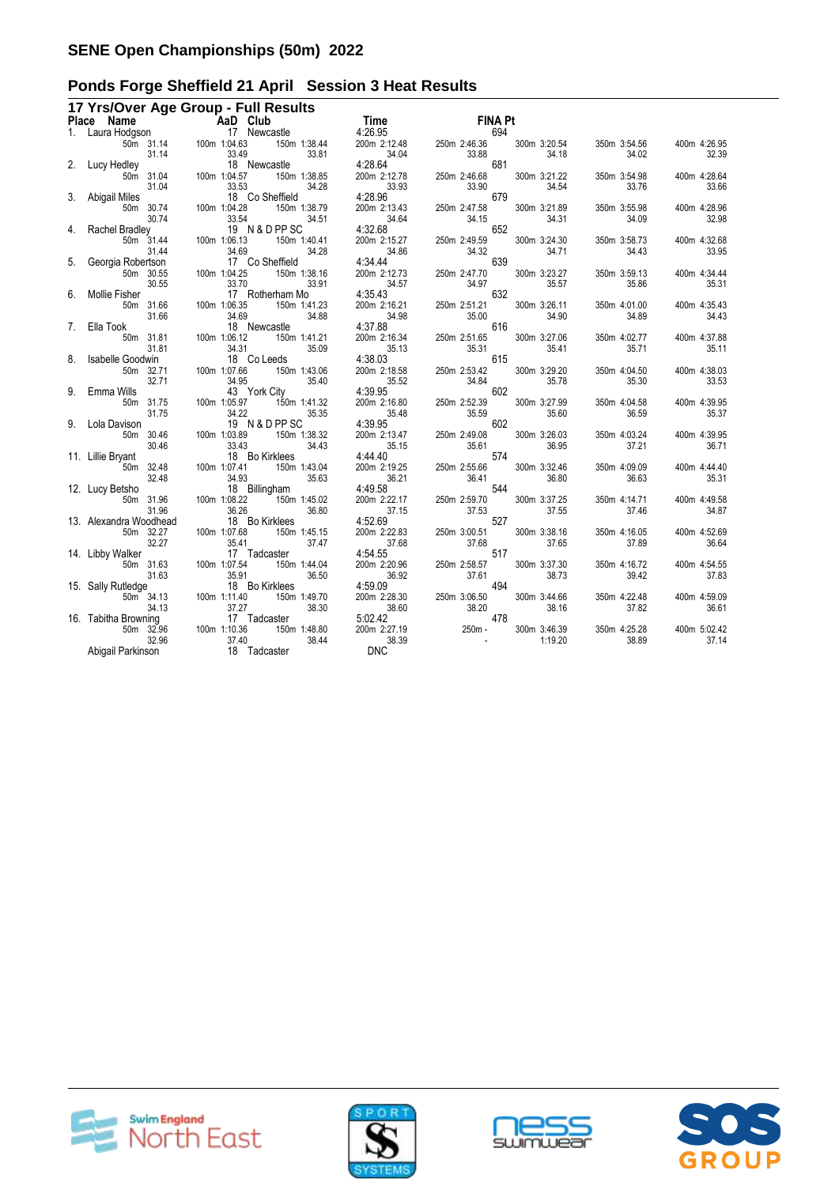|    | 17 Yrs/Over Age Group - Full Results                                                                                                                                                                                                                                   |           |                                                                                                                                                                                                                                                                                               |              |                 |                       |                                                                                                                                                                                                                                                                                |                           |       |              |                       |                       |
|----|------------------------------------------------------------------------------------------------------------------------------------------------------------------------------------------------------------------------------------------------------------------------|-----------|-----------------------------------------------------------------------------------------------------------------------------------------------------------------------------------------------------------------------------------------------------------------------------------------------|--------------|-----------------|-----------------------|--------------------------------------------------------------------------------------------------------------------------------------------------------------------------------------------------------------------------------------------------------------------------------|---------------------------|-------|--------------|-----------------------|-----------------------|
|    | Place Name<br>1. Laura Hodgson<br>1. Laura Hodgson<br>50m 31.14<br>2. Lucy Hedley<br>50m 31.04<br>100m 1:04.63<br>150m<br>16 Newcastle<br>50m 31.04<br>100m 1:04.53<br>150m<br>17 Newcastle<br>16 Newcastle<br>50m 31.14<br>100m 1:04.53<br>150m<br>17 Newcastle       |           |                                                                                                                                                                                                                                                                                               |              |                 |                       | <b>COMPAGNEY SINGLES</b><br>150m 1:38.44 2000m 2:12.48 250m 2:46.36 300m 3:20.54<br>150m 1:38.44 200m 2:12.48 250m 2:46.36 300m 3:20.54<br>150m 1:38.85 4:28.64 200m 2:12.78 250m 2:46.68 300m 3:21.22<br>1661 4:28.96 33.90 34.54<br>1661 4:                                  |                           |       |              |                       |                       |
|    |                                                                                                                                                                                                                                                                        |           |                                                                                                                                                                                                                                                                                               |              |                 |                       |                                                                                                                                                                                                                                                                                |                           |       |              |                       |                       |
|    |                                                                                                                                                                                                                                                                        |           |                                                                                                                                                                                                                                                                                               |              |                 |                       |                                                                                                                                                                                                                                                                                |                           |       |              | 350m 3:54.56          | 400m 4:26.95          |
|    |                                                                                                                                                                                                                                                                        |           |                                                                                                                                                                                                                                                                                               |              |                 |                       |                                                                                                                                                                                                                                                                                |                           |       |              | 34.02                 | 32.39                 |
|    |                                                                                                                                                                                                                                                                        |           |                                                                                                                                                                                                                                                                                               |              |                 |                       |                                                                                                                                                                                                                                                                                |                           |       |              |                       |                       |
|    |                                                                                                                                                                                                                                                                        |           |                                                                                                                                                                                                                                                                                               |              |                 | 150m 1:38.85          |                                                                                                                                                                                                                                                                                |                           |       |              | 350m 3:54.98          | 400m 4:28.64          |
|    |                                                                                                                                                                                                                                                                        |           |                                                                                                                                                                                                                                                                                               |              |                 |                       |                                                                                                                                                                                                                                                                                |                           |       |              | 33.76                 | 33.66                 |
|    | 3. Abigail Miles                                                                                                                                                                                                                                                       |           | 31.04<br>31.04<br>Miles<br>50m 30.74<br>31.04<br>33.53<br>81.04<br>33.53<br>33.54<br>33.54<br>33.54<br>33.54<br>33.54<br>33.55<br>33.55<br>33.55<br>33.55<br>33.55<br>33.55<br>33.55<br>33.55<br>33.55<br>33.54<br>33.55<br>31.44<br>34.69<br>31.44<br>34.69<br>7 C<br>50m 31.44<br>30.55<br> |              | 18 Co Sheffield |                       |                                                                                                                                                                                                                                                                                |                           |       |              |                       |                       |
|    |                                                                                                                                                                                                                                                                        |           |                                                                                                                                                                                                                                                                                               |              |                 |                       |                                                                                                                                                                                                                                                                                |                           |       |              | 350m 3:55.98          | 400m 4:28.96          |
|    |                                                                                                                                                                                                                                                                        |           |                                                                                                                                                                                                                                                                                               |              |                 |                       |                                                                                                                                                                                                                                                                                |                           |       |              | 34.09                 | 32.98                 |
|    | 4. Rachel Bradley                                                                                                                                                                                                                                                      |           |                                                                                                                                                                                                                                                                                               |              | 19 N & D PP SC  |                       |                                                                                                                                                                                                                                                                                |                           |       |              |                       |                       |
|    |                                                                                                                                                                                                                                                                        |           |                                                                                                                                                                                                                                                                                               |              |                 |                       |                                                                                                                                                                                                                                                                                |                           |       |              | 350m 3:58.73<br>34.43 | 400m 4:32.68<br>33.95 |
|    | 5. Georgia Robertson                                                                                                                                                                                                                                                   |           |                                                                                                                                                                                                                                                                                               |              | 17 Co Sheffield |                       |                                                                                                                                                                                                                                                                                |                           |       |              |                       |                       |
|    |                                                                                                                                                                                                                                                                        |           |                                                                                                                                                                                                                                                                                               |              |                 |                       |                                                                                                                                                                                                                                                                                |                           |       |              | 350m 3:59.13          | 400m 4:34.44          |
|    |                                                                                                                                                                                                                                                                        | 30.55     |                                                                                                                                                                                                                                                                                               | 33.70        |                 | 33.91                 |                                                                                                                                                                                                                                                                                | 250m 2:47.70 300          |       | 35.57        | 35.86                 | 35.31                 |
| 6. | Mollie Fisher                                                                                                                                                                                                                                                          |           |                                                                                                                                                                                                                                                                                               |              | 17 Rotherham Mo |                       |                                                                                                                                                                                                                                                                                |                           |       |              |                       |                       |
|    |                                                                                                                                                                                                                                                                        | 50m 31.66 | 100m 1:06.35                                                                                                                                                                                                                                                                                  |              |                 | 150m 1:41.23          |                                                                                                                                                                                                                                                                                |                           |       | 300m 3:26.11 | 350m 4:01.00          | 400m 4:35.43          |
|    |                                                                                                                                                                                                                                                                        | 31.66     |                                                                                                                                                                                                                                                                                               | 34.69        |                 | 34.88                 |                                                                                                                                                                                                                                                                                |                           |       | 34.90        | 34.89                 | 34.43                 |
|    | 7. Ella Took                                                                                                                                                                                                                                                           |           |                                                                                                                                                                                                                                                                                               |              | 18 Newcastle    |                       | 200m 2:12.73<br>34.97<br>4:35.43<br>200m 2:16.21<br>34.98<br>4:37.88<br>200m 2:16.34<br>250m 2:51.65<br>26 16 16<br>27.165<br>27.165<br>27.165<br>27.165<br>27.165<br>27.165<br>27.165<br>27.165<br>27.165<br>27.165<br>27.165<br>27.165<br>27.165<br>27.165<br>27.165<br>27.1 |                           |       |              |                       |                       |
|    |                                                                                                                                                                                                                                                                        | 50m 31.81 |                                                                                                                                                                                                                                                                                               | 100m 1:06.12 |                 | 150m 1:41.21          |                                                                                                                                                                                                                                                                                |                           |       | 300m 3:27.06 | 350m 4:02.77          | 400m 4:37.88          |
|    |                                                                                                                                                                                                                                                                        | 31.81     |                                                                                                                                                                                                                                                                                               | 34.31        |                 | 35.09                 |                                                                                                                                                                                                                                                                                |                           |       |              | 35.71                 | 35.11                 |
|    | 8. Isabelle Goodwin<br>50m 32.71 100m 1:07.66 150m 1:43.06                                                                                                                                                                                                             |           |                                                                                                                                                                                                                                                                                               |              |                 |                       |                                                                                                                                                                                                                                                                                |                           |       |              |                       |                       |
|    |                                                                                                                                                                                                                                                                        |           |                                                                                                                                                                                                                                                                                               |              |                 |                       |                                                                                                                                                                                                                                                                                |                           |       |              | 350m 4:04.50          | 400m 4:38.03          |
|    |                                                                                                                                                                                                                                                                        | 32.71     |                                                                                                                                                                                                                                                                                               | 34.95        |                 | 35.40                 |                                                                                                                                                                                                                                                                                |                           |       |              | 35.30                 | 33.53                 |
|    | 9. Emma Wills                                                                                                                                                                                                                                                          |           |                                                                                                                                                                                                                                                                                               |              | 43 York City    |                       | 200m 2:16.34<br>250m 2:16.34<br>35.13<br>35.31<br>4:38.03<br>200m 2:16.58<br>35.52<br>35.52<br>35.52<br>35.84<br>4:39.95<br>200m 2:16.80<br>250m 2:53.42<br>36.78<br>35.78<br>200m 2:16.80<br>250m 2:52.39<br>300m 3:27.99<br>35.48<br>4:39.95<br>200m 2:13.47<br>250m 2       |                           |       |              |                       |                       |
|    |                                                                                                                                                                                                                                                                        | 50m 31.75 |                                                                                                                                                                                                                                                                                               | 100m 1:05.97 | 150m 1:41.32    |                       |                                                                                                                                                                                                                                                                                |                           |       |              | 350m 4:04.58          | 400m 4:39.95          |
|    |                                                                                                                                                                                                                                                                        | 31.75     |                                                                                                                                                                                                                                                                                               |              | 19 N & D PP SC  | 35.35                 |                                                                                                                                                                                                                                                                                |                           |       |              | 36.59                 | 35.37                 |
|    | 9. Lola Davison                                                                                                                                                                                                                                                        |           | 100m 1:05.97<br>34.22<br>19 100m 1:03.89                                                                                                                                                                                                                                                      |              |                 |                       |                                                                                                                                                                                                                                                                                |                           |       |              |                       |                       |
|    |                                                                                                                                                                                                                                                                        | 50m 30.46 |                                                                                                                                                                                                                                                                                               |              |                 | 150m 1:38.32<br>34.43 |                                                                                                                                                                                                                                                                                |                           |       |              | 350m 4:03.24<br>37.21 | 400m 4:39.95<br>36.71 |
|    | 30.46 33.43<br>11. Lillie Bryant 18 B<br>50m 32.48 100m 1:07.41                                                                                                                                                                                                        |           |                                                                                                                                                                                                                                                                                               |              | 18 Bo Kirklees  |                       |                                                                                                                                                                                                                                                                                |                           |       |              |                       |                       |
|    |                                                                                                                                                                                                                                                                        |           |                                                                                                                                                                                                                                                                                               |              | 150m 1:43.04    |                       |                                                                                                                                                                                                                                                                                |                           |       |              | 350m 4:09.09          | 400m 4:44.40          |
|    |                                                                                                                                                                                                                                                                        |           |                                                                                                                                                                                                                                                                                               |              |                 | 35.63                 |                                                                                                                                                                                                                                                                                |                           |       |              | 36.63                 | 35.31                 |
|    | 32.48 34.93<br>18 Billingham 18 Billingham                                                                                                                                                                                                                             |           |                                                                                                                                                                                                                                                                                               |              |                 |                       |                                                                                                                                                                                                                                                                                |                           |       |              |                       |                       |
|    |                                                                                                                                                                                                                                                                        | 50m 31.96 |                                                                                                                                                                                                                                                                                               |              |                 |                       |                                                                                                                                                                                                                                                                                |                           |       |              | 350m 4:14.71          | 400m 4:49.58          |
|    |                                                                                                                                                                                                                                                                        | 31.96     |                                                                                                                                                                                                                                                                                               | 36.26        |                 | 36.80                 | 37.15                                                                                                                                                                                                                                                                          |                           | 37.53 | 37.55        | 37.46                 | 34.87                 |
|    | 13. Alexandra Woodhead                                                                                                                                                                                                                                                 |           |                                                                                                                                                                                                                                                                                               |              | 18 Bo Kirklees  |                       | 4:52.69                                                                                                                                                                                                                                                                        | $37.53$<br>250m $3:00.51$ | 527   |              |                       |                       |
|    | 50m 32.27                                                                                                                                                                                                                                                              |           |                                                                                                                                                                                                                                                                                               | 100m 1:07.68 |                 | 150m 1:45.15          | 200m 2:22.83                                                                                                                                                                                                                                                                   | 250m 3:00.51              |       | 300m 3:38.16 | 350m 4:16.05          | 400m 4:52.69          |
|    |                                                                                                                                                                                                                                                                        |           |                                                                                                                                                                                                                                                                                               |              |                 | 37.47                 |                                                                                                                                                                                                                                                                                |                           |       | 37.65        | 37.89                 | 36.64                 |
|    |                                                                                                                                                                                                                                                                        |           |                                                                                                                                                                                                                                                                                               |              | 17 Tadcaster    |                       |                                                                                                                                                                                                                                                                                |                           |       |              |                       |                       |
|    |                                                                                                                                                                                                                                                                        |           |                                                                                                                                                                                                                                                                                               |              |                 | 150m 1:44.04          |                                                                                                                                                                                                                                                                                |                           |       | 300m 3:37.30 | 350m 4:16.72          | 400m 4:54.55          |
|    |                                                                                                                                                                                                                                                                        |           |                                                                                                                                                                                                                                                                                               |              |                 | 36.50                 |                                                                                                                                                                                                                                                                                |                           |       | 38.73        | 39.42                 | 37.83                 |
|    |                                                                                                                                                                                                                                                                        |           |                                                                                                                                                                                                                                                                                               |              | 18 Bo Kirklees  |                       |                                                                                                                                                                                                                                                                                |                           |       |              |                       |                       |
|    |                                                                                                                                                                                                                                                                        |           |                                                                                                                                                                                                                                                                                               |              |                 | 150m 1:49.70          |                                                                                                                                                                                                                                                                                |                           |       | 300m 3:44.66 | 350m 4:22.48          | 400m 4:59.09          |
|    |                                                                                                                                                                                                                                                                        |           |                                                                                                                                                                                                                                                                                               |              | 17 Tadcaster    | 38.30                 |                                                                                                                                                                                                                                                                                |                           |       | 38.16        | 37.82                 | 36.61                 |
|    | 30.27<br>14. Libby Walker<br>17 Ta<br>50m 31.63<br>100m 1:07.54<br>17 Ta<br>50m 31.63<br>100m 1:07.54<br>18 B6<br>100m 1:107.54<br>18 B6<br>50m 34.13<br>100m 1:11.40<br>50m 34.13<br>100m 1:11.40<br>17 Ta<br>17 Ta<br>50m 34.13<br>100m 1:11.40<br>17 Ta<br>50m 32.9 |           |                                                                                                                                                                                                                                                                                               |              |                 | 150m 1:48.80          |                                                                                                                                                                                                                                                                                |                           |       | 300m 3:46.39 | 350m 4:25.28          | 400m 5:02.42          |
|    |                                                                                                                                                                                                                                                                        | 32.96     |                                                                                                                                                                                                                                                                                               | 37.40        |                 | 38.44                 | 200m 2:22.83<br>4:54.55<br>200m 2:20.96<br>37.68<br>4:54.55<br>200m 2:20.96<br>36.92<br>4:59.09<br>250m 2:68.57<br>36.92<br>250m 3:06.50<br>38.60<br>5:02.42<br>200m 2:27.19<br>38.39<br>DNC<br>250m -<br>$\frac{1}{38.39}$                                                    |                           |       | 1:19.20      | 38.89                 | 37.14                 |
|    | 32.96<br>Abigail Parkinson                                                                                                                                                                                                                                             |           |                                                                                                                                                                                                                                                                                               |              | 18 Tadcaster    |                       | <b>DNC</b>                                                                                                                                                                                                                                                                     |                           |       |              |                       |                       |
|    |                                                                                                                                                                                                                                                                        |           |                                                                                                                                                                                                                                                                                               |              |                 |                       |                                                                                                                                                                                                                                                                                |                           |       |              |                       |                       |







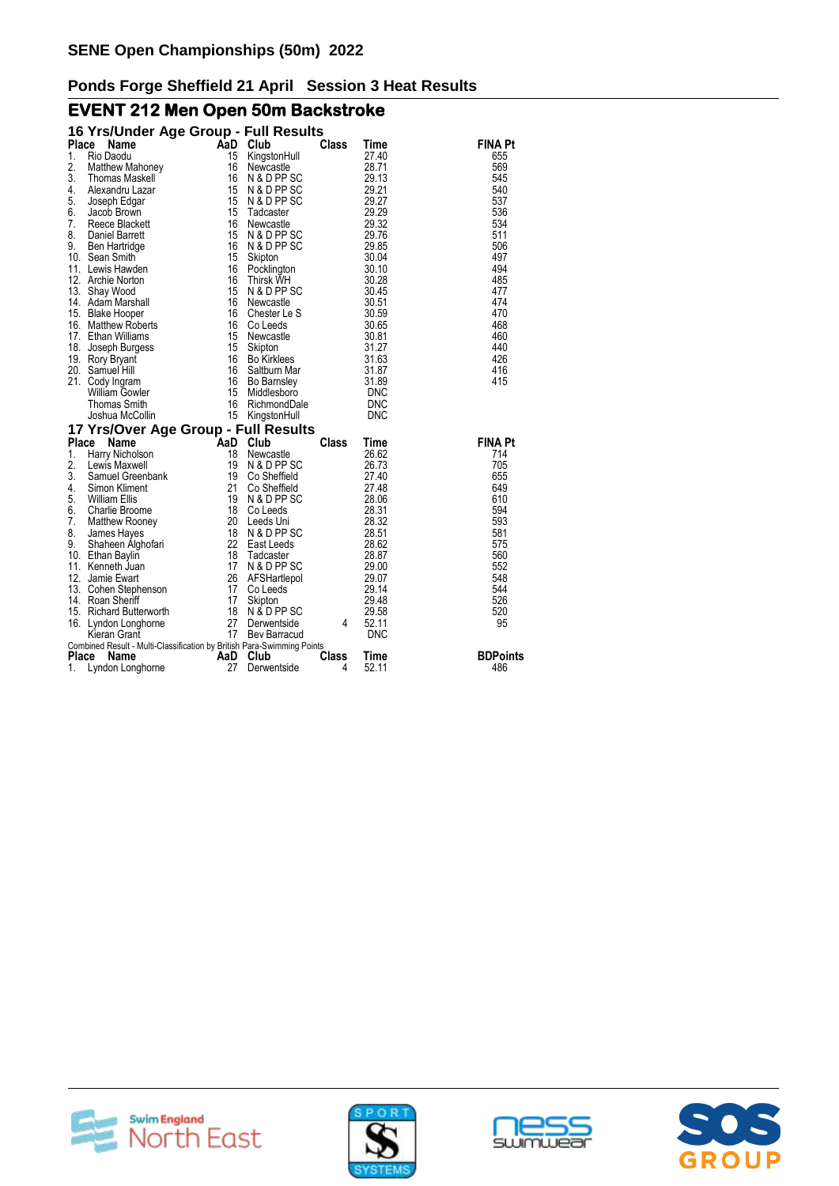# **EVENT 212 Men Open 50m Backstroke**

|                  | 16 Yrs/Under Age Group - Full Results                                  |          |                               |              |                |                 |    |
|------------------|------------------------------------------------------------------------|----------|-------------------------------|--------------|----------------|-----------------|----|
| Place            | Name                                                                   | AaD      | Club                          | <b>Class</b> | Time           | <b>FINA Pt</b>  |    |
| 1.               | Rio Daodu                                                              | 15       | KingstonHull                  |              | 27.40          | 655             |    |
| 2.               | Matthew Mahoney                                                        | 16       | Newcastle                     |              | 28.71          | 569             |    |
| 3.               | Thomas Maskell                                                         | 16       | N & D PP SC                   |              | 29.13          | 545             |    |
| 4.               | Alexandru Lazar                                                        | 15       | N & D PP SC                   |              | 29.21          | 540             |    |
| 5.               | Joseph Edgar                                                           | 15       | N & D PP SC                   |              | 29.27          | 537             |    |
| 6.               | Jacob Brown                                                            | 15       | Tadcaster                     |              | 29.29          | 536             |    |
| 7.               | Reece Blackett                                                         | 16       | Newcastle                     |              | 29.32          | 534             |    |
| 8.               | Daniel Barrett                                                         | 15       | N & D PP SC                   |              | 29.76          | 511             |    |
| 9.               | Ben Hartridge                                                          | 16       | N & D PP SC                   |              | 29.85          | 506             |    |
|                  | 10. Sean Smith                                                         | 15       | Skipton                       |              | 30.04          | 497             |    |
|                  | 11. Lewis Hawden                                                       | 16       | Pocklington                   |              | 30.10          | 494             |    |
|                  | 12. Archie Norton                                                      | 16       | <b>Thirsk WH</b>              |              | 30.28          | 485             |    |
|                  | 13. Shay Wood                                                          | 15       | N & D PP SC                   |              | 30.45          | 477             |    |
|                  | 14. Adam Marshall                                                      | 16       | Newcastle                     |              | 30.51          | 474             |    |
|                  | 15. Blake Hooper                                                       | 16       | Chester Le S                  |              | 30.59          | 470             |    |
|                  | 16. Matthew Roberts                                                    | 16       | Co Leeds                      |              | 30.65          | 468             |    |
|                  | 17. Ethan Williams                                                     | 15<br>15 | Newcastle                     |              | 30.81<br>31.27 | 460<br>440      |    |
| 18.              | Joseph Burgess                                                         | 16       | Skipton<br><b>Bo Kirklees</b> |              | 31.63          | 426             |    |
|                  | 19. Rory Bryant<br>20. Samuel Hill                                     | 16       | Saltburn Mar                  |              | 31.87          | 416             |    |
|                  | 21. Cody Ingram                                                        | 16       | <b>Bo Barnsley</b>            |              | 31.89          | 415             |    |
|                  | <b>William Gowler</b>                                                  | 15       | Middlesboro                   |              | DNC            |                 |    |
|                  | Thomas Smith                                                           | 16       | RichmondDale                  |              | <b>DNC</b>     |                 |    |
|                  | Joshua McCollin                                                        | 15       | KingstonHull                  |              | <b>DNC</b>     |                 |    |
|                  |                                                                        |          |                               |              |                |                 |    |
| Place            | 17 Yrs/Over Age Group - Full Results<br>Name                           | AaD Club |                               | Class        | Time           | <b>FINA Pt</b>  |    |
| 1.               | Harry Nicholson                                                        | 18       | Newcastle                     |              | 26.62          | 714             |    |
| 2.               | Lewis Maxwell                                                          | 19       | N & D PP SC                   |              | 26.73          | 705             |    |
| 3.               | Samuel Greenbank                                                       | 19       | Co Sheffield                  |              | 27.40          | 655             |    |
| 4.               | Simon Kliment                                                          | 21       | Co Sheffield                  |              | 27.48          | 649             |    |
| 5.               | <b>William Ellis</b>                                                   | 19       | N & D PP SC                   |              | 28.06          | 610             |    |
| 6.               | Charlie Broome                                                         | 18       | Co Leeds                      |              | 28.31          | 594             |    |
| $\overline{7}$ . | Matthew Rooney                                                         |          | 20 Leeds Uni                  |              | 28.32          | 593             |    |
| 8.               | James Hayes                                                            | 18       | N & D PP SC                   |              | 28.51          | 581             |    |
| 9.               | Shaheen Alghofari                                                      | 22       | East Leeds                    |              | 28.62          | 575             |    |
|                  | 10. Ethan Baylin                                                       | 18       | Tadcaster                     |              | 28.87          | 560             |    |
|                  | 11. Kenneth Juan                                                       | 17       | N & D PP SC                   |              | 29.00          | 552             |    |
| 12.              | Jamie Ewart                                                            | 26       | AFSHartlepol                  |              | 29.07          | 548             |    |
|                  | 13. Cohen Stephenson                                                   | 17       | Co Leeds                      |              | 29.14          | 544             |    |
|                  | 14. Roan Sheriff                                                       | 17       | Skipton                       |              | 29.48          | 526             |    |
|                  | 15. Richard Butterworth                                                | 18       | N & D PP SC                   |              | 29.58          | 520             |    |
|                  | 16. Lyndon Longhorne                                                   | 27       | Derwentside                   | 4            | 52.11          |                 | 95 |
|                  | Kieran Grant                                                           | 17       | Bev Barracud                  |              | <b>DNC</b>     |                 |    |
|                  | Combined Result - Multi-Classification by British Para-Swimming Points |          |                               |              |                |                 |    |
| Place            | Name                                                                   | AaD      | Club                          | Class        | Time           | <b>BDPoints</b> |    |
| 1.               | Lyndon Longhorne                                                       | 27       | Derwentside                   | 4            | 52.11          | 486             |    |







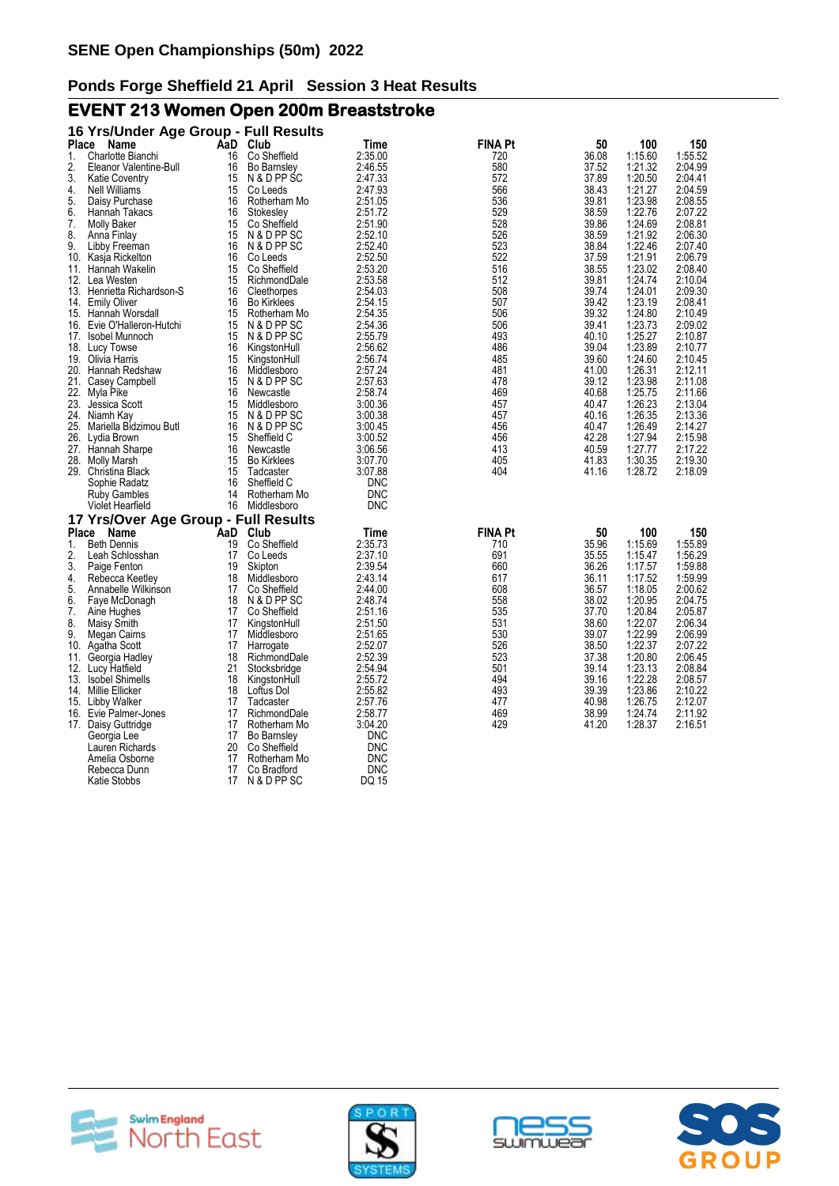# **EVENT 213 Women Open 200m Breaststroke**

|       | 16 Yrs/Under Age Group - Full Results |     |                    |            |                |       |         |         |
|-------|---------------------------------------|-----|--------------------|------------|----------------|-------|---------|---------|
| Place | <b>Name</b>                           |     | AaD Club           | Time       | <b>FINA Pt</b> | 50    | 100     | 150     |
| 1.    | Charlotte Bianchi                     | 16  | Co Sheffield       | 2:35.00    | 720            | 36.08 | 1:15.60 | 1:55.52 |
| 2.    | Eleanor Valentine-Bull                | 16  | <b>Bo Barnsley</b> | 2:46.55    | 580            | 37.52 | 1:21.32 | 2:04.99 |
| 3.    | <b>Katie Coventry</b>                 | 15  | N & D PP SC        | 2:47.33    | 572            | 37.89 | 1:20.50 | 2:04.41 |
| 4.    | <b>Nell Williams</b>                  | 15  | Co Leeds           | 2:47.93    | 566            | 38.43 | 1:21.27 | 2:04.59 |
| 5.    | Daisy Purchase                        | 16  | Rotherham Mo       | 2:51.05    | 536            | 39.81 | 1:23.98 | 2:08.55 |
| 6.    | Hannah Takacs                         | 16  | Stokesley          | 2:51.72    | 529            | 38.59 | 1:22.76 | 2:07.22 |
| 7.    | <b>Molly Baker</b>                    | 15  | Co Sheffield       | 2:51.90    | 528            | 39.86 | 1:24.69 | 2:08.81 |
| 8.    | Anna Finlay                           | 15  | N & D PP SC        | 2:52.10    | 526            | 38.59 | 1:21.92 | 2:06.30 |
| 9.    | Libby Freeman                         | 16  | N & D PP SC        | 2:52.40    | 523            | 38.84 | 1:22.46 | 2:07.40 |
| 10.   | Kasja Rickelton                       | 16  | Co Leeds           | 2:52.50    | 522            | 37.59 | 1:21.91 | 2:06.79 |
| 11.   | Hannah Wakelin                        | 15  | Co Sheffield       | 2:53.20    | 516            | 38.55 | 1:23.02 | 2:08.40 |
|       | 12. Lea Westen                        | 15  | RichmondDale       | 2:53.58    | 512            | 39.81 | 1:24.74 | 2:10.04 |
|       | 13. Henrietta Richardson-S            | 16  | Cleethorpes        | 2:54.03    | 508            | 39.74 | 1:24.01 | 2:09.30 |
| 14.   | <b>Emily Oliver</b>                   | 16  | <b>Bo Kirklees</b> | 2:54.15    | 507            | 39.42 | 1:23.19 | 2:08.41 |
|       | 15. Hannah Worsdall                   | 15  | Rotherham Mo       | 2:54.35    | 506            | 39.32 | 1:24.80 | 2:10.49 |
|       | 16. Evie O'Halleron-Hutchi            | 15  | N & D PP SC        | 2:54.36    | 506            | 39.41 | 1:23.73 | 2:09.02 |
|       | 17. Isobel Munnoch                    | 15  | N & D PP SC        | 2:55.79    | 493            | 40.10 | 1:25.27 | 2:10.87 |
| 18.   | Lucy Towse                            | 16  | KingstonHull       | 2:56.62    | 486            | 39.04 | 1:23.89 | 2:10.77 |
|       | 19. Olivia Harris                     | 15  | KingstonHull       | 2:56.74    | 485            | 39.60 | 1:24.60 | 2:10.45 |
|       | 20. Hannah Redshaw                    | 16  | Middlesboro        | 2:57.24    | 481            | 41.00 | 1:26.31 | 2:12.11 |
|       | 21. Casey Campbell                    | 15  | N & D PP SC        | 2:57.63    | 478            | 39.12 | 1:23.98 | 2:11.08 |
| 22.   | Myla Pike                             | 16  | Newcastle          | 2:58.74    | 469            | 40.68 | 1:25.75 | 2:11.66 |
| 23.   | Jessica Scott                         | 15  | Middlesboro        | 3:00.36    | 457            | 40.47 | 1:26.23 | 2:13.04 |
| 24.   | Niamh Kay                             | 15  | N & D PP SC        | 3:00.38    | 457            | 40.16 | 1:26.35 | 2:13.36 |
| 25.   | Mariella Bidzimou Butl                | 16  | N & D PP SC        | 3:00.45    | 456            | 40.47 | 1:26.49 | 2:14.27 |
|       | 26. Lydia Brown                       | 15  | Sheffield C        | 3:00.52    | 456            | 42.28 | 1:27.94 | 2:15.98 |
|       | 27. Hannah Sharpe                     | 16  | Newcastle          | 3:06.56    | 413            | 40.59 | 1:27.77 | 2:17.22 |
|       | 28. Molly Marsh                       | 15  | <b>Bo Kirklees</b> | 3:07.70    | 405            | 41.83 | 1:30.35 | 2:19.30 |
|       | 29. Christina Black                   | 15  | Tadcaster          | 3:07.88    | 404            | 41.16 | 1:28.72 | 2:18.09 |
|       | Sophie Radatz                         | 16  | Sheffield C        | DNC        |                |       |         |         |
|       | <b>Ruby Gambles</b>                   | 14  | Rotherham Mo       | <b>DNC</b> |                |       |         |         |
|       | <b>Violet Hearfield</b>               | 16  | Middlesboro        | <b>DNC</b> |                |       |         |         |
|       | 17 Yrs/Over Age Group - Full Results  |     |                    |            |                |       |         |         |
| Place | Name                                  | AaD | Club               | Time       | <b>FINA Pt</b> | 50    | 100     | 150     |
| 1.    | <b>Beth Dennis</b>                    | 19  | Co Sheffield       | 2:35.73    | 710            | 35.96 | 1:15.69 | 1:55.89 |
| 2.    | Leah Schlosshan                       | 17  | Co Leeds           | 2:37.10    | 691            | 35.55 | 1:15.47 | 1:56.29 |
| 3.    | Paige Fenton                          | 19  | Skipton            | 2:39.54    | 660            | 36.26 | 1:17.57 | 1:59.88 |
| 4.    | Rebecca Keetley                       | 18  | Middlesboro        | 2:43.14    | 617            | 36.11 | 1:17.52 | 1:59.99 |
| 5.    | Annabelle Wilkinson                   | 17  | Co Sheffield       | 2:44.00    | 608            | 36.57 | 1:18.05 | 2:00.62 |
| 6.    | Faye McDonagh                         | 18  | N & D PP SC        | 2:48.74    | 558            | 38.02 | 1:20.95 | 2:04.75 |
| 7.    | Aine Hughes                           | 17  | Co Sheffield       | 2:51.16    | 535            | 37.70 | 1:20.84 | 2:05.87 |
| 8.    | Maisy Smith                           | 17  | KingstonHull       | 2:51.50    | 531            | 38.60 | 1:22.07 | 2:06.34 |
| 9.    | Megan Cairns                          | 17  | Middlesboro        | 2:51.65    | 530            | 39.07 | 1:22.99 | 2:06.99 |
| 10.   | Agatha Scott                          | 17  | Harrogate          | 2:52.07    | 526            | 38.50 | 1:22.37 | 2:07.22 |
| 11.   | Georgia Hadley                        | 18  | RichmondDale       | 2:52.39    | 523            | 37.38 | 1:20.80 | 2:06.45 |
|       | 12. Lucy Hatfield                     | 21  | Stocksbridge       | 2:54.94    | 501            | 39.14 | 1:23.13 | 2:08.84 |
| 13.   | <b>Isobel Shimells</b>                | 18  | KingstonHull       | 2:55.72    | 494            | 39.16 | 1:22.28 | 2:08.57 |
| 14.   | Millie Ellicker                       | 18  | Loftus Dol         | 2:55.82    | 493            | 39.39 | 1:23.86 | 2:10.22 |
| 15.   | Libby Walker                          | 17  | Tadcaster          | 2:57.76    | 477            | 40.98 | 1:26.75 | 2:12.07 |
| 16.   | Evie Palmer-Jones                     | 17  | RichmondDale       | 2:58.77    | 469            | 38.99 | 1:24.74 | 2:11.92 |
|       | 17. Daisy Guttridge                   | 17  | Rotherham Mo       | 3:04.20    | 429            | 41.20 | 1:28.37 | 2:16.51 |
|       | Georgia Lee                           | 17  | <b>Bo Barnsley</b> | <b>DNC</b> |                |       |         |         |
|       | Lauren Richards                       | 20  | Co Sheffield       | <b>DNC</b> |                |       |         |         |
|       | Amelia Osborne                        | 17  | Rotherham Mo       | <b>DNC</b> |                |       |         |         |
|       | Rebecca Dunn                          | 17  | Co Bradford        | <b>DNC</b> |                |       |         |         |
|       | Katie Stobbs                          | 17  | N & D PP SC        | DQ 15      |                |       |         |         |







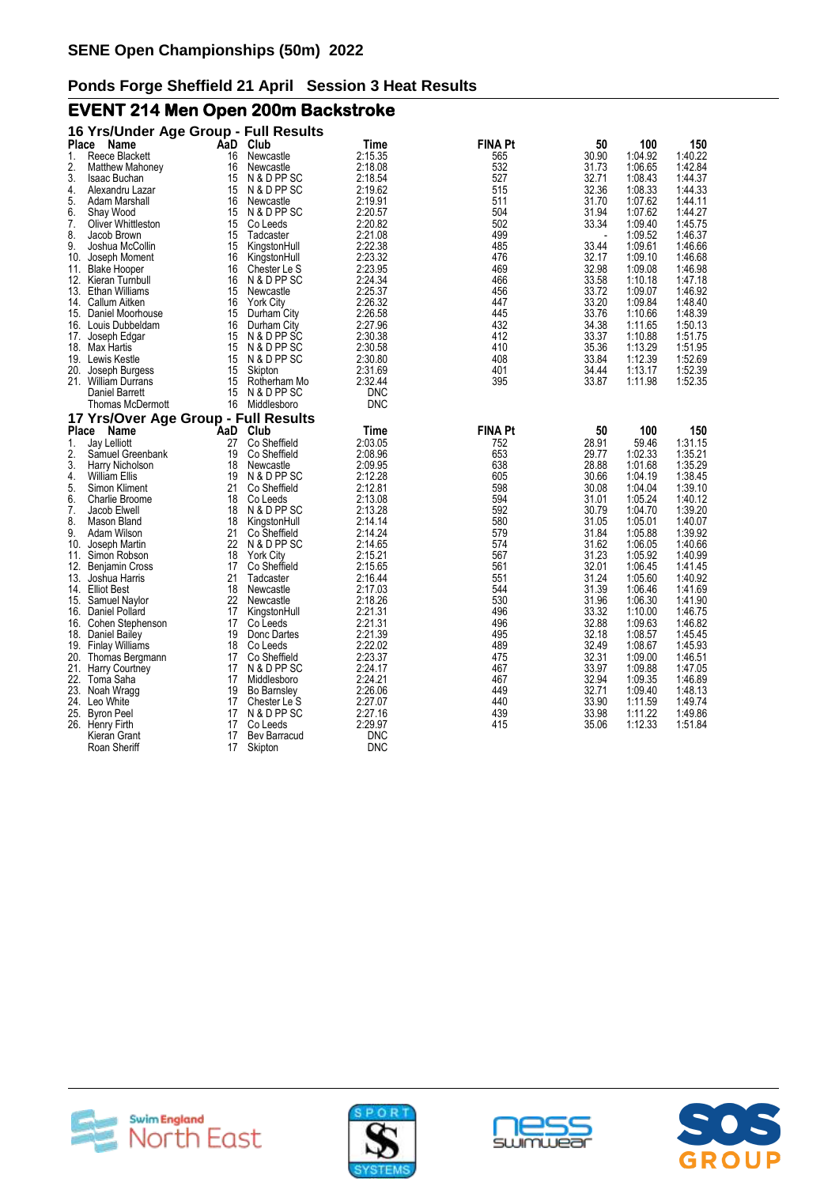# **EVENT 214 Men Open 200m Backstroke**

|       | 16 Yrs/Under Age Group - Full Results      |          |                             |                    |                |                |                    |                    |
|-------|--------------------------------------------|----------|-----------------------------|--------------------|----------------|----------------|--------------------|--------------------|
| Place | Name                                       | AaD      | Club                        | Time               | <b>FINA Pt</b> | 50             | 100                | 150                |
| 1.    | Reece Blackett                             | 16       | Newcastle                   | 2:15.35            | 565            | 30.90          | 1:04.92            | 1:40.22            |
| 2.    | <b>Matthew Mahoney</b>                     | 16       | Newcastle                   | 2:18.08            | 532            | 31.73          | 1:06.65            | 1:42.84            |
| 3.    | Isaac Buchan                               | 15       | N & D PP SC                 | 2:18.54            | 527            | 32.71          | 1:08.43            | 1:44.37            |
| 4.    | Alexandru Lazar                            | 15       | N & D PP SC                 | 2:19.62            | 515            | 32.36          | 1:08.33            | 1:44.33            |
| 5.    | Adam Marshall                              | 16       | Newcastle                   | 2:19.91            | 511            | 31.70          | 1:07.62            | 1:44.11            |
| 6.    | Shay Wood                                  | 15       | N & D PP SC                 | 2:20.57            | 504            | 31.94          | 1:07.62            | 1:44.27            |
| 7.    | Oliver Whittleston                         | 15       | Co Leeds                    | 2:20.82            | 502            | 33.34          | 1:09.40            | 1:45.75            |
| 8.    | Jacob Brown                                | 15       | Tadcaster                   | 2:21.08            | 499            |                | 1:09.52            | 1:46.37            |
| 9.    | Joshua McCollin                            | 15       | KingstonHull                | 2:22.38            | 485            | 33.44          | 1:09.61            | 1:46.66            |
| 10.   | Joseph Moment                              | 16       | KingstonHull                | 2:23.32            | 476            | 32.17          | 1:09.10            | 1:46.68            |
| 11.   | <b>Blake Hooper</b><br>12. Kieran Turnbull | 16<br>16 | Chester Le S<br>N & D PP SC | 2:23.95<br>2:24.34 | 469<br>466     | 32.98<br>33.58 | 1:09.08<br>1:10.18 | 1:46.98<br>1:47.18 |
|       | 13. Ethan Williams                         | 15       | Newcastle                   | 2:25.37            | 456            | 33.72          | 1:09.07            | 1:46.92            |
| 14.   | Callum Aitken                              | 16       | <b>York City</b>            | 2:26.32            | 447            | 33.20          | 1:09.84            | 1:48.40            |
|       | 15. Daniel Moorhouse                       | 15       | Durham City                 | 2:26.58            | 445            | 33.76          | 1:10.66            | 1:48.39            |
|       | 16. Louis Dubbeldam                        | 16       | Durham City                 | 2:27.96            | 432            | 34.38          | 1:11.65            | 1:50.13            |
| 17.   | Joseph Edgar                               | 15       | N & D PP SC                 | 2:30.38            | 412            | 33.37          | 1:10.88            | 1:51.75            |
|       | 18. Max Hartis                             | 15       | N & D PP SC                 | 2:30.58            | 410            | 35.36          | 1:13.29            | 1:51.95            |
|       | 19. Lewis Kestle                           | 15       | N & D PP SC                 | 2:30.80            | 408            | 33.84          | 1:12.39            | 1:52.69            |
| 20.   | Joseph Burgess                             | 15       | Skipton                     | 2:31.69            | 401            | 34.44          | 1:13.17            | 1:52.39            |
|       | 21. William Durrans                        | 15       | Rotherham Mo                | 2:32.44            | 395            | 33.87          | 1:11.98            | 1:52.35            |
|       | Daniel Barrett                             | 15       | N & D PP SC                 | <b>DNC</b>         |                |                |                    |                    |
|       | <b>Thomas McDermott</b>                    | 16       | Middlesboro                 | <b>DNC</b>         |                |                |                    |                    |
|       | 17 Yrs/Over Age Group - Full Results       |          |                             |                    |                |                |                    |                    |
| Place | Name                                       | AaD      | Club                        | Time               | <b>FINA Pt</b> | 50             | 100                | 150                |
| 1.    | Jay Lelliott                               | 27       | Co Sheffield                | 2:03.05            | 752            | 28.91          | 59.46              | 1:31.15            |
| 2.    | Samuel Greenbank                           | 19       | Co Sheffield                | 2:08.96            | 653            | 29.77          | 1:02.33            | 1:35.21            |
| 3.    | Harry Nicholson                            | 18       | Newcastle                   | 2:09.95            | 638            | 28.88          | 1:01.68            | 1:35.29            |
| 4.    | William Ellis                              | 19       | N & D PP SC                 | 2:12.28            | 605            | 30.66          | 1:04.19            | 1:38.45            |
| 5.    | Simon Kliment                              | 21       | Co Sheffield                | 2:12.81            | 598            | 30.08          | 1:04.04            | 1:39.10            |
| 6.    | <b>Charlie Broome</b>                      | 18       | Co Leeds                    | 2:13.08            | 594            | 31.01          | 1:05.24            | 1:40.12            |
| 7.    | Jacob Elwell                               | 18       | N & D PP SC                 | 2:13.28            | 592            | 30.79          | 1:04.70            | 1:39.20            |
| 8.    | Mason Bland                                | 18       | KingstonHull                | 2:14.14            | 580            | 31.05          | 1:05.01            | 1:40.07            |
| 9.    | Adam Wilson                                | 21       | Co Sheffield                | 2:14.24            | 579            | 31.84          | 1:05.88            | 1:39.92            |
| 10.   | Joseph Martin                              | 22       | N & D PP SC                 | 2:14.65            | 574            | 31.62          | 1:06.05            | 1:40.66            |
| 11.   | Simon Robson                               | 18       | <b>York City</b>            | 2:15.21            | 567            | 31.23          | 1:05.92            | 1:40.99            |
|       | 12. Benjamin Cross                         | 17       | Co Sheffield                | 2:15.65            | 561            | 32.01          | 1:06.45            | 1:41.45            |
|       | 13. Joshua Harris                          | 21       | Tadcaster                   | 2:16.44            | 551            | 31.24          | 1:05.60            | 1:40.92            |
| 14.   | <b>Elliot Best</b>                         | 18       | Newcastle                   | 2:17.03            | 544            | 31.39          | 1:06.46            | 1:41.69            |
|       | 15. Samuel Naylor                          | 22       | Newcastle                   | 2:18.26            | 530            | 31.96          | 1:06.30            | 1:41.90            |
|       | 16. Daniel Pollard                         | 17       | KingstonHull                | 2:21.31            | 496            | 33.32          | 1:10.00            | 1:46.75            |
| 16.   | Cohen Stephenson                           | 17       | Co Leeds                    | 2:21.31            | 496            | 32.88          | 1:09.63            | 1:46.82            |
|       | 18. Daniel Bailey                          | 19       | Donc Dartes                 | 2:21.39            | 495            | 32.18          | 1:08.57            | 1:45.45            |
|       | 19. Finlay Williams                        | 18       | Co Leeds                    | 2:22.02            | 489            | 32.49          | 1:08.67            | 1:45.93            |
| 20.   | Thomas Bergmann                            | 17       | Co Sheffield                | 2:23.37            | 475            | 32.31          | 1:09.00            | 1:46.51            |
| 21.   | <b>Harry Courtney</b>                      | 17       | N & D PP SC                 | 2:24.17            | 467            | 33.97          | 1:09.88            | 1:47.05            |
| 22.   | Toma Saha                                  | 17       | Middlesboro                 | 2:24.21            | 467            | 32.94          | 1:09.35            | 1:46.89            |
| 23.   | Noah Wragg                                 | 19       | <b>Bo Barnsley</b>          | 2:26.06            | 449            | 32.71          | 1:09.40            | 1:48.13            |
|       | 24. Leo White                              | 17       | Chester Le S                | 2:27.07            | 440            | 33.90          | 1:11.59            | 1:49.74            |
|       | 25. Byron Peel                             | 17       | N & D PP SC                 | 2:27.16            | 439            | 33.98          | 1:11.22            | 1:49.86            |
|       | 26. Henry Firth                            | 17       | Co Leeds                    | 2:29.97            | 415            | 35.06          | 1:12.33            | 1:51.84            |
|       | Kieran Grant<br>Roan Sheriff               | 17       | Bev Barracud                | <b>DNC</b>         |                |                |                    |                    |
|       |                                            | 17       | Skipton                     | <b>DNC</b>         |                |                |                    |                    |







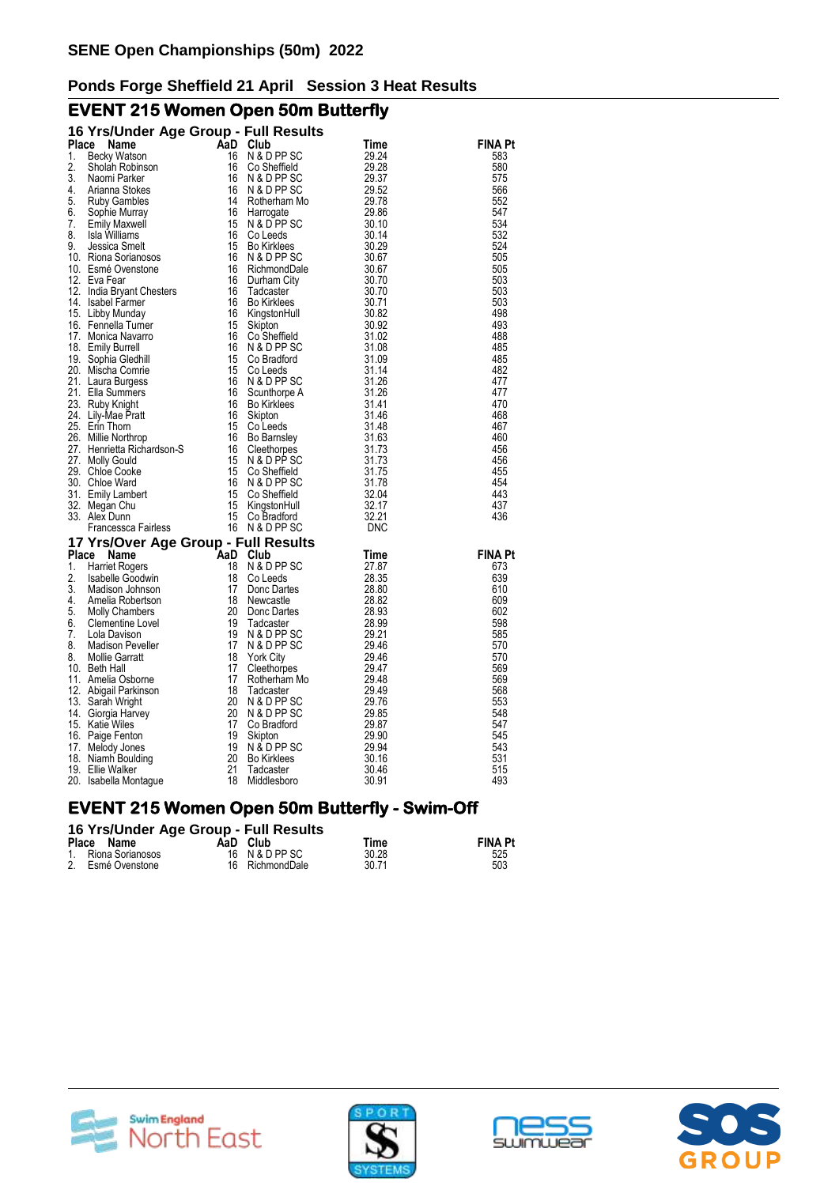# **EVENT 215 Women Open 50m Butterfly**

|       | 16 Yrs/Under Age Group - Full Results                                                |          |                    |       |                |
|-------|--------------------------------------------------------------------------------------|----------|--------------------|-------|----------------|
| Place | Name                                                                                 | AaD Club |                    | Time  | <b>FINA Pt</b> |
| 1.    | Becky Watson                                                                         | 16       | N & D PP SC        | 29.24 | 583            |
| 2.    | Sholah Robinson                                                                      | 16       | Co Sheffield       | 29.28 | 580            |
| 3.    | Naomi Parker                                                                         | 16       | N & D PP SC        | 29.37 | 575            |
| 4.    | Arianna Stokes                                                                       | 16       | N & D PP SC        | 29.52 | 566            |
| 5.    | <b>Ruby Gambles</b>                                                                  | 14       | Rotherham Mo       | 29.78 | 552            |
| 6.    | Sophie Murray                                                                        | 16       | Harrogate          | 29.86 | 547            |
| 7.    | <b>Emily Maxwell</b>                                                                 | 15       | N & D PP SC        | 30.10 | 534            |
| 8.    | Isla Williams                                                                        | 16       | Co Leeds           | 30.14 | 532            |
| 9.    | Jessica Smelt                                                                        | 15       | <b>Bo Kirklees</b> | 30.29 | 524            |
|       | 10. Riona Sorianosos                                                                 | 16       | N & D PP SC        | 30.67 | 505            |
|       | 10. Esmé Ovenstone                                                                   | 16       | RichmondDale       | 30.67 | 505            |
|       | 12. Eva Fear<br>12. India Bryant Chesters                                            | 16       | Durham City        | 30.70 | 503            |
|       |                                                                                      | 16       | Tadcaster          | 30.70 | 503            |
|       |                                                                                      | 16       | <b>Bo Kirklees</b> | 30.71 | 503            |
|       | 15. Libby Munday                                                                     | 16       | KingstonHull       | 30.82 | 498            |
|       | 16. Fennella Turner                                                                  | 15       | Skipton            | 30.92 | 493            |
|       | 17. Monica Navarro                                                                   | 16       | Co Sheffield       | 31.02 | 488            |
|       | 18. Emily Burrell                                                                    | 16       | N & D PP SC        | 31.08 | 485            |
|       | 19. Sophia Gledhill                                                                  | 15       | Co Bradford        | 31.09 | 485            |
|       | 20. Mischa Comrie                                                                    | 15       | Co Leeds           | 31.14 | 482            |
|       | 21. Laura Burgess                                                                    | 16       | N & D PP SC        | 31.26 | 477            |
|       | 21. Ella Summers                                                                     | 16       | Scunthorpe A       | 31.26 | 477            |
|       | 23. Ruby Knight                                                                      | 16       | <b>Bo Kirklees</b> | 31.41 | 470            |
|       | 24. Lily-Mae Pratt                                                                   | 16       | Skipton            | 31.46 | 468            |
|       |                                                                                      | 15       | Co Leeds           | 31.48 | 467            |
|       |                                                                                      | 16       | Bo Barnsley        | 31.63 | 460            |
|       | 25. Erin Thom<br>26. Millie Northrop<br>27. Henrietta Richardson-S<br>~~ Mally Gould | 16       | Cleethorpes        | 31.73 | 456            |
|       |                                                                                      | 15       | N & D PP SC        | 31.73 | 456            |
|       | 29. Chloe Cooke                                                                      | 15       | Co Sheffield       | 31.75 | 455            |
|       | 30. Chloe Ward                                                                       | 16       | N & D PP SC        | 31.78 | 454            |
|       | 31. Emily Lambert                                                                    | 15       | Co Sheffield       | 32.04 | 443            |
|       | 32. Megan Chu                                                                        | 15       | KingstonHull       | 32.17 | 437            |
|       | 33. Alex Dunn                                                                        | 15       | Co Bradford        | 32.21 | 436            |
|       | Francessca Fairless                                                                  |          | 16 N & D PP SC     | DNC   |                |
|       | 17 Yrs/Over Age Group - Full Results                                                 |          |                    |       |                |
|       | Place<br>Name                                                                        | AaD      | Club               | Time  | <b>FINA Pt</b> |
| 1.    | <b>Harriet Rogers</b>                                                                | 18       | N & D PP SC        | 27.87 | 673            |
| 2.    | <b>Isabelle Goodwin</b>                                                              | 18       | Co Leeds           | 28.35 | 639            |
| 3.    | Madison Johnson                                                                      | 17       | Donc Dartes        | 28.80 | 610            |
| 4.    | Amelia Robertson                                                                     | 18       | Newcastle          | 28.82 | 609            |
| 5.    | <b>Molly Chambers</b>                                                                | 20       | Donc Dartes        | 28.93 | 602            |
| 6.    | Clementine Lovel                                                                     | 19       | Tadcaster          | 28.99 | 598            |
| 7.    | Lola Davison                                                                         | 19       | N & D PP SC        | 29.21 | 585            |
| 8.    | <b>Madison Peveller</b>                                                              | 17       | N & D PP SC        | 29.46 | 570            |
| 8.    | <b>Mollie Garratt</b>                                                                | 18       | <b>York City</b>   | 29.46 | 570            |
|       | 10. Beth Hall                                                                        | 17       | Cleethorpes        | 29.47 | 569            |
|       | 11. Amelia Osborne                                                                   | 17       | Rotherham Mo       | 29.48 | 569            |
|       | 12. Abigail Parkinson                                                                | 18       | Tadcaster          | 29.49 | 568            |
|       | 13. Sarah Wright                                                                     | 20       | N & D PP SC        | 29.76 | 553            |
|       | 14. Giorgia Harvey                                                                   | 20       | N & D PP SC        | 29.85 | 548            |
|       | 15. Katie Wiles                                                                      | 17       | Co Bradford        | 29.87 | 547            |
|       | 16. Paige Fenton                                                                     | 19       | Skipton            | 29.90 | 545            |
|       | 17. Melody Jones                                                                     | 19       | N & D PP SC        | 29.94 | 543            |
|       | 18. Niamh Boulding                                                                   | 20       | <b>Bo Kirklees</b> | 30.16 | 531            |
|       | 19. Ellie Walker                                                                     | 21       | Tadcaster          | 30.46 | 515            |
|       | 20. Isabella Montaque                                                                | 18       | Middlesboro        | 30.91 | 493            |

# **EVENT 215 Women Open 50m Butterfly - Swim-Off**

# **16 Yrs/Under Age Group - Full Results**

| Place | Name                | AaD Club                          | Time           | <b>FINA Pt</b> |
|-------|---------------------|-----------------------------------|----------------|----------------|
|       | 1. Riona Sorianosos | 16 N & D PP SC<br>16 RichmondDale | 30.28<br>30.71 | 525<br>503     |
|       | 2. Esmé Ovenstone   |                                   |                |                |







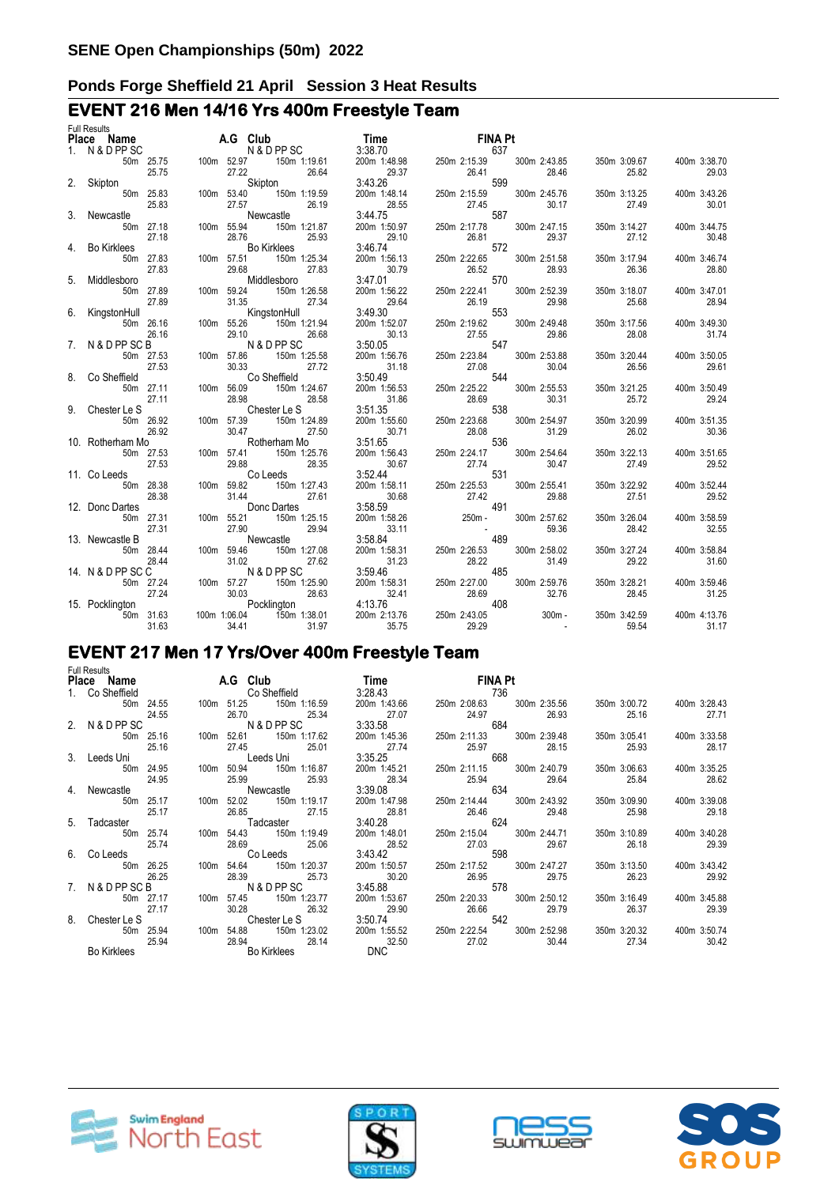# **EVENT 216 Men 14/16 Yrs 400m Freestyle Team**

| <b>Plute-all forms 2.5 time and 2.6 Columb 12.5 Time 18.0 2.6 2.5 2.5 2.5 2.5 2.5 2.5 2.5 3.6 2.5 2.5 3.6 2.6 2.5 2.5 3.6 2.5 2.5 3.6 2.5 2.5 3.6 2.5 2.5 3.6 2.5 2.5 3.6 2.5 2.5 3.6 2.5 2.5 3.6 2.5 2.5 3.6 2.5 2.5 3.6 2.5 2</b> |
|-------------------------------------------------------------------------------------------------------------------------------------------------------------------------------------------------------------------------------------|
|                                                                                                                                                                                                                                     |
|                                                                                                                                                                                                                                     |
|                                                                                                                                                                                                                                     |
|                                                                                                                                                                                                                                     |
|                                                                                                                                                                                                                                     |
|                                                                                                                                                                                                                                     |
|                                                                                                                                                                                                                                     |
|                                                                                                                                                                                                                                     |
|                                                                                                                                                                                                                                     |
|                                                                                                                                                                                                                                     |
|                                                                                                                                                                                                                                     |
|                                                                                                                                                                                                                                     |
|                                                                                                                                                                                                                                     |
|                                                                                                                                                                                                                                     |
|                                                                                                                                                                                                                                     |
|                                                                                                                                                                                                                                     |
|                                                                                                                                                                                                                                     |
|                                                                                                                                                                                                                                     |
|                                                                                                                                                                                                                                     |
|                                                                                                                                                                                                                                     |
|                                                                                                                                                                                                                                     |
|                                                                                                                                                                                                                                     |
|                                                                                                                                                                                                                                     |
|                                                                                                                                                                                                                                     |
|                                                                                                                                                                                                                                     |
|                                                                                                                                                                                                                                     |
|                                                                                                                                                                                                                                     |
|                                                                                                                                                                                                                                     |
|                                                                                                                                                                                                                                     |
|                                                                                                                                                                                                                                     |
|                                                                                                                                                                                                                                     |
|                                                                                                                                                                                                                                     |
|                                                                                                                                                                                                                                     |
|                                                                                                                                                                                                                                     |
|                                                                                                                                                                                                                                     |
|                                                                                                                                                                                                                                     |
|                                                                                                                                                                                                                                     |
|                                                                                                                                                                                                                                     |
|                                                                                                                                                                                                                                     |
|                                                                                                                                                                                                                                     |
|                                                                                                                                                                                                                                     |
|                                                                                                                                                                                                                                     |
|                                                                                                                                                                                                                                     |
|                                                                                                                                                                                                                                     |
|                                                                                                                                                                                                                                     |
|                                                                                                                                                                                                                                     |
|                                                                                                                                                                                                                                     |

# **EVENT 217 Men 17 Yrs/Over 400m Freestyle Team**

|    | <b>Full Results</b> |       |      |                                           |                                                                                                                                                                                                                                    |                                       |                                          |                                    |                       |
|----|---------------------|-------|------|-------------------------------------------|------------------------------------------------------------------------------------------------------------------------------------------------------------------------------------------------------------------------------------|---------------------------------------|------------------------------------------|------------------------------------|-----------------------|
|    |                     |       |      | Place Name A.G Club                       | <b>Time contract the state of the state of the state of the state of the state of the state of the state of the state of the state of the state of the state of the state of the state of the state of the state of the state </b> | FINA Pt                               |                                          |                                    |                       |
|    | 1. Co Sheffield     |       |      | <b>Co Sheffield</b>                       | 3:28.43                                                                                                                                                                                                                            | 736                                   |                                          |                                    |                       |
|    | 50m 24.55           | 24.55 |      | 100m 51.25 150m 1:16.59<br>26.70 25.34    | 200m 1:43.66<br>27.07                                                                                                                                                                                                              |                                       | 250m 2:08.63 300m 2:35.56<br>24.97 26.93 | 350m 3:00.72<br>25.16              | 400m 3:28.43<br>27.71 |
|    | 2. N & D PP SC      |       |      | N & D PP SC                               | 3:33.58                                                                                                                                                                                                                            | 684                                   |                                          |                                    |                       |
|    | 50m 25.16           | 25.16 |      | 100m 52.61 150m 1:17.62<br>27.45 25.01    | 200m 1:45.36<br>27.74                                                                                                                                                                                                              | 250m 2:11.33 300m 2:39.48             | 25.97 28.15                              | 350m 3:05.41<br>25.93              | 400m 3:33.58<br>28.17 |
|    | 3. Leeds Uni        |       |      | Leeds Uni                                 | 3:35.25                                                                                                                                                                                                                            |                                       | 668                                      |                                    |                       |
|    | 50m 24.95           | 24.95 |      | 100m 50.94 150m 1:16.87<br>25.99<br>25.93 | 200m 1:45.21<br>28.34                                                                                                                                                                                                              | 250m 2:11.15 300m 2:40.79<br>25.94    | 29.64                                    | 350m 3:06.63<br>25.84              | 400m 3:35.25<br>28.62 |
|    | 4. Newcastle        |       |      | Newcastle                                 | 3:39.08                                                                                                                                                                                                                            | 634                                   |                                          |                                    |                       |
|    | 50m 25.17           | 25.17 | 100m | 52.02 150m 1:19.17<br>26.85<br>27.15      | 200m 1:47.98<br>28.81                                                                                                                                                                                                              | 26.46                                 | 250m 2:14.44 300m 2:43.92<br>29.48       | 350m 3:09.90<br>25.98              | 400m 3:39.08<br>29.18 |
|    | 5. Tadcaster        |       |      | Tadcaster                                 | 3:40.28                                                                                                                                                                                                                            | 624                                   |                                          |                                    |                       |
|    | 50m 25.74           | 25.74 |      | 100m 54.43 150m 1:19.49<br>28.69 25.06    | 200m 1:48.01<br>28.52                                                                                                                                                                                                              |                                       | 250m 2:15.04 300m 2:44.71<br>27.03 29.67 | 350m 3:10.89 400m 3:40.28<br>26.18 | 29.39                 |
| 6. | Co Leeds <b>Co</b>  |       |      | Co Leeds <b>Co</b>                        | 3:43.42                                                                                                                                                                                                                            | 598                                   |                                          |                                    |                       |
|    | 50m 26.25           | 26.25 |      | 100m 54.64 150m 1:20.37<br>28.39 25.73    | 200m 1:50.57<br>30.20                                                                                                                                                                                                              | 250m 2:17.52 300m 2:47.27<br>26.95    | 29.75                                    | 350m 3:13.50<br>26.23              | 400m 3:43.42<br>29.92 |
|    | 7. N&DPPSCB         |       |      | N & D PP SC                               | 3:45.88                                                                                                                                                                                                                            | 578                                   |                                          |                                    |                       |
|    | 50m 27.17           | 27.17 |      | 100m 57.45 150m 1:23.77<br>30.28 26.32    | 200m 1:53.67<br>29.90                                                                                                                                                                                                              | 250m 2:20.33 300m 2:50.12<br>26.66 20 | 29.79                                    | 350m 3:16.49<br>26.37              | 400m 3:45.88<br>29.39 |
| 8. | Chester Le S        |       |      | <b>Chester Le S</b>                       | 3:50.74                                                                                                                                                                                                                            | 542                                   |                                          |                                    |                       |
|    | 50m 25.94           | 25.94 |      | 100m 54.88 150m 1:23.02<br>28.94 28.14    | 200m 1:55.52<br>32.50<br><b>DNC</b>                                                                                                                                                                                                | 250m 2:22.54 300m 2:52.98<br>27.02    | 30.44                                    | 350m 3:20.32<br>27.34              | 400m 3:50.74<br>30.42 |
|    | Bo Kirklees         |       |      | Bo Kirklees                               |                                                                                                                                                                                                                                    |                                       |                                          |                                    |                       |







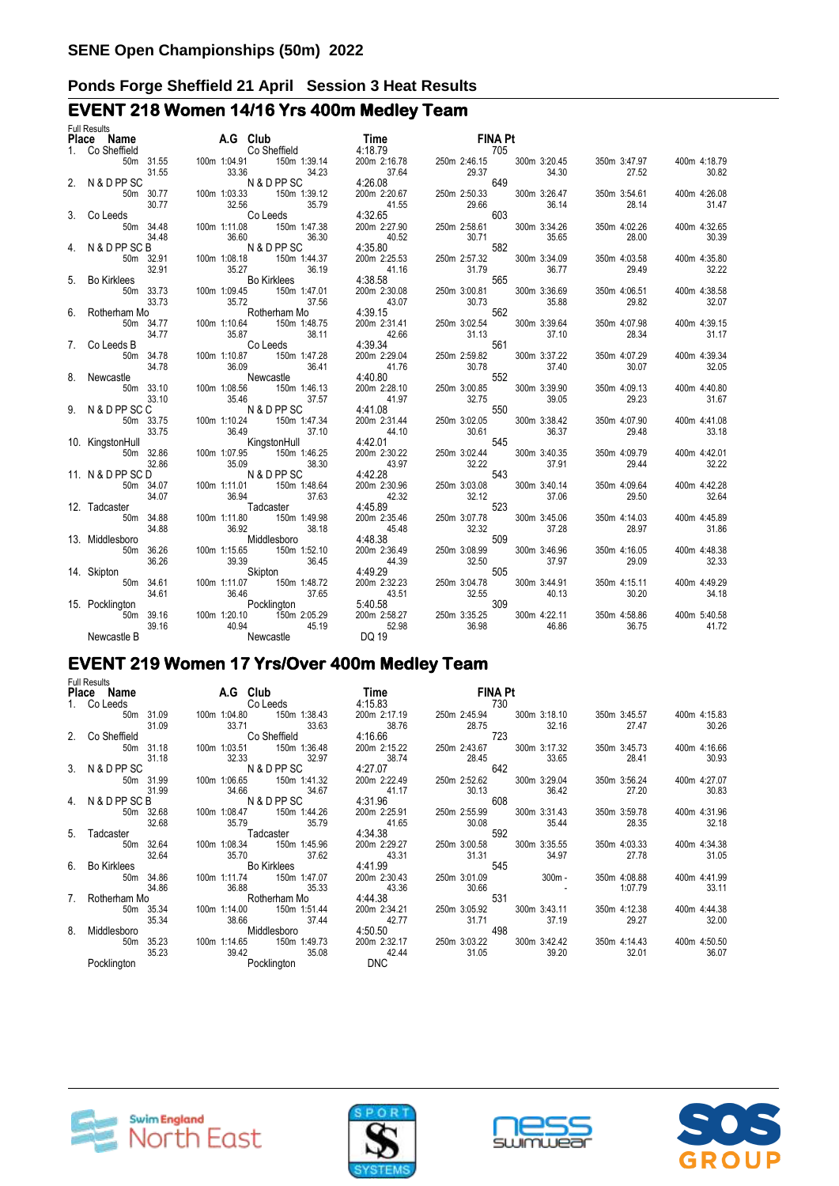# **EVENT 218 Women 14/16 Yrs 400m Medley Team**

| <b>Full Results</b>                                                                                                                                                                                                                                           |       |  |                                   |                                                                                                  |  |  |       |              |                           |              |
|---------------------------------------------------------------------------------------------------------------------------------------------------------------------------------------------------------------------------------------------------------------|-------|--|-----------------------------------|--------------------------------------------------------------------------------------------------|--|--|-------|--------------|---------------------------|--------------|
| Full Results<br>1. Co Sheffield<br>50m 31.55<br>50m 31.55<br>50m 31.55<br>50m 31.55<br>50m 31.55<br>50m 30.77<br>100m 1:04.91<br>100m 1:04.91<br>100m 1:39.14<br>100m 1:39.14<br>100m 1:39.14<br>100m 1:39.14<br>100m 1:39.14<br>100m 1:39.12<br>100m 1:39.12 |       |  |                                   |                                                                                                  |  |  |       |              |                           |              |
|                                                                                                                                                                                                                                                               |       |  |                                   |                                                                                                  |  |  |       |              |                           |              |
|                                                                                                                                                                                                                                                               |       |  |                                   |                                                                                                  |  |  |       |              | 350m 3:47.97 400m 4:18.79 |              |
|                                                                                                                                                                                                                                                               |       |  |                                   |                                                                                                  |  |  |       | 27.52        |                           | 30.82        |
|                                                                                                                                                                                                                                                               |       |  |                                   |                                                                                                  |  |  |       |              |                           |              |
|                                                                                                                                                                                                                                                               |       |  |                                   |                                                                                                  |  |  |       | 350m 3:54.61 |                           | 400m 4:26.08 |
|                                                                                                                                                                                                                                                               |       |  |                                   |                                                                                                  |  |  |       | 28.14        |                           | 31.47        |
|                                                                                                                                                                                                                                                               |       |  |                                   |                                                                                                  |  |  |       |              |                           |              |
|                                                                                                                                                                                                                                                               |       |  |                                   |                                                                                                  |  |  |       | 350m 4:02.26 |                           | 400m 4:32.65 |
|                                                                                                                                                                                                                                                               |       |  |                                   |                                                                                                  |  |  |       | 28.00        |                           | 30.39        |
|                                                                                                                                                                                                                                                               |       |  |                                   |                                                                                                  |  |  |       |              |                           |              |
|                                                                                                                                                                                                                                                               |       |  |                                   |                                                                                                  |  |  |       | 350m 4:03.58 |                           | 400m 4:35.80 |
|                                                                                                                                                                                                                                                               |       |  |                                   |                                                                                                  |  |  |       | 29.49        |                           | 32.22        |
|                                                                                                                                                                                                                                                               |       |  |                                   |                                                                                                  |  |  |       |              |                           |              |
|                                                                                                                                                                                                                                                               |       |  |                                   |                                                                                                  |  |  |       |              |                           |              |
|                                                                                                                                                                                                                                                               |       |  |                                   |                                                                                                  |  |  |       | 350m 4:06.51 |                           | 400m 4:38.58 |
|                                                                                                                                                                                                                                                               |       |  |                                   |                                                                                                  |  |  |       | 29.82        |                           | 32.07        |
|                                                                                                                                                                                                                                                               |       |  |                                   |                                                                                                  |  |  |       |              |                           |              |
|                                                                                                                                                                                                                                                               |       |  |                                   |                                                                                                  |  |  |       | 350m 4:07.98 |                           | 400m 4:39.15 |
|                                                                                                                                                                                                                                                               |       |  |                                   |                                                                                                  |  |  |       | 28.34        |                           | 31.17        |
|                                                                                                                                                                                                                                                               |       |  |                                   |                                                                                                  |  |  |       |              |                           |              |
|                                                                                                                                                                                                                                                               |       |  |                                   |                                                                                                  |  |  |       | 350m 4:07.29 |                           | 400m 4:39.34 |
|                                                                                                                                                                                                                                                               |       |  |                                   |                                                                                                  |  |  |       | 30.07        |                           | 32.05        |
|                                                                                                                                                                                                                                                               |       |  |                                   |                                                                                                  |  |  |       |              |                           |              |
|                                                                                                                                                                                                                                                               |       |  |                                   |                                                                                                  |  |  |       | 350m 4:09.13 |                           | 400m 4:40.80 |
|                                                                                                                                                                                                                                                               |       |  |                                   |                                                                                                  |  |  |       | 29.23        |                           | 31.67        |
|                                                                                                                                                                                                                                                               |       |  |                                   |                                                                                                  |  |  |       |              |                           |              |
|                                                                                                                                                                                                                                                               |       |  |                                   |                                                                                                  |  |  |       | 350m 4:07.90 |                           | 400m 4:41.08 |
|                                                                                                                                                                                                                                                               |       |  |                                   |                                                                                                  |  |  |       | 29.48        |                           | 33.18        |
|                                                                                                                                                                                                                                                               |       |  |                                   |                                                                                                  |  |  |       |              |                           |              |
|                                                                                                                                                                                                                                                               |       |  |                                   |                                                                                                  |  |  |       | 350m 4:09.79 |                           | 400m 4:42.01 |
|                                                                                                                                                                                                                                                               |       |  |                                   |                                                                                                  |  |  |       | 29.44        |                           | 32.22        |
|                                                                                                                                                                                                                                                               |       |  |                                   |                                                                                                  |  |  |       |              |                           |              |
|                                                                                                                                                                                                                                                               |       |  |                                   |                                                                                                  |  |  |       | 350m 4:09.64 |                           | 400m 4:42.28 |
|                                                                                                                                                                                                                                                               |       |  |                                   |                                                                                                  |  |  |       | 29.50        |                           | 32.64        |
| 4. N & D PP SC $3448$<br>5. Bo Kirkles Son 3.291<br>5. Bo Kirkles Son 3.443 100m 1:06 18 150m 1:443 200m 2:25 32 30m 3:35 32 30m 3:36 32 30m 3:36 34<br>5. Bo Kirkles Son 3:37 3100m 1:08 45 150m 1:47.01<br>6. Rotherham Mo<br>6. Rot                        |       |  |                                   | 523<br>200m 2:35.46<br>45.48<br>4:48.38<br>200m 2:36.49<br>44.39<br>250m 3:08.99<br>250m 3:08.99 |  |  |       |              |                           |              |
|                                                                                                                                                                                                                                                               |       |  |                                   |                                                                                                  |  |  |       | 350m 4:14.03 |                           | 400m 4:45.89 |
|                                                                                                                                                                                                                                                               | 34.88 |  |                                   |                                                                                                  |  |  | 37.28 | 28.97        |                           | 31.86        |
| 13. Middlesboro                                                                                                                                                                                                                                               |       |  | $36.92$<br>$38.18$<br>Middlesboro |                                                                                                  |  |  |       |              |                           |              |
|                                                                                                                                                                                                                                                               |       |  |                                   |                                                                                                  |  |  |       | 350m 4:16.05 |                           | 400m 4:48.38 |
|                                                                                                                                                                                                                                                               |       |  |                                   |                                                                                                  |  |  |       | 29.09        |                           | 32.33        |
|                                                                                                                                                                                                                                                               |       |  |                                   |                                                                                                  |  |  |       |              |                           |              |
|                                                                                                                                                                                                                                                               |       |  |                                   |                                                                                                  |  |  |       | 350m 4:15.11 |                           | 400m 4:49.29 |
|                                                                                                                                                                                                                                                               |       |  |                                   |                                                                                                  |  |  |       | 30.20        |                           | 34.18        |
|                                                                                                                                                                                                                                                               |       |  |                                   |                                                                                                  |  |  |       |              |                           |              |
|                                                                                                                                                                                                                                                               |       |  |                                   |                                                                                                  |  |  |       | 350m 4:58.86 |                           | 400m 5:40.58 |
|                                                                                                                                                                                                                                                               |       |  |                                   |                                                                                                  |  |  |       | 36.75        |                           | 41.72        |
|                                                                                                                                                                                                                                                               |       |  |                                   |                                                                                                  |  |  |       |              |                           |              |
|                                                                                                                                                                                                                                                               |       |  |                                   |                                                                                                  |  |  |       |              |                           |              |

# **EVENT 219 Women 17 Yrs/Over 400m Medley Team**

|   | <b>Full Results</b>          |           |  |                                  |       | Place Name A.G Club Time Time FINA Pt                                                      |       |       |     |       |         |                                                     |              |              |
|---|------------------------------|-----------|--|----------------------------------|-------|--------------------------------------------------------------------------------------------|-------|-------|-----|-------|---------|-----------------------------------------------------|--------------|--------------|
|   |                              |           |  |                                  |       | 1. Colleeds Colleeds 4:15.83 730                                                           |       |       |     |       |         |                                                     |              |              |
|   |                              |           |  |                                  |       |                                                                                            |       |       |     |       |         |                                                     |              |              |
|   | 50m 31.09                    |           |  | 100m 1:04.80 150m 1:38.43        |       |                                                                                            |       |       |     |       |         | 350m 3:45.57 400m 4:15.83                           |              |              |
|   | 31.09                        |           |  | 33.71 33.63                      |       | 38.76                                                                                      | 28.75 |       |     | 32.16 |         | 27.47                                               |              | 30.26        |
|   | 2. Co Sheffield              |           |  | Co Sheffield                     |       | 4:16.66 723                                                                                |       |       |     |       |         |                                                     |              |              |
|   |                              | 50m 31.18 |  | 100m 1:03.51   150m 1:36.48      |       | 200m 2:15.22                                                                               |       |       |     |       |         | 250m 2:43.67 300m 3:17.32 350m 3:45.73 400m 4:16.66 |              |              |
|   | 31.18                        |           |  |                                  |       | 32.33 32.97 38.74 28.45<br>N & D PP SC 4:27.07 642                                         | 28.45 |       |     | 33.65 |         | 28.41                                               |              | 30.93        |
|   | 3. N & D PP SC               |           |  |                                  |       |                                                                                            |       |       |     |       |         |                                                     |              |              |
|   |                              | 50m 31.99 |  | 100m 1:06.65   150m 1:41.32      |       | 200m 2:22.49  250m 2:52.62  300m 3:29.04                                                   |       |       |     |       |         | 350m 3:56.24 400m 4:27.07                           |              |              |
|   |                              | 31.99     |  |                                  |       | 34.66 34.67 41.17 30.13<br>N&DPPSC 4:31.96 608                                             |       |       |     | 36.42 |         | 27.20                                               |              | 30.83        |
|   | 4. N & D PP SC B N & D PP SC |           |  |                                  |       |                                                                                            |       |       |     |       |         |                                                     |              |              |
|   |                              | 50m 32.68 |  |                                  |       | 100m 1:08.47 150m 1:44.26 200m 2:25.91 250m 2:55.99 300m 3:31.43 350m 3:59.78 400m 4:31.96 |       |       |     |       |         |                                                     |              |              |
|   |                              | 32.68     |  |                                  |       | 41.65 30.08<br>4:34.38 592                                                                 |       |       |     | 35.44 |         | 28.35                                               |              | 32.18        |
|   | 5. Tadcaster                 |           |  | 35.79 35.79<br>Tadcaster         |       | 4:34.38                                                                                    |       |       |     |       |         |                                                     |              |              |
|   |                              | 50m 32.64 |  |                                  |       |                                                                                            |       |       |     |       |         | 350m 4:03.33 400m 4:34.38                           |              |              |
|   |                              |           |  |                                  |       | $31.31$ $34.97$                                                                            |       |       |     |       |         | 27.78                                               |              | 31.05        |
|   | 6. Bo Kirklees               |           |  | 32.64 35.70 37.62<br>Bo Kirklees |       | 4:41.99                                                                                    |       |       | 545 |       |         |                                                     |              |              |
|   |                              | 50m 34.86 |  | 100m 1:11.74   150m 1:47.07      |       | $200 \text{ m}$ 2:30.43 $250 \text{ m}$ 3:01.09 $300 \text{ m}$ -                          |       |       |     |       |         | 350m 4:08.88                                        | 400m 4:41.99 |              |
|   |                              | 34.86     |  |                                  |       |                                                                                            | 30.66 |       |     |       | 1:07.79 |                                                     |              | 33.11        |
|   | 7. Rotherham Mo              |           |  |                                  |       | 36.88 35.33 43.36<br>Rotherham Mo 4:44.38                                                  | 531   |       |     |       |         |                                                     |              |              |
|   |                              | 50m 35.34 |  |                                  |       | 200m 2:34.21 250m 3:05.92 300m 3:43.11                                                     |       |       |     |       |         | 350m 4:12.38                                        |              | 400m 4:44.38 |
|   |                              | 35.34     |  | 38.66 37.44                      |       | 42.77                                                                                      |       | 31.71 |     | 37.19 |         | 29.27                                               |              | 32.00        |
| 8 | Middlesboro                  |           |  | Middlesboro                      |       | 4:50.50                                                                                    |       |       | 498 |       |         |                                                     |              |              |
|   |                              |           |  |                                  |       | 50m 35.23 100m 1:14.65 150m 1:49.73 200m 2:32.17 250m 3:03.22 300m 3:42.42 350m 4:14.43    |       |       |     |       |         |                                                     | 400m 4:50.50 |              |
|   |                              | 35.23     |  | 39.42                            | 35.08 | 42.44                                                                                      |       | 31.05 |     | 39.20 |         | 32.01                                               |              | 36.07        |
|   | Pocklington                  |           |  | Pocklington                      |       | <b>DNC</b>                                                                                 |       |       |     |       |         |                                                     |              |              |
|   |                              |           |  |                                  |       |                                                                                            |       |       |     |       |         |                                                     |              |              |







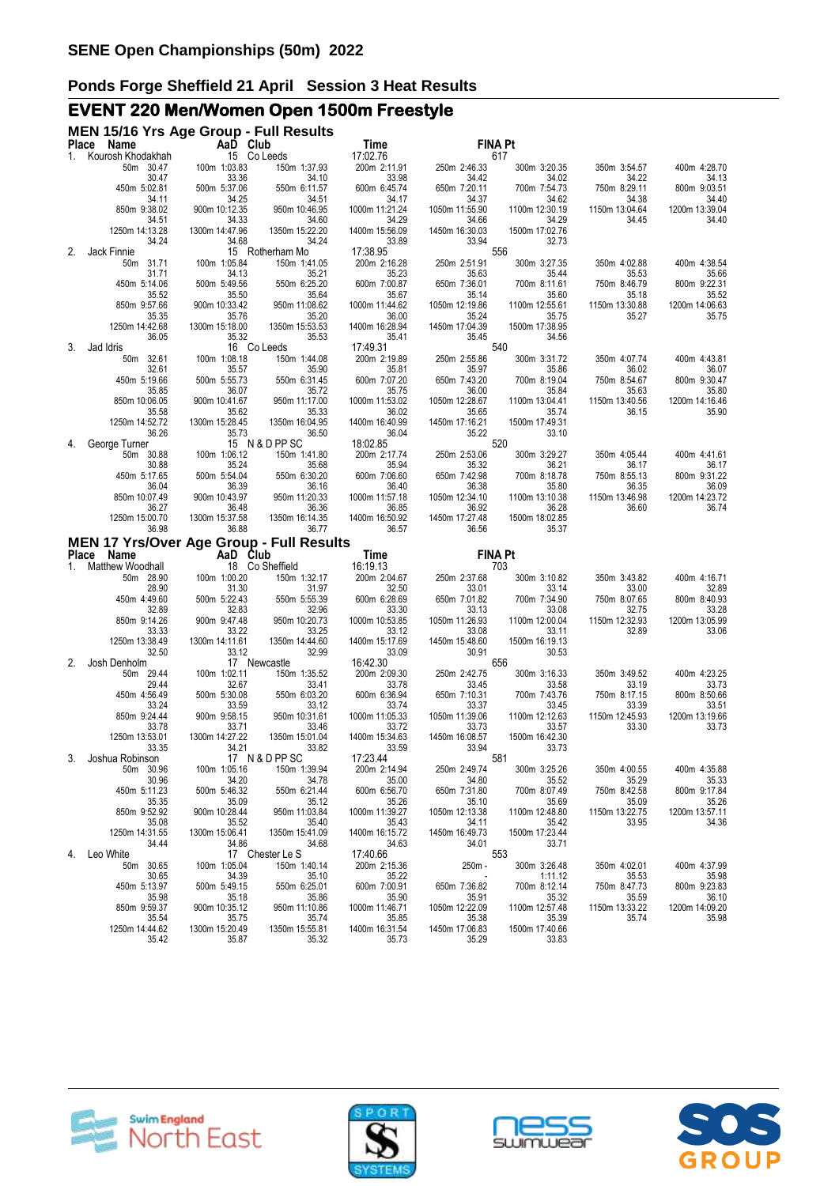# **EVENT 220 Men/Women Open 1500m Freestyle**

|              | MEN 15/16 Yrs Age Group - Full Results                  |                         |                                 |                          |                         |                         |                         |                         |
|--------------|---------------------------------------------------------|-------------------------|---------------------------------|--------------------------|-------------------------|-------------------------|-------------------------|-------------------------|
|              | Place Name                                              | AaD Club                |                                 | Time                     |                         | <b>FINA Pt</b>          |                         |                         |
| 1.           | Kourosh Khodakhah<br>50m 30.47                          | 100m 1:03.83            | 15 Co Leeds<br>150m 1:37.93     | 17:02.76<br>200m 2:11.91 | 250m 2:46.33            | 617<br>300m 3:20.35     | 350m 3:54.57            | 400m 4:28.70            |
|              | 30.47                                                   | 33.36                   | 34.10                           | 33.98                    | 34.42                   | 34.02                   | 34.22                   | 34.13                   |
|              | 450m 5:02.81                                            | 500m 5:37.06            | 550m 6:11.57                    | 600m 6:45.74             | 650m 7:20.11            | 700m 7:54.73            | 750m 8:29.11            | 800m 9:03.51            |
|              | 34.11<br>850m 9:38.02                                   | 34.25<br>900m 10:12.35  | 34.51<br>950m 10:46.95          | 34.17<br>1000m 11:21.24  | 34.37<br>1050m 11:55.90 | 34.62<br>1100m 12:30.19 | 34.38<br>1150m 13:04.64 | 34.40<br>1200m 13:39.04 |
|              | 34.51                                                   | 34.33                   | 34.60                           | 34.29                    | 34.66                   | 34.29                   | 34.45                   | 34.40                   |
|              | 1250m 14:13.28                                          | 1300m 14:47.96          | 1350m 15:22.20                  | 1400m 15:56.09           | 1450m 16:30.03          | 1500m 17:02.76          |                         |                         |
| 2.           | 34.24<br>Jack Finnie                                    | 34.68                   | 34.24<br>15 Rotherham Mo        | 33.89<br>17:38.95        | 33.94                   | 32.73<br>556            |                         |                         |
|              | 50m 31.71                                               | 100m 1:05.84            | 150m 1:41.05                    | 200m 2:16.28             | 250m 2:51.91            | 300m 3:27.35            | 350m 4:02.88            | 400m 4:38.54            |
|              | 31.71                                                   | 34.13                   | 35.21                           | 35.23                    | 35.63                   | 35.44                   | 35.53                   | 35.66                   |
|              | 450m 5:14.06<br>35.52                                   | 500m 5:49.56<br>35.50   | 550m 6:25.20<br>35.64           | 600m 7:00.87<br>35.67    | 650m 7:36.01<br>35.14   | 700m 8:11.61<br>35.60   | 750m 8:46.79<br>35.18   | 800m 9:22.31<br>35.52   |
|              | 850m 9:57.66                                            | 900m 10:33.42           | 950m 11:08.62                   | 1000m 11:44.62           | 1050m 12:19.86          | 1100m 12:55.61          | 1150m 13:30.88          | 1200m 14:06.63          |
|              | 35.35                                                   | 35.76                   | 35.20                           | 36.00                    | 35.24                   | 35.75                   | 35.27                   | 35.75                   |
|              | 1250m 14:42.68<br>36.05                                 | 1300m 15:18.00<br>35.32 | 1350m 15:53.53<br>35.53         | 1400m 16:28.94<br>35.41  | 1450m 17:04.39<br>35.45 | 1500m 17:38.95<br>34.56 |                         |                         |
| 3.           | Jad Idris                                               |                         | 16 Co Leeds                     | 17:49.31                 |                         | 540                     |                         |                         |
|              | 50m 32.61                                               | 100m 1:08.18            | 150m 1:44.08                    | 200m 2:19.89             | 250m 2:55.86            | 300m 3:31.72            | 350m 4:07.74            | 400m 4:43.81            |
|              | 32.61                                                   | 35.57                   | 35.90                           | 35.81                    | 35.97                   | 35.86                   | 36.02                   | 36.07                   |
|              | 450m 5:19.66<br>35.85                                   | 500m 5:55.73<br>36.07   | 550m 6:31.45<br>35.72           | 600m 7:07.20<br>35.75    | 650m 7:43.20<br>36.00   | 700m 8:19.04<br>35.84   | 750m 8:54.67<br>35.63   | 800m 9:30.47<br>35.80   |
|              | 850m 10:06.05                                           | 900m 10:41.67           | 950m 11:17.00                   | 1000m 11:53.02           | 1050m 12:28.67          | 1100m 13:04.41          | 1150m 13:40.56          | 1200m 14:16.46          |
|              | 35.58                                                   | 35.62                   | 35.33                           | 36.02                    | 35.65                   | 35.74                   | 36.15                   | 35.90                   |
|              | 1250m 14:52.72<br>36.26                                 | 1300m 15:28.45<br>35.73 | 1350m 16:04.95<br>36.50         | 1400m 16:40.99<br>36.04  | 1450m 17:16.21<br>35.22 | 1500m 17:49.31<br>33.10 |                         |                         |
| 4.           | George Turner                                           |                         | 15 N & D PP SC                  | 18:02.85                 |                         | 520                     |                         |                         |
|              | 50m 30.88                                               | 100m 1:06.12            | 150m 1:41.80                    | 200m 2:17.74             | 250m 2:53.06            | 300m 3:29.27            | 350m 4:05.44            | 400m 4:41.61            |
|              | 30.88<br>450m 5:17.65                                   | 35.24<br>500m 5:54.04   | 35.68                           | 35.94<br>600m 7:06.60    | 35.32<br>650m 7:42.98   | 36.21                   | 36.17                   | 36.17                   |
|              | 36.04                                                   | 36.39                   | 550m 6:30.20<br>36.16           | 36.40                    | 36.38                   | 700m 8:18.78<br>35.80   | 750m 8:55.13<br>36.35   | 800m 9:31.22<br>36.09   |
|              | 850m 10:07.49                                           | 900m 10:43.97           | 950m 11:20.33                   | 1000m 11:57.18           | 1050m 12:34.10          | 1100m 13:10.38          | 1150m 13:46.98          | 1200m 14:23.72          |
|              | 36.27                                                   | 36.48                   | 36.36                           | 36.85                    | 36.92                   | 36.28                   | 36.60                   | 36.74                   |
|              | 1250m 15:00.70<br>36.98                                 | 1300m 15:37.58<br>36.88 | 1350m 16:14.35<br>36.77         | 1400m 16:50.92<br>36.57  | 1450m 17:27.48<br>36.56 | 1500m 18:02.85<br>35.37 |                         |                         |
|              |                                                         |                         |                                 |                          |                         |                         |                         |                         |
|              |                                                         |                         |                                 |                          |                         |                         |                         |                         |
| <b>Place</b> | <b>MEN 17 Yrs/Over Age Group - Full Results</b><br>Name | AaD Club                |                                 | Time                     | <b>FINA Pt</b>          |                         |                         |                         |
| 1.           | Matthew Woodhall                                        |                         | 18 Co Sheffield                 | 16:19.13                 |                         | 703                     |                         |                         |
|              | 50m 28.90                                               | 100m 1:00.20            | 150m 1:32.17                    | 200m 2:04.67             | 250m 2:37.68            | 300m 3:10.82            | 350m 3:43.82            | 400m 4:16.71            |
|              | 28.90<br>450m 4:49.60                                   | 31.30<br>500m 5:22.43   | 31.97<br>550m 5:55.39           | 32.50<br>600m 6:28.69    | 33.01<br>650m 7:01.82   | 33.14<br>700m 7:34.90   | 33.00<br>750m 8:07.65   | 32.89<br>800m 8:40.93   |
|              | 32.89                                                   | 32.83                   | 32.96                           | 33.30                    | 33.13                   | 33.08                   | 32.75                   | 33.28                   |
|              | 850m 9:14.26                                            | 900m 9:47.48            | 950m 10:20.73                   | 1000m 10:53.85           | 1050m 11:26.93          | 1100m 12:00.04          | 1150m 12:32.93          | 1200m 13:05.99          |
|              | 33.33<br>1250m 13:38.49                                 | 33.22<br>1300m 14:11.61 | 33.25<br>1350m 14:44.60         | 33.12<br>1400m 15:17.69  | 33.08<br>1450m 15:48.60 | 33.11<br>1500m 16:19.13 | 32.89                   | 33.06                   |
|              | 32.50                                                   | 33.12                   | 32.99                           | 33.09                    | 30.91                   | 30.53                   |                         |                         |
| 2.           | Josh Denholm                                            |                         | 17 Newcastle                    | 16:42.30                 |                         | 656                     |                         |                         |
|              | 50m 29.44<br>29.44                                      | 100m 1:02.11            | 150m 1:35.52                    | 200m 2:09.30             | 250m 2:42.75            | 300m 3:16.33            | 350m 3:49.52            | 400m 4:23.25            |
|              | 450m 4:56.49                                            | 32.67<br>500m 5:30.08   | 33.41<br>550m 6:03.20           | 33.78<br>600m 6:36.94    | 33.45<br>650m 7:10.31   | 33.58<br>700m 7:43.76   | 33.19<br>750m 8:17.15   | 33.73<br>800m 8:50.66   |
|              | 33.24                                                   | 33.59                   | 33.12                           | 33.74                    | 33.37                   | 33.45                   | 33.39                   | 33.51                   |
|              | 850m 9:24.44                                            | 900m 9:58.15            | 950m 10:31.61                   | 1000m 11:05.33           | 1050m 11:39.06          | 1100m 12:12.63          | 1150m 12:45.93          | 1200m 13:19.66          |
|              | 33.78<br>1250m 13:53.01                                 | 33.71<br>1300m 14:27.22 | 33.46<br>1350m 15:01.04         | 33.72<br>1400m 15:34.63  | 33.73<br>1450m 16:08.57 | 33.57<br>1500m 16:42.30 | 33.30                   | 33.73                   |
|              | 33.35                                                   | 34.21                   | 33.82                           | 33.59                    | 33.94                   | 33.73                   |                         |                         |
| 3.           | Joshua Robinson                                         |                         | 17 N & D PP SC                  | 17:23.44                 |                         | 581                     |                         |                         |
|              | 50m 30.96<br>30.96                                      | 100m 1:05.16<br>34.20   | 150m 1:39.94<br>34.78           | 200m 2:14.94<br>35.00    | 250m 2:49.74<br>34.80   | 300m 3:25.26<br>35.52   | 350m 4:00.55<br>35.29   | 400m 4:35.88<br>35.33   |
|              | 450m 5:11.23                                            | 500m 5:46.32            | 550m 6:21.44                    | 600m 6:56.70             | 650m 7:31.80            | 700m 8:07.49            | 750m 8:42.58            | 800m 9:17.84            |
|              | 35.35                                                   | 35.09                   | 35.12                           | 35.26                    | 35.10                   | 35.69                   | 35.09                   | 35.26                   |
|              | 850m 9:52.92<br>35.08                                   | 900m 10:28.44<br>35.52  | 950m 11:03.84<br>35.40          | 1000m 11:39.27<br>35.43  | 1050m 12:13.38<br>34.11 | 1100m 12:48.80<br>35.42 | 1150m 13:22.75<br>33.95 | 1200m 13:57.11<br>34.36 |
|              | 1250m 14:31.55                                          | 1300m 15:06.41          | 1350m 15:41.09                  | 1400m 16:15.72           | 1450m 16:49.73          | 1500m 17:23.44          |                         |                         |
|              | 34.44                                                   | 34.86                   | 34.68                           | 34.63                    | 34.01                   | 33.71                   |                         |                         |
| 4.           | Leo White<br>50m 30.65                                  | 100m 1:05.04            | 17 Chester Le S<br>150m 1:40.14 | 17:40.66<br>200m 2:15.36 | 250m -                  | 553<br>300m 3:26.48     | 350m 4:02.01            | 400m 4:37.99            |
|              | 30.65                                                   | 34.39                   | 35.10                           | 35.22                    |                         | 1:11.12                 | 35.53                   | 35.98                   |
|              | 450m 5:13.97                                            | 500m 5:49.15            | 550m 6:25.01                    | 600m 7:00.91             | 650m 7:36.82            | 700m 8:12.14            | 750m 8:47.73            | 800m 9:23.83            |
|              | 35.98                                                   | 35.18                   | 35.86                           | 35.90                    | 35.91                   | 35.32                   | 35.59                   | 36.10<br>1200m 14:09.20 |
|              | 850m 9:59.37<br>35.54                                   | 900m 10:35.12<br>35.75  | 950m 11:10.86<br>35.74          | 1000m 11:46.71<br>35.85  | 1050m 12:22.09<br>35.38 | 1100m 12:57.48<br>35.39 | 1150m 13:33.22<br>35.74 | 35.98                   |
|              | 1250m 14:44.62<br>35.42                                 | 1300m 15:20.49<br>35.87 | 1350m 15:55.81<br>35.32         | 1400m 16:31.54<br>35.73  | 1450m 17:06.83<br>35.29 | 1500m 17:40.66<br>33.83 |                         |                         |







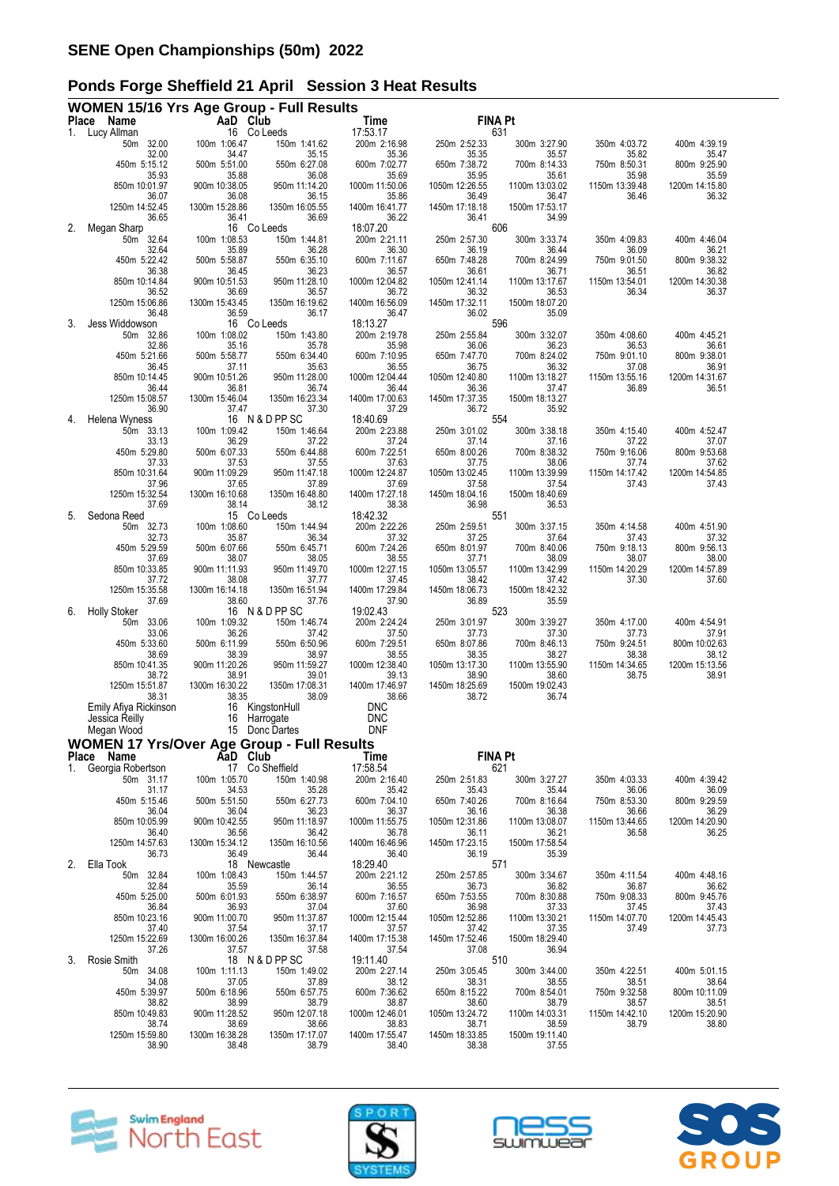|    | <b>WOMEN 15/16 Yrs Age Group - Full Results</b>   |                         |                                 |                          |                         |                         |                         |                         |
|----|---------------------------------------------------|-------------------------|---------------------------------|--------------------------|-------------------------|-------------------------|-------------------------|-------------------------|
| 1. | Place Name<br>Lucy Allman                         | AaD Club                | 16 Co Leeds                     | Time<br>17:53.17         | <b>FINA Pt</b>          | 631                     |                         |                         |
|    | 50m 32.00<br>32.00                                | 100m 1:06.47<br>34.47   | 150m 1:41.62<br>35.15           | 200m 2:16.98<br>35.36    | 250m 2:52.33<br>35.35   | 300m 3:27.90<br>35.57   | 350m 4:03.72<br>35.82   | 400m 4:39.19<br>35.47   |
|    | 450m 5:15.12<br>35.93                             | 500m 5:51.00<br>35.88   | 550m 6:27.08<br>36.08           | 600m 7:02.77<br>35.69    | 650m 7:38.72<br>35.95   | 700m 8:14.33<br>35.61   | 750m 8:50.31<br>35.98   | 800m 9:25.90<br>35.59   |
|    | 850m 10:01.97<br>36.07                            | 900m 10:38.05<br>36.08  | 950m 11:14.20<br>36.15          | 1000m 11:50.06<br>35.86  | 1050m 12:26.55<br>36.49 | 1100m 13:03.02<br>36.47 | 1150m 13:39.48<br>36.46 | 1200m 14:15.80<br>36.32 |
|    | 1250m 14:52.45<br>36.65                           | 1300m 15:28.86<br>36.41 | 1350m 16:05.55<br>36.69         | 1400m 16:41.77<br>36.22  | 1450m 17:18.18<br>36.41 | 1500m 17:53.17<br>34.99 |                         |                         |
| 2. | Megan Sharp                                       |                         | 16 Co Leeds                     | 18:07.20                 |                         | 606                     |                         |                         |
|    | 50m 32.64<br>32.64                                | 100m 1:08.53<br>35.89   | 150m 1:44.81<br>36.28           | 200m 2:21.11<br>36.30    | 250m 2:57.30<br>36.19   | 300m 3:33.74<br>36.44   | 350m 4:09.83<br>36.09   | 400m 4:46.04<br>36.21   |
|    | 450m 5:22.42<br>36.38                             | 500m 5:58.87<br>36.45   | 550m 6:35.10<br>36.23           | 600m 7:11.67<br>36.57    | 650m 7:48.28<br>36.61   | 700m 8:24.99<br>36.71   | 750m 9:01.50<br>36.51   | 800m 9:38.32<br>36.82   |
|    | 850m 10:14.84<br>36.52                            | 900m 10:51.53<br>36.69  | 950m 11:28.10<br>36.57          | 1000m 12:04.82<br>36.72  | 1050m 12:41.14<br>36.32 | 1100m 13:17.67<br>36.53 | 1150m 13:54.01<br>36.34 | 1200m 14:30.38<br>36.37 |
|    | 1250m 15:06.86<br>36.48                           | 1300m 15:43.45<br>36.59 | 1350m 16:19.62<br>36.17         | 1400m 16:56.09<br>36.47  | 1450m 17:32.11<br>36.02 | 1500m 18:07.20<br>35.09 |                         |                         |
| 3. | Jess Widdowson<br>50m 32.86                       | 100m 1:08.02            | 16 Co Leeds<br>150m 1:43.80     | 18:13.27                 | 250m 2:55.84            | 596                     | 350m 4:08.60            | 400m 4:45.21            |
|    | 32.86                                             | 35.16                   | 35.78                           | 200m 2:19.78<br>35.98    | 36.06                   | 300m 3:32.07<br>36.23   | 36.53                   | 36.61                   |
|    | 450m 5:21.66<br>36.45                             | 500m 5:58.77<br>37.11   | 550m 6:34.40<br>35.63           | 600m 7:10.95<br>36.55    | 650m 7:47.70<br>36.75   | 700m 8:24.02<br>36.32   | 750m 9:01.10<br>37.08   | 800m 9:38.01<br>36.91   |
|    | 850m 10:14.45                                     | 900m 10:51.26           | 950m 11:28.00                   | 1000m 12:04.44           | 1050m 12:40.80          | 1100m 13:18.27          | 1150m 13:55.16          | 1200m 14:31.67          |
|    | 36.44<br>1250m 15:08.57                           | 36.81<br>1300m 15:46.04 | 36.74<br>1350m 16:23.34         | 36.44<br>1400m 17:00.63  | 36.36<br>1450m 17:37.35 | 37.47<br>1500m 18:13.27 | 36.89                   | 36.51                   |
| 4. | 36.90<br>Helena Wyness                            | 37.47                   | 37.30<br>16 N & D PP SC         | 37.29<br>18:40.69        | 36.72                   | 35.92<br>554            |                         |                         |
|    | 50m 33.13                                         | 100m 1:09.42            | 150m 1:46.64                    | 200m 2:23.88             | 250m 3:01.02            | 300m 3:38.18            | 350m 4:15.40            | 400m 4:52.47            |
|    | 33.13<br>450m 5:29.80                             | 36.29<br>500m 6:07.33   | 37.22<br>550m 6:44.88           | 37.24<br>600m 7:22.51    | 37.14<br>650m 8:00.26   | 37.16<br>700m 8:38.32   | 37.22<br>750m 9:16.06   | 37.07<br>800m 9:53.68   |
|    | 37.33                                             | 37.53                   | 37.55                           | 37.63                    | 37.75                   | 38.06                   | 37.74                   | 37.62                   |
|    | 850m 10:31.64<br>37.96                            | 900m 11:09.29<br>37.65  | 950m 11:47.18<br>37.89          | 1000m 12:24.87<br>37.69  | 1050m 13:02.45<br>37.58 | 1100m 13:39.99<br>37.54 | 1150m 14:17.42<br>37.43 | 1200m 14:54.85<br>37.43 |
|    | 1250m 15:32.54<br>37.69                           | 1300m 16:10.68<br>38.14 | 1350m 16:48.80<br>38.12         | 1400m 17:27.18<br>38.38  | 1450m 18:04.16<br>36.98 | 1500m 18:40.69<br>36.53 |                         |                         |
| 5. | Sedona Reed                                       |                         | 15 Co Leeds                     | 18:42.32                 |                         | 551                     |                         |                         |
|    | 50m 32.73<br>32.73                                | 100m 1:08.60<br>35.87   | 150m 1:44.94<br>36.34           | 200m 2:22.26<br>37.32    | 250m 2:59.51<br>37.25   | 300m 3:37.15<br>37.64   | 350m 4:14.58<br>37.43   | 400m 4:51.90<br>37.32   |
|    | 450m 5:29.59<br>37.69                             | 500m 6:07.66<br>38.07   | 550m 6:45.71<br>38.05           | 600m 7:24.26<br>38.55    | 650m 8:01.97<br>37.71   | 700m 8:40.06<br>38.09   | 750m 9:18.13<br>38.07   | 800m 9:56.13<br>38.00   |
|    | 850m 10:33.85                                     | 900m 11:11.93           | 950m 11:49.70                   | 1000m 12:27.15           | 1050m 13:05.57          | 1100m 13:42.99          | 1150m 14:20.29          | 1200m 14:57.89          |
|    | 37.72<br>1250m 15:35.58                           | 38.08<br>1300m 16:14.18 | 37.77<br>1350m 16:51.94         | 37.45<br>1400m 17:29.84  | 38.42<br>1450m 18:06.73 | 37.42<br>1500m 18:42.32 | 37.30                   | 37.60                   |
| 6. | 37.69<br><b>Holly Stoker</b>                      | 38.60                   | 37.76<br>16 N & D PP SC         | 37.90<br>19:02.43        | 36.89                   | 35.59<br>523            |                         |                         |
|    | 33.06<br>50m                                      | 100m 1:09.32            | 150m 1:46.74                    | 200m 2:24.24             | 250m 3:01.97            | 300m 3:39.27            | 350m 4:17.00            | 400m 4:54.91            |
|    | 33.06<br>450m 5:33.60                             | 36.26<br>500m 6:11.99   | 37.42<br>550m 6:50.96           | 37.50<br>600m 7:29.51    | 37.73<br>650m 8:07.86   | 37.30<br>700m 8:46.13   | 37.73<br>750m 9:24.51   | 37.91<br>800m 10:02.63  |
|    | 38.69                                             | 38.39                   | 38.97                           | 38.55                    | 38.35                   | 38.27                   | 38.38                   | 38.12                   |
|    | 850m 10:41.35<br>38.72                            | 900m 11:20.26<br>38.91  | 950m 11:59.27<br>39.01          | 1000m 12:38.40<br>39.13  | 1050m 13:17.30<br>38.90 | 1100m 13:55.90<br>38.60 | 1150m 14:34.65<br>38.75 | 1200m 15:13.56<br>38.91 |
|    | 1250m 15:51.87<br>38.31                           | 1300m 16:30.22<br>38.35 | 1350m 17:08.31<br>38.09         | 1400m 17:46.97<br>38.66  | 1450m 18:25.69<br>38.72 | 1500m 19:02.43<br>36.74 |                         |                         |
|    | Emily Afiya Rickinson                             | 16                      | KingstonHull                    | <b>DNC</b>               |                         |                         |                         |                         |
|    | Jessica Reilly<br>Megan Wood                      | 16<br>15                | Harrogate<br>Donc Dartes        | <b>DNC</b><br><b>DNF</b> |                         |                         |                         |                         |
|    | <b>WOMEN 17 Yrs/Over Age Group - Full Results</b> |                         |                                 |                          |                         |                         |                         |                         |
|    | Place Name                                        | AaD Club                |                                 | Time                     | <b>FINA Pt</b>          |                         |                         |                         |
| 1. | Georgia Robertson<br>50m 31.17                    | 100m 1:05.70            | 17 Co Sheffield<br>150m 1:40.98 | 17:58.54<br>200m 2:16.40 | 250m 2:51.83            | 621<br>300m 3:27.27     | 350m 4:03.33            | 400m 4:39.42            |
|    | 31.17<br>450m 5:15.46                             | 34.53<br>500m 5:51.50   | 35.28<br>550m 6:27.73           | 35.42<br>600m 7:04.10    | 35.43<br>650m 7:40.26   | 35.44<br>700m 8:16.64   | 36.06<br>750m 8:53.30   | 36.09<br>800m 9:29.59   |
|    | 36.04                                             | 36.04                   | 36.23                           | 36.37                    | 36.16                   | 36.38                   | 36.66                   | 36.29                   |
|    | 850m 10:05.99<br>36.40                            | 900m 10:42.55<br>36.56  | 950m 11:18.97<br>36.42          | 1000m 11:55.75<br>36.78  | 1050m 12:31.86<br>36.11 | 1100m 13:08.07<br>36.21 | 1150m 13:44.65<br>36.58 | 1200m 14:20.90<br>36.25 |
|    | 1250m 14:57.63<br>36.73                           | 1300m 15:34.12<br>36.49 | 1350m 16:10.56<br>36.44         | 1400m 16:46.96<br>36.40  | 1450m 17:23.15<br>36.19 | 1500m 17:58.54<br>35.39 |                         |                         |
| 2. | Ella Took                                         |                         | 18 Newcastle                    | 18:29.40                 | 571                     |                         |                         |                         |
|    | 50m 32.84<br>32.84                                | 100m 1:08.43<br>35.59   | 150m 1:44.57<br>36.14           | 200m 2:21.12<br>36.55    | 250m 2:57.85<br>36.73   | 300m 3:34.67<br>36.82   | 350m 4:11.54<br>36.87   | 400m 4:48.16<br>36.62   |
|    | 450m 5:25.00<br>36.84                             | 500m 6:01.93<br>36.93   | 550m 6:38.97<br>37.04           | 600m 7:16.57<br>37.60    | 650m 7:53.55<br>36.98   | 700m 8:30.88<br>37.33   | 750m 9:08.33<br>37.45   | 800m 9:45.76<br>37.43   |
|    | 850m 10:23.16                                     | 900m 11:00.70           | 950m 11:37.87                   | 1000m 12:15.44           | 1050m 12:52.86          | 1100m 13:30.21          | 1150m 14:07.70          | 1200m 14:45.43          |
|    | 37.40<br>1250m 15:22.69                           | 37.54<br>1300m 16:00.26 | 37.17<br>1350m 16:37.84         | 37.57<br>1400m 17:15.38  | 37.42<br>1450m 17:52.46 | 37.35<br>1500m 18:29.40 | 37.49                   | 37.73                   |
| 3. | 37.26<br>Rosie Smith                              | 37.57                   | 37.58<br>18 N & D PP SC         | 37.54<br>19:11.40        | 37.08                   | 36.94<br>510            |                         |                         |
|    | 50m 34.08<br>34.08                                | 100m 1:11.13<br>37.05   | 150m 1:49.02<br>37.89           | 200m 2:27.14<br>38.12    | 250m 3:05.45<br>38.31   | 300m 3:44.00<br>38.55   | 350m 4:22.51<br>38.51   | 400m 5:01.15<br>38.64   |
|    | 450m 5:39.97                                      | 500m 6:18.96            | 550m 6:57.75                    | 600m 7:36.62             | 650m 8:15.22            | 700m 8:54.01            | 750m 9:32.58            | 800m 10:11.09           |
|    | 38.82<br>850m 10:49.83                            | 38.99<br>900m 11:28.52  | 38.79<br>950m 12:07.18          | 38.87<br>1000m 12:46.01  | 38.60<br>1050m 13:24.72 | 38.79<br>1100m 14:03.31 | 38.57<br>1150m 14:42.10 | 38.51<br>1200m 15:20.90 |
|    | 38.74<br>1250m 15:59.80                           | 38.69<br>1300m 16:38.28 | 38.66<br>1350m 17:17.07         | 38.83<br>1400m 17:55.47  | 38.71<br>1450m 18:33.85 | 38.59<br>1500m 19:11.40 | 38.79                   | 38.80                   |
|    | 38.90                                             | 38.48                   | 38.79                           | 38.40                    | 38.38                   | 37.55                   |                         |                         |







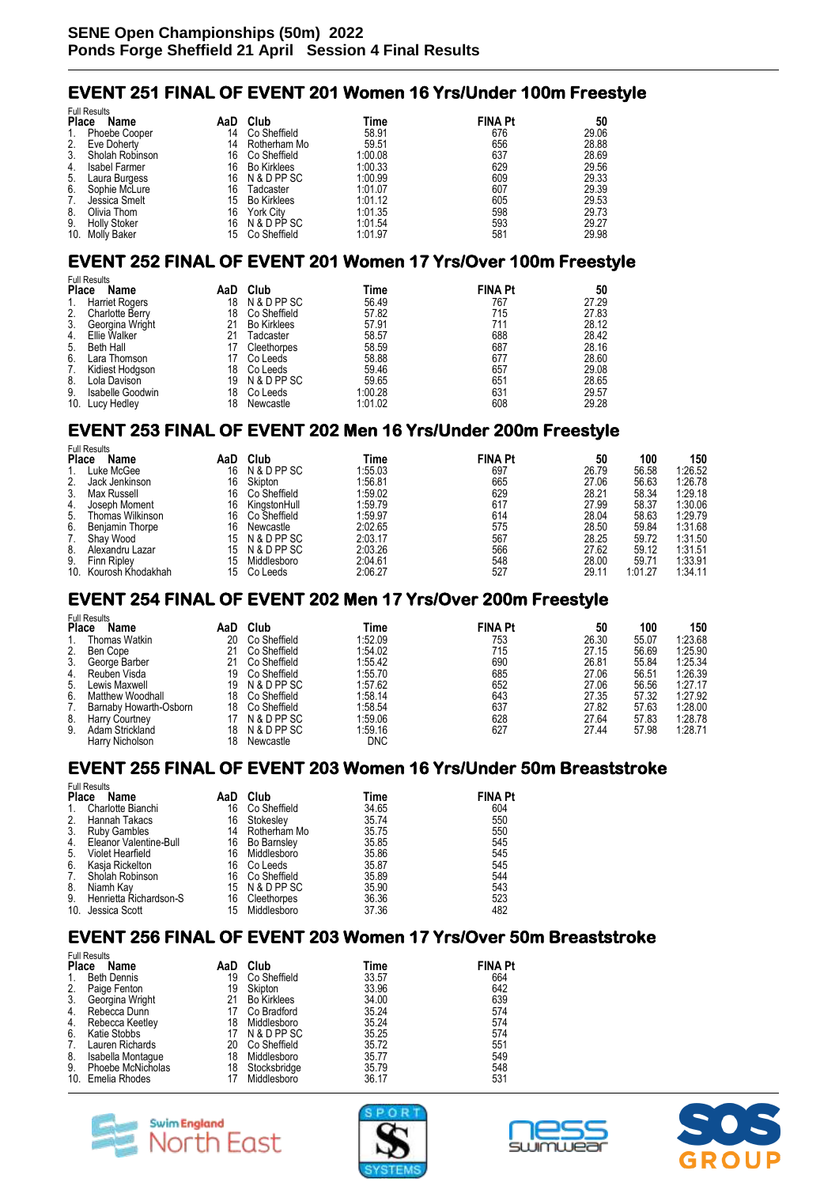# **EVENT 251 FINAL OF EVENT 201 Women 16 Yrs/Under 100m Freestyle**

|              | <b>Full Results</b>  |     |                    |         |                |       |  |  |  |  |
|--------------|----------------------|-----|--------------------|---------|----------------|-------|--|--|--|--|
| <b>Place</b> | Name                 | AaD | Club               | Time    | <b>FINA Pt</b> | 50    |  |  |  |  |
| 1.           | <b>Phoebe Cooper</b> | 14  | Co Sheffield       | 58.91   | 676            | 29.06 |  |  |  |  |
| 2.           | Eve Doherty          | 14  | Rotherham Mo       | 59.51   | 656            | 28.88 |  |  |  |  |
| 3.           | Sholah Robinson      | 16  | Co Sheffield       | 1:00.08 | 637            | 28.69 |  |  |  |  |
| 4.           | <b>Isabel Farmer</b> | 16  | <b>Bo Kirklees</b> | 1:00.33 | 629            | 29.56 |  |  |  |  |
| 5.           | Laura Burgess        | 16  | N & D PP SC        | 1:00.99 | 609            | 29.33 |  |  |  |  |
| 6.           | Sophie McLure        | 16  | Tadcaster          | 1:01.07 | 607            | 29.39 |  |  |  |  |
| 7.           | Jessica Smelt        | 15  | <b>Bo Kirklees</b> | 1:01.12 | 605            | 29.53 |  |  |  |  |
| 8.           | Olivia Thom          | 16  | <b>York City</b>   | 1:01.35 | 598            | 29.73 |  |  |  |  |
| 9.           | <b>Holly Stoker</b>  | 16  | N & D PP SC        | 1:01.54 | 593            | 29.27 |  |  |  |  |
|              | 10. Molly Baker      | 15  | Co Sheffield       | 1:01.97 | 581            | 29.98 |  |  |  |  |

### **EVENT 252 FINAL OF EVENT 201 Women 17 Yrs/Over 100m Freestyle**

|              | <b>Full Results</b>    |     |                    |         |                |       |  |  |  |  |
|--------------|------------------------|-----|--------------------|---------|----------------|-------|--|--|--|--|
| <b>Place</b> | Name                   | AaD | Club               | Time    | <b>FINA Pt</b> | 50    |  |  |  |  |
| 1.           | <b>Harriet Rogers</b>  | 18  | N & D PP SC        | 56.49   | 767            | 27.29 |  |  |  |  |
| 2.           | <b>Charlotte Berry</b> | 18  | Co Sheffield       | 57.82   | 715            | 27.83 |  |  |  |  |
| 3.           | Georgina Wright        | 21  | <b>Bo Kirklees</b> | 57.91   | 711            | 28.12 |  |  |  |  |
| 4.           | Ellie Walker           | 21  | Tadcaster          | 58.57   | 688            | 28.42 |  |  |  |  |
| 5.           | Beth Hall              | 17  | Cleethorpes        | 58.59   | 687            | 28.16 |  |  |  |  |
| 6.           | Lara Thomson           | 17  | Co Leeds           | 58.88   | 677            | 28.60 |  |  |  |  |
| 7.           | Kidiest Hodgson        | 18  | Co Leeds           | 59.46   | 657            | 29.08 |  |  |  |  |
| 8.           | Lola Davison           | 19  | N & D PP SC        | 59.65   | 651            | 28.65 |  |  |  |  |
| 9.           | Isabelle Goodwin       | 18  | Co Leeds           | 1:00.28 | 631            | 29.57 |  |  |  |  |
|              | 10. Lucy Hedley        | 18  | Newcastle          | 1:01.02 | 608            | 29.28 |  |  |  |  |

# **EVENT 253 FINAL OF EVENT 202 Men 16 Yrs/Under 200m Freestyle**

| <b>Full Results</b> |                   |     |              |         |                |       |         |         |  |
|---------------------|-------------------|-----|--------------|---------|----------------|-------|---------|---------|--|
| <b>Place</b>        | Name              | AaD | Club         | Time    | <b>FINA Pt</b> | 50    | 100     | 150     |  |
|                     | Luke McGee        | 16  | N & D PP SC  | 1:55.03 | 697            | 26.79 | 56.58   | 1:26.52 |  |
| 2.                  | Jack Jenkinson    | 16  | Skipton      | 1:56.81 | 665            | 27.06 | 56.63   | 1:26.78 |  |
| 3 <sub>1</sub>      | Max Russell       | 16  | Co Sheffield | 1:59.02 | 629            | 28.21 | 58.34   | 1:29.18 |  |
| 4.                  | Joseph Moment     | 16  | KingstonHull | 1:59.79 | 617            | 27.99 | 58.37   | 1:30.06 |  |
| 5.                  | Thomas Wilkinson  | 16  | Co Sheffield | 1:59.97 | 614            | 28.04 | 58.63   | 1:29.79 |  |
| 6.                  | Benjamin Thorpe   | 16  | Newcastle    | 2:02.65 | 575            | 28.50 | 59.84   | 1:31.68 |  |
| 7.                  | Shay Wood         | 15  | N & D PP SC  | 2:03.17 | 567            | 28.25 | 59.72   | 1:31.50 |  |
| 8.                  | Alexandru Lazar   | 15  | N & D PP SC  | 2:03.26 | 566            | 27.62 | 59.12   | 1:31.51 |  |
| 9.                  | Finn Ripley       | 15  | Middlesboro  | 2:04.61 | 548            | 28.00 | 59.71   | 1:33.91 |  |
| 10.                 | Kourosh Khodakhah | 15  | Co Leeds     | 2:06.27 | 527            | 29.11 | 1:01.27 | 1:34.11 |  |

### **EVENT 254 FINAL OF EVENT 202 Men 17 Yrs/Over 200m Freestyle**

| <b>FUIL RESULS</b>     |                   |              |         |     |                |       |         |
|------------------------|-------------------|--------------|---------|-----|----------------|-------|---------|
| <b>Place</b><br>Name   | AaD               | Club         | Time    |     | 50             | 100   | 150     |
| Thomas Watkin          | 20                | Co Sheffield | 1:52.09 | 753 | 26.30          | 55.07 | 1:23.68 |
| 2. Ben Cope            | 21                | Co Sheffield | 1:54.02 | 715 | 27.15          | 56.69 | 1:25.90 |
| 3. George Barber       | 21                | Co Sheffield | 1:55.42 | 690 | 26.81          | 55.84 | 1:25.34 |
| 4. Reuben Visda        | 19                | Co Sheffield | 1:55.70 | 685 | 27.06          | 56.51 | 1:26.39 |
| 5. Lewis Maxwell       | 19                | N & D PP SC  | 1:57.62 | 652 | 27.06          | 56.56 | 1:27.17 |
| Matthew Woodhall       | 18                | Co Sheffield | 1:58.14 | 643 | 27.35          | 57.32 | 1:27.92 |
| Barnaby Howarth-Osborn | 18                | Co Sheffield | 1:58.54 | 637 | 27.82          | 57.63 | 1:28.00 |
|                        |                   | N & D PP SC  | 1:59.06 | 628 | 27.64          | 57.83 | 1:28.78 |
| 9.<br>Adam Strickland  | 18                | N & D PP SC  | 1:59.16 | 627 | 27.44          | 57.98 | 1:28.71 |
| Harry Nicholson        | 18                | Newcastle    | DNC     |     |                |       |         |
|                        | 8. Harry Courtney |              |         |     | <b>FINA Pt</b> |       |         |

### **EVENT 255 FINAL OF EVENT 203 Women 16 Yrs/Under 50m Breaststroke**

|              | <b>Full Results</b>    |     |              |       |                |  |  |  |  |  |
|--------------|------------------------|-----|--------------|-------|----------------|--|--|--|--|--|
| <b>Place</b> | Name                   | AaD | Club         | Time  | <b>FINA Pt</b> |  |  |  |  |  |
| 1.           | Charlotte Bianchi      | 16  | Co Sheffield | 34.65 | 604            |  |  |  |  |  |
| 2.           | Hannah Takacs          | 16  | Stokesley    | 35.74 | 550            |  |  |  |  |  |
| 3.           | <b>Ruby Gambles</b>    | 14  | Rotherham Mo | 35.75 | 550            |  |  |  |  |  |
| 4.           | Eleanor Valentine-Bull | 16  | Bo Barnsley  | 35.85 | 545            |  |  |  |  |  |
| 5.           | Violet Hearfield       | 16  | Middlesboro  | 35.86 | 545            |  |  |  |  |  |
| 6.           | Kasja Rickelton        | 16  | Co Leeds     | 35.87 | 545            |  |  |  |  |  |
| 7.           | Sholah Robinson        | 16  | Co Sheffield | 35.89 | 544            |  |  |  |  |  |
| 8.           | Niamh Kav              | 15  | N & D PP SC  | 35.90 | 543            |  |  |  |  |  |
| 9.           | Henrietta Richardson-S | 16  | Cleethorpes  | 36.36 | 523            |  |  |  |  |  |
|              | 10. Jessica Scott      | 15  | Middlesboro  | 37.36 | 482            |  |  |  |  |  |

#### **EVENT 256 FINAL OF EVENT 203 Women 17 Yrs/Over 50m Breaststroke**

|                      | <b>Full Results</b> |     |                    |       |                |  |  |  |  |  |
|----------------------|---------------------|-----|--------------------|-------|----------------|--|--|--|--|--|
| <b>Place</b><br>Name |                     | AaD | Club               | Time  | <b>FINA Pt</b> |  |  |  |  |  |
| 1.                   | <b>Beth Dennis</b>  | 19  | Co Sheffield       | 33.57 | 664            |  |  |  |  |  |
| 2.                   | Paige Fenton        | 19  | Skipton            | 33.96 | 642            |  |  |  |  |  |
| $\overline{3}$ .     | Georgina Wright     | 21  | <b>Bo Kirklees</b> | 34.00 | 639            |  |  |  |  |  |
| 4.                   | Rebecca Dunn        | 17  | Co Bradford        | 35.24 | 574            |  |  |  |  |  |
| 4.                   | Rebecca Keetley     | 18  | Middlesboro        | 35.24 | 574            |  |  |  |  |  |
| 6.                   | Katie Stobbs        |     | N & D PP SC        | 35.25 | 574            |  |  |  |  |  |
| 7.                   | Lauren Richards     | 20  | Co Sheffield       | 35.72 | 551            |  |  |  |  |  |
| 8.                   | Isabella Montague   | 18  | Middlesboro        | 35.77 | 549            |  |  |  |  |  |
| 9.                   | Phoebe McNicholas   | 18  | Stocksbridge       | 35.79 | 548            |  |  |  |  |  |
|                      | 10. Emelia Rhodes   |     | Middlesboro        | 36.17 | 531            |  |  |  |  |  |



 $F \cup B$ 





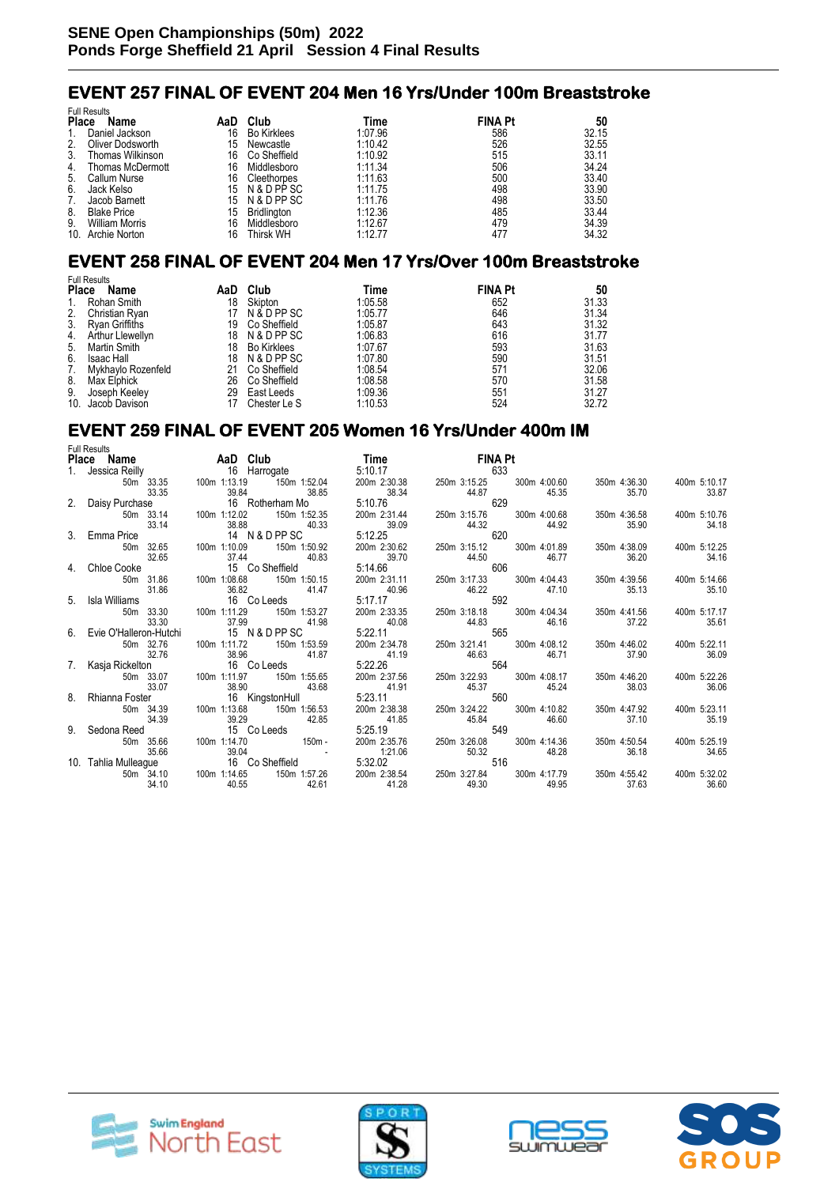# **EVENT 257 FINAL OF EVENT 204 Men 16 Yrs/Under 100m Breaststroke**

|              | <b>Full Results</b>     |     |                    |         |                |       |
|--------------|-------------------------|-----|--------------------|---------|----------------|-------|
| <b>Place</b> | Name                    | AaD | Club               | Time    | <b>FINA Pt</b> | 50    |
| 1.           | Daniel Jackson          | 16  | <b>Bo Kirklees</b> | 1:07.96 | 586            | 32.15 |
| 2.           | Oliver Dodsworth        | 15  | Newcastle          | 1:10.42 | 526            | 32.55 |
| 3.           | Thomas Wilkinson        | 16  | Co Sheffield       | 1:10.92 | 515            | 33.11 |
| 4.           | <b>Thomas McDermott</b> | 16  | Middlesboro        | 1:11.34 | 506            | 34.24 |
| 5.           | Callum Nurse            | 16  | Cleethorpes        | 1:11.63 | 500            | 33.40 |
| 6.           | Jack Kelso              | 15  | N & D PP SC        | 1:11.75 | 498            | 33.90 |
| 7.           | Jacob Barnett           | 15  | N & D PP SC        | 1:11.76 | 498            | 33.50 |
| 8.           | <b>Blake Price</b>      | 15  | Bridlington        | 1:12.36 | 485            | 33.44 |
| 9.           | <b>William Morris</b>   | 16  | Middlesboro        | 1:12.67 | 479            | 34.39 |
|              | 10. Archie Norton       | 16  | Thirsk WH          | 1:12.77 | 477            | 34.32 |

# **EVENT 258 FINAL OF EVENT 204 Men 17 Yrs/Over 100m Breaststroke**

|              | <b>Full Results</b> |     |                    |         |                |       |
|--------------|---------------------|-----|--------------------|---------|----------------|-------|
| <b>Place</b> | Name                | AaD | Club               | Time    | <b>FINA Pt</b> | 50    |
| 1.           | Rohan Smith         | 18  | Skipton            | 1:05.58 | 652            | 31.33 |
| 2.           | Christian Ryan      | 17  | N & D PP SC        | 1:05.77 | 646            | 31.34 |
| 3.           | Ryan Griffiths      | 19  | Co Sheffield       | 1:05.87 | 643            | 31.32 |
| 4.           | Arthur Llewellyn    | 18  | N & D PP SC        | 1:06.83 | 616            | 31.77 |
| 5.           | Martin Smith        | 18  | <b>Bo Kirklees</b> | 1:07.67 | 593            | 31.63 |
| 6.           | Isaac Hall          | 18  | N & D PP SC        | 1:07.80 | 590            | 31.51 |
| 7.           | Mykhavlo Rozenfeld  | 21  | Co Sheffield       | 1:08.54 | 571            | 32.06 |
| 8.           | Max Elphick         | 26  | Co Sheffield       | 1:08.58 | 570            | 31.58 |
| 9.           | Joseph Keeley       | 29  | East Leeds         | 1:09.36 | 551            | 31.27 |
|              | 10. Jacob Davison   | 17  | Chester Le S       | 1:10.53 | 524            | 32.72 |

# **EVENT 259 FINAL OF EVENT 205 Women 16 Yrs/Under 400m IM**

|    | <b>Full Results</b>                                                                                                                                                          |              |                                              |              |                                |              |                           |              |
|----|------------------------------------------------------------------------------------------------------------------------------------------------------------------------------|--------------|----------------------------------------------|--------------|--------------------------------|--------------|---------------------------|--------------|
|    | Place Name <b>AaD</b> Club <b>Time</b> FINA Pt                                                                                                                               |              |                                              |              |                                |              |                           |              |
|    |                                                                                                                                                                              |              |                                              |              |                                |              |                           |              |
|    | 1. Jessica Reilly 1. 10 10m 113.19 1. 100m 1152.04 510.17 633<br>50m 33.35 100m 1113.19 150m 1152.04 200m 2130.38 250m 315.25 300m 4100.60                                   |              |                                              |              |                                |              | 350m 4:36.30              | 400m 5:10.17 |
|    | 33.35                                                                                                                                                                        |              | 39.84 38.85                                  | 38.34        | 38.34 44.87<br>5:10.76 629     | 45.35        | 35.70                     | 33.87        |
|    | 2. Daisy Purchase                                                                                                                                                            |              | 16 Rotherham Mo                              |              |                                |              |                           |              |
|    | 50m 33.14                                                                                                                                                                    | 100m 1:12.02 | 150m 1:52.35                                 | 200m 2:31.44 | 250m 3:15.76 300m 4:00.68      |              | 350m 4:36.58              | 400m 5:10.76 |
|    | 33.14                                                                                                                                                                        | 38.88        | 40.33                                        | 39.09        | 44.32                          | 44.92        | 35.90                     | 34.18        |
|    | 3. Emma Price                                                                                                                                                                |              | 14 N & D PP SC<br>:1 100m 1:10.09 150m 1     |              | 5:12.25<br>620                 |              |                           |              |
|    | 50m 32.65                                                                                                                                                                    |              | 150m 1:50.92                                 | 200m 2:30.62 | 250m 3:15.12                   | 300m 4:01.89 | 350m 4:38.09              | 400m 5:12.25 |
|    | 32.65                                                                                                                                                                        |              | 37.44 40.83                                  | 39.70        | 44.50                          | 46.77        | 36.20                     | 34.16        |
|    | 4. Chloe Cooke                                                                                                                                                               |              | 15 Co Sheffield                              | 5:14.66      | 606                            |              |                           |              |
|    | 50m 31.86 100m 1:08.68                                                                                                                                                       |              | 150m 1:50.15                                 | 200m 2:31.11 | 250m 3:17.33 300m 4:04.43      |              | 350m 4:39.56 400m 5:14.66 |              |
|    |                                                                                                                                                                              |              |                                              | 40.96        | 46.22                          | 47.10        | 35.13                     | 35.10        |
|    | 31.86 36.82 41.47<br>5. Isla Williams 50m 33.30 100m 1:11.29 150m 1:53.27                                                                                                    |              |                                              | 5:17.17      | 592                            |              |                           |              |
|    |                                                                                                                                                                              |              |                                              | 200m 2:33.35 | 250m 3:18.18                   | 300m 4:04.34 | 350m 4:41.56              | 400m 5:17.17 |
|    | 33.30                                                                                                                                                                        |              | 37.99<br>41.98                               | 40.08        | 44.83<br>565                   | 46.16        | 37.22                     | 35.61        |
|    | 6. Evie O'Halleron-Hutchi                                                                                                                                                    |              | 15 N & D PP SC                               | 5:22.11      |                                |              |                           |              |
|    | 50m 32.76                                                                                                                                                                    | 100m 1:11.72 | 150m 1:53.59                                 | 200m 2:34.78 | 250m 3:21.41 300m 4:08.12      |              | 350m 4:46.02              | 400m 5:22.11 |
|    |                                                                                                                                                                              |              |                                              |              | 46.63                          | 46.71        | 37.90                     | 36.09        |
|    | 32.76 38.96 38.96 1.87<br>7. Kasja Rickelton 16 Co Leeds                                                                                                                     |              |                                              |              | $41.19$ $46.63$<br>5:22.26 564 |              |                           |              |
|    | 50m 33.07                                                                                                                                                                    |              |                                              | 200m 2:37.56 | 250m 3:22.93 300m 4:08.17      |              | 350m 4:46.20              | 400m 5:22.26 |
|    | 33.07                                                                                                                                                                        |              | 38.90<br>43.68                               |              |                                | 45.24        | 38.03                     | 36.06        |
|    | 8. Rhianna Foster                                                                                                                                                            |              | 16 KingstonHull<br>100m 1:13.68 150m 1:56.53 |              | 41.91 45.37<br>5:23.11 560     |              |                           |              |
|    | 50m 34.39                                                                                                                                                                    |              |                                              | 200m 2:38.38 | 250m 3:24.22 300m 4:10.82      |              | 350m 4:47.92              | 400m 5:23.11 |
|    | 34.39                                                                                                                                                                        | 39.29        | 42.85                                        | 41.85        | 45.84                          | 46.60        | 37.10                     | 35.19        |
| 9. | Sedona Reed                                                                                                                                                                  |              |                                              | 5:25.19      | 549                            |              |                           |              |
|    | 50m 35.66                                                                                                                                                                    |              | 100m 1:14.70 150m -                          | 200m 2:35.76 | 250m 3:26.08                   | 300m 4:14.36 | 350m 4:50.54              | 400m 5:25.19 |
|    |                                                                                                                                                                              |              |                                              |              |                                |              | 36.18                     | 34.65        |
|    | 1.21.06 50.32 35.66 39.04 5.32.02 50.32 48.28<br>10. Tahlia Mulleague 16 Co Sheffield 5.32.02 516 50m 34.10 100m 1:14.65 150m 1:57.26 200m 2:38.54 250m 3:27.84 300m 4:17.79 |              |                                              |              |                                |              |                           |              |
|    |                                                                                                                                                                              |              |                                              |              |                                |              | 350m 4:55.42 400m 5:32.02 |              |
|    | 34.10                                                                                                                                                                        | 40.55        | 42.61                                        | 41.28        | 49.30                          | 49.95        | 37.63                     | 36.60        |







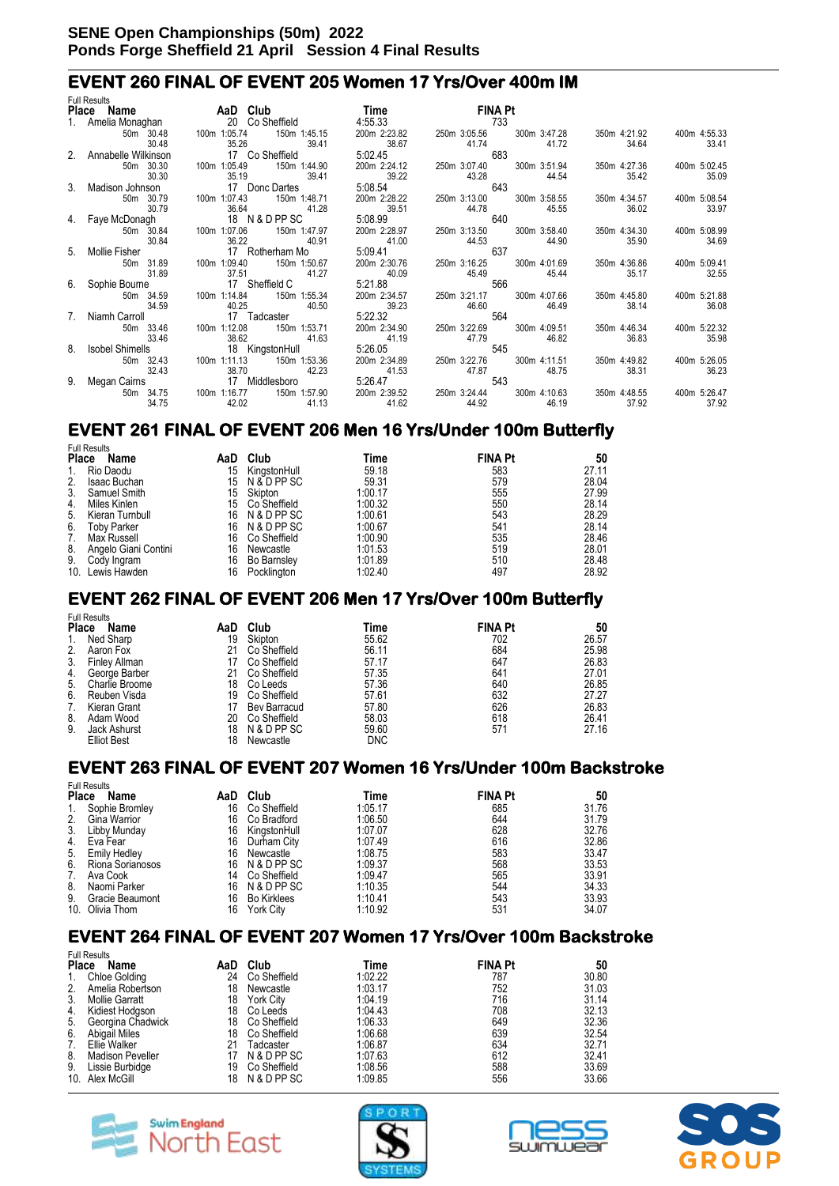### **EVENT 260 FINAL OF EVENT 205 Women 17 Yrs/Over 400m IM**

|                | <b>Full Results</b>    |                 |                       |              |                |              |              |              |
|----------------|------------------------|-----------------|-----------------------|--------------|----------------|--------------|--------------|--------------|
|                | Place Name AaD Club    |                 |                       | <b>Time</b>  | <b>FINA Pt</b> |              |              |              |
|                | 1. Amelia Monaghan     | 20 Co Sheffield |                       | 4:55.33      | 733            |              |              |              |
|                | 50m 30.48              | 100m 1:05.74    | 150m 1:45.15          | 200m 2:23.82 | 250m 3:05.56   | 300m 3:47.28 | 350m 4:21.92 | 400m 4:55.33 |
|                | 30.48                  | 35.26           | 39.41                 | 38.67        | 41.74          | 41.72        | 34.64        | 33.41        |
|                | 2. Annabelle Wilkinson | 17 Co Sheffield |                       | 5:02.45      | 683            |              |              |              |
|                | 50m 30.30              | 100m 1:05.49    | 150m 1:44.90          | 200m 2:24.12 | 250m 3:07.40   | 300m 3:51.94 | 350m 4:27.36 | 400m 5:02.45 |
|                | 30.30                  | 35.19           | 39.41                 | 39.22        | 43.28          | 44.54        | 35.42        | 35.09        |
| $3_{-}$        | Madison Johnson        | 17 Donc Dartes  |                       | 5:08.54      | 643            |              |              |              |
|                | 50m 30.79              | 100m 1:07.43    | 150m 1:48.71          | 200m 2:28.22 | 250m 3:13.00   | 300m 3:58.55 | 350m 4:34.57 | 400m 5:08.54 |
|                | 30.79                  | 36.64           | 41.28                 | 39.51        | 44.78          | 45.55        | 36.02        | 33.97        |
|                | 4. Faye McDonagh       | 18 N & D PP SC  |                       | 5:08.99      | 640            |              |              |              |
|                | 50m 30.84              | 100m 1:07.06    | 150m 1:47.97          | 200m 2:28.97 | 250m 3:13.50   | 300m 3:58.40 | 350m 4:34.30 | 400m 5:08.99 |
|                | 30.84                  | 36.22           | 40.91                 | 41.00        | 44.53          | 44.90        | 35.90        | 34.69        |
| 5              | Mollie Fisher          |                 | 17 Rotherham Mo       | 5:09.41      | 637            |              |              |              |
|                | 50m 31.89              | 100m 1:09.40    | 150m 1:50.67          | 200m 2:30.76 | 250m 3:16.25   | 300m 4:01.69 | 350m 4:36.86 | 400m 5:09.41 |
|                | 31.89                  | 37.51           | 41.27                 | 40.09        | 45.49          | 45.44        | 35.17        | 32.55        |
|                | 6. Sophie Bourne       | 17 Sheffield C  |                       | 5:21.88      | 566            |              |              |              |
|                | 50m 34.59              | 100m 1:14.84    | 150m 1:55.34          | 200m 2:34.57 | 250m 3:21.17   | 300m 4:07.66 | 350m 4:45.80 | 400m 5:21.88 |
|                | 34.59                  | 40.25           | 40.50                 | 39.23        | 46.60          | 46.49        | 38.14        | 36.08        |
| 7 <sub>1</sub> | Niamh Carroll          | 17 Tadcaster    |                       | 5:22.32      | 564            |              |              |              |
|                |                        | 100m 1:12.08    |                       | 200m 2:34.90 | 250m 3:22.69   |              |              | 400m 5:22.32 |
|                | 50m 33.46<br>33.46     |                 | 150m 1:53.71<br>41.63 | 41.19        |                | 300m 4:09.51 | 350m 4:46.34 |              |
| 8              |                        | 38.62           |                       |              | 47.79<br>545   | 46.82        | 36.83        | 35.98        |
|                | <b>Isobel Shimells</b> | 18 KingstonHull |                       | 5:26.05      |                |              |              |              |
|                | 50m 32.43              | 100m 1:11.13    | 150m 1:53.36          | 200m 2:34.89 | 250m 3:22.76   | 300m 4:11.51 | 350m 4:49.82 | 400m 5:26.05 |
|                | 32.43                  | 38.70           | 42.23                 | 41.53        | 47.87          | 48.75        | 38.31        | 36.23        |
| 9.             | Megan Cairns           | 17 Middlesboro  |                       | 5:26.47      | 543            |              |              |              |
|                | 50m 34.75              | 100m 1:16.77    | 150m 1:57.90          | 200m 2:39.52 | 250m 3:24.44   | 300m 4:10.63 | 350m 4:48.55 | 400m 5:26.47 |
|                | 34.75                  | 42.02           | 41.13                 | 41.62        | 44.92          | 46.19        | 37.92        | 37.92        |

# **EVENT 261 FINAL OF EVENT 206 Men 16 Yrs/Under 100m Butterfly**

|       | <b>Full Results</b>  |     |              |         |                |       |  |
|-------|----------------------|-----|--------------|---------|----------------|-------|--|
| Place | Name                 | AaD | Club         | Time    | <b>FINA Pt</b> | 50    |  |
| 1.    | Rio Daodu            | 15  | KingstonHull | 59.18   | 583            | 27.11 |  |
| 2.    | <b>Isaac Buchan</b>  | 15  | N & D PP SC  | 59.31   | 579            | 28.04 |  |
| 3.    | Samuel Smith         | 15  | Skipton      | 1:00.17 | 555            | 27.99 |  |
| 4.    | Miles Kinlen         | 15  | Co Sheffield | 1:00.32 | 550            | 28.14 |  |
| 5.    | Kieran Turnbull      | 16  | N & D PP SC  | 1:00.61 | 543            | 28.29 |  |
| 6.    | <b>Toby Parker</b>   | 16  | N & D PP SC  | 1:00.67 | 541            | 28.14 |  |
| 7.    | Max Russell          | 16  | Co Sheffield | 1:00.90 | 535            | 28.46 |  |
| 8.    | Angelo Giani Contini | 16  | Newcastle    | 1:01.53 | 519            | 28.01 |  |
| 9.    | Cody Ingram          | 16  | Bo Barnsley  | 1:01.89 | 510            | 28.48 |  |
| 10.   | Lewis Hawden         | 16  | Pocklington  | 1:02.40 | 497            | 28.92 |  |

### **EVENT 262 FINAL OF EVENT 206 Men 17 Yrs/Over 100m Butterfly**

|       | <b>Full Results</b>  |     |              |            |                |       |
|-------|----------------------|-----|--------------|------------|----------------|-------|
| Place | Name                 | AaD | Club         | Time       | <b>FINA Pt</b> | 50    |
| 1.    | Ned Sharp            | 19  | Skipton      | 55.62      | 702            | 26.57 |
| 2.    | Aaron Fox            | 21  | Co Sheffield | 56.11      | 684            | 25.98 |
| 3.    | <b>Finley Allman</b> | 17  | Co Sheffield | 57.17      | 647            | 26.83 |
| 4.    | George Barber        | 21  | Co Sheffield | 57.35      | 641            | 27.01 |
| 5.    | Charlie Broome       | 18  | Co Leeds     | 57.36      | 640            | 26.85 |
| 6.    | Reuben Visda         | 19  | Co Sheffield | 57.61      | 632            | 27.27 |
| 7.    | Kieran Grant         |     | Bev Barracud | 57.80      | 626            | 26.83 |
| 8.    | Adam Wood            | 20  | Co Sheffield | 58.03      | 618            | 26.41 |
| 9.    | Jack Ashurst         | 18  | N & D PP SC  | 59.60      | 571            | 27.16 |
|       | <b>Elliot Best</b>   | 18  | Newcastle    | <b>DNC</b> |                |       |

#### **EVENT 263 FINAL OF EVENT 207 Women 16 Yrs/Under 100m Backstroke**

|       | <b>Full Results</b> |     |                    |         |                |       |
|-------|---------------------|-----|--------------------|---------|----------------|-------|
| Place | Name                | AaD | Club               | Time    | <b>FINA Pt</b> | 50    |
| 1.    | Sophie Bromley      | 16  | Co Sheffield       | 1:05.17 | 685            | 31.76 |
| 2.    | Gina Warrior        | 16  | Co Bradford        | 1:06.50 | 644            | 31.79 |
| 3.    | Libby Munday        | 16  | KingstonHull       | 1:07.07 | 628            | 32.76 |
| 4.    | Eva Fear            | 16  | Durham City        | 1:07.49 | 616            | 32.86 |
| 5.    | <b>Emily Hedley</b> | 16  | Newcastle          | 1:08.75 | 583            | 33.47 |
| 6.    | Riona Sorianosos    |     | 16 N & D PP SC     | 1:09.37 | 568            | 33.53 |
| 7.    | Ava Cook            | 14  | Co Sheffield       | 1:09.47 | 565            | 33.91 |
| 8.    | Naomi Parker        | 16  | N & D PP SC        | 1:10.35 | 544            | 34.33 |
| 9.    | Gracie Beaumont     | 16  | <b>Bo Kirklees</b> | 1:10.41 | 543            | 33.93 |
|       | 10. Olivia Thom     | 16  | <b>York City</b>   | 1:10.92 | 531            | 34.07 |

### **EVENT 264 FINAL OF EVENT 207 Women 17 Yrs/Over 100m Backstroke**

|              | <b>Full Results</b>     |     |                  |         |                |       |
|--------------|-------------------------|-----|------------------|---------|----------------|-------|
| <b>Place</b> | Name                    | AaD | Club             | Time    | <b>FINA Pt</b> | 50    |
| 1.           | <b>Chloe Golding</b>    | 24  | Co Sheffield     | 1:02.22 | 787            | 30.80 |
| 2.           | Amelia Robertson        | 18  | Newcastle        | 1:03.17 | 752            | 31.03 |
| 3.           | <b>Mollie Garratt</b>   | 18  | <b>York City</b> | 1:04.19 | 716            | 31.14 |
| 4.           | Kidiest Hodgson         | 18  | Co Leeds         | 1:04.43 | 708            | 32.13 |
| 5.           | Georgina Chadwick       | 18  | Co Sheffield     | 1:06.33 | 649            | 32.36 |
| 6.           | Abigail Miles           | 18  | Co Sheffield     | 1:06.68 | 639            | 32.54 |
| 7.           | Ellie Walker            | 21  | Tadcaster        | 1:06.87 | 634            | 32.71 |
| 8.           | <b>Madison Peveller</b> | 17  | N & D PP SC      | 1:07.63 | 612            | 32.41 |
| 9.           | Lissie Burbidge         | 19  | Co Sheffield     | 1:08.56 | 588            | 33.69 |
|              | 10. Alex McGill         | 18  | N & D PP SC      | 1:09.85 | 556            | 33.66 |







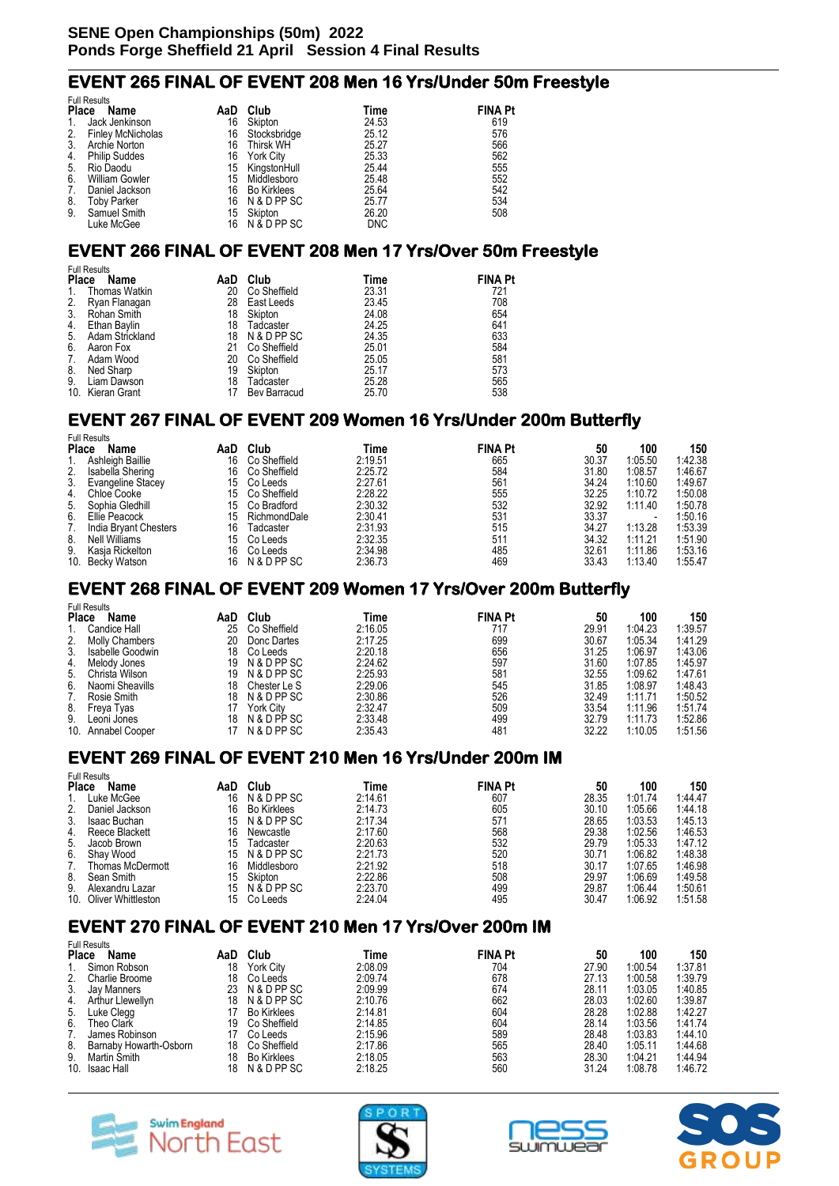Full Results

 $\mathbf{r}$   $\mathbf{r}$   $\mathbf{r}$   $\mathbf{r}$ 

#### **EVENT 265 FINAL OF EVENT 208 Men 16 Yrs/Under 50m Freestyle**

|              | <b>FUIL Results</b>      |     |                    |            |                |
|--------------|--------------------------|-----|--------------------|------------|----------------|
| <b>Place</b> | Name                     | AaD | Club               | Time       | <b>FINA Pt</b> |
|              | Jack Jenkinson           | 16  | Skipton            | 24.53      | 619            |
| 2.           | <b>Finley McNicholas</b> | 16  | Stocksbridge       | 25.12      | 576            |
| 3.           | Archie Norton            | 16  | Thirsk WH          | 25.27      | 566            |
| 4.           | <b>Philip Suddes</b>     | 16  | York City          | 25.33      | 562            |
| 5.           | Rio Daodu                | 15  | KingstonHull       | 25.44      | 555            |
| 6.           | <b>William Gowler</b>    | 15  | Middlesboro        | 25.48      | 552            |
| 7.           | Daniel Jackson           | 16  | <b>Bo Kirklees</b> | 25.64      | 542            |
| 8.           | <b>Toby Parker</b>       | 16  | N & D PP SC        | 25.77      | 534            |
| 9.           | Samuel Smith             | 15  | Skipton            | 26.20      | 508            |
|              | Luke McGee               | 16  | N & D PP SC        | <b>DNC</b> |                |

#### **EVENT 266 FINAL OF EVENT 208 Men 17 Yrs/Over 50m Freestyle**

|               | <b>Full Results</b>         |    |              |       |                |  |  |  |  |
|---------------|-----------------------------|----|--------------|-------|----------------|--|--|--|--|
|               | <b>Place</b><br>Name<br>AaD |    | Club         | Time  | <b>FINA Pt</b> |  |  |  |  |
| 1.            | Thomas Watkin               | 20 | Co Sheffield | 23.31 | 721            |  |  |  |  |
| $\frac{2}{3}$ | Ryan Flanagan               | 28 | East Leeds   | 23.45 | 708            |  |  |  |  |
|               | Rohan Smith                 | 18 | Skipton      | 24.08 | 654            |  |  |  |  |
| 4.            | Ethan Baylin                | 18 | Tadcaster    | 24.25 | 641            |  |  |  |  |
| 5.            | Adam Strickland             | 18 | N & D PP SC  | 24.35 | 633            |  |  |  |  |
| 6.            | Aaron Fox                   | 21 | Co Sheffield | 25.01 | 584            |  |  |  |  |
| 7.            | Adam Wood                   | 20 | Co Sheffield | 25.05 | 581            |  |  |  |  |
| 8.            | Ned Sharp                   | 19 | Skipton      | 25.17 | 573            |  |  |  |  |
| 9.            | Liam Dawson                 | 18 | Tadcaster    | 25.28 | 565            |  |  |  |  |
|               | 10. Kieran Grant            |    | Bev Barracud | 25.70 | 538            |  |  |  |  |

#### **EVENT 267 FINAL OF EVENT 209 Women 16 Yrs/Under 200m Butterfly**  Full Results

| Name                     | AaD                                                                                      | Club         | Time    |     | 50             | 100     | 150     |
|--------------------------|------------------------------------------------------------------------------------------|--------------|---------|-----|----------------|---------|---------|
| Ashleigh Baillie         | 16                                                                                       | Co Sheffield | 2:19.51 | 665 | 30.37          | 1:05.50 | 1:42.38 |
| Isabella Shering         | 16                                                                                       | Co Sheffield | 2:25.72 | 584 | 31.80          | 1:08.57 | 1:46.67 |
| <b>Evangeline Stacey</b> | 15                                                                                       | Co Leeds     | 2:27.61 | 561 | 34.24          | 1:10.60 | 1:49.67 |
|                          | 15.                                                                                      | Co Sheffield | 2:28.22 | 555 | 32.25          | 1:10.72 | 1:50.08 |
| Sophia Gledhill          | 15                                                                                       | Co Bradford  | 2:30.32 | 532 | 32.92          | 1:11.40 | 1:50.78 |
| Ellie Peacock            | 15                                                                                       | RichmondDale | 2:30.41 | 531 | 33.37          |         | 1:50.16 |
| India Brvant Chesters    | 16                                                                                       | Tadcaster    | 2:31.93 | 515 | 34.27          | 1:13.28 | 1:53.39 |
|                          | 15                                                                                       | Co Leeds     | 2:32.35 | 511 | 34.32          | 1:11.21 | 1:51.90 |
| Kasia Rickelton          | 16                                                                                       | Co Leeds     | 2:34.98 | 485 | 32.61          | 1:11.86 | 1:53.16 |
|                          | 16                                                                                       | N & D PP SC  | 2:36.73 | 469 | 33.43          | 1:13.40 | 1:55.47 |
|                          | ulliteaulla<br><b>Place</b><br>4. Chloe Cooke<br>5.<br>Nell Williams<br>10. Becky Watson |              |         |     | <b>FINA Pt</b> |         |         |

#### **EVENT 268 FINAL OF EVENT 209 Women 17 Yrs/Over 200m Butterfly**

|              | <b>Full Results</b> |     |                  |         |                |       |         |         |
|--------------|---------------------|-----|------------------|---------|----------------|-------|---------|---------|
| <b>Place</b> | Name                | AaD | Club             | Time    | <b>FINA Pt</b> | 50    | 100     | 150     |
|              | Candice Hall        | 25  | Co Sheffield     | 2:16.05 | 717            | 29.91 | 1:04.23 | 1:39.57 |
|              | 2. Molly Chambers   | 20  | Donc Dartes      | 2:17.25 | 699            | 30.67 | 1:05.34 | 1:41.29 |
| 3.           | Isabelle Goodwin    | 18  | Co Leeds         | 2:20.18 | 656            | 31.25 | 1:06.97 | 1:43.06 |
| 4.           | Melody Jones        | 19  | N & D PP SC      | 2:24.62 | 597            | 31.60 | 1:07.85 | 1:45.97 |
|              | 5. Christa Wilson   | 19  | N & D PP SC      | 2:25.93 | 581            | 32.55 | 1:09.62 | 1:47.61 |
|              | 6. Naomi Sheavills  | 18  | Chester Le S     | 2:29.06 | 545            | 31.85 | 1:08.97 | 1:48.43 |
| 7.           | Rosie Smith         | 18  | N & D PP SC      | 2:30.86 | 526            | 32.49 | 1:11.71 | 1:50.52 |
| 8.           | Freya Tyas          |     | <b>York City</b> | 2:32.47 | 509            | 33.54 | 1:11.96 | 1:51.74 |
| 9.           | Leoni Jones         | 18  | N & D PP SC      | 2:33.48 | 499            | 32.79 | 1:11.73 | 1:52.86 |
|              | 10. Annabel Cooper  |     | N & D PP SC      | 2:35.43 | 481            | 32.22 | 1:10.05 | 1:51.56 |

### **EVENT 269 FINAL OF EVENT 210 Men 16 Yrs/Under 200m IM**

|              | Full Results        |     |                    |         |                |       |         |         |
|--------------|---------------------|-----|--------------------|---------|----------------|-------|---------|---------|
| <b>Place</b> | Name                | AaD | Club               | Time    | <b>FINA Pt</b> | 50    | 100     | 150     |
|              | Luke McGee          | 16  | N & D PP SC        | 2:14.61 | 607            | 28.35 | 1:01.74 | 1:44.47 |
| 2.           | Daniel Jackson      | 16  | <b>Bo Kirklees</b> | 2:14.73 | 605            | 30.10 | 1:05.66 | 1:44.18 |
| 3.           | <b>Isaac Buchan</b> | 15  | N & D PP SC        | 2:17.34 | 571            | 28.65 | 1:03.53 | 1:45.13 |
| 4.           | Reece Blackett      | 16  | Newcastle          | 2:17.60 | 568            | 29.38 | 1:02.56 | 1:46.53 |
| 5.           | Jacob Brown         | 15  | Tadcaster          | 2:20.63 | 532            | 29.79 | 1:05.33 | 1:47.12 |
| 6.           | Shav Wood           | 15  | N & D PP SC        | 2:21.73 | 520            | 30.71 | 1:06.82 | 1:48.38 |
| 7.           | Thomas McDermott    | 16  | Middlesboro        | 2:21.92 | 518            | 30.17 | 1:07.65 | 1:46.98 |
| 8.           | Sean Smith          | 15  | Skipton            | 2:22.86 | 508            | 29.97 | 1:06.69 | 1:49.58 |
| 9.           | Alexandru Lazar     | 15  | N & D PP SC        | 2:23.70 | 499            | 29.87 | 1:06.44 | 1:50.61 |
| 10.          | Oliver Whittleston  | 15  | Co Leeds           | 2:24.04 | 495            | 30.47 | 1:06.92 | 1:51.58 |

### **EVENT 270 FINAL OF EVENT 210 Men 17 Yrs/Over 200m IM**

|              | <b>Full Results</b>    |     |                    |         |                |       |         |         |
|--------------|------------------------|-----|--------------------|---------|----------------|-------|---------|---------|
| <b>Place</b> | Name                   | AaD | Club               | Time    | <b>FINA Pt</b> | 50    | 100     | 150     |
|              | Simon Robson           | 18  | <b>York City</b>   | 2:08.09 | 704            | 27.90 | 1:00.54 | 1:37.81 |
| 2.           | Charlie Broome         | 18  | Co Leeds           | 2:09.74 | 678            | 27.13 | 1:00.58 | 1:39.79 |
| 3.           | Jay Manners            | 23. | N & D PP SC        | 2:09.99 | 674            | 28.11 | 1:03.05 | 1:40.85 |
| 4.           | Arthur Llewellyn       | 18  | N & D PP SC        | 2:10.76 | 662            | 28.03 | 1:02.60 | 1:39.87 |
| 5.           | Luke Clegg             |     | <b>Bo Kirklees</b> | 2:14.81 | 604            | 28.28 | 1:02.88 | 1:42.27 |
| 6.           | Theo Clark             | 19  | Co Sheffield       | 2:14.85 | 604            | 28.14 | 1:03.56 | 1:41.74 |
|              | James Robinson         |     | Co Leeds           | 2:15.96 | 589            | 28.48 | 1:03.83 | 1:44.10 |
| 8.           | Barnaby Howarth-Osborn | 18  | Co Sheffield       | 2:17.86 | 565            | 28.40 | 1:05.11 | 1:44.68 |
| 9.           | Martin Smith           | 18  | <b>Bo Kirklees</b> | 2:18.05 | 563            | 28.30 | 1:04.21 | 1:44.94 |
| 10.          | <b>Isaac Hall</b>      | 18  | N & D PP SC        | 2:18.25 | 560            | 31.24 | 1:08.78 | 1:46.72 |







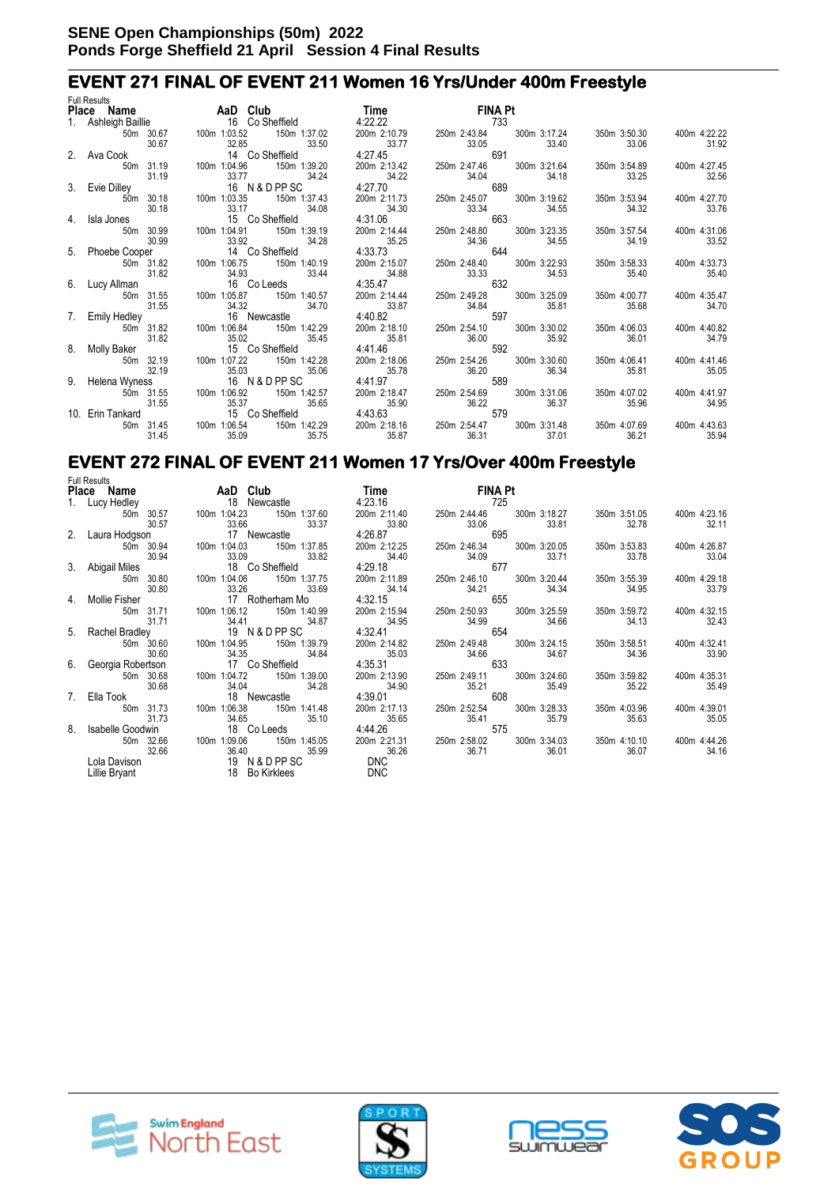#### **EVENT 271 FINAL OF EVENT 211 Women 16 Yrs/Under 400m Freestyle**   $F \cup R$

| <b>FUIL RESUITS</b><br>Place Name | <b>AaD</b> Club                                                                                | <b>Time contract to the state</b> | <b>FINA Pt</b>                                              |                           |              |                       |
|-----------------------------------|------------------------------------------------------------------------------------------------|-----------------------------------|-------------------------------------------------------------|---------------------------|--------------|-----------------------|
|                                   | 1. Ashleigh Baillie <b>16 Co Sheffield</b> 4:22.22                                             |                                   | 733                                                         |                           |              |                       |
|                                   | 50m 30.67   100m   1:03.52   150m   1:37.02   200m   2:10.79   250m   2:43.84   300m   3:17.24 |                                   |                                                             |                           | 350m 3:50.30 | 400m 4:22.22          |
| 30.67                             | 32.85<br>33.50                                                                                 | 33.77                             | 33.05                                                       | 33.40                     | 33.06        | 31.92                 |
| 2. Ava Cook                       | 14 Co Sheffield                                                                                | 4:27.45                           | 33.05<br>691                                                |                           |              |                       |
| 50m 31.19                         | 100m 1:04.96   150m 1:39.20                                                                    | 200m 2:13.42                      | 250m 2:47.46 300m 3:21.64                                   |                           | 350m 3:54.89 | 400m 4:27.45          |
| 31.19                             | 33.77 34.24                                                                                    | 34.22                             |                                                             | 34.18                     | 33.25        | 32.56                 |
| 3. Evie Dilley                    | $33.77$ $34.24$<br>16 N & D PP SC                                                              | 4:27.70                           | 34.04<br>689                                                |                           |              |                       |
| 50m 30.18                         | 100m 1:03.35 150m 1:37.43                                                                      |                                   | 200m 2:11.73 250m 2:45.07 300m 3:19.62                      |                           | 350m 3:53.94 | 400m 4:27.70          |
| 30.18                             | 33.17                                                                                          | 34.08<br>34.30                    | 33.34                                                       | 34.55                     | 34.32        | 33.76                 |
| 4. Isla Jones                     | 15 Co Sheffield                                                                                |                                   | $34.30$ $33.34$<br>4:31.06<br>663                           |                           |              |                       |
| 50m 30.99                         | 100m 1:04.91<br>150m 1:39.19                                                                   | 200m 2:14.44                      |                                                             | 250m 2:48.80 300m 3:23.35 | 350m 3:57.54 | 400m 4:31.06          |
| 30.99                             | 33.92                                                                                          | 34.28<br>35.25                    | 34.36                                                       | 34.55                     | 34.19        | 33.52                 |
|                                   | 5. Phoebe Cooper 14 Co Sheffield                                                               | 4:33.73                           | 644                                                         |                           |              |                       |
|                                   | 50m 31.82  100m 1:06.75  150m 1:40.19                                                          |                                   | 200m 2:15.07 250m 2:48.40 300m 3:22.93<br>34.88 33.33 34.53 |                           | 350m 3:58.33 | 400m 4:33.73          |
| 31.82                             | 34.93                                                                                          | 33.44                             |                                                             |                           | 35.40        | 35.40                 |
| 6. Lucy Allman                    | 16 Co Leeds                                                                                    | 4:35.47                           | 632                                                         |                           |              |                       |
| 50m 31.55                         |                                                                                                |                                   | 250m 2:49.28 300m 3:25.09                                   |                           | 350m 4:00.77 | 400m 4:35.47          |
| 31.55                             | 34.32                                                                                          | 33.87<br>34.70                    | 34.84<br>34.84<br>597                                       | 35.81                     | 35.68        | 34.70                 |
|                                   | 7. Emily Hedley 16 Newcastle                                                                   | 4:40.82                           |                                                             |                           |              |                       |
|                                   | 50m 31.82  100m 1:06.84  150m 1:42.29                                                          |                                   | 200m 2:18.10  250m 2:54.10  300m 3:30.02                    |                           | 350m 4:06.03 | 400m 4:40.82          |
| 31.82                             | 35.02                                                                                          | 35.45<br>35.81                    | 36.00                                                       | 35.92                     | 36.01        | 34.79                 |
| 8. Molly Baker                    | 15 Co Sheffield                                                                                | 4:41.46                           | 592                                                         |                           |              |                       |
| 50m 32.19                         | 100m 1:07.22 150m 1:42.28                                                                      | 200m 2:18.06                      | 250m 2:54.26 300m 3:30.60                                   |                           | 350m 4:06.41 | 400m 4:41.46          |
| 32.19                             | 35.03                                                                                          | 35.06<br>35.78                    | 36.20<br>589                                                | 36.34                     | 35.81        | 35.05                 |
| 9. Helena Wyness                  | 16 N & D PP SC                                                                                 | 4:41.97                           |                                                             |                           |              |                       |
| 50m 31.55<br>31.55                | 100m 1:06.92   150m 1:42.57                                                                    | 200m 2:18.47                      |                                                             | 250m 2:54.69 300m 3:31.06 | 350m 4:07.02 | 400m 4:41.97          |
|                                   | 35.37<br>15 Co Sheffield                                                                       | 35.65<br>35.90                    | 36.22<br>$35.90$ $36.22$<br>4:43.63<br>579                  | 36.37                     | 35.96        | 34.95                 |
| 10. Erin Tankard                  | 100m 1:06.54   150m 1:42.29   200m 2:18.16                                                     |                                   |                                                             |                           | 350m 4:07.69 |                       |
| 50m 31.45<br>31.45                | 35.09                                                                                          | 35.75<br>35.87                    | 250m 2:54.47<br>36.31                                       | 300m 3:31.48<br>37.01     | 36.21        | 400m 4:43.63<br>35.94 |
|                                   |                                                                                                |                                   |                                                             |                           |              |                       |

#### **EVENT 272 FINAL OF EVENT 211 Women 17 Yrs/Over 400m Freestyle**  Full Results

| <b>FUIL RESUILS</b>    |                                      |              |                              |              |              |
|------------------------|--------------------------------------|--------------|------------------------------|--------------|--------------|
|                        | Place Name AaD Club                  | <b>Time</b>  | <b>FINA Pt</b>               |              |              |
|                        | 1. Lucy Hedley 18 Newcastle          |              | 4:23.16 725                  |              |              |
| 50m 30.57 100m 1:04.23 | 150m 1:37.60                         | 200m 2:11.40 | 300m 3:18.27<br>250m 2:44.46 | 350m 3:51.05 | 400m 4:23.16 |
| 30.57                  | 33.66<br>33.37                       | 33.80        | 33.81<br>33.06               | 32.78        | 32.11        |
| 2. Laura Hodgson       | 17 Newcastle                         | 4:26.87      | 695                          |              |              |
| 50m 30.94              | 150m 1:37.85<br>100m 1:04.03         | 200m 2:12.25 | 250m 2:46.34 300m 3:20.05    | 350m 3:53.83 | 400m 4:26.87 |
| 30.94                  | 33.09<br>33.82                       | 34.40        | 34.09<br>33.71               | 33.78        | 33.04        |
| 3. Abigail Miles       | 18 Co Sheffield                      | 4:29.18      | 677                          |              |              |
| 50m 30.80              |                                      | 200m 2:11.89 | 250m 2:46.10<br>300m 3:20.44 | 350m 3:55.39 | 400m 4:29.18 |
| 30.80                  | 33.26<br>33.69                       | 34.14        | 34.21<br>34.34               | 34.95        | 33.79        |
| 4. Mollie Fisher       | 17 Rotherham Mo 4:32.15              |              | 655                          |              |              |
| 50m 31.71              | 100m 1:06.12<br>150m 1:40.99         | 200m 2:15.94 | 300m 3:25.59<br>250m 2:50.93 | 350m 3:59.72 | 400m 4:32.15 |
| 31.71                  | 34.41<br>34.87                       | 34.95        | 34.99<br>34.66               | 34.13        | 32.43        |
| 5. Rachel Bradley      | 19 N & D PP SC                       | 4:32.41      | 654                          |              |              |
| 50m 30.60              | 100m 1:04.95<br>150m 1:39.79         | 200m 2:14.82 | 250m 2:49.48 300m 3:24.15    | 350m 3:58.51 | 400m 4:32.41 |
| 30.60                  | 34.35<br>34.84                       | 35.03        | 34.66<br>34.67               | 34.36        | 33.90        |
|                        | 6. Georgia Robertson 17 Co Sheffield | 4:35.31      | 633                          |              |              |
| 50m 30.68              | 100m 1:04.72   150m 1:39.00          | 200m 2:13.90 | 250m 2:49.11<br>300m 3:24.60 | 350m 3:59.82 | 400m 4:35.31 |
| 30.68                  | 34.04<br>34.28                       | 34.90        | 35.21<br>35.49               | 35.22        | 35.49        |
| 7. Ella Took           | 18 Newcastle                         | 4:39.01      | 608                          |              |              |
| 50m 31.73              | 100m 1:06.38<br>150m 1:41.48         | 200m 2:17.13 | 250m 2:52.54<br>300m 3:28.33 | 350m 4:03.96 | 400m 4:39.01 |
| 31.73                  | 34.65<br>35.10                       | 35.65        | 35.41<br>35.79               | 35.63        | 35.05        |
| 8. Isabelle Goodwin    | 18 Co Leeds                          | 4:44.26      | 575                          |              |              |
| 50m 32.66              | 100m 1:09.06<br>150m 1:45.05         | 200m 2:21.31 | 300m 3:34.03<br>250m 2:58.02 | 350m 4:10.10 | 400m 4:44.26 |
| 32.66                  | 36.40<br>35.99                       | 36.26        | 36.71<br>36.01               | 36.07        | 34.16        |
| Lola Davison           | 19 N & D PP SC                       | <b>DNC</b>   |                              |              |              |
| Lillie Bryant          | 18 Bo Kirklees                       | <b>DNC</b>   |                              |              |              |







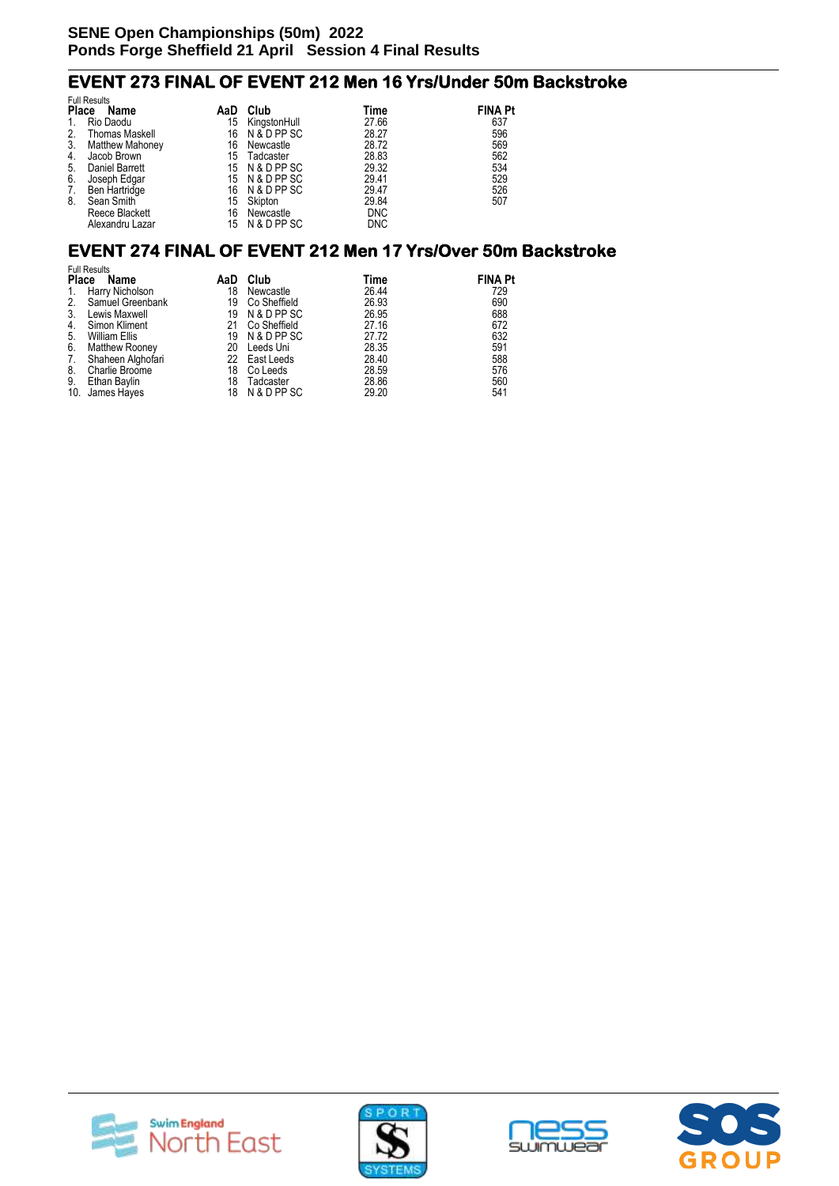# **EVENT 273 FINAL OF EVENT 212 Men 16 Yrs/Under 50m Backstroke**

|              | <b>Full Results</b>    |     |                |            |                |  |  |  |  |  |  |
|--------------|------------------------|-----|----------------|------------|----------------|--|--|--|--|--|--|
| <b>Place</b> | Name                   | AaD | Club           | Time       | <b>FINA Pt</b> |  |  |  |  |  |  |
|              | Rio Daodu              | 15  | KingstonHull   | 27.66      | 637            |  |  |  |  |  |  |
| 2.           | <b>Thomas Maskell</b>  | 16  | N & D PP SC    | 28.27      | 596            |  |  |  |  |  |  |
| 3.           | <b>Matthew Mahoney</b> | 16  | Newcastle      | 28.72      | 569            |  |  |  |  |  |  |
| 4.           | Jacob Brown            | 15  | Tadcaster      | 28.83      | 562            |  |  |  |  |  |  |
| 5.           | <b>Daniel Barrett</b>  |     | 15 N & D PP SC | 29.32      | 534            |  |  |  |  |  |  |
| 6.           | Joseph Edgar           |     | 15 N & D PP SC | 29.41      | 529            |  |  |  |  |  |  |
| 7.           | Ben Hartridge          | 16  | N & D PP SC    | 29.47      | 526            |  |  |  |  |  |  |
| 8.           | Sean Smith             | 15  | Skipton        | 29.84      | 507            |  |  |  |  |  |  |
|              | Reece Blackett         | 16  | Newcastle      | <b>DNC</b> |                |  |  |  |  |  |  |
|              | Alexandru Lazar        | 15  | N & D PP SC    | <b>DNC</b> |                |  |  |  |  |  |  |

#### **EVENT 274 FINAL OF EVENT 212 Men 17 Yrs/Over 50m Backstroke**

|    | <b>Full Results</b>  |     |               |       |                |  |  |  |  |  |  |
|----|----------------------|-----|---------------|-------|----------------|--|--|--|--|--|--|
|    | Place<br>Name        | AaD | Club          | Time  | <b>FINA Pt</b> |  |  |  |  |  |  |
| 1. | Harry Nicholson      | 18  | Newcastle     | 26.44 | 729            |  |  |  |  |  |  |
|    | 2. Samuel Greenbank  | 19  | Co Sheffield  | 26.93 | 690            |  |  |  |  |  |  |
| 3. | Lewis Maxwell        | 19  | N & D PP SC   | 26.95 | 688            |  |  |  |  |  |  |
| 4. | Simon Kliment        | 21  | Co Sheffield  | 27.16 | 672            |  |  |  |  |  |  |
| 5. | <b>William Ellis</b> | 19  | N & D PP SC   | 27.72 | 632            |  |  |  |  |  |  |
| 6. | Matthew Rooney       | 20  | Leeds Uni     | 28.35 | 591            |  |  |  |  |  |  |
| 7. | Shaheen Alghofari    |     | 22 East Leeds | 28.40 | 588            |  |  |  |  |  |  |
| 8. | Charlie Broome       | 18  | Co Leeds      | 28.59 | 576            |  |  |  |  |  |  |
| 9. | Ethan Baylin         | 18  | Tadcaster     | 28.86 | 560            |  |  |  |  |  |  |
|    | 10. James Hayes      | 18  | N & D PP SC   | 29.20 | 541            |  |  |  |  |  |  |







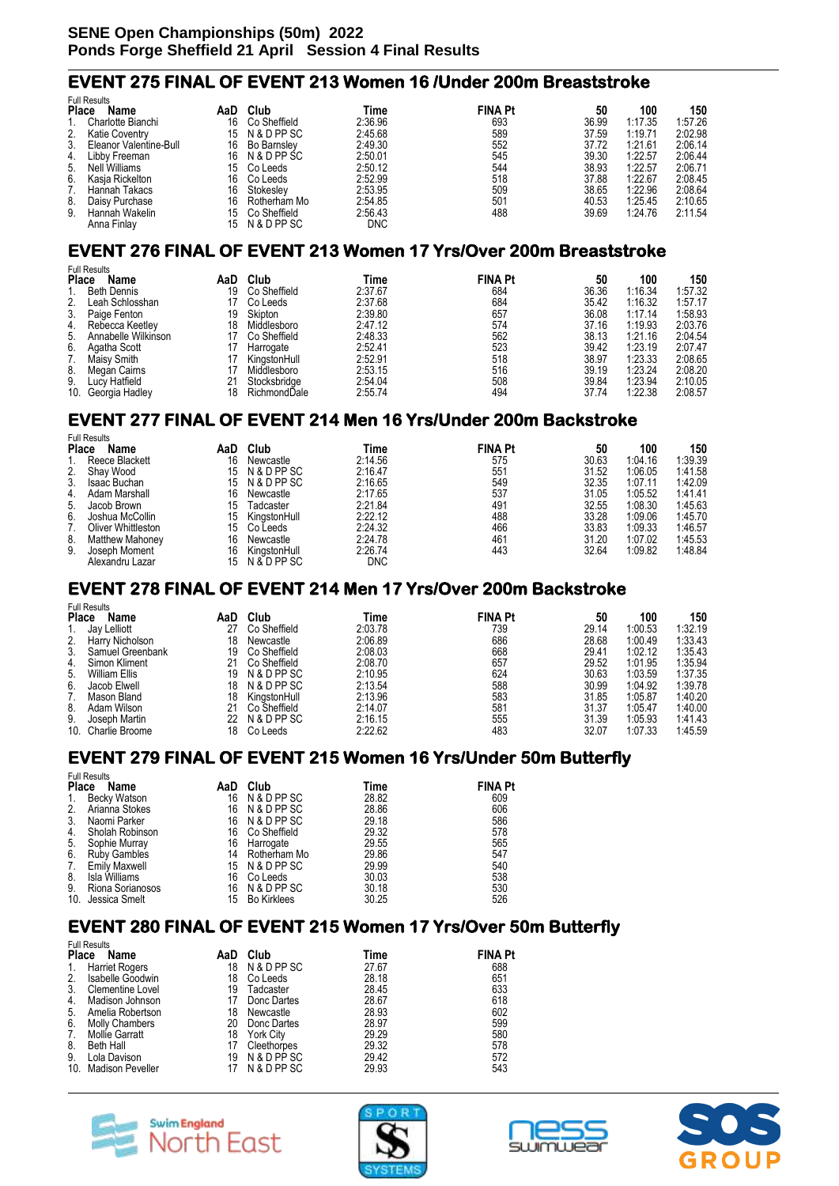#### **EVENT 275 FINAL OF EVENT 213 Women 16 /Under 200m Breaststroke**

|    | <b>Full Results</b>    |     |              |            |                |       |         |         |
|----|------------------------|-----|--------------|------------|----------------|-------|---------|---------|
|    | <b>Place</b><br>Name   | AaD | Club         | Time       | <b>FINA Pt</b> | 50    | 100     | 150     |
| 1. | Charlotte Bianchi      | 16  | Co Sheffield | 2:36.96    | 693            | 36.99 | 1:17.35 | 1:57.26 |
| 2. | <b>Katie Coventry</b>  | 15  | N & D PP SC  | 2:45.68    | 589            | 37.59 | 1:19.71 | 2:02.98 |
| 3. | Eleanor Valentine-Bull | 16  | Bo Barnsley  | 2:49.30    | 552            | 37.72 | 1:21.61 | 2:06.14 |
| 4. | Libby Freeman          | 16  | N & D PP SC  | 2:50.01    | 545            | 39.30 | 1:22.57 | 2:06.44 |
| 5. | Nell Williams          | 15  | Co Leeds     | 2:50.12    | 544            | 38.93 | 1:22.57 | 2:06.71 |
| 6. | Kasja Rickelton        | 16  | Co Leeds     | 2:52.99    | 518            | 37.88 | 1:22.67 | 2:08.45 |
| 7. | Hannah Takacs          | 16  | Stokeslev    | 2:53.95    | 509            | 38.65 | 1:22.96 | 2:08.64 |
| 8. | Daisy Purchase         | 16  | Rotherham Mo | 2:54.85    | 501            | 40.53 | 1:25.45 | 2:10.65 |
| 9. | Hannah Wakelin         | 15  | Co Sheffield | 2:56.43    | 488            | 39.69 | 1:24.76 | 2:11.54 |
|    | Anna Finlav            | 15  | N & D PP SC  | <b>DNC</b> |                |       |         |         |

### **EVENT 276 FINAL OF EVENT 213 Women 17 Yrs/Over 200m Breaststroke**

|     | <b>Full Results</b>  |     |              |         |                |       |         |         |
|-----|----------------------|-----|--------------|---------|----------------|-------|---------|---------|
|     | <b>Place</b><br>Name | AaD | Club         | Time    | <b>FINA Pt</b> | 50    | 100     | 150     |
|     | <b>Beth Dennis</b>   | 19  | Co Sheffield | 2:37.67 | 684            | 36.36 | 1:16.34 | 1:57.32 |
| 2.  | Leah Schlosshan      |     | Co Leeds     | 2:37.68 | 684            | 35.42 | 1:16.32 | 1:57.17 |
| 3.  | Paige Fenton         | 19  | Skipton      | 2:39.80 | 657            | 36.08 | 1:17.14 | 1:58.93 |
| 4.  | Rebecca Keetley      | 18  | Middlesboro  | 2:47.12 | 574            | 37.16 | 1:19.93 | 2:03.76 |
| 5.  | Annabelle Wilkinson  |     | Co Sheffield | 2:48.33 | 562            | 38.13 | 1:21.16 | 2:04.54 |
| 6.  | Agatha Scott         |     | Harrogate    | 2:52.41 | 523            | 39.42 | 1:23.19 | 2:07.47 |
| 7.  | Maisy Smith          | 17  | KingstonHull | 2:52.91 | 518            | 38.97 | 1:23.33 | 2:08.65 |
| 8.  | Megan Cairns         |     | Middlesboro  | 2:53.15 | 516            | 39.19 | 1:23.24 | 2:08.20 |
| 9.  | Lucy Hatfield        |     | Stocksbridge | 2:54.04 | 508            | 39.84 | 1:23.94 | 2:10.05 |
| 10. | Georgia Hadley       | 18  | RichmondDale | 2:55.74 | 494            | 37.74 | 1:22.38 | 2:08.57 |

#### **EVENT 277 FINAL OF EVENT 214 Men 16 Yrs/Under 200m Backstroke**  Full Results

| שווטטטו ווש            |     |              |                             |     |                |         |         |
|------------------------|-----|--------------|-----------------------------|-----|----------------|---------|---------|
| <b>Place</b><br>Name   | AaD | Club         | Time                        |     | 50             | 100     | 150     |
| Reece Blackett         | 16  | Newcastle    | 2:14.56                     | 575 | 30.63          | 1:04.16 | 1:39.39 |
| Shay Wood              | 15. | N & D PP SC  | 2:16.47                     | 551 | 31.52          | 1:06.05 | 1:41.58 |
| Isaac Buchan           | 15. |              | 2:16.65                     | 549 | 32.35          | 1:07.11 | 1:42.09 |
| 4. Adam Marshall       | 16  | Newcastle    | 2:17.65                     | 537 | 31.05          | 1:05.52 | 1:41.41 |
| 5.<br>Jacob Brown      | 15  | Tadcaster    | 2:21.84                     | 491 | 32.55          | 1:08.30 | 1:45.63 |
| Joshua McCollin        | 15  | KinastonHull | 2:22.12                     | 488 | 33.28          | 1:09.06 | 1:45.70 |
| Oliver Whittleston     | 15. | Co Leeds     | 2:24.32                     | 466 | 33.83          | 1:09.33 | 1:46.57 |
| <b>Matthew Mahoney</b> | 16  | Newcastle    | 2:24.78                     | 461 | 31.20          | 1:07.02 | 1:45.53 |
| Joseph Moment          | 16  |              | 2:26.74                     | 443 | 32.64          | 1:09.82 | 1:48.84 |
| Alexandru Lazar        | 15. | N & D PP SC  | <b>DNC</b>                  |     |                |         |         |
|                        | 2.  |              | N & D PP SC<br>KingstonHull |     | <b>FINA Pt</b> |         |         |

#### **EVENT 278 FINAL OF EVENT 214 Men 17 Yrs/Over 200m Backstroke**

| <b>Full Results</b>  |                                                                                                                                          |              |         |     |                |         |         |  |  |  |
|----------------------|------------------------------------------------------------------------------------------------------------------------------------------|--------------|---------|-----|----------------|---------|---------|--|--|--|
| <b>Name</b>          | AaD                                                                                                                                      | Club         | Time    |     | 50             | 100     | 150     |  |  |  |
|                      | 27                                                                                                                                       | Co Sheffield | 2:03.78 | 739 | 29.14          | 1:00.53 | 1:32.19 |  |  |  |
|                      | 18                                                                                                                                       | Newcastle    | 2:06.89 | 686 | 28.68          | 1:00.49 | 1:33.43 |  |  |  |
|                      | 19                                                                                                                                       | Co Sheffield | 2:08.03 | 668 | 29.41          | 1:02.12 | 1:35.43 |  |  |  |
| Simon Kliment        | 21                                                                                                                                       | Co Sheffield | 2:08.70 | 657 | 29.52          | 1:01.95 | 1:35.94 |  |  |  |
| <b>William Ellis</b> | 19                                                                                                                                       | N & D PP SC  | 2:10.95 | 624 | 30.63          | 1:03.59 | 1:37.35 |  |  |  |
| Jacob Elwell         | 18                                                                                                                                       | N & D PP SC  | 2:13.54 | 588 | 30.99          | 1:04.92 | 1:39.78 |  |  |  |
|                      | 18                                                                                                                                       | KingstonHull | 2:13.96 | 583 | 31.85          | 1:05.87 | 1:40.20 |  |  |  |
|                      |                                                                                                                                          | Co Sheffield | 2:14.07 | 581 | 31.37          | 1:05.47 | 1:40.00 |  |  |  |
|                      | 22                                                                                                                                       | N & D PP SC  | 2:16.15 | 555 | 31.39          | 1:05.93 | 1:41.43 |  |  |  |
|                      | 18                                                                                                                                       | Co Leeds     | 2:22.62 | 483 | 32.07          | 1:07.33 | 1:45.59 |  |  |  |
| 2.                   | <b>Place</b><br>Jay Lelliott<br>Harry Nicholson<br>Samuel Greenbank<br>Mason Bland<br>Adam Wilson<br>Joseph Martin<br>10. Charlie Broome |              |         |     | <b>FINA Pt</b> |         |         |  |  |  |

### **EVENT 279 FINAL OF EVENT 215 Women 16 Yrs/Under 50m Butterfly**

|                             | <b>FUIL RESUITS</b>  |    |                    |       |                |
|-----------------------------|----------------------|----|--------------------|-------|----------------|
| <b>Place</b><br>Name<br>AaD |                      |    | Club               | Time  | <b>FINA Pt</b> |
| 1.                          | <b>Becky Watson</b>  | 16 | N & D PP SC        | 28.82 | 609            |
| 2.                          | Arianna Stokes       | 16 | N & D PP SC        | 28.86 | 606            |
| 3.                          | Naomi Parker         | 16 | N & D PP SC        | 29.18 | 586            |
| 4.                          | Sholah Robinson      | 16 | Co Sheffield       | 29.32 | 578            |
| 5.                          | Sophie Murray        | 16 | Harrogate          | 29.55 | 565            |
| 6.                          | <b>Ruby Gambles</b>  | 14 | Rotherham Mo       | 29.86 | 547            |
| 7.                          | <b>Emily Maxwell</b> |    | 15 N & D PP SC     | 29.99 | 540            |
| 8.                          | Isla Williams        | 16 | Co Leeds           | 30.03 | 538            |
| 9.                          | Riona Sorianosos     | 16 | N & D PP SC        | 30.18 | 530            |
|                             | 10. Jessica Smelt    | 15 | <b>Bo Kirklees</b> | 30.25 | 526            |
|                             |                      |    |                    |       |                |

### **EVENT 280 FINAL OF EVENT 215 Women 17 Yrs/Over 50m Butterfly**

| <b>Full Results</b>  |                         |     |                  |       |                |  |  |
|----------------------|-------------------------|-----|------------------|-------|----------------|--|--|
| <b>Place</b><br>Name |                         | AaD | Club             | Time  | <b>FINA Pt</b> |  |  |
| 1.                   | <b>Harriet Rogers</b>   | 18  | N & D PP SC      | 27.67 | 688            |  |  |
| 2.                   | Isabelle Goodwin        | 18  | Co Leeds         | 28.18 | 651            |  |  |
| 3.                   | <b>Clementine Lovel</b> | 19  | Tadcaster        | 28.45 | 633            |  |  |
| 4.                   | Madison Johnson         |     | Donc Dartes      | 28.67 | 618            |  |  |
| 5.                   | Amelia Robertson        | 18  | Newcastle        | 28.93 | 602            |  |  |
| 6.                   | <b>Molly Chambers</b>   | 20  | Donc Dartes      | 28.97 | 599            |  |  |
| 7.                   | Mollie Garratt          | 18  | <b>York City</b> | 29.29 | 580            |  |  |
| 8.                   | Beth Hall               |     | Cleethorpes      | 29.32 | 578            |  |  |
| 9.                   | Lola Davison            | 19  | N & D PP SC      | 29.42 | 572            |  |  |
|                      | 10. Madison Peveller    |     | N & D PP SC      | 29.93 | 543            |  |  |



Full Results